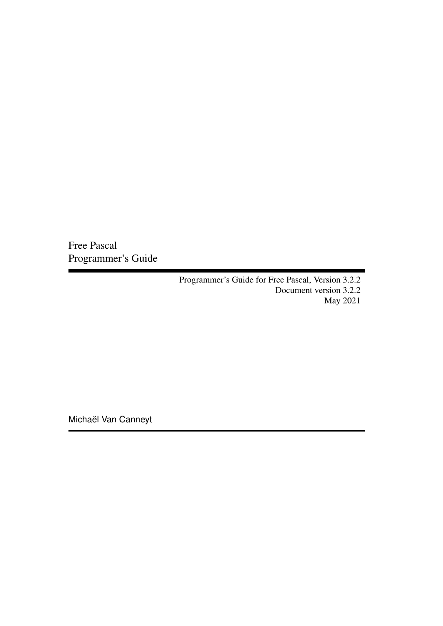Free Pascal Programmer's Guide

> Programmer's Guide for Free Pascal, Version 3.2.2 Document version 3.2.2 May 2021

Michaël Van Canneyt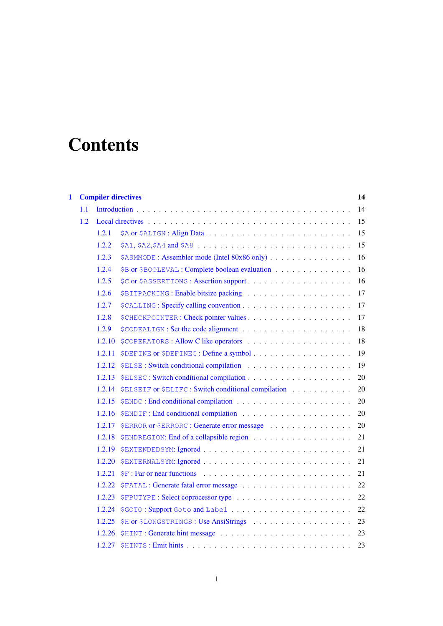# **Contents**

| 1 |     |        | <b>Compiler directives</b>                                                                               | 14 |
|---|-----|--------|----------------------------------------------------------------------------------------------------------|----|
|   | 1.1 |        |                                                                                                          | 14 |
|   | 1.2 |        |                                                                                                          | 15 |
|   |     | 1.2.1  |                                                                                                          | 15 |
|   |     | 1.2.2  | $$A1, $A2, $A4 \text{ and } $A8 \dots \dots \dots \dots \dots \dots \dots \dots \dots \dots \dots \dots$ | 15 |
|   |     | 1.2.3  | \$ASMMODE : Assembler mode (Intel 80x86 only)                                                            | 16 |
|   |     | 1.2.4  | \$B or \$BOOLEVAL : Complete boolean evaluation                                                          | 16 |
|   |     | 1.2.5  |                                                                                                          | 16 |
|   |     | 1.2.6  |                                                                                                          | 17 |
|   |     | 1.2.7  |                                                                                                          | 17 |
|   |     | 1.2.8  |                                                                                                          | 17 |
|   |     | 1.2.9  |                                                                                                          | 18 |
|   |     | 1.2.10 |                                                                                                          | 18 |
|   |     | 1.2.11 |                                                                                                          | 19 |
|   |     | 1.2.12 |                                                                                                          | 19 |
|   |     | 1.2.13 |                                                                                                          | 20 |
|   |     | 1.2.14 | \$ELSEIF or \$ELIFC : Switch conditional compilation                                                     | 20 |
|   |     | 1.2.15 |                                                                                                          | 20 |
|   |     | 1.2.16 |                                                                                                          | 20 |
|   |     | 1.2.17 | \$ERROR or \$ERRORC : Generate error message                                                             | 20 |
|   |     | 1.2.18 |                                                                                                          | 21 |
|   |     | 1.2.19 |                                                                                                          | 21 |
|   |     | 1.2.20 |                                                                                                          | 21 |
|   |     | 1.2.21 |                                                                                                          | 21 |
|   |     | 1.2.22 |                                                                                                          | 22 |
|   |     | 1.2.23 |                                                                                                          | 22 |
|   |     | 1.2.24 |                                                                                                          | 22 |
|   |     | 1.2.25 |                                                                                                          | 23 |
|   |     | 1.2.26 |                                                                                                          | 23 |
|   |     | 1.2.27 |                                                                                                          | 23 |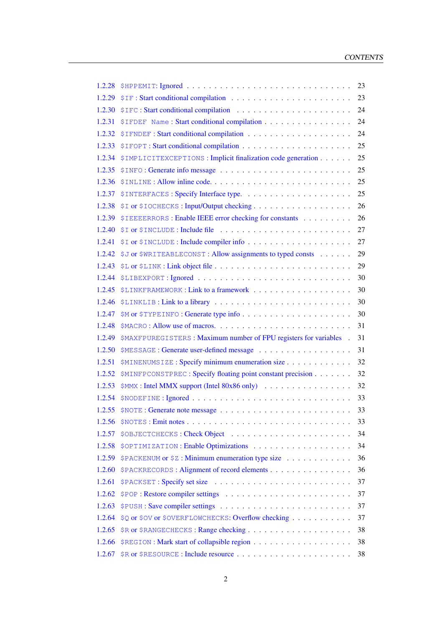| 1.2.28 |                                                                   | 23 |
|--------|-------------------------------------------------------------------|----|
| 1.2.29 |                                                                   | 23 |
| 1.2.30 |                                                                   | 24 |
| 1.2.31 | \$IFDEF Name: Start conditional compilation                       | 24 |
| 1.2.32 |                                                                   | 24 |
| 1.2.33 |                                                                   | 25 |
| 1.2.34 | \$IMPLICITEXCEPTIONS : Implicit finalization code generation      | 25 |
| 1.2.35 |                                                                   | 25 |
| 1.2.36 |                                                                   | 25 |
| 1.2.37 |                                                                   | 25 |
| 1.2.38 |                                                                   | 26 |
| 1.2.39 | \$IEEEERRORS : Enable IEEE error checking for constants           | 26 |
| 1.2.40 |                                                                   | 27 |
| 1.2.41 |                                                                   | 27 |
| 1.2.42 | \$J or \$WRITEABLECONST : Allow assignments to typed consts       | 29 |
| 1.2.43 |                                                                   | 29 |
| 1.2.44 |                                                                   | 30 |
| 1.2.45 |                                                                   | 30 |
| 1.2.46 |                                                                   | 30 |
| 1.2.47 | \$M or \$TYPEINFO: Generate type info                             | 30 |
| 1.2.48 |                                                                   | 31 |
| 1.2.49 | \$MAXFPUREGISTERS: Maximum number of FPU registers for variables. | 31 |
| 1.2.50 |                                                                   | 31 |
| 1.2.51 | \$MINENUMSIZE: Specify minimum enumeration size                   | 32 |
| 1.2.52 | \$MINFPCONSTPREC: Specify floating point constant precision       | 32 |
| 1.2.53 | \$MMX : Intel MMX support (Intel 80x86 only)                      | 32 |
| 1.2.54 |                                                                   | 33 |
| 1.2.55 |                                                                   | 33 |
| 1.2.56 |                                                                   | 33 |
| 1.2.57 |                                                                   | 34 |
| 1.2.58 |                                                                   | 34 |
| 1.2.59 | \$PACKENUM or \$2 : Minimum enumeration type size                 | 36 |
| 1.2.60 | \$PACKRECORDS : Alignment of record elements                      | 36 |
| 1.2.61 |                                                                   | 37 |
| 1.2.62 |                                                                   | 37 |
| 1.2.63 |                                                                   | 37 |
| 1.2.64 | \$Q or \$OV or \$OVERFLOWCHECKS: Overflow checking                | 37 |
| 1.2.65 |                                                                   | 38 |
| 1.2.66 |                                                                   | 38 |
| 1.2.67 |                                                                   | 38 |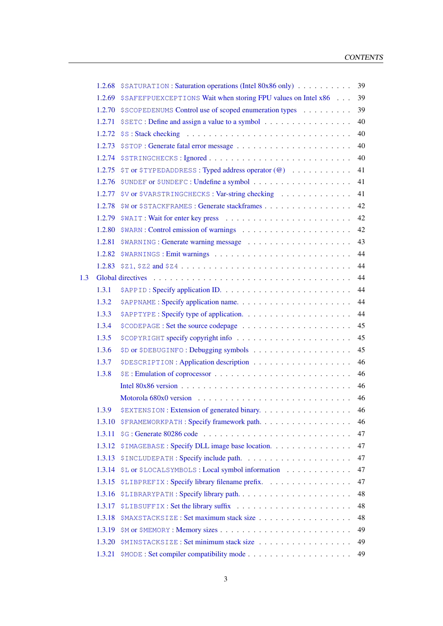|     | 1.2.68 | \$SATURATION: Saturation operations (Intel 80x86 only)                                               | 39 |
|-----|--------|------------------------------------------------------------------------------------------------------|----|
|     | 1.2.69 | \$SAFEFPUEXCEPTIONS Wait when storing FPU values on Intel x86                                        | 39 |
|     | 1.2.70 | \$SCOPEDENUMS Control use of scoped enumeration types                                                | 39 |
|     | 1.2.71 | \$SETC: Define and assign a value to a symbol                                                        | 40 |
|     | 1.2.72 |                                                                                                      | 40 |
|     | 1.2.73 |                                                                                                      | 40 |
|     | 1.2.74 |                                                                                                      | 40 |
|     | 1.2.75 | \$T or \$TYPEDADDRESS: Typed address operator (@)                                                    | 41 |
|     | 1.2.76 |                                                                                                      | 41 |
|     | 1.2.77 | \$V or \$VARSTRINGCHECKS : Var-string checking                                                       | 41 |
|     | 1.2.78 | \$W or \$STACKFRAMES : Generate stackframes                                                          | 42 |
|     | 1.2.79 |                                                                                                      | 42 |
|     | 1.2.80 |                                                                                                      | 42 |
|     | 1.2.81 |                                                                                                      | 43 |
|     | 1.2.82 |                                                                                                      | 44 |
|     | 1.2.83 | $$21, $22 \text{ and } $24 \text{ .} \ldots \ldots \ldots \ldots \ldots \ldots \ldots \ldots \ldots$ | 44 |
| 1.3 |        |                                                                                                      | 44 |
|     | 1.3.1  |                                                                                                      | 44 |
|     | 1.3.2  |                                                                                                      | 44 |
|     | 1.3.3  |                                                                                                      | 44 |
|     | 1.3.4  |                                                                                                      | 45 |
|     | 1.3.5  |                                                                                                      | 45 |
|     | 1.3.6  |                                                                                                      | 45 |
|     | 1.3.7  |                                                                                                      | 46 |
|     | 1.3.8  |                                                                                                      | 46 |
|     |        |                                                                                                      | 46 |
|     |        |                                                                                                      | 46 |
|     | 1.3.9  | \$EXTENSION : Extension of generated binary.                                                         | 46 |
|     | 1.3.10 | <b>\$FRAMEWORKPATH: Specify framework path</b>                                                       | 46 |
|     | 1.3.11 |                                                                                                      | 47 |
|     | 1.3.12 | \$IMAGEBASE: Specify DLL image base location.                                                        | 47 |
|     | 1.3.13 |                                                                                                      | 47 |
|     | 1.3.14 | \$L or \$LOCALSYMBOLS : Local symbol information                                                     | 47 |
|     | 1.3.15 | \$LIBPREFIX : Specify library filename prefix.                                                       | 47 |
|     | 1.3.16 |                                                                                                      | 48 |
|     | 1.3.17 |                                                                                                      | 48 |
|     | 1.3.18 | \$MAXSTACKSIZE: Set maximum stack size                                                               | 48 |
|     | 1.3.19 |                                                                                                      | 49 |
|     | 1.3.20 | \$MINSTACKSIZE: Set minimum stack size                                                               | 49 |
|     | 1.3.21 |                                                                                                      | 49 |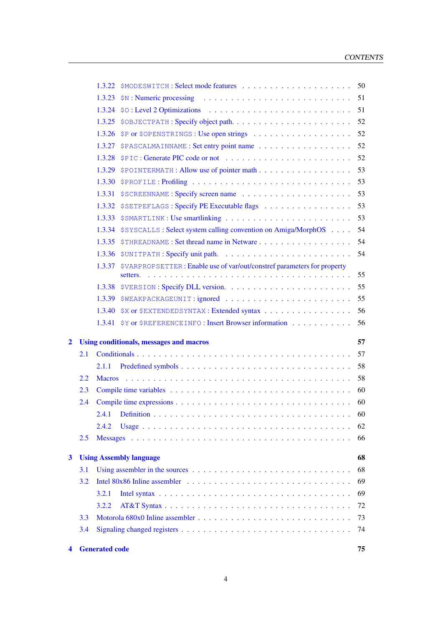|   | 3.3<br>3.4 | 3.2.2                                                                          | 72<br>73<br>74 |
|---|------------|--------------------------------------------------------------------------------|----------------|
|   |            |                                                                                |                |
|   |            |                                                                                |                |
|   |            |                                                                                |                |
|   |            | 3.2.1                                                                          | 69             |
|   | 3.2        |                                                                                | 69             |
|   | 3.1        |                                                                                | 68             |
| 3 |            | <b>Using Assembly language</b>                                                 | 68             |
|   |            |                                                                                |                |
|   | 2.5        |                                                                                | 66             |
|   |            | 2.4.2                                                                          | 62             |
|   |            |                                                                                |                |
|   | 2.3<br>2.4 |                                                                                | 60             |
|   | 2.2        |                                                                                | 58             |
|   |            | 2.1.1                                                                          | 58             |
|   | 2.1        |                                                                                | 57             |
| 2 |            | <b>Using conditionals, messages and macros</b>                                 | 57             |
|   |            |                                                                                |                |
|   |            | 1.3.41 \$Y or \$REFERENCEINFO : Insert Browser information                     | 56             |
|   |            | 1.3.40 \$X or \$EXTENDEDSYNTAX : Extended syntax                               | 56             |
|   |            | 1.3.39 \$WEAKPACKAGEUNIT:ignored                                               | 55             |
|   |            |                                                                                | 55             |
|   |            | 1.3.37 \$VARPROPSETTER: Enable use of var/out/constref parameters for property | 55             |
|   |            |                                                                                | 54             |
|   |            |                                                                                | 54             |
|   |            | 1.3.34 \$SYSCALLS: Select system calling convention on Amiga/MorphOS           | 54             |
|   |            | 1.3.33 \$SMARTLINK: Use smartlinking                                           | 53             |
|   |            | 1.3.32 SSETPEFLAGS : Specify PE Executable flags                               | 53             |
|   |            |                                                                                | 53             |
|   |            |                                                                                | 53             |
|   |            |                                                                                | 53             |
|   |            |                                                                                | 52             |
|   |            |                                                                                | 52             |
|   |            |                                                                                | 52             |
|   |            |                                                                                | 52             |
|   |            |                                                                                | 51             |
|   |            |                                                                                | 51             |
|   |            |                                                                                | 50             |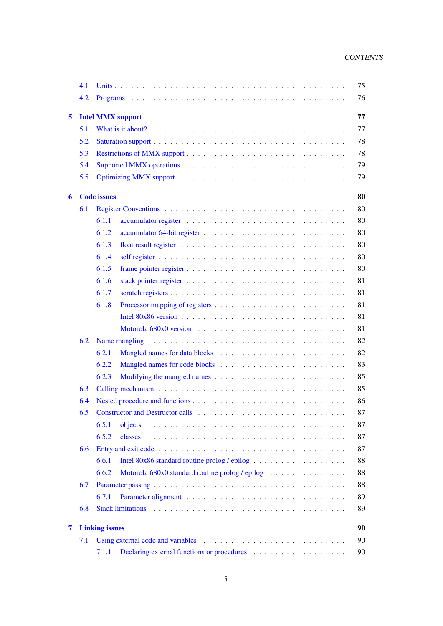|   | 4.1 | 75                                                             |  |
|---|-----|----------------------------------------------------------------|--|
|   | 4.2 | 76                                                             |  |
| 5 |     | <b>Intel MMX support</b><br>77                                 |  |
|   | 5.1 | 77                                                             |  |
|   | 5.2 | 78                                                             |  |
|   | 5.3 | 78                                                             |  |
|   | 5.4 | 79                                                             |  |
|   | 5.5 | 79                                                             |  |
|   |     |                                                                |  |
| 6 |     | <b>Code</b> issues<br>80                                       |  |
|   | 6.1 | 80                                                             |  |
|   |     | 6.1.1<br>80                                                    |  |
|   |     | 6.1.2<br>80                                                    |  |
|   |     | 80<br>6.1.3                                                    |  |
|   |     | 6.1.4<br>80                                                    |  |
|   |     | 6.1.5<br>80                                                    |  |
|   |     | 6.1.6<br>81                                                    |  |
|   |     | 6.1.7<br>81                                                    |  |
|   |     | 6.1.8<br>81                                                    |  |
|   |     | 81                                                             |  |
|   |     | 81                                                             |  |
|   | 6.2 | 82                                                             |  |
|   |     | 82<br>6.2.1                                                    |  |
|   |     | 83<br>6.2.2                                                    |  |
|   |     | 85<br>6.2.3                                                    |  |
|   | 6.3 | 85                                                             |  |
|   | 6.4 | 86                                                             |  |
|   | 6.5 | 87                                                             |  |
|   |     | 6.5.1<br>87                                                    |  |
|   |     | 6.5.2<br>87<br>classes                                         |  |
|   | 6.6 | 87                                                             |  |
|   |     | 6.6.1<br>88                                                    |  |
|   |     | 6.6.2<br>88<br>Motorola 680x0 standard routine prolog / epilog |  |
|   | 6.7 | 88                                                             |  |
|   |     | 6.7.1<br>89                                                    |  |
|   | 6.8 | <b>Stack limitations</b><br>89                                 |  |
|   |     |                                                                |  |
| 7 |     | <b>Linking issues</b><br>90                                    |  |
|   | 7.1 | 90                                                             |  |
|   |     | 7.1.1<br>90                                                    |  |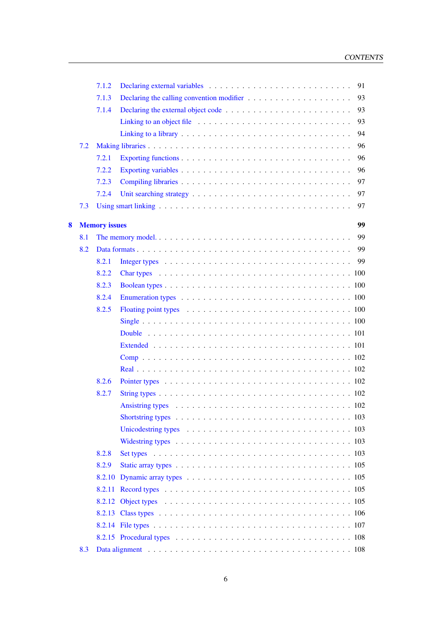|   |     | 7.1.2                | 91                                                                                                                |
|---|-----|----------------------|-------------------------------------------------------------------------------------------------------------------|
|   |     | 7.1.3                | Declaring the calling convention modifier $\dots \dots \dots \dots \dots \dots \dots$<br>93                       |
|   |     | 7.1.4                | 93                                                                                                                |
|   |     |                      | 93<br>Linking to an object file $\ldots \ldots \ldots \ldots \ldots \ldots \ldots \ldots \ldots$                  |
|   |     |                      | 94                                                                                                                |
|   | 7.2 |                      | 96                                                                                                                |
|   |     | 7.2.1                | 96                                                                                                                |
|   |     | 7.2.2                | 96                                                                                                                |
|   |     | 7.2.3                | 97                                                                                                                |
|   |     | 7.2.4                | 97                                                                                                                |
|   | 7.3 |                      | 97                                                                                                                |
| 8 |     | <b>Memory</b> issues | 99                                                                                                                |
|   | 8.1 |                      | 99                                                                                                                |
|   | 8.2 |                      | 99                                                                                                                |
|   |     | 8.2.1                | 99                                                                                                                |
|   |     | 8.2.2                |                                                                                                                   |
|   |     | 8.2.3                |                                                                                                                   |
|   |     | 8.2.4                |                                                                                                                   |
|   |     | 8.2.5                |                                                                                                                   |
|   |     |                      |                                                                                                                   |
|   |     |                      |                                                                                                                   |
|   |     |                      |                                                                                                                   |
|   |     |                      |                                                                                                                   |
|   |     |                      |                                                                                                                   |
|   |     | 8.2.6                |                                                                                                                   |
|   |     | 8.2.7                |                                                                                                                   |
|   |     |                      | Ansistring types $\ldots \ldots \ldots \ldots \ldots \ldots \ldots \ldots \ldots \ldots \ldots \ldots \ldots 102$ |
|   |     |                      |                                                                                                                   |
|   |     |                      |                                                                                                                   |
|   |     |                      | Widestring types $\ldots \ldots \ldots \ldots \ldots \ldots \ldots \ldots \ldots \ldots \ldots \ldots \ldots 103$ |
|   |     | 8.2.8                |                                                                                                                   |
|   |     | 8.2.9                |                                                                                                                   |
|   |     |                      |                                                                                                                   |
|   |     |                      |                                                                                                                   |
|   |     |                      |                                                                                                                   |
|   |     |                      |                                                                                                                   |
|   |     |                      |                                                                                                                   |
|   |     |                      |                                                                                                                   |
|   | 8.3 |                      |                                                                                                                   |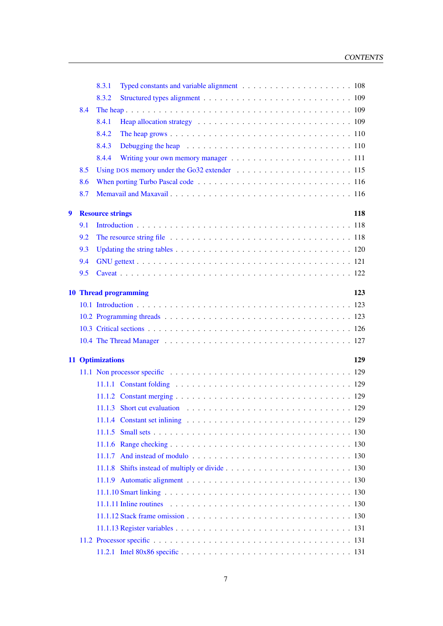|   |     | 8.3.1                   |                                                                                                                        |
|---|-----|-------------------------|------------------------------------------------------------------------------------------------------------------------|
|   |     | 8.3.2                   |                                                                                                                        |
|   | 8.4 |                         |                                                                                                                        |
|   |     | 8.4.1                   |                                                                                                                        |
|   |     | 8.4.2                   |                                                                                                                        |
|   |     | 8.4.3                   |                                                                                                                        |
|   |     | 8.4.4                   |                                                                                                                        |
|   | 8.5 |                         |                                                                                                                        |
|   | 8.6 |                         |                                                                                                                        |
|   | 8.7 |                         |                                                                                                                        |
| 9 |     | <b>Resource strings</b> | 118                                                                                                                    |
|   | 9.1 |                         |                                                                                                                        |
|   | 9.2 |                         |                                                                                                                        |
|   | 9.3 |                         |                                                                                                                        |
|   | 9.4 |                         |                                                                                                                        |
|   | 9.5 |                         |                                                                                                                        |
|   |     |                         |                                                                                                                        |
|   |     |                         | <b>10 Thread programming</b><br>123                                                                                    |
|   |     |                         |                                                                                                                        |
|   |     |                         |                                                                                                                        |
|   |     |                         |                                                                                                                        |
|   |     |                         |                                                                                                                        |
|   |     | <b>11 Optimizations</b> | 129                                                                                                                    |
|   |     |                         | 11.1 Non processor specific $\ldots \ldots \ldots \ldots \ldots \ldots \ldots \ldots \ldots \ldots \ldots \ldots 129$  |
|   |     |                         |                                                                                                                        |
|   |     |                         |                                                                                                                        |
|   |     |                         | 11.1.3 Short cut evaluation $\ldots \ldots \ldots \ldots \ldots \ldots \ldots \ldots \ldots \ldots \ldots$ 129         |
|   |     |                         |                                                                                                                        |
|   |     |                         |                                                                                                                        |
|   |     |                         |                                                                                                                        |
|   |     |                         | 11.1.7 And instead of modulo $\ldots \ldots \ldots \ldots \ldots \ldots \ldots \ldots \ldots \ldots \ldots \ldots$ 130 |
|   |     |                         |                                                                                                                        |
|   |     |                         | 11.1.9 Automatic alignment $\ldots \ldots \ldots \ldots \ldots \ldots \ldots \ldots \ldots \ldots \ldots \ldots$ 130   |
|   |     |                         |                                                                                                                        |
|   |     |                         |                                                                                                                        |
|   |     |                         | $11.1.12$ Stack frame omission $\ldots \ldots \ldots \ldots \ldots \ldots \ldots \ldots \ldots \ldots \ldots 130$      |
|   |     |                         |                                                                                                                        |
|   |     |                         |                                                                                                                        |
|   |     |                         |                                                                                                                        |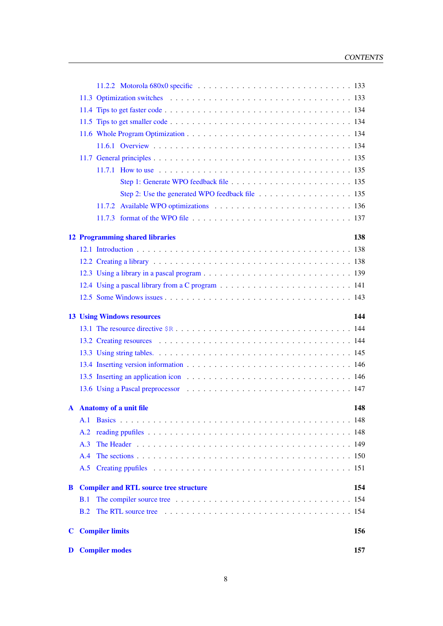|          |            | Step 2: Use the generated WPO feedback file 135 |     |
|----------|------------|-------------------------------------------------|-----|
|          |            |                                                 |     |
|          |            |                                                 |     |
|          |            | <b>12 Programming shared libraries</b>          | 138 |
|          |            |                                                 |     |
|          |            |                                                 |     |
|          |            |                                                 |     |
|          |            |                                                 |     |
|          |            |                                                 |     |
|          |            |                                                 |     |
|          |            | <b>13 Using Windows resources</b>               | 144 |
|          |            |                                                 |     |
|          |            |                                                 |     |
|          |            |                                                 |     |
|          |            |                                                 |     |
|          |            |                                                 |     |
|          |            |                                                 |     |
|          |            | A Anatomy of a unit file                        | 148 |
|          | A.1        |                                                 |     |
|          | A.2        |                                                 |     |
|          | A.3        |                                                 |     |
|          | A.4        |                                                 |     |
|          | A.5        |                                                 |     |
| $\bf{B}$ |            | <b>Compiler and RTL source tree structure</b>   | 154 |
|          | <b>B.1</b> |                                                 |     |
|          | B.2        |                                                 |     |
|          |            |                                                 |     |
| C        |            | <b>Compiler limits</b>                          | 156 |
| D        |            | <b>Compiler modes</b>                           | 157 |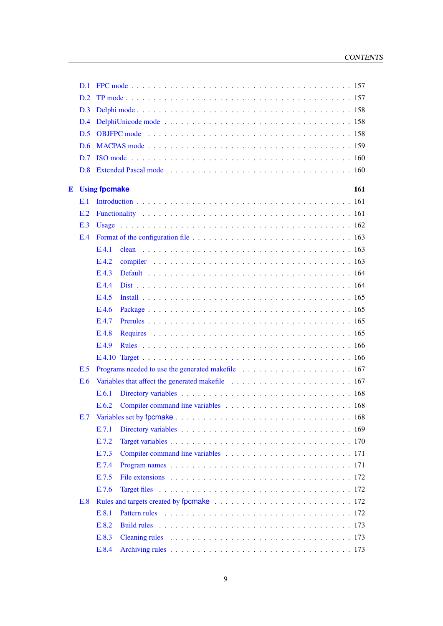|   | D.1 |                      |                                                                                                                                                                                                                                |
|---|-----|----------------------|--------------------------------------------------------------------------------------------------------------------------------------------------------------------------------------------------------------------------------|
|   | D.2 |                      |                                                                                                                                                                                                                                |
|   | D.3 |                      |                                                                                                                                                                                                                                |
|   | D.4 |                      |                                                                                                                                                                                                                                |
|   | D.5 |                      |                                                                                                                                                                                                                                |
|   | D.6 |                      |                                                                                                                                                                                                                                |
|   | D.7 |                      |                                                                                                                                                                                                                                |
|   | D.8 |                      | Extended Pascal mode expansion of the contract of the contract of the contract of the contract of the contract of the contract of the contract of the contract of the contract of the contract of the contract of the contract |
| E |     | <b>Using fpcmake</b> | 161                                                                                                                                                                                                                            |
|   | E.1 |                      |                                                                                                                                                                                                                                |
|   | E.2 |                      |                                                                                                                                                                                                                                |
|   | E.3 |                      |                                                                                                                                                                                                                                |
|   | E.4 |                      |                                                                                                                                                                                                                                |
|   |     | E.4.1                |                                                                                                                                                                                                                                |
|   |     | E.4.2                |                                                                                                                                                                                                                                |
|   |     | E.4.3                |                                                                                                                                                                                                                                |
|   |     | E.4.4                |                                                                                                                                                                                                                                |
|   |     | E.4.5                |                                                                                                                                                                                                                                |
|   |     | E.4.6                |                                                                                                                                                                                                                                |
|   |     | E.4.7                |                                                                                                                                                                                                                                |
|   |     | E.4.8                |                                                                                                                                                                                                                                |
|   |     | E.4.9                |                                                                                                                                                                                                                                |
|   |     |                      |                                                                                                                                                                                                                                |
|   | E.5 |                      |                                                                                                                                                                                                                                |
|   | E.6 |                      |                                                                                                                                                                                                                                |
|   |     | E.6.1                |                                                                                                                                                                                                                                |
|   |     | E.6.2                |                                                                                                                                                                                                                                |
|   |     |                      |                                                                                                                                                                                                                                |
|   |     | E.7.1                |                                                                                                                                                                                                                                |
|   |     | E.7.2                |                                                                                                                                                                                                                                |
|   |     | E.7.3                |                                                                                                                                                                                                                                |
|   |     | E.7.4                |                                                                                                                                                                                                                                |
|   |     | E.7.5                |                                                                                                                                                                                                                                |
|   |     | E.7.6                |                                                                                                                                                                                                                                |
|   | E.8 |                      |                                                                                                                                                                                                                                |
|   |     | E.8.1                |                                                                                                                                                                                                                                |
|   |     | E.8.2                |                                                                                                                                                                                                                                |
|   |     | E.8.3                |                                                                                                                                                                                                                                |
|   |     | E.8.4                |                                                                                                                                                                                                                                |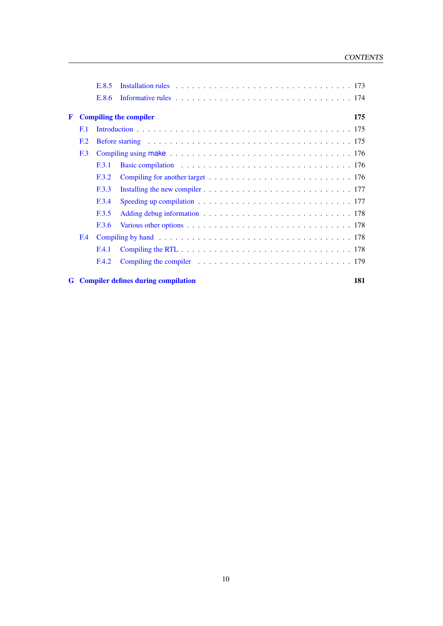|   |                 | E.8.5        | Installation rules $\ldots \ldots \ldots \ldots \ldots \ldots \ldots \ldots \ldots \ldots \ldots \ldots \ldots$                                                                                                                |     |
|---|-----------------|--------------|--------------------------------------------------------------------------------------------------------------------------------------------------------------------------------------------------------------------------------|-----|
|   |                 | E.8.6        |                                                                                                                                                                                                                                |     |
| F |                 |              | <b>Compiling the compiler</b>                                                                                                                                                                                                  | 175 |
|   | E.1             |              |                                                                                                                                                                                                                                |     |
|   | F <sub>12</sub> |              | Before starting enterprise in the set of the set of the set of the set of the set of the set of the set of the set of the set of the set of the set of the set of the set of the set of the set of the set of the set of the s |     |
|   | F <sub>13</sub> |              |                                                                                                                                                                                                                                |     |
|   |                 | E3.1         |                                                                                                                                                                                                                                |     |
|   |                 | F.3.2        |                                                                                                                                                                                                                                |     |
|   |                 | <b>F.3.3</b> |                                                                                                                                                                                                                                |     |
|   |                 | F.3.4        |                                                                                                                                                                                                                                |     |
|   |                 | <b>E3.5</b>  |                                                                                                                                                                                                                                |     |
|   |                 | F.3.6        |                                                                                                                                                                                                                                |     |
|   | F.4             |              |                                                                                                                                                                                                                                |     |
|   |                 | <b>E.4.1</b> | Compiling the RTL $\ldots \ldots \ldots \ldots \ldots \ldots \ldots \ldots \ldots \ldots \ldots \ldots 178$                                                                                                                    |     |
|   |                 | F.4.2        |                                                                                                                                                                                                                                |     |
|   |                 |              | <b>G</b> Compiler defines during compilation                                                                                                                                                                                   | 181 |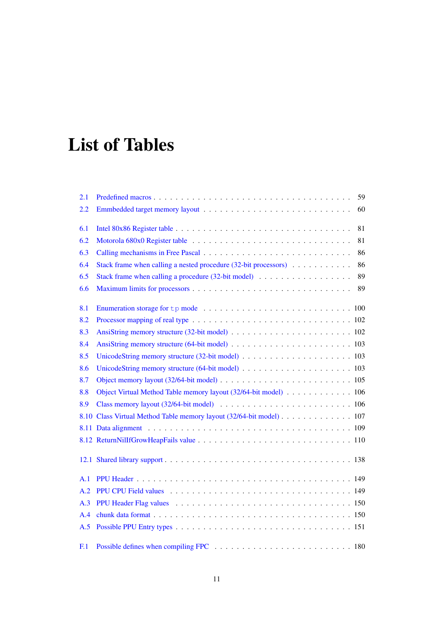# List of Tables

| 2.1            | 59                                                                                                             |
|----------------|----------------------------------------------------------------------------------------------------------------|
| $2.2\,$        | 60                                                                                                             |
| 6.1            | 81                                                                                                             |
| 6.2            | 81                                                                                                             |
| 6.3            | 86                                                                                                             |
| 6.4            | Stack frame when calling a nested procedure (32-bit processors)<br>86                                          |
| 6.5            | 89                                                                                                             |
| 6.6            | 89                                                                                                             |
| 8.1            |                                                                                                                |
| 8.2            |                                                                                                                |
| 8.3            |                                                                                                                |
| 8.4            |                                                                                                                |
| 8.5            |                                                                                                                |
| 8.6            | UnicodeString memory structure $(64$ -bit model) $\ldots \ldots \ldots \ldots \ldots \ldots \ldots \ldots 103$ |
| 8.7            |                                                                                                                |
| 8.8            | Object Virtual Method Table memory layout (32/64-bit model) 106                                                |
| 8.9            |                                                                                                                |
|                | 8.10 Class Virtual Method Table memory layout (32/64-bit model) 107                                            |
|                |                                                                                                                |
|                |                                                                                                                |
|                |                                                                                                                |
| A.1            |                                                                                                                |
| A.2            |                                                                                                                |
| A.3            |                                                                                                                |
| A.4            |                                                                                                                |
| A.5            |                                                                                                                |
| F <sub>1</sub> |                                                                                                                |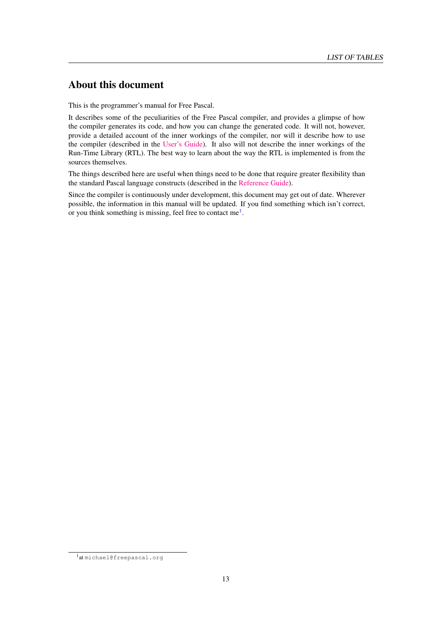# About this document

This is the programmer's manual for Free Pascal.

It describes some of the peculiarities of the Free Pascal compiler, and provides a glimpse of how the compiler generates its code, and how you can change the generated code. It will not, however, provide a detailed account of the inner workings of the compiler, nor will it describe how to use the compiler (described in the [User's Guide\)](../user/user.html). It also will not describe the inner workings of the Run-Time Library (RTL). The best way to learn about the way the RTL is implemented is from the sources themselves.

The things described here are useful when things need to be done that require greater flexibility than the standard Pascal language constructs (described in the [Reference Guide\)](../ref/ref.html).

Since the compiler is continuously under development, this document may get out of date. Wherever possible, the information in this manual will be updated. If you find something which isn't correct, or you think something is missing, feel free to contact me $<sup>1</sup>$  $<sup>1</sup>$  $<sup>1</sup>$ .</sup>

<span id="page-13-0"></span><sup>1</sup> at michael@freepascal.org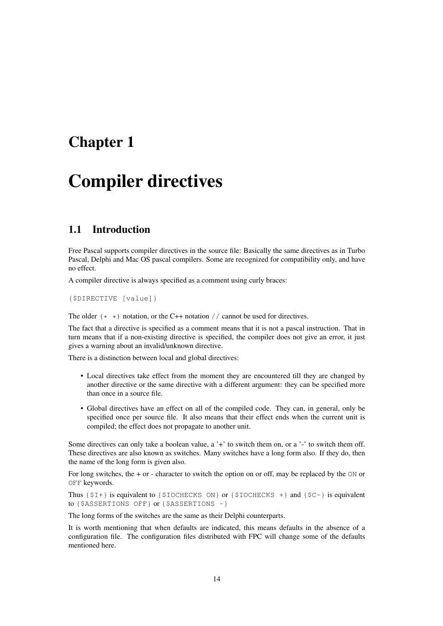# <span id="page-14-0"></span>Chapter 1

# Compiler directives

# <span id="page-14-1"></span>1.1 Introduction

Free Pascal supports compiler directives in the source file: Basically the same directives as in Turbo Pascal, Delphi and Mac OS pascal compilers. Some are recognized for compatibility only, and have no effect.

A compiler directive is always specified as a comment using curly braces:

{\$DIRECTIVE [value]}

The older  $(* \ast)$  notation, or the C++ notation // cannot be used for directives.

The fact that a directive is specified as a comment means that it is not a pascal instruction. That in turn means that if a non-existing directive is specified, the compiler does not give an error, it just gives a warning about an invalid/unknown directive.

There is a distinction between local and global directives:

- Local directives take effect from the moment they are encountered till they are changed by another directive or the same directive with a different argument: they can be specified more than once in a source file.
- Global directives have an effect on all of the compiled code. They can, in general, only be specified once per source file. It also means that their effect ends when the current unit is compiled; the effect does not propagate to another unit.

Some directives can only take a boolean value, a '+' to switch them on, or a '-' to switch them off. These directives are also known as switches. Many switches have a long form also. If they do, then the name of the long form is given also.

For long switches, the + or - character to switch the option on or off, may be replaced by the ON or OFF keywords.

Thus  $\{\$I+\}$  is equivalent to  $\{\$IOCHECKS ON\}$  or  $\{\$IOCHECKS +\}$  and  $\{$C-\}$  is equivalent to {\$ASSERTIONS OFF} or {\$ASSERTIONS -}

The long forms of the switches are the same as their Delphi counterparts.

It is worth mentioning that when defaults are indicated, this means defaults in the absence of a configuration file. The configuration files distributed with FPC will change some of the defaults mentioned here.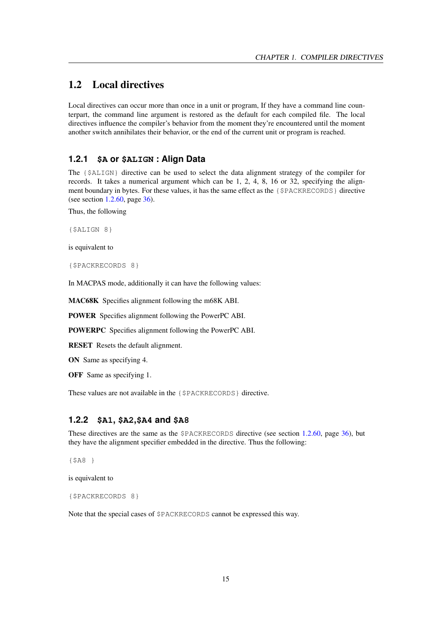# <span id="page-15-0"></span>1.2 Local directives

Local directives can occur more than once in a unit or program, If they have a command line counterpart, the command line argument is restored as the default for each compiled file. The local directives influence the compiler's behavior from the moment they're encountered until the moment another switch annihilates their behavior, or the end of the current unit or program is reached.

## <span id="page-15-1"></span>**1.2.1 \$A or \$ALIGN : Align Data**

The {\$ALIGN} directive can be used to select the data alignment strategy of the compiler for records. It takes a numerical argument which can be 1, 2, 4, 8, 16 or 32, specifying the alignment boundary in bytes. For these values, it has the same effect as the {\$PACKRECORDS} directive (see section [1.2.60,](#page-36-1) page [36\)](#page-36-1).

Thus, the following

{\$ALIGN 8}

is equivalent to

{\$PACKRECORDS 8}

In MACPAS mode, additionally it can have the following values:

MAC68K Specifies alignment following the m68K ABI.

POWER Specifies alignment following the PowerPC ABI.

POWERPC Specifies alignment following the PowerPC ABI.

RESET Resets the default alignment.

ON Same as specifying 4.

OFF Same as specifying 1.

These values are not available in the {\$PACKRECORDS} directive.

#### <span id="page-15-2"></span>**1.2.2 \$A1, \$A2,\$A4 and \$A8**

These directives are the same as the \$PACKRECORDS directive (see section [1.2.60,](#page-36-1) page [36\)](#page-36-1), but they have the alignment specifier embedded in the directive. Thus the following:

{\$A8 }

is equivalent to

{\$PACKRECORDS 8}

Note that the special cases of \$PACKRECORDS cannot be expressed this way.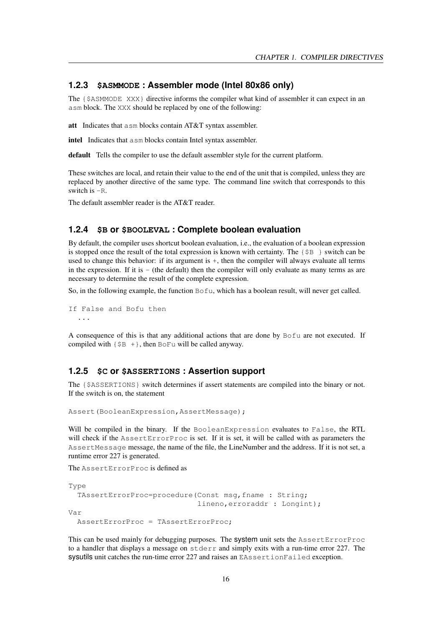#### <span id="page-16-0"></span>**1.2.3 \$ASMMODE : Assembler mode (Intel 80x86 only)**

The {\$ASMMODE XXX} directive informs the compiler what kind of assembler it can expect in an asm block. The XXX should be replaced by one of the following:

att Indicates that asm blocks contain AT&T syntax assembler.

intel Indicates that asm blocks contain Intel syntax assembler.

default Tells the compiler to use the default assembler style for the current platform.

These switches are local, and retain their value to the end of the unit that is compiled, unless they are replaced by another directive of the same type. The command line switch that corresponds to this switch is -R.

The default assembler reader is the AT&T reader.

#### <span id="page-16-1"></span>**1.2.4 \$B or \$BOOLEVAL : Complete boolean evaluation**

By default, the compiler uses shortcut boolean evaluation, i.e., the evaluation of a boolean expression is stopped once the result of the total expression is known with certainty. The  $\{\S B\}$  switch can be used to change this behavior: if its argument is  $+$ , then the compiler will always evaluate all terms in the expression. If it is  $-$  (the default) then the compiler will only evaluate as many terms as are necessary to determine the result of the complete expression.

So, in the following example, the function Bofu, which has a boolean result, will never get called.

If False and Bofu then ...

A consequence of this is that any additional actions that are done by Bofu are not executed. If compiled with  $\{\$B +\}$ , then BoFu will be called anyway.

#### <span id="page-16-2"></span>**1.2.5 \$C or \$ASSERTIONS : Assertion support**

The {\$ASSERTIONS} switch determines if assert statements are compiled into the binary or not. If the switch is on, the statement

Assert(BooleanExpression,AssertMessage);

Will be compiled in the binary. If the BooleanExpression evaluates to False, the RTL will check if the AssertErrorProc is set. If it is set, it will be called with as parameters the AssertMessage message, the name of the file, the LineNumber and the address. If it is not set, a runtime error 227 is generated.

The AssertErrorProc is defined as

```
Type
 TAssertErrorProc=procedure(Const msg,fname : String;
                              lineno,erroraddr : Longint);
Var
 AssertErrorProc = TAssertErrorProc;
```
This can be used mainly for debugging purposes. The system unit sets the AssertErrorProc to a handler that displays a message on stderr and simply exits with a run-time error 227. The sysutils unit catches the run-time error 227 and raises an EAssertionFailed exception.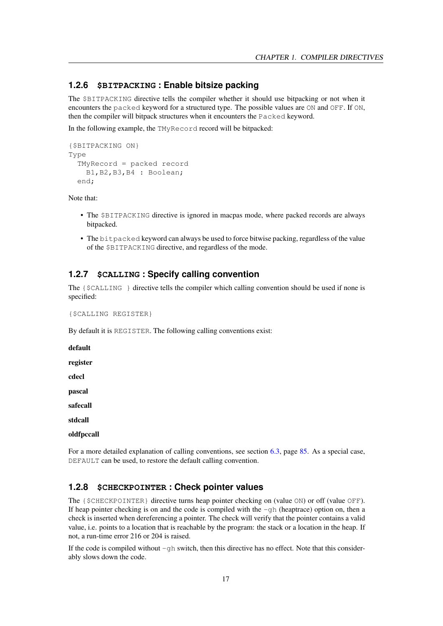#### <span id="page-17-0"></span>**1.2.6 \$BITPACKING : Enable bitsize packing**

The \$BITPACKING directive tells the compiler whether it should use bitpacking or not when it encounters the packed keyword for a structured type. The possible values are ON and OFF. If ON, then the compiler will bitpack structures when it encounters the Packed keyword.

In the following example, the TMyRecord record will be bitpacked:

```
{$BITPACKING ON}
Type
 TMyRecord = packed record
    B1,B2,B3,B4 : Boolean;
 end;
```
Note that:

- The \$BITPACKING directive is ignored in macpas mode, where packed records are always bitpacked.
- The bitpacked keyword can always be used to force bitwise packing, regardless of the value of the \$BITPACKING directive, and regardless of the mode.

# <span id="page-17-1"></span>**1.2.7 \$CALLING : Specify calling convention**

The {\$CALLING } directive tells the compiler which calling convention should be used if none is specified:

{\$CALLING REGISTER}

By default it is REGISTER. The following calling conventions exist:

default register cdecl pascal safecall stdcall oldfpccall

For a more detailed explanation of calling conventions, see section [6.3,](#page-85-1) page [85.](#page-85-1) As a special case, DEFAULT can be used, to restore the default calling convention.

#### <span id="page-17-2"></span>**1.2.8 \$CHECKPOINTER : Check pointer values**

The {\$CHECKPOINTER} directive turns heap pointer checking on (value ON) or off (value OFF). If heap pointer checking is on and the code is compiled with the  $-\alpha h$  (heaptrace) option on, then a check is inserted when dereferencing a pointer. The check will verify that the pointer contains a valid value, i.e. points to a location that is reachable by the program: the stack or a location in the heap. If not, a run-time error 216 or 204 is raised.

If the code is compiled without  $-gh$  switch, then this directive has no effect. Note that this considerably slows down the code.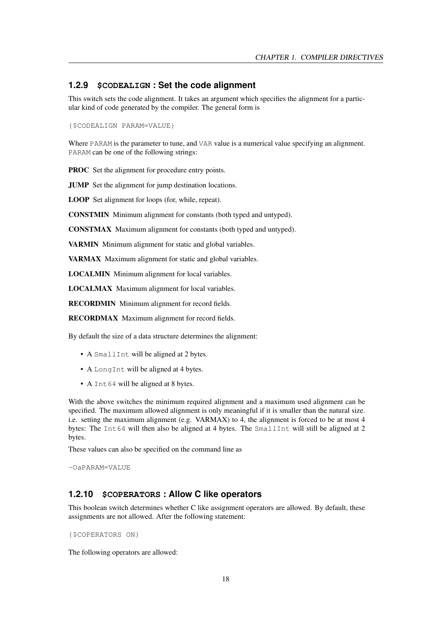#### <span id="page-18-0"></span>**1.2.9 \$CODEALIGN : Set the code alignment**

This switch sets the code alignment. It takes an argument which specifies the alignment for a particular kind of code generated by the compiler. The general form is

{\$CODEALIGN PARAM=VALUE}

Where PARAM is the parameter to tune, and VAR value is a numerical value specifying an alignment. PARAM can be one of the following strings:

PROC Set the alignment for procedure entry points.

JUMP Set the alignment for jump destination locations.

LOOP Set alignment for loops (for, while, repeat).

CONSTMIN Minimum alignment for constants (both typed and untyped).

CONSTMAX Maximum alignment for constants (both typed and untyped).

VARMIN Minimum alignment for static and global variables.

VARMAX Maximum alignment for static and global variables.

LOCALMIN Minimum alignment for local variables.

LOCALMAX Maximum alignment for local variables.

RECORDMIN Minimum alignment for record fields.

RECORDMAX Maximum alignment for record fields.

By default the size of a data structure determines the alignment:

- A SmallInt will be aligned at 2 bytes.
- A LongInt will be aligned at 4 bytes.
- A Int 64 will be aligned at 8 bytes.

With the above switches the minimum required alignment and a maximum used alignment can be specified. The maximum allowed alignment is only meaningful if it is smaller than the natural size. i.e. setting the maximum alignment (e.g. VARMAX) to 4, the alignment is forced to be at most 4 bytes: The  $Int64$  will then also be aligned at 4 bytes. The SmallInt will still be aligned at 2 bytes.

These values can also be specified on the command line as

-OaPARAM=VALUE

#### <span id="page-18-1"></span>**1.2.10 \$COPERATORS : Allow C like operators**

This boolean switch determines whether C like assignment operators are allowed. By default, these assignments are not allowed. After the following statement:

{\$COPERATORS ON}

The following operators are allowed: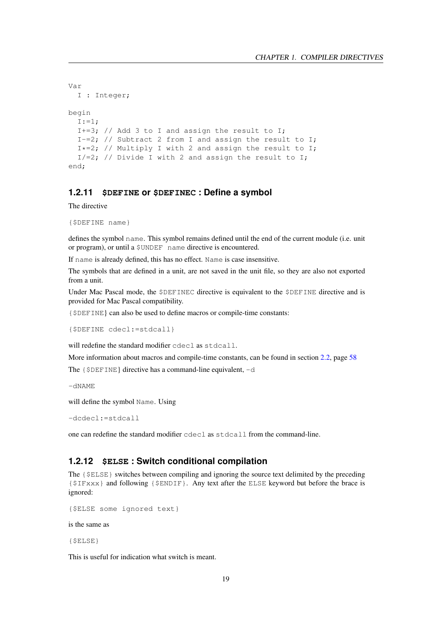```
Var
 I : Integer;
begin
 I := 1;I+=3; // Add 3 to I and assign the result to I;
 I-=2; // Subtract 2 from I and assign the result to I;
 I*=2; // Multiply I with 2 and assign the result to I;
 I/=2; // Divide I with 2 and assign the result to I;
end;
```
#### <span id="page-19-0"></span>**1.2.11 \$DEFINE or \$DEFINEC : Define a symbol**

The directive

```
{$DEFINE name}
```
defines the symbol name. This symbol remains defined until the end of the current module (i.e. unit or program), or until a \$UNDEF name directive is encountered.

If name is already defined, this has no effect. Name is case insensitive.

The symbols that are defined in a unit, are not saved in the unit file, so they are also not exported from a unit.

Under Mac Pascal mode, the \$DEFINEC directive is equivalent to the \$DEFINE directive and is provided for Mac Pascal compatibility.

{\$DEFINE} can also be used to define macros or compile-time constants:

```
{$DEFINE cdecl:=stdcall}
```
will redefine the standard modifier cdecl as stdcall.

More information about macros and compile-time constants, can be found in section [2.2,](#page-58-1) page [58](#page-58-1)

The  $\{\$DEFINE\}$  directive has a command-line equivalent,  $-d$ 

 $-dNAME$ 

will define the symbol Name. Using

-dcdecl:=stdcall

one can redefine the standard modifier cdecl as stdcall from the command-line.

#### <span id="page-19-1"></span>**1.2.12 \$ELSE : Switch conditional compilation**

The  $\{SELSE\}$  switches between compiling and ignoring the source text delimited by the preceding {\$IFxxx} and following {\$ENDIF}. Any text after the ELSE keyword but before the brace is ignored:

```
{$ELSE some ignored text}
```
is the same as

{\$ELSE}

This is useful for indication what switch is meant.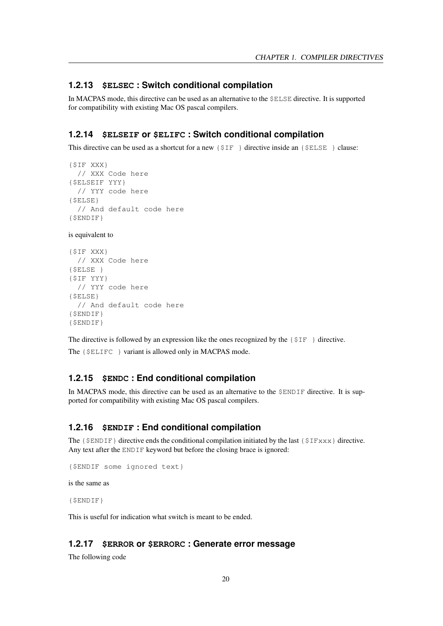#### <span id="page-20-0"></span>**1.2.13 \$ELSEC : Switch conditional compilation**

In MACPAS mode, this directive can be used as an alternative to the \$ELSE directive. It is supported for compatibility with existing Mac OS pascal compilers.

#### <span id="page-20-1"></span>**1.2.14 \$ELSEIF or \$ELIFC : Switch conditional compilation**

This directive can be used as a shortcut for a new  $\{\S \text{IF } \}$  directive inside an  $\{\S \text{ELSE } \}$  clause:

```
{$IF XXX}
 // XXX Code here
{$ELSEIF YYY}
 // YYY code here
{$ELSE}
 // And default code here
{$ENDIF}
```
is equivalent to

```
{$IF XXX}
 // XXX Code here
{$ELSE }
{$IF YYY}
  // YYY code here
{$ELSE}
 // And default code here
{$ENDIF}
{$ENDIF}
```
The directive is followed by an expression like the ones recognized by the  $\{\$IF\}$  directive.

The {\$ELIFC } variant is allowed only in MACPAS mode.

#### <span id="page-20-2"></span>**1.2.15 \$ENDC : End conditional compilation**

In MACPAS mode, this directive can be used as an alternative to the \$ENDIF directive. It is supported for compatibility with existing Mac OS pascal compilers.

#### <span id="page-20-3"></span>**1.2.16 \$ENDIF : End conditional compilation**

The  $\{\$ENDIF\}$  directive ends the conditional compilation initiated by the last  $\{$IFxxx\}$  directive. Any text after the ENDIF keyword but before the closing brace is ignored:

```
{$ENDIF some ignored text}
```
is the same as

{\$ENDIF}

This is useful for indication what switch is meant to be ended.

#### <span id="page-20-4"></span>**1.2.17 \$ERROR or \$ERRORC : Generate error message**

The following code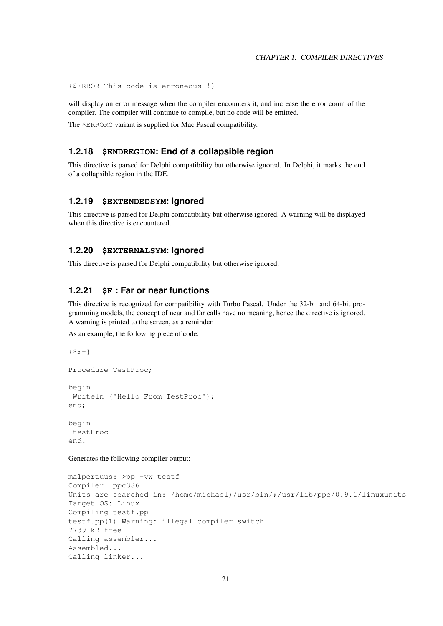{\$ERROR This code is erroneous !}

will display an error message when the compiler encounters it, and increase the error count of the compiler. The compiler will continue to compile, but no code will be emitted.

The \$ERRORC variant is supplied for Mac Pascal compatibility.

#### <span id="page-21-0"></span>**1.2.18 \$ENDREGION: End of a collapsible region**

This directive is parsed for Delphi compatibility but otherwise ignored. In Delphi, it marks the end of a collapsible region in the IDE.

#### <span id="page-21-1"></span>**1.2.19 \$EXTENDEDSYM: Ignored**

This directive is parsed for Delphi compatibility but otherwise ignored. A warning will be displayed when this directive is encountered.

#### <span id="page-21-2"></span>**1.2.20 \$EXTERNALSYM: Ignored**

This directive is parsed for Delphi compatibility but otherwise ignored.

# <span id="page-21-3"></span>**1.2.21 \$F : Far or near functions**

This directive is recognized for compatibility with Turbo Pascal. Under the 32-bit and 64-bit programming models, the concept of near and far calls have no meaning, hence the directive is ignored. A warning is printed to the screen, as a reminder.

As an example, the following piece of code:

```
{5F+}Procedure TestProc;
begin
 Writeln ('Hello From TestProc');
end;
begin
testProc
end.
```
Generates the following compiler output:

```
malpertuus: >pp -vw testf
Compiler: ppc386
Units are searched in: /home/michael;/usr/bin/;/usr/lib/ppc/0.9.1/linuxunits
Target OS: Linux
Compiling testf.pp
testf.pp(1) Warning: illegal compiler switch
7739 kB free
Calling assembler...
Assembled...
Calling linker...
```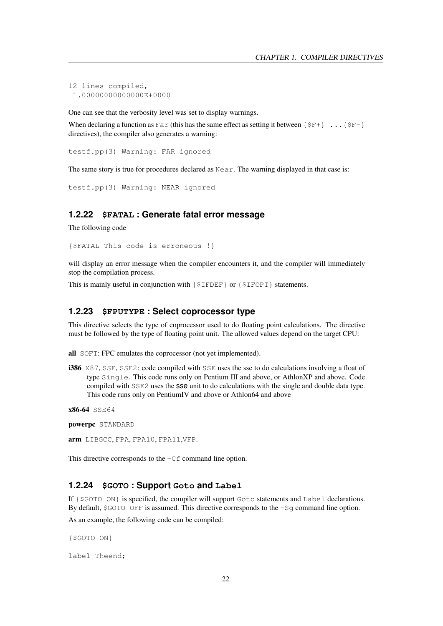```
12 lines compiled,
 1.00000000000000E+0000
```
One can see that the verbosity level was set to display warnings.

When declaring a function as  $Far$  (this has the same effect as setting it between  $\{SF+\}$ ... $\{SF-\}$ directives), the compiler also generates a warning:

testf.pp(3) Warning: FAR ignored

The same story is true for procedures declared as Near. The warning displayed in that case is:

testf.pp(3) Warning: NEAR ignored

#### <span id="page-22-0"></span>**1.2.22 \$FATAL : Generate fatal error message**

The following code

{\$FATAL This code is erroneous !}

will display an error message when the compiler encounters it, and the compiler will immediately stop the compilation process.

This is mainly useful in conjunction with {\$IFDEF} or {\$IFOPT} statements.

#### <span id="page-22-1"></span>**1.2.23 \$FPUTYPE : Select coprocessor type**

This directive selects the type of coprocessor used to do floating point calculations. The directive must be followed by the type of floating point unit. The allowed values depend on the target CPU:

all SOFT: FPC emulates the coprocessor (not yet implemented).

**i386** X87, SSE, SSE2: code compiled with SSE uses the sse to do calculations involving a float of type Single. This code runs only on Pentium III and above, or AthlonXP and above. Code compiled with SSE2 uses the sse unit to do calculations with the single and double data type. This code runs only on PentiumIV and above or Athlon64 and above

```
x86-64 SSE64
```
powerpc STANDARD

arm LIBGCC, FPA, FPA10, FPA11,VFP.

This directive corresponds to the -Cf command line option.

#### <span id="page-22-2"></span>**1.2.24 \$GOTO : Support Goto and Label**

If {\$GOTO ON} is specified, the compiler will support Goto statements and Label declarations. By default, \$GOTO OFF is assumed. This directive corresponds to the -Sq command line option.

As an example, the following code can be compiled:

{\$GOTO ON}

label Theend;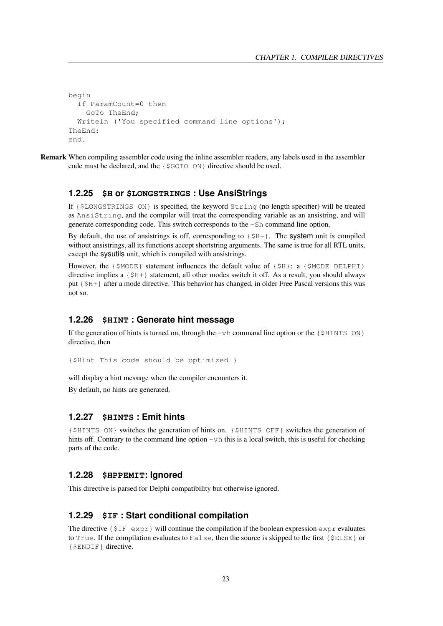```
begin
 If ParamCount=0 then
    GoTo TheEnd;
 Writeln ('You specified command line options');
TheEnd:
end.
```
Remark When compiling assembler code using the inline assembler readers, any labels used in the assembler code must be declared, and the {\$GOTO ON} directive should be used.

#### <span id="page-23-0"></span>**1.2.25 \$H or \$LONGSTRINGS : Use AnsiStrings**

If {\$LONGSTRINGS ON} is specified, the keyword String (no length specifier) will be treated as AnsiString, and the compiler will treat the corresponding variable as an ansistring, and will generate corresponding code. This switch corresponds to the -Sh command line option.

By default, the use of ansistrings is off, corresponding to  $\{\frac{1}{2}H-\}$ . The system unit is compiled without ansistrings, all its functions accept shortstring arguments. The same is true for all RTL units, except the sysutils unit, which is compiled with ansistrings.

However, the  $\{\$MODE\}$  statement influences the default value of  $\{\$H\}$ : a  $\{\$MODE\}$  DELPHI} directive implies a {\$H+} statement, all other modes switch it off. As a result, you should always put {\$H+} after a mode directive. This behavior has changed, in older Free Pascal versions this was not so.

#### <span id="page-23-1"></span>**1.2.26 \$HINT : Generate hint message**

If the generation of hints is turned on, through the  $-vh$  command line option or the  $\{\$HINTS\}$  ON} directive, then

```
{$Hint This code should be optimized }
```
will display a hint message when the compiler encounters it.

By default, no hints are generated.

## <span id="page-23-2"></span>**1.2.27 \$HINTS : Emit hints**

{\$HINTS ON} switches the generation of hints on. {\$HINTS OFF} switches the generation of hints off. Contrary to the command line option  $-\nu h$  this is a local switch, this is useful for checking parts of the code.

#### <span id="page-23-3"></span>**1.2.28 \$HPPEMIT: Ignored**

This directive is parsed for Delphi compatibility but otherwise ignored.

#### <span id="page-23-4"></span>**1.2.29 \$IF : Start conditional compilation**

The directive  $\{\hat{\varsigma}I\$  expr will continue the compilation if the boolean expression expr evaluates to  $True$ . If the compilation evaluates to  $False$ , then the source is skipped to the first  ${$ELSE}$  or {\$ENDIF} directive.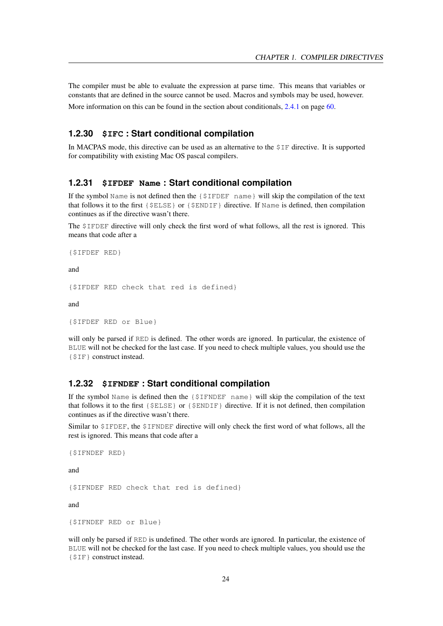The compiler must be able to evaluate the expression at parse time. This means that variables or constants that are defined in the source cannot be used. Macros and symbols may be used, however.

More information on this can be found in the section about conditionals, [2.4.1](#page-60-2) on page [60.](#page-60-2)

#### <span id="page-24-0"></span>**1.2.30 \$IFC : Start conditional compilation**

In MACPAS mode, this directive can be used as an alternative to the \$IF directive. It is supported for compatibility with existing Mac OS pascal compilers.

#### <span id="page-24-1"></span>**1.2.31 \$IFDEF Name : Start conditional compilation**

If the symbol Name is not defined then the  $\{\$IFDEF \space name\}$  will skip the compilation of the text that follows it to the first {\$ELSE} or {\$ENDIF} directive. If Name is defined, then compilation continues as if the directive wasn't there.

The \$IFDEF directive will only check the first word of what follows, all the rest is ignored. This means that code after a

{\$IFDEF RED}

and

```
{$IFDEF RED check that red is defined}
```
and

```
{$IFDEF RED or Blue}
```
will only be parsed if RED is defined. The other words are ignored. In particular, the existence of BLUE will not be checked for the last case. If you need to check multiple values, you should use the {\$IF} construct instead.

#### <span id="page-24-2"></span>**1.2.32 \$IFNDEF : Start conditional compilation**

If the symbol Name is defined then the  $\{\$IFNDEF \space name\}$  will skip the compilation of the text that follows it to the first {\$ELSE} or {\$ENDIF} directive. If it is not defined, then compilation continues as if the directive wasn't there.

Similar to \$IFDEF, the \$IFNDEF directive will only check the first word of what follows, all the rest is ignored. This means that code after a

{\$IFNDEF RED}

and

{\$IFNDEF RED check that red is defined}

and

{\$IFNDEF RED or Blue}

will only be parsed if RED is undefined. The other words are ignored. In particular, the existence of BLUE will not be checked for the last case. If you need to check multiple values, you should use the {\$IF} construct instead.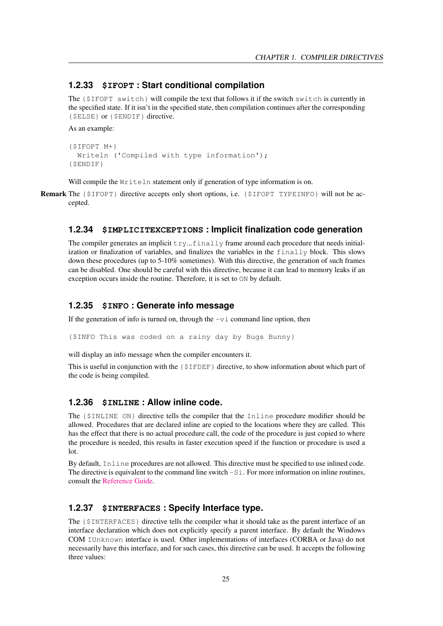#### <span id="page-25-0"></span>**1.2.33 \$IFOPT : Start conditional compilation**

The {\$IFOPT switch} will compile the text that follows it if the switch switch is currently in the specified state. If it isn't in the specified state, then compilation continues after the corresponding {\$ELSE} or {\$ENDIF} directive.

As an example:

```
{$IFOPT M+}
 Writeln ('Compiled with type information');
{$ENDIF}
```
Will compile the Writeln statement only if generation of type information is on.

Remark The {\$IFOPT} directive accepts only short options, i.e. {\$IFOPT TYPEINFO} will not be accepted.

#### <span id="page-25-1"></span>**1.2.34 \$IMPLICITEXCEPTIONS : Implicit finalization code generation**

The compiler generates an implicit  $\text{try...finally frame around each procedure that needs initial$ ization or finalization of variables, and finalizes the variables in the finally block. This slows down these procedures (up to 5-10% sometimes). With this directive, the generation of such frames can be disabled. One should be careful with this directive, because it can lead to memory leaks if an exception occurs inside the routine. Therefore, it is set to ON by default.

### <span id="page-25-2"></span>**1.2.35 \$INFO : Generate info message**

If the generation of info is turned on, through the  $-vi$  command line option, then

{\$INFO This was coded on a rainy day by Bugs Bunny}

will display an info message when the compiler encounters it.

This is useful in conjunction with the {\$IFDEF} directive, to show information about which part of the code is being compiled.

#### <span id="page-25-3"></span>**1.2.36 \$INLINE : Allow inline code.**

The {\$INLINE ON} directive tells the compiler that the Inline procedure modifier should be allowed. Procedures that are declared inline are copied to the locations where they are called. This has the effect that there is no actual procedure call, the code of the procedure is just copied to where the procedure is needed, this results in faster execution speed if the function or procedure is used a lot.

By default, Inline procedures are not allowed. This directive must be specified to use inlined code. The directive is equivalent to the command line switch  $-Si$ . For more information on inline routines, consult the [Reference Guide.](../ref/ref.html)

#### <span id="page-25-4"></span>**1.2.37 \$INTERFACES : Specify Interface type.**

The {\$INTERFACES} directive tells the compiler what it should take as the parent interface of an interface declaration which does not explicitly specify a parent interface. By default the Windows COM IUnknown interface is used. Other implementations of interfaces (CORBA or Java) do not necessarily have this interface, and for such cases, this directive can be used. It accepts the following three values: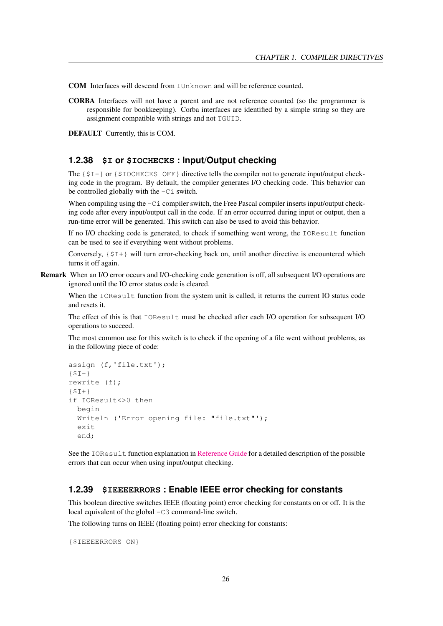COM Interfaces will descend from IUnknown and will be reference counted.

CORBA Interfaces will not have a parent and are not reference counted (so the programmer is responsible for bookkeeping). Corba interfaces are identified by a simple string so they are assignment compatible with strings and not TGUID.

DEFAULT Currently, this is COM.

#### <span id="page-26-0"></span>**1.2.38 \$I or \$IOCHECKS : Input/Output checking**

The  $\{S_I - \}$  or  $\{S_I \subset \text{NECKS } \text{OFF}\}\$  directive tells the compiler not to generate input/output checking code in the program. By default, the compiler generates I/O checking code. This behavior can be controlled globally with the  $-Ci$  switch.

When compiling using the  $-Ci$  compiler switch, the Free Pascal compiler inserts input/output checking code after every input/output call in the code. If an error occurred during input or output, then a run-time error will be generated. This switch can also be used to avoid this behavior.

If no I/O checking code is generated, to check if something went wrong, the IOResult function can be used to see if everything went without problems.

Conversely,  $\{\xi I+\}$  will turn error-checking back on, until another directive is encountered which turns it off again.

Remark When an I/O error occurs and I/O-checking code generation is off, all subsequent I/O operations are ignored until the IO error status code is cleared.

When the IOResult function from the system unit is called, it returns the current IO status code and resets it.

The effect of this is that IOResult must be checked after each I/O operation for subsequent I/O operations to succeed.

The most common use for this switch is to check if the opening of a file went without problems, as in the following piece of code:

```
assign (f,'file.txt');
{SI-}rewrite (f);
{5I+}if IOResult<>0 then
 begin
 Writeln ('Error opening file: "file.txt"');
 exit
 end;
```
See the IOResult function explanation in [Reference Guide](../ref/ref.html) for a detailed description of the possible errors that can occur when using input/output checking.

#### <span id="page-26-1"></span>**1.2.39 \$IEEEERRORS : Enable IEEE error checking for constants**

This boolean directive switches IEEE (floating point) error checking for constants on or off. It is the local equivalent of the global  $-C3$  command-line switch.

The following turns on IEEE (floating point) error checking for constants:

{\$IEEEERRORS ON}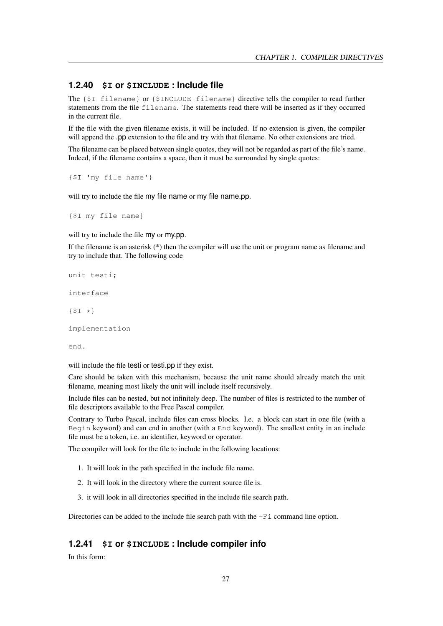#### <span id="page-27-0"></span>**1.2.40 \$I or \$INCLUDE : Include file**

The {\$I filename} or {\$INCLUDE filename} directive tells the compiler to read further statements from the file filename. The statements read there will be inserted as if they occurred in the current file.

If the file with the given filename exists, it will be included. If no extension is given, the compiler will append the .pp extension to the file and try with that filename. No other extensions are tried.

The filename can be placed between single quotes, they will not be regarded as part of the file's name. Indeed, if the filename contains a space, then it must be surrounded by single quotes:

{\$I 'my file name'}

will try to include the file my file name or my file name.pp.

{\$I my file name}

will try to include the file my or my.pp.

If the filename is an asterisk  $(*)$  then the compiler will use the unit or program name as filename and try to include that. The following code

```
unit testi;
interface
\{5I \star\}implementation
end.
```
will include the file testi or testi.pp if they exist.

Care should be taken with this mechanism, because the unit name should already match the unit filename, meaning most likely the unit will include itself recursively.

Include files can be nested, but not infinitely deep. The number of files is restricted to the number of file descriptors available to the Free Pascal compiler.

Contrary to Turbo Pascal, include files can cross blocks. I.e. a block can start in one file (with a Begin keyword) and can end in another (with a End keyword). The smallest entity in an include file must be a token, i.e. an identifier, keyword or operator.

The compiler will look for the file to include in the following locations:

- 1. It will look in the path specified in the include file name.
- 2. It will look in the directory where the current source file is.
- 3. it will look in all directories specified in the include file search path.

Directories can be added to the include file search path with the  $-Fi$  command line option.

#### <span id="page-27-1"></span>**1.2.41 \$I or \$INCLUDE : Include compiler info**

In this form: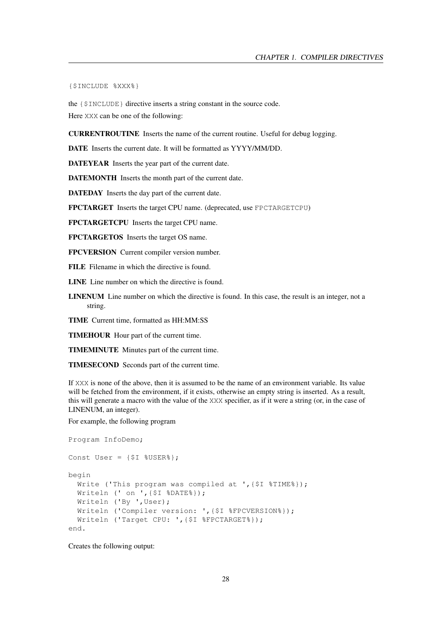{\$INCLUDE %XXX%}

the {\$INCLUDE} directive inserts a string constant in the source code. Here XXX can be one of the following:

CURRENTROUTINE Inserts the name of the current routine. Useful for debug logging.

DATE Inserts the current date. It will be formatted as YYYY/MM/DD.

DATEYEAR Inserts the year part of the current date.

DATEMONTH Inserts the month part of the current date.

DATEDAY Inserts the day part of the current date.

FPCTARGET Inserts the target CPU name. (deprecated, use FPCTARGETCPU)

FPCTARGETCPU Inserts the target CPU name.

FPCTARGETOS Inserts the target OS name.

FPCVERSION Current compiler version number.

FILE Filename in which the directive is found.

LINE Line number on which the directive is found.

LINENUM Line number on which the directive is found. In this case, the result is an integer, not a string.

TIME Current time, formatted as HH:MM:SS

TIMEHOUR Hour part of the current time.

TIMEMINUTE Minutes part of the current time.

TIMESECOND Seconds part of the current time.

If XXX is none of the above, then it is assumed to be the name of an environment variable. Its value will be fetched from the environment, if it exists, otherwise an empty string is inserted. As a result, this will generate a macro with the value of the XXX specifier, as if it were a string (or, in the case of LINENUM, an integer).

For example, the following program

```
Program InfoDemo;
Const User = \{\$I \$USER\}\};
begin
 Write ('This program was compiled at ', {$I %TIME%});
 Writeln (' on ',{$I %DATE%});
 Writeln ('By ', User);
 Writeln ('Compiler version: ',{$I %FPCVERSION%});
 Writeln ('Target CPU: ',{$I %FPCTARGET%});
end.
```
Creates the following output: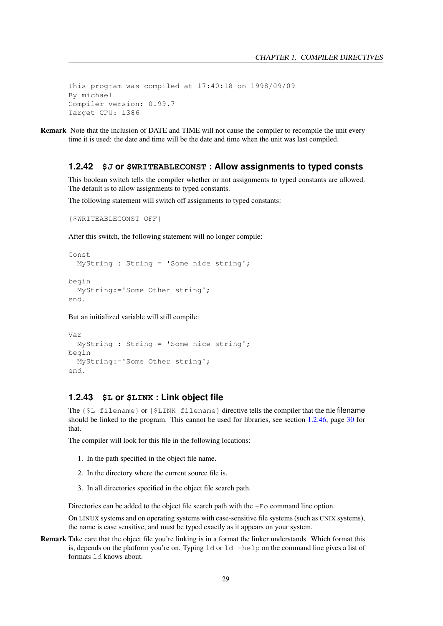This program was compiled at 17:40:18 on 1998/09/09 By michael Compiler version: 0.99.7 Target CPU: i386

Remark Note that the inclusion of DATE and TIME will not cause the compiler to recompile the unit every time it is used: the date and time will be the date and time when the unit was last compiled.

#### <span id="page-29-0"></span>**1.2.42 \$J or \$WRITEABLECONST : Allow assignments to typed consts**

This boolean switch tells the compiler whether or not assignments to typed constants are allowed. The default is to allow assignments to typed constants.

The following statement will switch off assignments to typed constants:

```
{$WRITEABLECONST OFF}
```
After this switch, the following statement will no longer compile:

```
Const
 MyString : String = 'Some nice string';
begin
 MyString:='Some Other string';
end.
```
But an initialized variable will still compile:

```
Var
 MyString : String = 'Some nice string';
begin
 MyString:='Some Other string';
end.
```
#### <span id="page-29-1"></span>**1.2.43 \$L or \$LINK : Link object file**

The {\$L filename} or {\$LINK filename} directive tells the compiler that the file filename should be linked to the program. This cannot be used for libraries, see section [1.2.46,](#page-30-2) page [30](#page-30-2) for that.

The compiler will look for this file in the following locations:

- 1. In the path specified in the object file name.
- 2. In the directory where the current source file is.
- 3. In all directories specified in the object file search path.

Directories can be added to the object file search path with the  $-F \circ$  command line option.

On LINUX systems and on operating systems with case-sensitive file systems (such as UNIX systems), the name is case sensitive, and must be typed exactly as it appears on your system.

Remark Take care that the object file you're linking is in a format the linker understands. Which format this is, depends on the platform you're on. Typing  $1d$  or  $1d$  -help on the command line gives a list of formats ld knows about.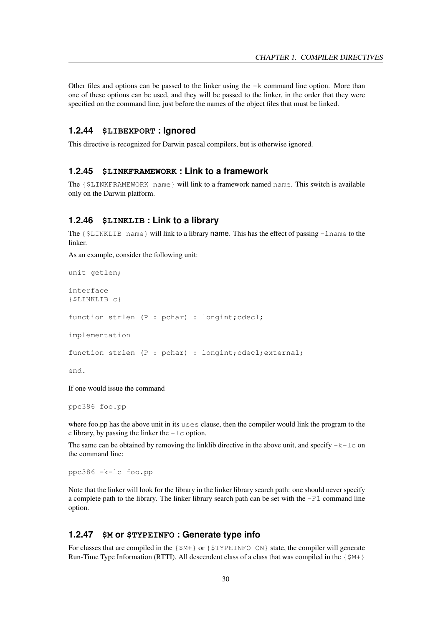Other files and options can be passed to the linker using the  $-k$  command line option. More than one of these options can be used, and they will be passed to the linker, in the order that they were specified on the command line, just before the names of the object files that must be linked.

#### <span id="page-30-0"></span>**1.2.44 \$LIBEXPORT : Ignored**

This directive is recognized for Darwin pascal compilers, but is otherwise ignored.

#### <span id="page-30-1"></span>**1.2.45 \$LINKFRAMEWORK : Link to a framework**

The {\$LINKFRAMEWORK name} will link to a framework named name. This switch is available only on the Darwin platform.

#### <span id="page-30-2"></span>**1.2.46 \$LINKLIB : Link to a library**

The  $\{\xi LINKLIB \text{ name}\}\$  will link to a library name. This has the effect of passing  $-$ lname to the linker.

As an example, consider the following unit:

```
unit getlen;
```
interface {\$LINKLIB c}

function strlen (P : pchar) : longint; cdecl;

implementation

function strlen (P : pchar) : longint; cdecl; external;

end.

If one would issue the command

ppc386 foo.pp

where foo.pp has the above unit in its uses clause, then the compiler would link the program to the c library, by passing the linker the  $-1c$  option.

The same can be obtained by removing the linklib directive in the above unit, and specify  $-k-1c$  on the command line:

ppc386 -k-lc foo.pp

Note that the linker will look for the library in the linker library search path: one should never specify a complete path to the library. The linker library search path can be set with the  $-F1$  command line option.

#### <span id="page-30-3"></span>**1.2.47 \$M or \$TYPEINFO : Generate type info**

For classes that are compiled in the  $\{\$M+\}$  or  $\{\$TYPELINFO ON\}$  state, the compiler will generate Run-Time Type Information (RTTI). All descendent class of a class that was compiled in the  $\{\frac{5M+1}{2}\}$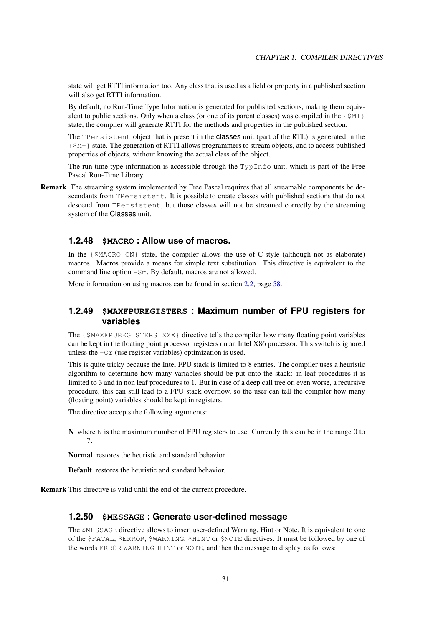state will get RTTI information too. Any class that is used as a field or property in a published section will also get RTTI information.

By default, no Run-Time Type Information is generated for published sections, making them equivalent to public sections. Only when a class (or one of its parent classes) was compiled in the  $\{\frac{5M+1}{2}\}$ state, the compiler will generate RTTI for the methods and properties in the published section.

The TPersistent object that is present in the classes unit (part of the RTL) is generated in the {\$M+} state. The generation of RTTI allows programmers to stream objects, and to access published properties of objects, without knowing the actual class of the object.

The run-time type information is accessible through the  $TypInfo$  unit, which is part of the Free Pascal Run-Time Library.

Remark The streaming system implemented by Free Pascal requires that all streamable components be descendants from TPersistent. It is possible to create classes with published sections that do not descend from TPersistent, but those classes will not be streamed correctly by the streaming system of the Classes unit.

# <span id="page-31-0"></span>**1.2.48 \$MACRO : Allow use of macros.**

In the {\$MACRO ON} state, the compiler allows the use of C-style (although not as elaborate) macros. Macros provide a means for simple text substitution. This directive is equivalent to the command line option -Sm. By default, macros are not allowed.

More information on using macros can be found in section [2.2,](#page-58-1) page [58.](#page-58-1)

#### <span id="page-31-1"></span>**1.2.49 \$MAXFPUREGISTERS : Maximum number of FPU registers for variables**

The {\$MAXFPUREGISTERS XXX} directive tells the compiler how many floating point variables can be kept in the floating point processor registers on an Intel X86 processor. This switch is ignored unless the  $-Or$  (use register variables) optimization is used.

This is quite tricky because the Intel FPU stack is limited to 8 entries. The compiler uses a heuristic algorithm to determine how many variables should be put onto the stack: in leaf procedures it is limited to 3 and in non leaf procedures to 1. But in case of a deep call tree or, even worse, a recursive procedure, this can still lead to a FPU stack overflow, so the user can tell the compiler how many (floating point) variables should be kept in registers.

The directive accepts the following arguments:

N where N is the maximum number of FPU registers to use. Currently this can be in the range 0 to 7.

Normal restores the heuristic and standard behavior.

Default restores the heuristic and standard behavior.

Remark This directive is valid until the end of the current procedure.

#### <span id="page-31-2"></span>**1.2.50 \$MESSAGE : Generate user-defined message**

The \$MESSAGE directive allows to insert user-defined Warning, Hint or Note. It is equivalent to one of the \$FATAL, \$ERROR, \$WARNING, \$HINT or \$NOTE directives. It must be followed by one of the words ERROR WARNING HINT or NOTE, and then the message to display, as follows: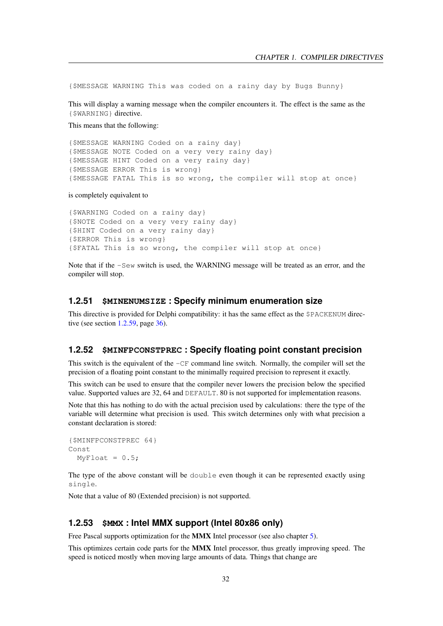{\$MESSAGE WARNING This was coded on a rainy day by Bugs Bunny}

This will display a warning message when the compiler encounters it. The effect is the same as the {\$WARNING} directive.

This means that the following:

{\$MESSAGE WARNING Coded on a rainy day} {\$MESSAGE NOTE Coded on a very very rainy day} {\$MESSAGE HINT Coded on a very rainy day} {\$MESSAGE ERROR This is wrong} {\$MESSAGE FATAL This is so wrong, the compiler will stop at once}

is completely equivalent to

{\$WARNING Coded on a rainy day} {\$NOTE Coded on a very very rainy day} {\$HINT Coded on a very rainy day} {\$ERROR This is wrong} {\$FATAL This is so wrong, the compiler will stop at once}

Note that if the  $-$ Sew switch is used, the WARNING message will be treated as an error, and the compiler will stop.

#### <span id="page-32-0"></span>**1.2.51 \$MINENUMSIZE : Specify minimum enumeration size**

This directive is provided for Delphi compatibility: it has the same effect as the \$PACKENUM directive (see section  $1.2.59$ , page  $36$ ).

#### <span id="page-32-1"></span>**1.2.52 \$MINFPCONSTPREC : Specify floating point constant precision**

This switch is the equivalent of the  $-CF$  command line switch. Normally, the compiler will set the precision of a floating point constant to the minimally required precision to represent it exactly.

This switch can be used to ensure that the compiler never lowers the precision below the specified value. Supported values are 32, 64 and DEFAULT. 80 is not supported for implementation reasons.

Note that this has nothing to do with the actual precision used by calculations: there the type of the variable will determine what precision is used. This switch determines only with what precision a constant declaration is stored:

```
{$MINFPCONSTPREC 64}
Const
 MyFloat = 0.5;
```
The type of the above constant will be double even though it can be represented exactly using single.

Note that a value of 80 (Extended precision) is not supported.

#### <span id="page-32-2"></span>**1.2.53 \$MMX : Intel MMX support (Intel 80x86 only)**

Free Pascal supports optimization for the MMX Intel processor (see also chapter [5\)](#page-77-0).

This optimizes certain code parts for the MMX Intel processor, thus greatly improving speed. The speed is noticed mostly when moving large amounts of data. Things that change are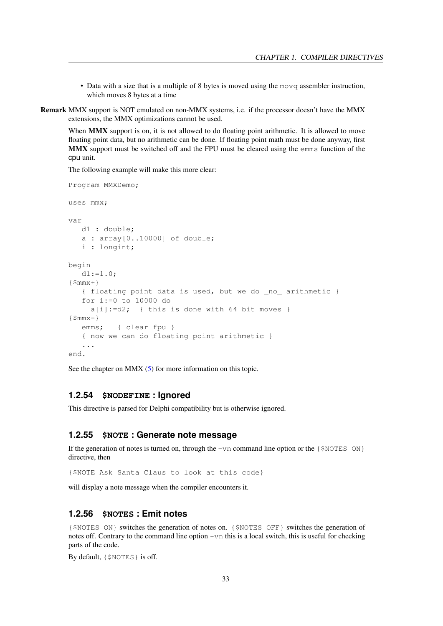- Data with a size that is a multiple of 8 bytes is moved using the movq assembler instruction, which moves 8 bytes at a time
- Remark MMX support is NOT emulated on non-MMX systems, i.e. if the processor doesn't have the MMX extensions, the MMX optimizations cannot be used.

When MMX support is on, it is not allowed to do floating point arithmetic. It is allowed to move floating point data, but no arithmetic can be done. If floating point math must be done anyway, first MMX support must be switched off and the FPU must be cleared using the emms function of the cpu unit.

The following example will make this more clear:

Program MMXDemo;

uses mmx; var d1 : double; a : array[0..10000] of double; i : longint; begin  $dl:=1.0;$  $\{$ \$mm $x+$ } { floating point data is used, but we do \_no\_ arithmetic } for i:=0 to 10000 do a[i]:=d2; { this is done with 64 bit moves }  $\{$ \$mm $x-$ } emms; { clear fpu } { now we can do floating point arithmetic } ... end.

See the chapter on MMX  $(5)$  for more information on this topic.

#### <span id="page-33-0"></span>**1.2.54 \$NODEFINE : Ignored**

This directive is parsed for Delphi compatibility but is otherwise ignored.

#### <span id="page-33-1"></span>**1.2.55 \$NOTE : Generate note message**

If the generation of notes is turned on, through the  $-vn$  command line option or the  $\{\$NOTES ON\}$ directive, then

{\$NOTE Ask Santa Claus to look at this code}

will display a note message when the compiler encounters it.

#### <span id="page-33-2"></span>**1.2.56 \$NOTES : Emit notes**

{\$NOTES ON} switches the generation of notes on. {\$NOTES OFF} switches the generation of notes off. Contrary to the command line option -vn this is a local switch, this is useful for checking parts of the code.

By default, {\$NOTES} is off.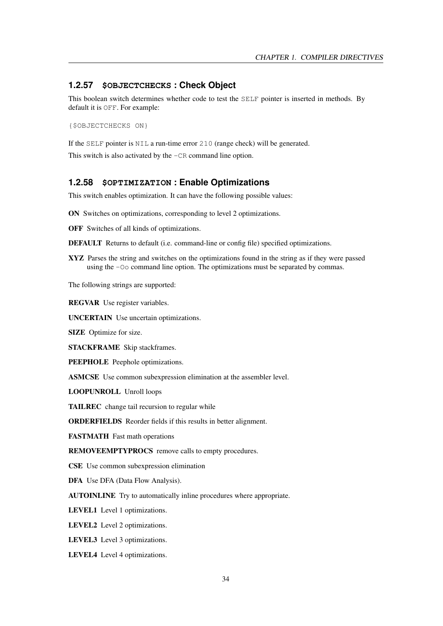#### <span id="page-34-0"></span>**1.2.57 \$OBJECTCHECKS : Check Object**

This boolean switch determines whether code to test the SELF pointer is inserted in methods. By default it is OFF. For example:

{\$OBJECTCHECKS ON}

If the SELF pointer is NIL a run-time error 210 (range check) will be generated. This switch is also activated by the  $-CR$  command line option.

#### <span id="page-34-1"></span>**1.2.58 \$OPTIMIZATION : Enable Optimizations**

This switch enables optimization. It can have the following possible values:

ON Switches on optimizations, corresponding to level 2 optimizations.

OFF Switches of all kinds of optimizations.

DEFAULT Returns to default (i.e. command-line or config file) specified optimizations.

XYZ Parses the string and switches on the optimizations found in the string as if they were passed using the -Oo command line option. The optimizations must be separated by commas.

The following strings are supported:

REGVAR Use register variables.

UNCERTAIN Use uncertain optimizations.

SIZE Optimize for size.

STACKFRAME Skip stackframes.

PEEPHOLE Peephole optimizations.

ASMCSE Use common subexpression elimination at the assembler level.

LOOPUNROLL Unroll loops

TAILREC change tail recursion to regular while

ORDERFIELDS Reorder fields if this results in better alignment.

FASTMATH Fast math operations

REMOVEEMPTYPROCS remove calls to empty procedures.

CSE Use common subexpression elimination

DFA Use DFA (Data Flow Analysis).

AUTOINLINE Try to automatically inline procedures where appropriate.

LEVEL1 Level 1 optimizations.

LEVEL2 Level 2 optimizations.

LEVEL3 Level 3 optimizations.

LEVEL4 Level 4 optimizations.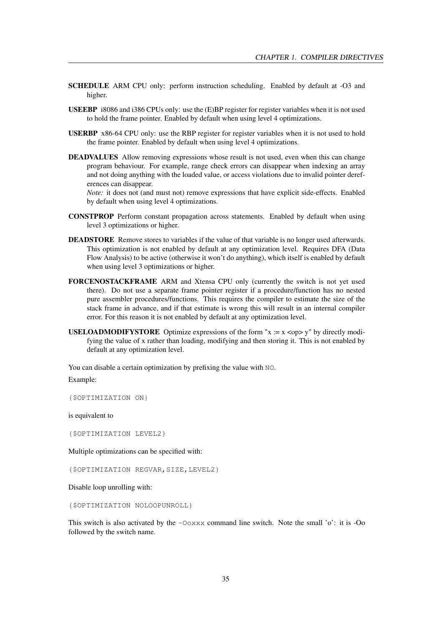- SCHEDULE ARM CPU only: perform instruction scheduling. Enabled by default at -O3 and higher.
- USEEBP i8086 and i386 CPUs only: use the (E)BP register for register variables when it is not used to hold the frame pointer. Enabled by default when using level 4 optimizations.
- USERBP x86-64 CPU only: use the RBP register for register variables when it is not used to hold the frame pointer. Enabled by default when using level 4 optimizations.
- DEADVALUES Allow removing expressions whose result is not used, even when this can change program behaviour. For example, range check errors can disappear when indexing an array and not doing anything with the loaded value, or access violations due to invalid pointer dereferences can disappear.

*Note:* it does not (and must not) remove expressions that have explicit side-effects. Enabled by default when using level 4 optimizations.

- CONSTPROP Perform constant propagation across statements. Enabled by default when using level 3 optimizations or higher.
- DEADSTORE Remove stores to variables if the value of that variable is no longer used afterwards. This optimization is not enabled by default at any optimization level. Requires DFA (Data Flow Analysis) to be active (otherwise it won't do anything), which itself is enabled by default when using level 3 optimizations or higher.
- FORCENOSTACKFRAME ARM and Xtensa CPU only (currently the switch is not yet used there). Do not use a separate frame pointer register if a procedure/function has no nested pure assembler procedures/functions. This requires the compiler to estimate the size of the stack frame in advance, and if that estimate is wrong this will result in an internal compiler error. For this reason it is not enabled by default at any optimization level.
- **USELOADMODIFYSTORE** Optimize expressions of the form " $x := x \lt 0$  y" by directly modifying the value of x rather than loading, modifying and then storing it. This is not enabled by default at any optimization level.

You can disable a certain optimization by prefixing the value with NO. Example:

{\$OPTIMIZATION ON}

is equivalent to

{\$OPTIMIZATION LEVEL2}

Multiple optimizations can be specified with:

{\$OPTIMIZATION REGVAR,SIZE,LEVEL2}

Disable loop unrolling with:

{\$OPTIMIZATION NOLOOPUNROLL}

This switch is also activated by the  $-\text{Ooxxx}$  command line switch. Note the small 'o': it is -Oo followed by the switch name.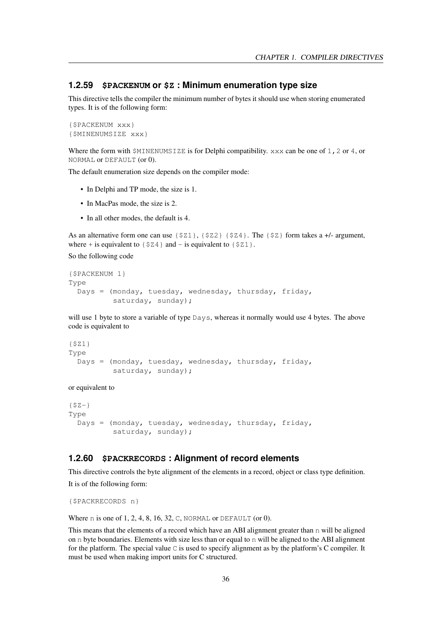## <span id="page-36-0"></span>**1.2.59 \$PACKENUM or \$Z : Minimum enumeration type size**

This directive tells the compiler the minimum number of bytes it should use when storing enumerated types. It is of the following form:

```
{$PACKENUM xxx}
{$MINENUMSIZE xxx}
```
Where the form with  $$MINENUMSIZE$  is for Delphi compatibility.  $xxx$  can be one of 1, 2 or 4, or NORMAL or DEFAULT (or 0).

The default enumeration size depends on the compiler mode:

- In Delphi and TP mode, the size is 1.
- In MacPas mode, the size is 2.
- In all other modes, the default is 4.

As an alternative form one can use  $\{521\}$ ,  $\{522\}$   $\{524\}$ . The  $\{52\}$  form takes a +/- argument, where + is equivalent to  $\{ $24\}$  and - is equivalent to  $\{ $21\}$ .

So the following code

```
{$PACKENUM 1}
Type
 Days = (monday, tuesday, wednesday, thursday, friday,
          saturday, sunday);
```
will use 1 byte to store a variable of type Days, whereas it normally would use 4 bytes. The above code is equivalent to

```
{$Z1}
Type
 Days = (monday, tuesday, wednesday, thursday, friday,
          saturday, sunday);
```
#### or equivalent to

```
{SZ-}Type
 Days = (monday, tuesday, wednesday, thursday, friday,
          saturday, sunday);
```
# **1.2.60 \$PACKRECORDS : Alignment of record elements**

This directive controls the byte alignment of the elements in a record, object or class type definition. It is of the following form:

```
{$PACKRECORDS n}
```
Where n is one of 1, 2, 4, 8, 16, 32, C, NORMAL or DEFAULT (or 0).

This means that the elements of a record which have an ABI alignment greater than n will be aligned on n byte boundaries. Elements with size less than or equal to n will be aligned to the ABI alignment for the platform. The special value  $\overline{C}$  is used to specify alignment as by the platform's  $\overline{C}$  compiler. It must be used when making import units for C structured.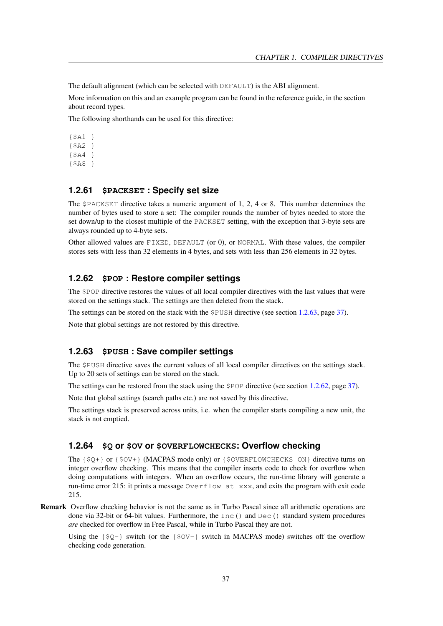The default alignment (which can be selected with DEFAULT) is the ABI alignment.

More information on this and an example program can be found in the reference guide, in the section about record types.

The following shorthands can be used for this directive:

{\$A1 } {\$A2 } {\$A4 } {\$A8 }

# **1.2.61 \$PACKSET : Specify set size**

The \$PACKSET directive takes a numeric argument of 1, 2, 4 or 8. This number determines the number of bytes used to store a set: The compiler rounds the number of bytes needed to store the set down/up to the closest multiple of the PACKSET setting, with the exception that 3-byte sets are always rounded up to 4-byte sets.

Other allowed values are FIXED, DEFAULT (or 0), or NORMAL. With these values, the compiler stores sets with less than 32 elements in 4 bytes, and sets with less than 256 elements in 32 bytes.

# <span id="page-37-1"></span>**1.2.62 \$POP : Restore compiler settings**

The \$POP directive restores the values of all local compiler directives with the last values that were stored on the settings stack. The settings are then deleted from the stack.

The settings can be stored on the stack with the \$PUSH directive (see section [1.2.63,](#page-37-0) page [37\)](#page-37-0).

Note that global settings are not restored by this directive.

# <span id="page-37-0"></span>**1.2.63 \$PUSH : Save compiler settings**

The \$PUSH directive saves the current values of all local compiler directives on the settings stack. Up to 20 sets of settings can be stored on the stack.

The settings can be restored from the stack using the \$POP directive (see section [1.2.62,](#page-37-1) page [37\)](#page-37-1).

Note that global settings (search paths etc.) are not saved by this directive.

The settings stack is preserved across units, i.e. when the compiler starts compiling a new unit, the stack is not emptied.

#### **1.2.64 \$Q or \$OV or \$OVERFLOWCHECKS: Overflow checking**

The {\$Q+} or {\$OV+} (MACPAS mode only) or {\$OVERFLOWCHECKS ON} directive turns on integer overflow checking. This means that the compiler inserts code to check for overflow when doing computations with integers. When an overflow occurs, the run-time library will generate a run-time error 215: it prints a message Overflow at xxx, and exits the program with exit code 215.

Remark Overflow checking behavior is not the same as in Turbo Pascal since all arithmetic operations are done via 32-bit or 64-bit values. Furthermore, the Inc() and Dec() standard system procedures *are* checked for overflow in Free Pascal, while in Turbo Pascal they are not.

Using the  $\{50-\}$  switch (or the  $\{50V-\}$  switch in MACPAS mode) switches off the overflow checking code generation.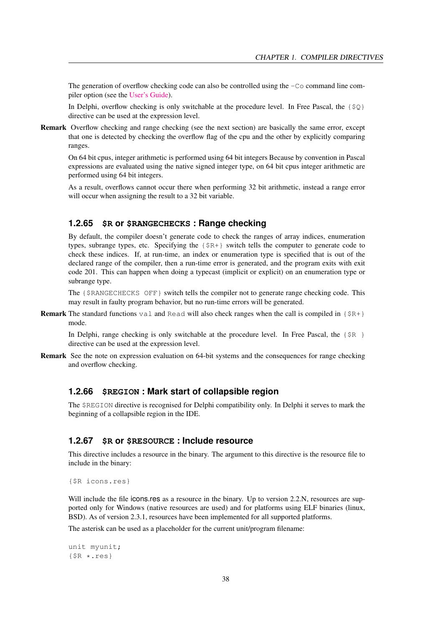The generation of overflow checking code can also be controlled using the  $-\text{Co}$  command line compiler option (see the [User's Guide\)](../user/user.html).

In Delphi, overflow checking is only switchable at the procedure level. In Free Pascal, the  $\{\$Q\}$ directive can be used at the expression level.

Remark Overflow checking and range checking (see the next section) are basically the same error, except that one is detected by checking the overflow flag of the cpu and the other by explicitly comparing ranges.

On 64 bit cpus, integer arithmetic is performed using 64 bit integers Because by convention in Pascal expressions are evaluated using the native signed integer type, on 64 bit cpus integer arithmetic are performed using 64 bit integers.

As a result, overflows cannot occur there when performing 32 bit arithmetic, instead a range error will occur when assigning the result to a 32 bit variable.

# **1.2.65 \$R or \$RANGECHECKS : Range checking**

By default, the compiler doesn't generate code to check the ranges of array indices, enumeration types, subrange types, etc. Specifying the {\$R+} switch tells the computer to generate code to check these indices. If, at run-time, an index or enumeration type is specified that is out of the declared range of the compiler, then a run-time error is generated, and the program exits with exit code 201. This can happen when doing a typecast (implicit or explicit) on an enumeration type or subrange type.

The {\$RANGECHECKS OFF} switch tells the compiler not to generate range checking code. This may result in faulty program behavior, but no run-time errors will be generated.

**Remark** The standard functions val and Read will also check ranges when the call is compiled in  $\{SR+\}$ mode.

In Delphi, range checking is only switchable at the procedure level. In Free Pascal, the  $\{\$R\}$ directive can be used at the expression level.

Remark See the note on expression evaluation on 64-bit systems and the consequences for range checking and overflow checking.

#### **1.2.66 \$REGION : Mark start of collapsible region**

The \$REGION directive is recognised for Delphi compatibility only. In Delphi it serves to mark the beginning of a collapsible region in the IDE.

# **1.2.67 \$R or \$RESOURCE : Include resource**

This directive includes a resource in the binary. The argument to this directive is the resource file to include in the binary:

```
{$R icons.res}
```
Will include the file icons.res as a resource in the binary. Up to version 2.2.N, resources are supported only for Windows (native resources are used) and for platforms using ELF binaries (linux, BSD). As of version 2.3.1, resources have been implemented for all supported platforms.

The asterisk can be used as a placeholder for the current unit/program filename:

unit myunit; {\$R \*.res}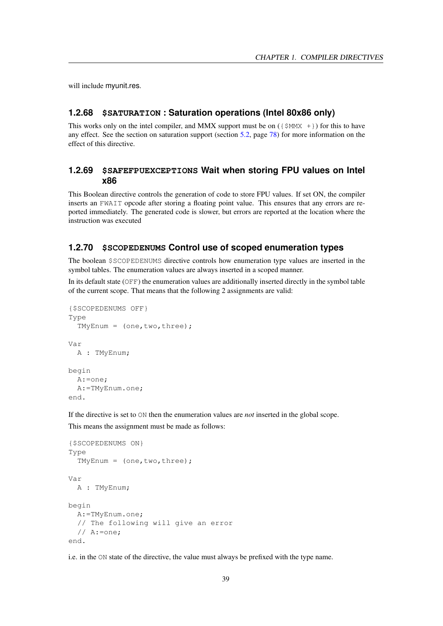will include myunit.res.

#### **1.2.68 \$SATURATION : Saturation operations (Intel 80x86 only)**

This works only on the intel compiler, and MMX support must be on  $({\text{SMMX +}})$  for this to have any effect. See the section on saturation support (section [5.2,](#page-78-0) page [78\)](#page-78-0) for more information on the effect of this directive.

# **1.2.69 \$SAFEFPUEXCEPTIONS Wait when storing FPU values on Intel x86**

This Boolean directive controls the generation of code to store FPU values. If set ON, the compiler inserts an FWAIT opcode after storing a floating point value. This ensures that any errors are reported immediately. The generated code is slower, but errors are reported at the location where the instruction was executed

# **1.2.70 \$SCOPEDENUMS Control use of scoped enumeration types**

The boolean \$SCOPEDENUMS directive controls how enumeration type values are inserted in the symbol tables. The enumeration values are always inserted in a scoped manner.

In its default state (OFF) the enumeration values are additionally inserted directly in the symbol table of the current scope. That means that the following 2 assignments are valid:

```
{$SCOPEDENUMS OFF}
Type
  TMyEnum = (one,two,three);
Var
 A : TMyEnum;
begin
  A:=one;
  A:=TMyEnum.one;
end.
```
If the directive is set to ON then the enumeration values are *not* inserted in the global scope.

This means the assignment must be made as follows:

```
{$SCOPEDENUMS ON}
Type
  TWVEnum = (one, two, three);Var
 A : TMyEnum;
begin
  A:=TMyEnum.one;
  // The following will give an error
  // A:=one;
end.
```
i.e. in the ON state of the directive, the value must always be prefixed with the type name.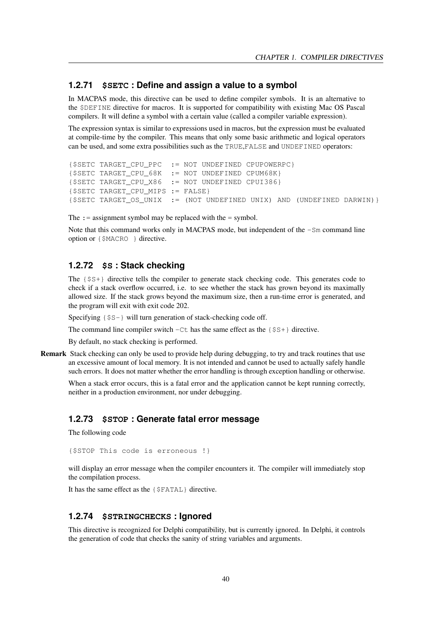# **1.2.71 \$SETC : Define and assign a value to a symbol**

In MACPAS mode, this directive can be used to define compiler symbols. It is an alternative to the \$DEFINE directive for macros. It is supported for compatibility with existing Mac OS Pascal compilers. It will define a symbol with a certain value (called a compiler variable expression).

The expression syntax is similar to expressions used in macros, but the expression must be evaluated at compile-time by the compiler. This means that only some basic arithmetic and logical operators can be used, and some extra possibilities such as the TRUE,FALSE and UNDEFINED operators:

```
{$SETC TARGET_CPU_PPC := NOT UNDEFINED CPUPOWERPC}
{$SETC TARGET CPU 68K := NOT UNDEFINED CPUM68K}
{$SETC TARGET_CPU_X86 := NOT UNDEFINED CPUI386}
{$SETC TARGET_CPU_MIPS := FALSE}
{$SETC TARGET_OS_UNIX := (NOT UNDEFINED UNIX) AND (UNDEFINED DARWIN)}
```
The  $:$  = assignment symbol may be replaced with the = symbol.

Note that this command works only in MACPAS mode, but independent of the  $-Sm$  command line option or {\$MACRO } directive.

# **1.2.72 \$S : Stack checking**

The {\$S+} directive tells the compiler to generate stack checking code. This generates code to check if a stack overflow occurred, i.e. to see whether the stack has grown beyond its maximally allowed size. If the stack grows beyond the maximum size, then a run-time error is generated, and the program will exit with exit code 202.

Specifying {\$S-} will turn generation of stack-checking code off.

The command line compiler switch  $-Ct$  has the same effect as the { $$S+}$ } directive.

By default, no stack checking is performed.

Remark Stack checking can only be used to provide help during debugging, to try and track routines that use an excessive amount of local memory. It is not intended and cannot be used to actually safely handle such errors. It does not matter whether the error handling is through exception handling or otherwise.

When a stack error occurs, this is a fatal error and the application cannot be kept running correctly, neither in a production environment, nor under debugging.

# **1.2.73 \$STOP : Generate fatal error message**

The following code

{\$STOP This code is erroneous !}

will display an error message when the compiler encounters it. The compiler will immediately stop the compilation process.

It has the same effect as the {\$FATAL} directive.

## **1.2.74 \$STRINGCHECKS : Ignored**

This directive is recognized for Delphi compatibility, but is currently ignored. In Delphi, it controls the generation of code that checks the sanity of string variables and arguments.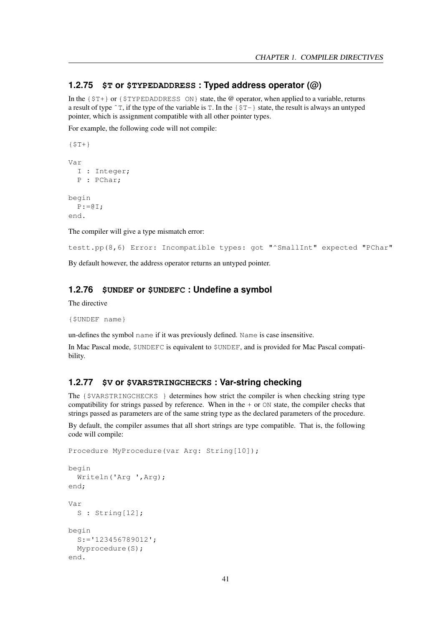# **1.2.75 \$T or \$TYPEDADDRESS : Typed address operator (@)**

In the  $\{\$T+\}$  or  $\{\$TYPEDADDRESS ON\}$  state, the @ operator, when applied to a variable, returns a result of type  $\hat{T}$ , if the type of the variable is T. In the  $\{\hat{S}T-\}$  state, the result is always an untyped pointer, which is assignment compatible with all other pointer types.

For example, the following code will not compile:

```
{ST+}Var
 I : Integer;
 P : PChar;
begin
 P := QI;end.
```
The compiler will give a type mismatch error:

```
testt.pp(8,6) Error: Incompatible types: got "^SmallInt" expected "PChar"
```
By default however, the address operator returns an untyped pointer.

# **1.2.76 \$UNDEF or \$UNDEFC : Undefine a symbol**

The directive

```
{$UNDEF name}
```
un-defines the symbol name if it was previously defined. Name is case insensitive.

In Mac Pascal mode, \$UNDEFC is equivalent to \$UNDEF, and is provided for Mac Pascal compatibility.

#### **1.2.77 \$V or \$VARSTRINGCHECKS : Var-string checking**

The {\$VARSTRINGCHECKS } determines how strict the compiler is when checking string type compatibility for strings passed by reference. When in the  $+$  or  $\circ$ N state, the compiler checks that strings passed as parameters are of the same string type as the declared parameters of the procedure.

By default, the compiler assumes that all short strings are type compatible. That is, the following code will compile:

```
Procedure MyProcedure(var Arg: String[10]);
```

```
begin
  Writeln('Arg ',Arg);
end;
Var
 S : String[12];
begin
  S:='123456789012';
 Myprocedure(S);
end.
```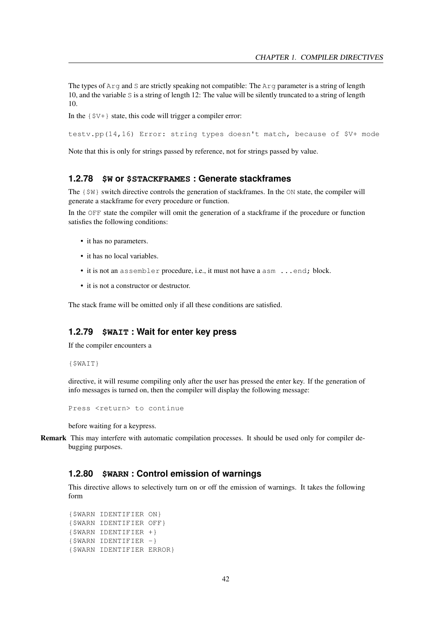The types of Arg and S are strictly speaking not compatible: The Arg parameter is a string of length 10, and the variable S is a string of length 12: The value will be silently truncated to a string of length 10.

In the  $\{5V+\}$  state, this code will trigger a compiler error:

testv.pp(14,16) Error: string types doesn't match, because of \$V+ mode

Note that this is only for strings passed by reference, not for strings passed by value.

#### **1.2.78 \$W or \$STACKFRAMES : Generate stackframes**

The  $\{\frac{1}{2}W\}$  switch directive controls the generation of stackframes. In the ON state, the compiler will generate a stackframe for every procedure or function.

In the OFF state the compiler will omit the generation of a stackframe if the procedure or function satisfies the following conditions:

- it has no parameters.
- it has no local variables.
- it is not an assembler procedure, i.e., it must not have a asm ... end; block.
- it is not a constructor or destructor.

The stack frame will be omitted only if all these conditions are satisfied.

# **1.2.79 \$WAIT : Wait for enter key press**

If the compiler encounters a

{\$WAIT}

directive, it will resume compiling only after the user has pressed the enter key. If the generation of info messages is turned on, then the compiler will display the following message:

Press <return> to continue

before waiting for a keypress.

Remark This may interfere with automatic compilation processes. It should be used only for compiler debugging purposes.

# **1.2.80 \$WARN : Control emission of warnings**

This directive allows to selectively turn on or off the emission of warnings. It takes the following form

```
{$WARN IDENTIFIER ON}
{$WARN IDENTIFIER OFF}
{$WARN IDENTIFIER +}
{$WARN IDENTIFIER -}
{$WARN IDENTIFIER ERROR}
```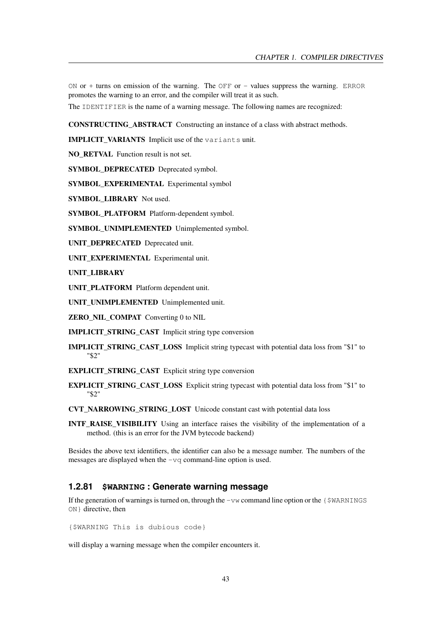ON or + turns on emission of the warning. The OFF or - values suppress the warning. ERROR promotes the warning to an error, and the compiler will treat it as such.

The IDENTIFIER is the name of a warning message. The following names are recognized:

CONSTRUCTING\_ABSTRACT Constructing an instance of a class with abstract methods.

**IMPLICIT VARIANTS** Implicit use of the variants unit.

NO\_RETVAL Function result is not set.

SYMBOL DEPRECATED Deprecated symbol.

SYMBOL\_EXPERIMENTAL\_Experimental symbol

SYMBOL\_LIBRARY Not used.

SYMBOL\_PLATFORM Platform-dependent symbol.

SYMBOL\_UNIMPLEMENTED Unimplemented symbol.

UNIT\_DEPRECATED Deprecated unit.

UNIT\_EXPERIMENTAL\_Experimental unit.

UNIT\_LIBRARY

UNIT\_PLATFORM Platform dependent unit.

UNIT\_UNIMPLEMENTED Unimplemented unit.

ZERO\_NIL\_COMPAT\_Converting 0 to NIL

IMPLICIT\_STRING\_CAST Implicit string type conversion

IMPLICIT\_STRING\_CAST\_LOSS Implicit string typecast with potential data loss from "\$1" to "\$2"

**EXPLICIT\_STRING\_CAST\_Explicit string type conversion** 

EXPLICIT\_STRING\_CAST\_LOSS Explicit string typecast with potential data loss from "\$1" to "\$2"

CVT\_NARROWING\_STRING\_LOST Unicode constant cast with potential data loss

INTF\_RAISE\_VISIBILITY Using an interface raises the visibility of the implementation of a method. (this is an error for the JVM bytecode backend)

Besides the above text identifiers, the identifier can also be a message number. The numbers of the messages are displayed when the -vq command-line option is used.

# **1.2.81 \$WARNING : Generate warning message**

If the generation of warnings is turned on, through the  $-\nu w$  command line option or the  $\{\frac{1}{2}WARMINGS\}$ ON} directive, then

{\$WARNING This is dubious code}

will display a warning message when the compiler encounters it.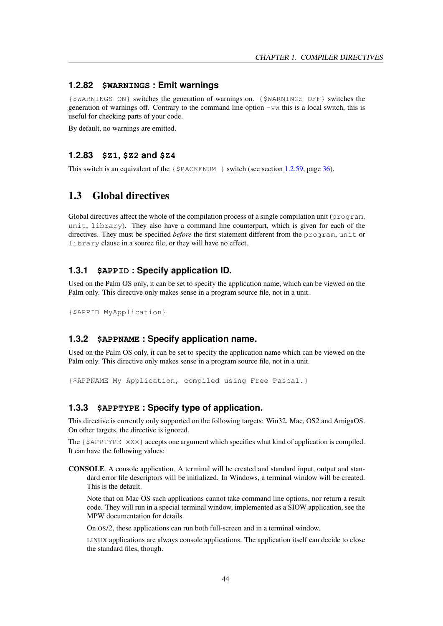# **1.2.82 \$WARNINGS : Emit warnings**

{\$WARNINGS ON} switches the generation of warnings on. {\$WARNINGS OFF} switches the generation of warnings off. Contrary to the command line option  $-vw$  this is a local switch, this is useful for checking parts of your code.

By default, no warnings are emitted.

#### **1.2.83 \$Z1, \$Z2 and \$Z4**

This switch is an equivalent of the  $\{\$PACKENDUM\}\}$  switch (see section [1.2.59,](#page-36-0) page [36\)](#page-36-0).

# 1.3 Global directives

Global directives affect the whole of the compilation process of a single compilation unit ( $\gamma$ rogram, unit, library). They also have a command line counterpart, which is given for each of the directives. They must be specified *before* the first statement different from the program, unit or library clause in a source file, or they will have no effect.

# **1.3.1 \$APPID : Specify application ID.**

Used on the Palm OS only, it can be set to specify the application name, which can be viewed on the Palm only. This directive only makes sense in a program source file, not in a unit.

{\$APPID MyApplication}

# **1.3.2 \$APPNAME : Specify application name.**

Used on the Palm OS only, it can be set to specify the application name which can be viewed on the Palm only. This directive only makes sense in a program source file, not in a unit.

{\$APPNAME My Application, compiled using Free Pascal.}

# **1.3.3 \$APPTYPE : Specify type of application.**

This directive is currently only supported on the following targets: Win32, Mac, OS2 and AmigaOS. On other targets, the directive is ignored.

The {\$APPTYPE XXX} accepts one argument which specifies what kind of application is compiled. It can have the following values:

CONSOLE A console application. A terminal will be created and standard input, output and standard error file descriptors will be initialized. In Windows, a terminal window will be created. This is the default.

Note that on Mac OS such applications cannot take command line options, nor return a result code. They will run in a special terminal window, implemented as a SIOW application, see the MPW documentation for details.

On OS/2, these applications can run both full-screen and in a terminal window.

LINUX applications are always console applications. The application itself can decide to close the standard files, though.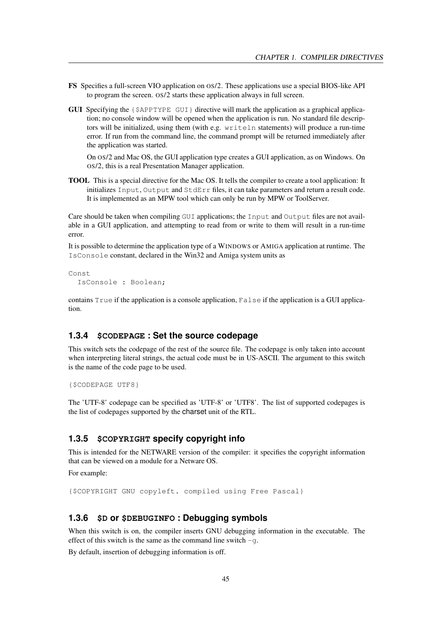- FS Specifies a full-screen VIO application on OS/2. These applications use a special BIOS-like API to program the screen. OS/2 starts these application always in full screen.
- GUI Specifying the {\$APPTYPE GUI} directive will mark the application as a graphical application; no console window will be opened when the application is run. No standard file descriptors will be initialized, using them (with e.g. writeln statements) will produce a run-time error. If run from the command line, the command prompt will be returned immediately after the application was started.

On OS/2 and Mac OS, the GUI application type creates a GUI application, as on Windows. On OS/2, this is a real Presentation Manager application.

TOOL This is a special directive for the Mac OS. It tells the compiler to create a tool application: It initializes Input, Output and StdErr files, it can take parameters and return a result code. It is implemented as an MPW tool which can only be run by MPW or ToolServer.

Care should be taken when compiling GUI applications; the Input and Output files are not available in a GUI application, and attempting to read from or write to them will result in a run-time error.

It is possible to determine the application type of a WINDOWS or AMIGA application at runtime. The IsConsole constant, declared in the Win32 and Amiga system units as

```
Const
  IsConsole : Boolean;
```
contains  $True$  if the application is a console application,  $False$  if the application is a GUI application.

#### **1.3.4 \$CODEPAGE : Set the source codepage**

This switch sets the codepage of the rest of the source file. The codepage is only taken into account when interpreting literal strings, the actual code must be in US-ASCII. The argument to this switch is the name of the code page to be used.

```
{$CODEPAGE UTF8}
```
The 'UTF-8' codepage can be specified as 'UTF-8' or 'UTF8'. The list of supported codepages is the list of codepages supported by the charset unit of the RTL.

# **1.3.5 \$COPYRIGHT specify copyright info**

This is intended for the NETWARE version of the compiler: it specifies the copyright information that can be viewed on a module for a Netware OS.

For example:

```
{$COPYRIGHT GNU copyleft. compiled using Free Pascal}
```
# **1.3.6 \$D or \$DEBUGINFO : Debugging symbols**

When this switch is on, the compiler inserts GNU debugging information in the executable. The effect of this switch is the same as the command line switch  $-q$ .

By default, insertion of debugging information is off.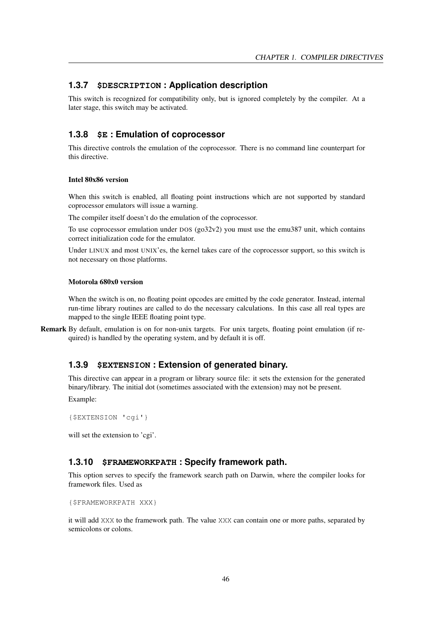# **1.3.7 \$DESCRIPTION : Application description**

This switch is recognized for compatibility only, but is ignored completely by the compiler. At a later stage, this switch may be activated.

# **1.3.8 \$E : Emulation of coprocessor**

This directive controls the emulation of the coprocessor. There is no command line counterpart for this directive.

#### Intel 80x86 version

When this switch is enabled, all floating point instructions which are not supported by standard coprocessor emulators will issue a warning.

The compiler itself doesn't do the emulation of the coprocessor.

To use coprocessor emulation under DOS (go32v2) you must use the emu387 unit, which contains correct initialization code for the emulator.

Under LINUX and most UNIX'es, the kernel takes care of the coprocessor support, so this switch is not necessary on those platforms.

#### Motorola 680x0 version

When the switch is on, no floating point opcodes are emitted by the code generator. Instead, internal run-time library routines are called to do the necessary calculations. In this case all real types are mapped to the single IEEE floating point type.

Remark By default, emulation is on for non-unix targets. For unix targets, floating point emulation (if required) is handled by the operating system, and by default it is off.

# **1.3.9 \$EXTENSION : Extension of generated binary.**

This directive can appear in a program or library source file: it sets the extension for the generated binary/library. The initial dot (sometimes associated with the extension) may not be present. Example:

```
{$EXTENSION 'cgi'}
```
will set the extension to 'cgi'.

# **1.3.10 \$FRAMEWORKPATH : Specify framework path.**

This option serves to specify the framework search path on Darwin, where the compiler looks for framework files. Used as

```
{$FRAMEWORKPATH XXX}
```
it will add XXX to the framework path. The value XXX can contain one or more paths, separated by semicolons or colons.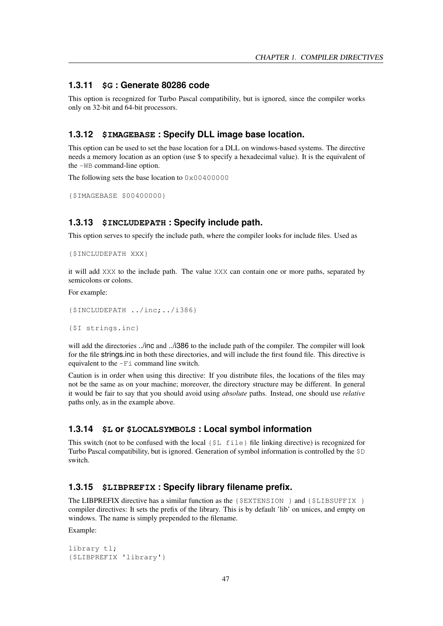# **1.3.11 \$G : Generate 80286 code**

This option is recognized for Turbo Pascal compatibility, but is ignored, since the compiler works only on 32-bit and 64-bit processors.

# **1.3.12 \$IMAGEBASE : Specify DLL image base location.**

This option can be used to set the base location for a DLL on windows-based systems. The directive needs a memory location as an option (use \$ to specify a hexadecimal value). It is the equivalent of the -WB command-line option.

The following sets the base location to  $0 \times 00400000$ 

```
{$IMAGEBASE $00400000}
```
# **1.3.13 \$INCLUDEPATH : Specify include path.**

This option serves to specify the include path, where the compiler looks for include files. Used as

```
{$INCLUDEPATH XXX}
```
it will add XXX to the include path. The value XXX can contain one or more paths, separated by semicolons or colons.

For example:

```
{$INCLUDEPATH ../inc;../i386}
```
{\$I strings.inc}

will add the directories ../inc and ../i386 to the include path of the compiler. The compiler will look for the file strings.inc in both these directories, and will include the first found file. This directive is equivalent to the  $-Fi$  command line switch.

Caution is in order when using this directive: If you distribute files, the locations of the files may not be the same as on your machine; moreover, the directory structure may be different. In general it would be fair to say that you should avoid using *absolute* paths. Instead, one should use *relative* paths only, as in the example above.

# **1.3.14 \$L or \$LOCALSYMBOLS : Local symbol information**

This switch (not to be confused with the local  $\{\xi L \text{ file}\}$  file linking directive) is recognized for Turbo Pascal compatibility, but is ignored. Generation of symbol information is controlled by the \$D switch.

# **1.3.15 \$LIBPREFIX : Specify library filename prefix.**

The LIBPREFIX directive has a similar function as the  $\{\xi \to X \to Y \to Y\}$  and  $\{\xi \to \xi \to Y\}$ compiler directives: It sets the prefix of the library. This is by default 'lib' on unices, and empty on windows. The name is simply prepended to the filename.

Example:

```
library tl;
{$LIBPREFIX 'library'}
```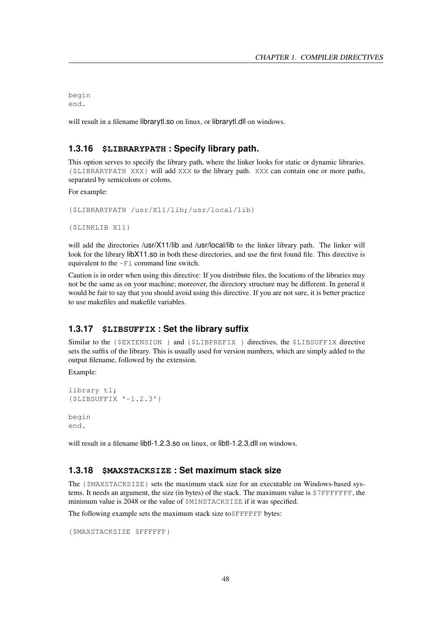begin end.

will result in a filename librarytl.so on linux, or librarytl.dll on windows.

# **1.3.16 \$LIBRARYPATH : Specify library path.**

This option serves to specify the library path, where the linker looks for static or dynamic libraries. {\$LIBRARYPATH XXX} will add XXX to the library path. XXX can contain one or more paths, separated by semicolons or colons.

For example:

```
{$LIBRARYPATH /usr/X11/lib;/usr/local/lib}
```

```
{$LINKLIB X11}
```
will add the directories /usr/X11/lib and /usr/local/lib to the linker library path. The linker will look for the library libX11.so in both these directories, and use the first found file. This directive is equivalent to the -Fl command line switch.

Caution is in order when using this directive: If you distribute files, the locations of the libraries may not be the same as on your machine; moreover, the directory structure may be different. In general it would be fair to say that you should avoid using this directive. If you are not sure, it is better practice to use makefiles and makefile variables.

# **1.3.17 \$LIBSUFFIX : Set the library suffix**

Similar to the {\$EXTENSION } and {\$LIBPREFIX } directives, the \$LIBSUFFIX directive sets the suffix of the library. This is usually used for version numbers, which are simply added to the output filename, followed by the extension.

Example:

```
library tl;
{$LIBSUFFIX '-1.2.3'}
begin
end.
```
will result in a filename libtl-1.2.3.so on linux, or libtl-1.2.3.dll on windows.

# **1.3.18 \$MAXSTACKSIZE : Set maximum stack size**

The {\$MAXSTACKSIZE} sets the maximum stack size for an executable on Windows-based systems. It needs an argument, the size (in bytes) of the stack. The maximum value is \$7FFFFFFF, the minimum value is 2048 or the value of \$MINSTACKSIZE if it was specified.

The following example sets the maximum stack size to\$FFFFFF bytes:

```
{$MAXSTACKSIZE $FFFFFF}
```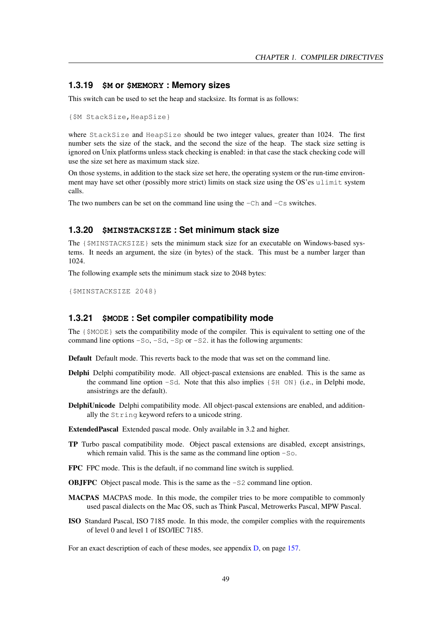# **1.3.19 \$M or \$MEMORY : Memory sizes**

This switch can be used to set the heap and stacksize. Its format is as follows:

```
{$M StackSize,HeapSize}
```
where StackSize and HeapSize should be two integer values, greater than 1024. The first number sets the size of the stack, and the second the size of the heap. The stack size setting is ignored on Unix platforms unless stack checking is enabled: in that case the stack checking code will use the size set here as maximum stack size.

On those systems, in addition to the stack size set here, the operating system or the run-time environment may have set other (possibly more strict) limits on stack size using the OS'es ulimit system calls.

The two numbers can be set on the command line using the  $-Ch$  and  $-Cs$  switches.

# **1.3.20 \$MINSTACKSIZE : Set minimum stack size**

The  $\{\S$ MINSTACKSIZE} sets the minimum stack size for an executable on Windows-based systems. It needs an argument, the size (in bytes) of the stack. This must be a number larger than 1024.

The following example sets the minimum stack size to 2048 bytes:

{\$MINSTACKSIZE 2048}

# **1.3.21 \$MODE : Set compiler compatibility mode**

The  $\{\S MODE\}$  sets the compatibility mode of the compiler. This is equivalent to setting one of the command line options  $-50$ ,  $-5d$ ,  $-5p$  or  $-52$ . it has the following arguments:

Default Default mode. This reverts back to the mode that was set on the command line.

- Delphi Delphi compatibility mode. All object-pascal extensions are enabled. This is the same as the command line option  $-Sd$ . Note that this also implies  $\{\$H \text{ ON}\}$  (i.e., in Delphi mode, ansistrings are the default).
- DelphiUnicode Delphi compatibility mode. All object-pascal extensions are enabled, and additionally the String keyword refers to a unicode string.

ExtendedPascal Extended pascal mode. Only available in 3.2 and higher.

- TP Turbo pascal compatibility mode. Object pascal extensions are disabled, except ansistrings, which remain valid. This is the same as the command line option  $-5$ .
- FPC FPC mode. This is the default, if no command line switch is supplied.

OBJFPC Object pascal mode. This is the same as the -S2 command line option.

- MACPAS MACPAS mode. In this mode, the compiler tries to be more compatible to commonly used pascal dialects on the Mac OS, such as Think Pascal, Metrowerks Pascal, MPW Pascal.
- ISO Standard Pascal, ISO 7185 mode. In this mode, the compiler complies with the requirements of level 0 and level 1 of ISO/IEC 7185.

For an exact description of each of these modes, see appendix [D,](#page-157-0) on page [157.](#page-157-0)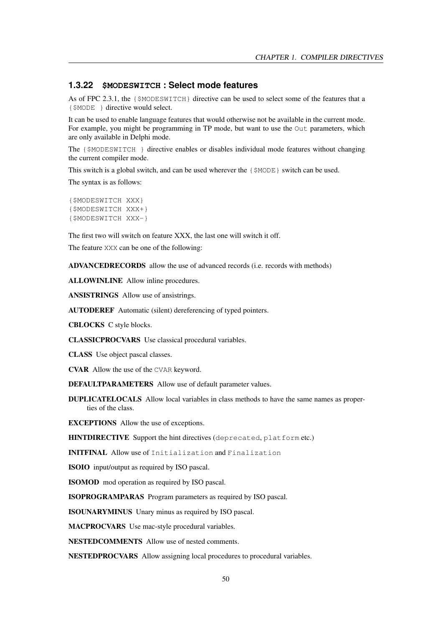# **1.3.22 \$MODESWITCH : Select mode features**

As of FPC 2.3.1, the {\$MODESWITCH} directive can be used to select some of the features that a {\$MODE } directive would select.

It can be used to enable language features that would otherwise not be available in the current mode. For example, you might be programming in TP mode, but want to use the Out parameters, which are only available in Delphi mode.

The {\$MODESWITCH } directive enables or disables individual mode features without changing the current compiler mode.

This switch is a global switch, and can be used wherever the {\$MODE} switch can be used. The syntax is as follows:

```
{$MODESWITCH XXX}
{$MODESWITCH XXX+}
{$MODESWITCH XXX-}
```
The first two will switch on feature XXX, the last one will switch it off.

The feature XXX can be one of the following:

ADVANCEDRECORDS allow the use of advanced records (i.e. records with methods)

ALLOWINLINE Allow inline procedures.

ANSISTRINGS Allow use of ansistrings.

AUTODEREF Automatic (silent) dereferencing of typed pointers.

CBLOCKS C style blocks.

CLASSICPROCVARS Use classical procedural variables.

CLASS Use object pascal classes.

CVAR Allow the use of the CVAR keyword.

DEFAULTPARAMETERS Allow use of default parameter values.

DUPLICATELOCALS Allow local variables in class methods to have the same names as properties of the class.

EXCEPTIONS Allow the use of exceptions.

HINTDIRECTIVE Support the hint directives (deprecated, platform etc.)

INITFINAL Allow use of Initialization and Finalization

ISOIO input/output as required by ISO pascal.

ISOMOD mod operation as required by ISO pascal.

ISOPROGRAMPARAS Program parameters as required by ISO pascal.

ISOUNARYMINUS Unary minus as required by ISO pascal.

MACPROCVARS Use mac-style procedural variables.

NESTEDCOMMENTS Allow use of nested comments.

NESTEDPROCVARS Allow assigning local procedures to procedural variables.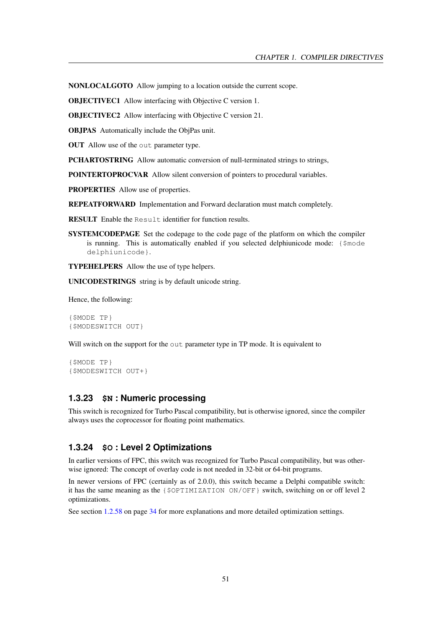NONLOCALGOTO Allow jumping to a location outside the current scope.

OBJECTIVEC1 Allow interfacing with Objective C version 1.

OBJECTIVEC2 Allow interfacing with Objective C version 21.

OBJPAS Automatically include the ObjPas unit.

OUT Allow use of the out parameter type.

PCHARTOSTRING Allow automatic conversion of null-terminated strings to strings,

POINTERTOPROCVAR Allow silent conversion of pointers to procedural variables.

PROPERTIES Allow use of properties.

REPEATFORWARD Implementation and Forward declaration must match completely.

RESULT Enable the Result identifier for function results.

SYSTEMCODEPAGE Set the codepage to the code page of the platform on which the compiler is running. This is automatically enabled if you selected delphiunicode mode: {\$mode delphiunicode}.

TYPEHELPERS Allow the use of type helpers.

UNICODESTRINGS string is by default unicode string.

Hence, the following:

{\$MODE TP} {\$MODESWITCH OUT}

Will switch on the support for the out parameter type in TP mode. It is equivalent to

```
{$MODE TP}
{$MODESWITCH OUT+}
```
# **1.3.23 \$N : Numeric processing**

This switch is recognized for Turbo Pascal compatibility, but is otherwise ignored, since the compiler always uses the coprocessor for floating point mathematics.

# **1.3.24 \$O : Level 2 Optimizations**

In earlier versions of FPC, this switch was recognized for Turbo Pascal compatibility, but was otherwise ignored: The concept of overlay code is not needed in 32-bit or 64-bit programs.

In newer versions of FPC (certainly as of 2.0.0), this switch became a Delphi compatible switch: it has the same meaning as the {\$OPTIMIZATION ON/OFF} switch, switching on or off level 2 optimizations.

See section [1.2.58](#page-34-0) on page [34](#page-34-0) for more explanations and more detailed optimization settings.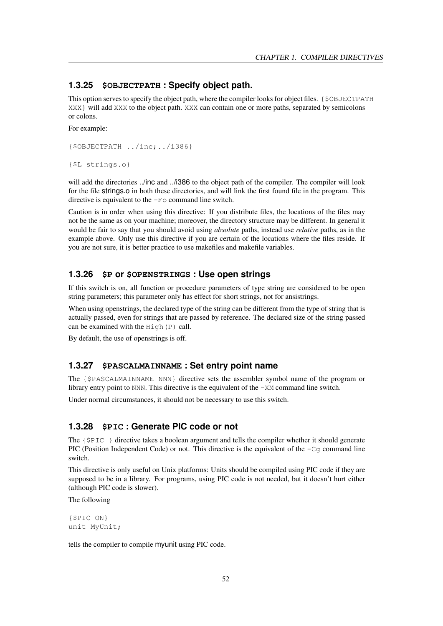# **1.3.25 \$OBJECTPATH : Specify object path.**

This option serves to specify the object path, where the compiler looks for object files. {\$OBJECTPATH XXX will add XXX to the object path. XXX can contain one or more paths, separated by semicolons or colons.

For example:

```
{$OBJECTPATH ../inc;../i386}
```

```
{$L strings.o}
```
will add the directories ../inc and ../i386 to the object path of the compiler. The compiler will look for the file strings.o in both these directories, and will link the first found file in the program. This directive is equivalent to the  $-F \circ$  command line switch.

Caution is in order when using this directive: If you distribute files, the locations of the files may not be the same as on your machine; moreover, the directory structure may be different. In general it would be fair to say that you should avoid using *absolute* paths, instead use *relative* paths, as in the example above. Only use this directive if you are certain of the locations where the files reside. If you are not sure, it is better practice to use makefiles and makefile variables.

# **1.3.26 \$P or \$OPENSTRINGS : Use open strings**

If this switch is on, all function or procedure parameters of type string are considered to be open string parameters; this parameter only has effect for short strings, not for ansistrings.

When using openstrings, the declared type of the string can be different from the type of string that is actually passed, even for strings that are passed by reference. The declared size of the string passed can be examined with the  $High(P)$  call.

By default, the use of openstrings is off.

#### **1.3.27 \$PASCALMAINNAME : Set entry point name**

The {\$PASCALMAINNAME NNN} directive sets the assembler symbol name of the program or library entry point to NNN. This directive is the equivalent of the -XM command line switch.

Under normal circumstances, it should not be necessary to use this switch.

# **1.3.28 \$PIC : Generate PIC code or not**

The  $\{\$PLC\}\$  directive takes a boolean argument and tells the compiler whether it should generate PIC (Position Independent Code) or not. This directive is the equivalent of the  $-Cq$  command line switch.

This directive is only useful on Unix platforms: Units should be compiled using PIC code if they are supposed to be in a library. For programs, using PIC code is not needed, but it doesn't hurt either (although PIC code is slower).

The following

```
{$PIC ON}
unit MyUnit;
```
tells the compiler to compile myunit using PIC code.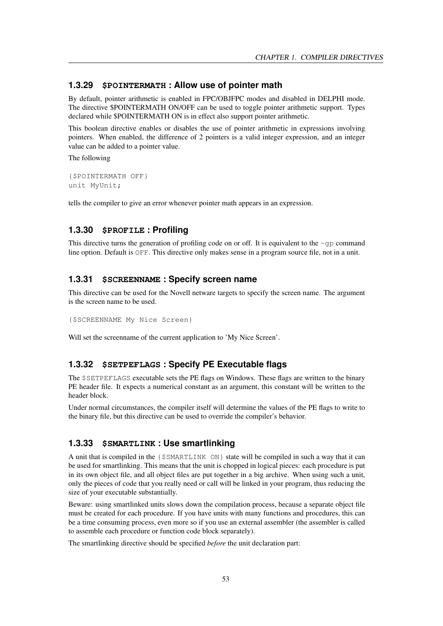# **1.3.29 \$POINTERMATH : Allow use of pointer math**

By default, pointer arithmetic is enabled in FPC/OBJFPC modes and disabled in DELPHI mode. The directive \$POINTERMATH ON/OFF can be used to toggle pointer arithmetic support. Types declared while \$POINTERMATH ON is in effect also support pointer arithmetic.

This boolean directive enables or disables the use of pointer arithmetic in expressions involving pointers. When enabled, the difference of 2 pointers is a valid integer expression, and an integer value can be added to a pointer value.

The following

```
{$POINTERMATH OFF}
unit MyUnit;
```
tells the compiler to give an error whenever pointer math appears in an expression.

# **1.3.30 \$PROFILE : Profiling**

This directive turns the generation of profiling code on or off. It is equivalent to the  $-\text{qp}$  command line option. Default is OFF. This directive only makes sense in a program source file, not in a unit.

#### **1.3.31 \$SCREENNAME : Specify screen name**

This directive can be used for the Novell netware targets to specify the screen name. The argument is the screen name to be used.

{\$SCREENNAME My Nice Screen}

Will set the screenname of the current application to 'My Nice Screen'.

# **1.3.32 \$SETPEFLAGS : Specify PE Executable flags**

The \$SETPEFLAGS executable sets the PE flags on Windows. These flags are written to the binary PE header file. It expects a numerical constant as an argument, this constant will be written to the header block.

Under normal circumstances, the compiler itself will determine the values of the PE flags to write to the binary file, but this directive can be used to override the compiler's behavior.

# **1.3.33 \$SMARTLINK : Use smartlinking**

A unit that is compiled in the {\$SMARTLINK ON} state will be compiled in such a way that it can be used for smartlinking. This means that the unit is chopped in logical pieces: each procedure is put in its own object file, and all object files are put together in a big archive. When using such a unit, only the pieces of code that you really need or call will be linked in your program, thus reducing the size of your executable substantially.

Beware: using smartlinked units slows down the compilation process, because a separate object file must be created for each procedure. If you have units with many functions and procedures, this can be a time consuming process, even more so if you use an external assembler (the assembler is called to assemble each procedure or function code block separately).

The smartlinking directive should be specified *before* the unit declaration part: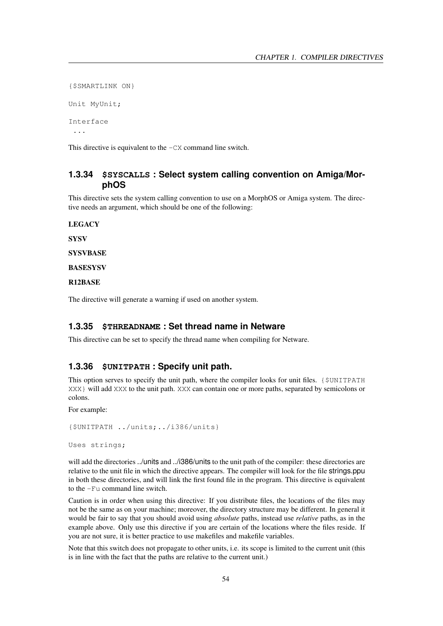```
{$SMARTLINK ON}
Unit MyUnit;
Interface
 ...
```
This directive is equivalent to the  $-CX$  command line switch.

# **1.3.34 \$SYSCALLS : Select system calling convention on Amiga/MorphOS**

This directive sets the system calling convention to use on a MorphOS or Amiga system. The directive needs an argument, which should be one of the following:

**LEGACY** 

**SYSV** 

**SYSVBASE** 

**BASESYSV** 

R12BASE

The directive will generate a warning if used on another system.

# **1.3.35 \$THREADNAME : Set thread name in Netware**

This directive can be set to specify the thread name when compiling for Netware.

# **1.3.36 \$UNITPATH : Specify unit path.**

This option serves to specify the unit path, where the compiler looks for unit files. {\$UNITPATH XXX} will add XXX to the unit path. XXX can contain one or more paths, separated by semicolons or colons.

For example:

```
{$UNITPATH ../units;../i386/units}
```
Uses strings;

will add the directories ../units and ../i386/units to the unit path of the compiler: these directories are relative to the unit file in which the directive appears. The compiler will look for the file strings.ppu in both these directories, and will link the first found file in the program. This directive is equivalent to the -Fu command line switch.

Caution is in order when using this directive: If you distribute files, the locations of the files may not be the same as on your machine; moreover, the directory structure may be different. In general it would be fair to say that you should avoid using *absolute* paths, instead use *relative* paths, as in the example above. Only use this directive if you are certain of the locations where the files reside. If you are not sure, it is better practice to use makefiles and makefile variables.

Note that this switch does not propagate to other units, i.e. its scope is limited to the current unit (this is in line with the fact that the paths are relative to the current unit.)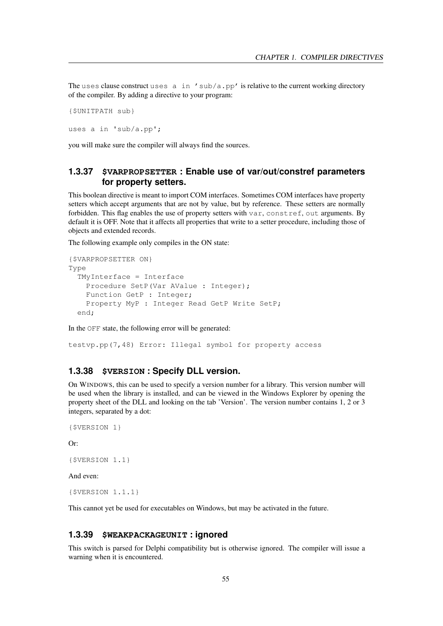The uses clause construct uses  $a$  in 'sub/a.pp' is relative to the current working directory of the compiler. By adding a directive to your program:

```
{$UNITPATH sub}
```
uses a in 'sub/a.pp';

you will make sure the compiler will always find the sources.

# **1.3.37 \$VARPROPSETTER : Enable use of var/out/constref parameters for property setters.**

This boolean directive is meant to import COM interfaces. Sometimes COM interfaces have property setters which accept arguments that are not by value, but by reference. These setters are normally forbidden. This flag enables the use of property setters with var, constref, out arguments. By default it is OFF. Note that it affects all properties that write to a setter procedure, including those of objects and extended records.

The following example only compiles in the ON state:

```
{$VARPROPSETTER ON}
Type
 TMyInterface = Interface
   Procedure SetP(Var AValue : Integer);
    Function GetP : Integer;
    Property MyP : Integer Read GetP Write SetP;
 end;
```
In the OFF state, the following error will be generated:

testvp.pp(7,48) Error: Illegal symbol for property access

## **1.3.38 \$VERSION : Specify DLL version.**

On WINDOWS, this can be used to specify a version number for a library. This version number will be used when the library is installed, and can be viewed in the Windows Explorer by opening the property sheet of the DLL and looking on the tab 'Version'. The version number contains 1, 2 or 3 integers, separated by a dot:

```
{$VERSION 1}
```
Or:

```
{$VERSION 1.1}
```
And even:

{\$VERSION 1.1.1}

This cannot yet be used for executables on Windows, but may be activated in the future.

### **1.3.39 \$WEAKPACKAGEUNIT : ignored**

This switch is parsed for Delphi compatibility but is otherwise ignored. The compiler will issue a warning when it is encountered.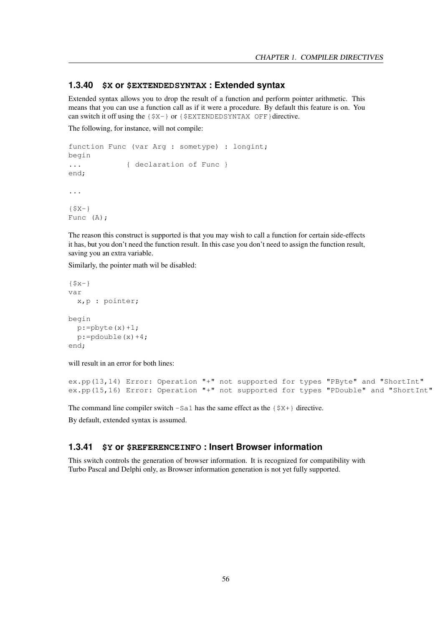# **1.3.40 \$X or \$EXTENDEDSYNTAX : Extended syntax**

Extended syntax allows you to drop the result of a function and perform pointer arithmetic. This means that you can use a function call as if it were a procedure. By default this feature is on. You can switch it off using the  $\{S X - \}$  or  $\{S EXT EN DEDSYN TAX OF F\}$  directive.

The following, for instance, will not compile:

```
function Func (var Arg : sometype) : longint;
begin
... { declaration of Func }
end;
...
{SX-}Func (A);
```
The reason this construct is supported is that you may wish to call a function for certain side-effects it has, but you don't need the function result. In this case you don't need to assign the function result, saving you an extra variable.

Similarly, the pointer math wil be disabled:

```
{Sx-}var
 x,p : pointer;
begin
 p:=pbyte(x)+1;p:=pdouble(x)+4;
end;
```
will result in an error for both lines:

```
ex.pp(13,14) Error: Operation "+" not supported for types "PByte" and "ShortInt"
ex.pp(15,16) Error: Operation "+" not supported for types "PDouble" and "ShortInt"
```
The command line compiler switch  $-Sa1$  has the same effect as the  $\{S X + \}$  directive.

By default, extended syntax is assumed.

## **1.3.41 \$Y or \$REFERENCEINFO : Insert Browser information**

This switch controls the generation of browser information. It is recognized for compatibility with Turbo Pascal and Delphi only, as Browser information generation is not yet fully supported.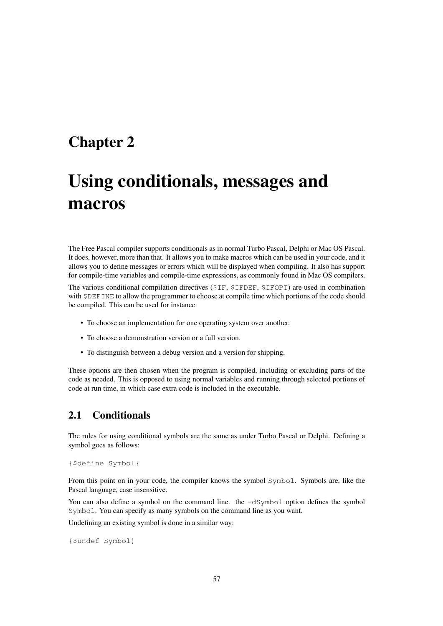# Chapter 2

# Using conditionals, messages and macros

The Free Pascal compiler supports conditionals as in normal Turbo Pascal, Delphi or Mac OS Pascal. It does, however, more than that. It allows you to make macros which can be used in your code, and it allows you to define messages or errors which will be displayed when compiling. It also has support for compile-time variables and compile-time expressions, as commonly found in Mac OS compilers.

The various conditional compilation directives (\$IF, \$IFDEF, \$IFOPT) are used in combination with \$DEFINE to allow the programmer to choose at compile time which portions of the code should be compiled. This can be used for instance

- To choose an implementation for one operating system over another.
- To choose a demonstration version or a full version.
- To distinguish between a debug version and a version for shipping.

These options are then chosen when the program is compiled, including or excluding parts of the code as needed. This is opposed to using normal variables and running through selected portions of code at run time, in which case extra code is included in the executable.

# 2.1 Conditionals

The rules for using conditional symbols are the same as under Turbo Pascal or Delphi. Defining a symbol goes as follows:

```
{$define Symbol}
```
From this point on in your code, the compiler knows the symbol Symbol. Symbols are, like the Pascal language, case insensitive.

You can also define a symbol on the command line. the  $-dSymbol$  option defines the symbol Symbol. You can specify as many symbols on the command line as you want.

Undefining an existing symbol is done in a similar way:

```
{$undef Symbol}
```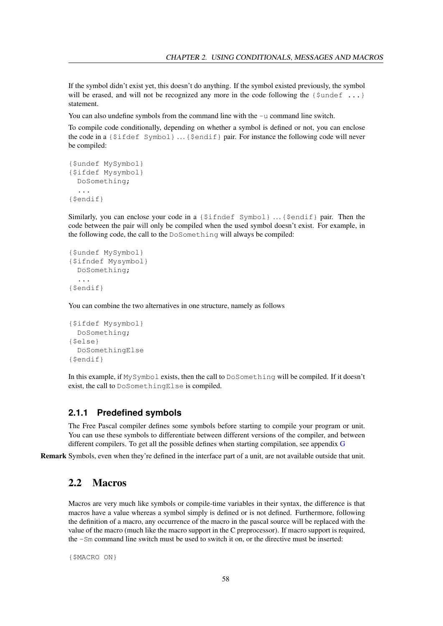If the symbol didn't exist yet, this doesn't do anything. If the symbol existed previously, the symbol will be erased, and will not be recognized any more in the code following the  $\{\text{Sundef } \ldots\}$ statement.

You can also undefine symbols from the command line with the  $-u$  command line switch.

To compile code conditionally, depending on whether a symbol is defined or not, you can enclose the code in a {\$ifdef Symbol} . . .{\$endif} pair. For instance the following code will never be compiled:

```
{$undef MySymbol}
{$ifdef Mysymbol}
 DoSomething;
  ...
{$endif}
```
Similarly, you can enclose your code in a  $\{\S$ ifndef Symbol} ...  $\{\S$ endif} pair. Then the code between the pair will only be compiled when the used symbol doesn't exist. For example, in the following code, the call to the DoSomething will always be compiled:

```
{$undef MySymbol}
{$ifndef Mysymbol}
 DoSomething;
  ...
{$endif}
```
You can combine the two alternatives in one structure, namely as follows

```
{$ifdef Mysymbol}
 DoSomething;
{$else}
 DoSomethingElse
{$endif}
```
In this example, if MySymbol exists, then the call to DoSomething will be compiled. If it doesn't exist, the call to DoSomethingElse is compiled.

# **2.1.1 Predefined symbols**

The Free Pascal compiler defines some symbols before starting to compile your program or unit. You can use these symbols to differentiate between different versions of the compiler, and between different compilers. To get all the possible defines when starting compilation, see appendix [G](#page-181-0)

Remark Symbols, even when they're defined in the interface part of a unit, are not available outside that unit.

# <span id="page-58-0"></span>2.2 Macros

Macros are very much like symbols or compile-time variables in their syntax, the difference is that macros have a value whereas a symbol simply is defined or is not defined. Furthermore, following the definition of a macro, any occurrence of the macro in the pascal source will be replaced with the value of the macro (much like the macro support in the C preprocessor). If macro support is required, the -Sm command line switch must be used to switch it on, or the directive must be inserted:

{\$MACRO ON}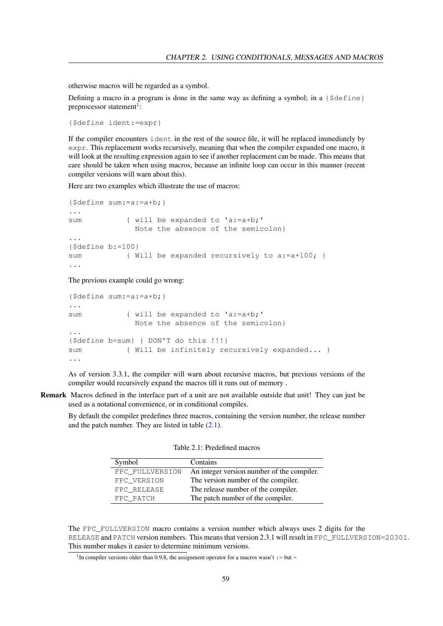otherwise macros will be regarded as a symbol.

Defining a macro in a program is done in the same way as defining a symbol; in a  $\{\xi \cdot \xi\}$ preprocessor statement<sup>[1](#page-59-0)</sup>:

{\$define ident:=expr}

If the compiler encounters ident in the rest of the source file, it will be replaced immediately by expr. This replacement works recursively, meaning that when the compiler expanded one macro, it will look at the resulting expression again to see if another replacement can be made. This means that care should be taken when using macros, because an infinite loop can occur in this manner (recent compiler versions will warn about this).

Here are two examples which illustrate the use of macros:

```
{$define sum:=a:=a+b;}
...
sum { will be expanded to 'a:=a+b;'
             Note the absence of the semicolon}
...
{$define b:=100}
sum { Will be expanded recursively to a:=a+100; }
...
```
The previous example could go wrong:

```
{$define sum:=a:=a+b;}
...
sum { will be expanded to 'a:=a+b;'
              Note the absence of the semicolon}
...
{$define b=sum} { DON'T do this !!!}
sum { Will be infinitely recursively expanded... }
...
```
As of version 3.3.1, the compiler will warn about recursive macros, but previous versions of the compiler would recursively expand the macros till it runs out of memory .

Remark Macros defined in the interface part of a unit are not available outside that unit! They can just be used as a notational convenience, or in conditional compiles.

By default the compiler predefines three macros, containing the version number, the release number and the patch number. They are listed in table  $(2.1)$ .

<span id="page-59-1"></span>

| Symbol          | Contains                                   |
|-----------------|--------------------------------------------|
| FPC FULLVERSION | An integer version number of the compiler. |
| FPC VERSION     | The version number of the compiler.        |
| FPC RELEASE     | The release number of the compiler.        |
| FPC PATCH       | The patch number of the compiler.          |

The FPC\_FULLVERSION macro contains a version number which always uses 2 digits for the RELEASE and PATCH version numbers. This means that version 2.3.1 will result in FPC\_FULLVERSION=20301. This number makes it easier to determine minimum versions.

<span id="page-59-0"></span><sup>&</sup>lt;sup>1</sup>In compiler versions older than 0.9.8, the assignment operator for a macros wasn't : = but =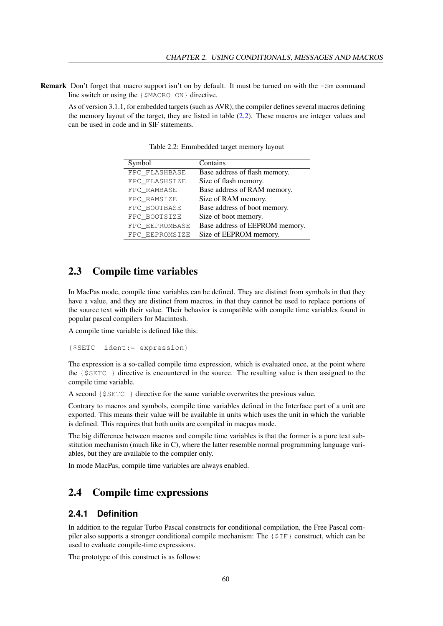Remark Don't forget that macro support isn't on by default. It must be turned on with the -Sm command line switch or using the {\$MACRO ON} directive.

As of version 3.1.1, for embedded targets (such as AVR), the compiler defines several macros defining the memory layout of the target, they are listed in table [\(2.2\)](#page-60-0). These macros are integer values and can be used in code and in \$IF statements.

| Symbol         | Contains                       |
|----------------|--------------------------------|
| FPC FLASHBASE  | Base address of flash memory.  |
| FPC FLASHSIZE  | Size of flash memory.          |
| FPC RAMBASE    | Base address of RAM memory.    |
| FPC RAMSIZE    | Size of RAM memory.            |
| FPC BOOTBASE   | Base address of boot memory.   |
| FPC_BOOTSIZE   | Size of boot memory.           |
| FPC EEPROMBASE | Base address of EEPROM memory. |
| FPC_EEPROMSIZE | Size of EEPROM memory.         |

<span id="page-60-0"></span>Table 2.2: Emmbedded target memory layout

# 2.3 Compile time variables

In MacPas mode, compile time variables can be defined. They are distinct from symbols in that they have a value, and they are distinct from macros, in that they cannot be used to replace portions of the source text with their value. Their behavior is compatible with compile time variables found in popular pascal compilers for Macintosh.

A compile time variable is defined like this:

```
{$SETC ident:= expression}
```
The expression is a so-called compile time expression, which is evaluated once, at the point where the {\$SETC } directive is encountered in the source. The resulting value is then assigned to the compile time variable.

A second {\$SETC } directive for the same variable overwrites the previous value.

Contrary to macros and symbols, compile time variables defined in the Interface part of a unit are exported. This means their value will be available in units which uses the unit in which the variable is defined. This requires that both units are compiled in macpas mode.

The big difference between macros and compile time variables is that the former is a pure text substitution mechanism (much like in C), where the latter resemble normal programming language variables, but they are available to the compiler only.

In mode MacPas, compile time variables are always enabled.

# 2.4 Compile time expressions

# **2.4.1 Definition**

In addition to the regular Turbo Pascal constructs for conditional compilation, the Free Pascal compiler also supports a stronger conditional compile mechanism: The {\$IF} construct, which can be used to evaluate compile-time expressions.

The prototype of this construct is as follows: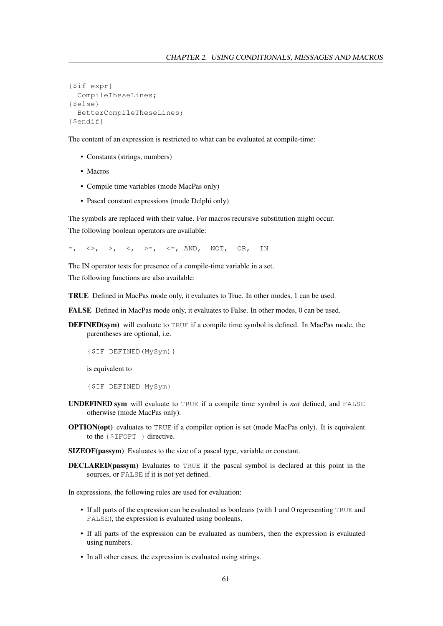```
{$if expr}
 CompileTheseLines;
{$else}
 BetterCompileTheseLines;
{$endif}
```
The content of an expression is restricted to what can be evaluated at compile-time:

- Constants (strings, numbers)
- Macros
- Compile time variables (mode MacPas only)
- Pascal constant expressions (mode Delphi only)

The symbols are replaced with their value. For macros recursive substitution might occur. The following boolean operators are available:

 $=$ ,  $\langle >, >, <, <, > =, < =, \text{AND}, \text{NOT}, \text{OR}, \text{IN}$ 

The IN operator tests for presence of a compile-time variable in a set.

The following functions are also available:

TRUE Defined in MacPas mode only, it evaluates to True. In other modes, 1 can be used.

FALSE Defined in MacPas mode only, it evaluates to False. In other modes, 0 can be used.

DEFINED(sym) will evaluate to TRUE if a compile time symbol is defined. In MacPas mode, the parentheses are optional, i.e.

```
{$IF DEFINED(MySym)}
```
is equivalent to

{\$IF DEFINED MySym}

- UNDEFINED sym will evaluate to TRUE if a compile time symbol is *not* defined, and FALSE otherwise (mode MacPas only).
- OPTION(opt) evaluates to TRUE if a compiler option is set (mode MacPas only). It is equivalent to the {\$IFOPT } directive.
- SIZEOF(passym) Evaluates to the size of a pascal type, variable or constant.
- DECLARED(passym) Evaluates to TRUE if the pascal symbol is declared at this point in the sources, or FALSE if it is not yet defined.

In expressions, the following rules are used for evaluation:

- If all parts of the expression can be evaluated as booleans (with 1 and 0 representing TRUE and FALSE), the expression is evaluated using booleans.
- If all parts of the expression can be evaluated as numbers, then the expression is evaluated using numbers.
- In all other cases, the expression is evaluated using strings.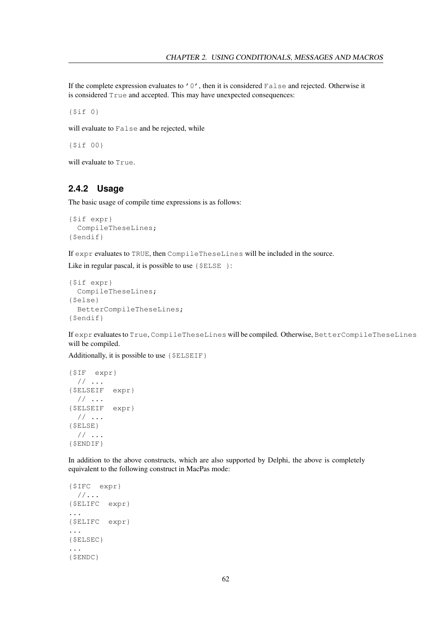If the complete expression evaluates to  $' 0'$ , then it is considered False and rejected. Otherwise it is considered True and accepted. This may have unexpected consequences:

{\$if 0}

will evaluate to False and be rejected, while

{\$if 00}

will evaluate to True.

# **2.4.2 Usage**

The basic usage of compile time expressions is as follows:

```
{$if expr}
 CompileTheseLines;
{$endif}
```
If expr evaluates to TRUE, then CompileTheseLines will be included in the source.

Like in regular pascal, it is possible to use {  $$ELSE$  }:

```
{$if expr}
  CompileTheseLines;
{$else}
  BetterCompileTheseLines;
{$endif}
```
If expr evaluates to True, CompileTheseLines will be compiled. Otherwise, BetterCompileTheseLines will be compiled.

Additionally, it is possible to use  $\{\$ELSEIF\}$ 

```
{$IF expr}
 // ...
{$ELSEIF expr}
 // ...
{$ELSEIF expr}
 // ...
{$ELSE}
 // ...
{$ENDIF}
```
In addition to the above constructs, which are also supported by Delphi, the above is completely equivalent to the following construct in MacPas mode:

```
{$IFC expr}
  //...
{$ELIFC expr}
...
{$ELIFC expr}
...
{$ELSEC}
...
{$ENDC}
```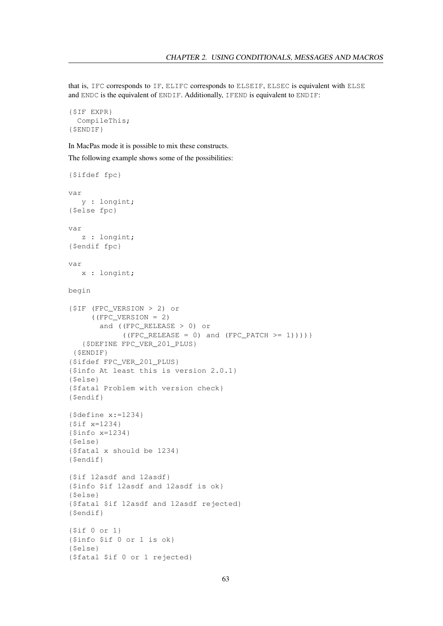that is, IFC corresponds to IF, ELIFC corresponds to ELSEIF, ELSEC is equivalent with ELSE and ENDC is the equivalent of ENDIF. Additionally, IFEND is equivalent to ENDIF:

```
{$IF EXPR}
  CompileThis;
{$ENDIF}
```
In MacPas mode it is possible to mix these constructs.

The following example shows some of the possibilities:

```
{$ifdef fpc}
var
   y : longint;
{$else fpc}
var
   z : longint;
{$endif fpc}
var
  x : longint;
begin
{$IF (FPC_VERSION > 2) or
     ((FPC_VERSION = 2))and ((FPC_RELEASE > 0) or
            ((FPC\_RELEASE = 0) and (FPC\_PATCH \ge 1))){$DEFINE FPC_VER_201_PLUS}
 {$ENDIF}
{$ifdef FPC_VER_201_PLUS}
{$info At least this is version 2.0.1}
{$else}
{$fatal Problem with version check}
{$endif}
{$define x:=1234}
{$if x=1234}
{$info x=1234}
{$else}
{$fatal x should be 1234}
{$endif}
{$if 12asdf and 12asdf}
{$info $if 12asdf and 12asdf is ok}
{$else}
{$fatal $if 12asdf and 12asdf rejected}
{$endif}
{$if 0 or 1}
{$info $if 0 or 1 is ok}
{$else}
{$fatal $if 0 or 1 rejected}
```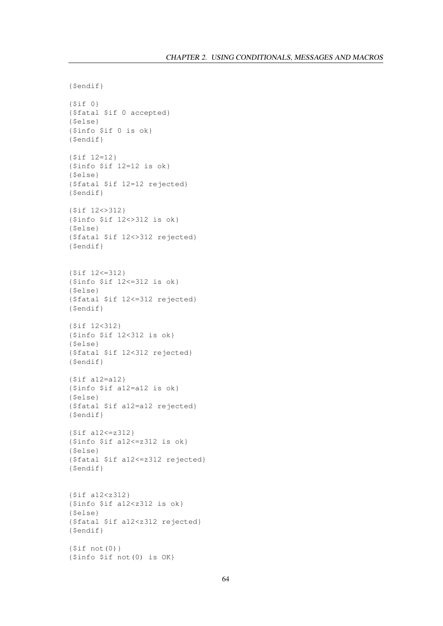```
{$endif}
{$if 0}
{$fatal $if 0 accepted}
{$else}
{$info $if 0 is ok}
{$endif}
{$if 12=12}
{$info $if 12=12 is ok}
{$else}
{$fatal $if 12=12 rejected}
{$endif}
{$if 12<>312}
{$info $if 12<>312 is ok}
{$else}
{$fatal $if 12<>312 rejected}
{$endif}
{$if 12<=312}
{$info $if 12<=312 is ok}
{$else}
{$fatal $if 12<=312 rejected}
{$endif}
{$if 12<312}
{$info $if 12<312 is ok}
{$else}
{$fatal $if 12<312 rejected}
{$endif}
{$if a12=a12}
{$info $if a12=a12 is ok}
{$else}
{$fatal $if a12=a12 rejected}
{$endif}
{$if a12<=z312}
{$info $if a12<=z312 is ok}
{$else}
{$fatal $if a12<=z312 rejected}
{$endif}
{$if a12<z312}
{$info $if a12<z312 is ok}
{$else}
{$fatal $if a12<z312 rejected}
{$endif}
{$if not(0)}
{$info $if not(0) is OK}
```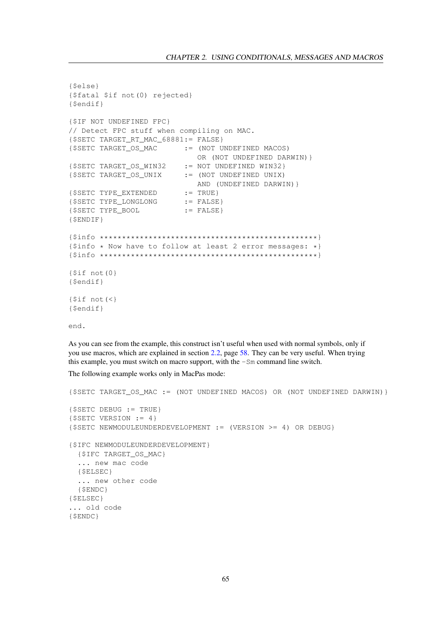```
{$else}
{$fatal $if not(0) rejected}
{$endif}
{$IF NOT UNDEFINED FPC}
// Detect FPC stuff when compiling on MAC.
{$SETC TARGET_RT_MAC_68881:= FALSE}
{$SETC TARGET_OS_MAC := (NOT UNDEFINED MACOS)
                            OR (NOT UNDEFINED DARWIN)}
{$SETC TARGET_OS_WIN32 := NOT UNDEFINED WIN32}
{$SETC TARGET_OS_UNIX := (NOT UNDEFINED UNIX)
                            AND (UNDEFINED DARWIN)}
{SETC TYPE_KXTEMDED} := TRUE}
{$SETC TYPE_LONGLONG := FALSE}
{SSETC} TYPE BOOL := FALSE}
{$ENDIF}
{$info *************************************************}
{$info * Now have to follow at least 2 error messages: *}
{$info *************************************************}
{$if not(0}
{$endif}
{$if not(<}
{$endif}
end.
```
As you can see from the example, this construct isn't useful when used with normal symbols, only if you use macros, which are explained in section [2.2,](#page-58-0) page [58.](#page-58-0) They can be very useful. When trying this example, you must switch on macro support, with the -Sm command line switch.

The following example works only in MacPas mode:

```
{$SETC TARGET_OS_MAC := (NOT UNDEFINED MACOS) OR (NOT UNDEFINED DARWIN)}
{$SETC DEBUG := TRUE}
{\S}SETC VERSION := 4}{$SETC NEWMODULEUNDERDEVELOPMENT := (VERSION >= 4) OR DEBUG}
{$IFC NEWMODULEUNDERDEVELOPMENT}
 {$IFC TARGET_OS_MAC}
  ... new mac code
  {$ELSEC}
 ... new other code
 {$ENDC}
{$ELSEC}
... old code
{$ENDC}
```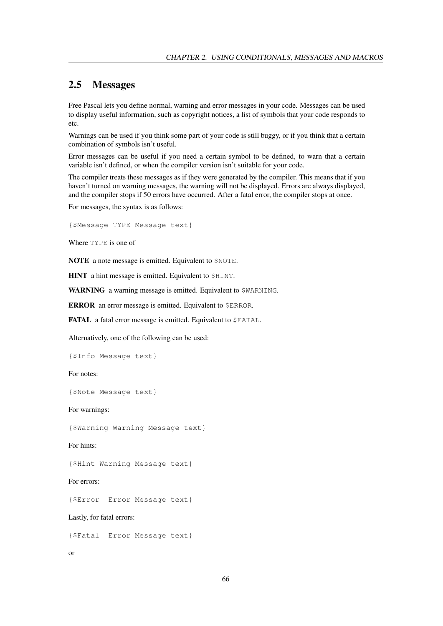# 2.5 Messages

Free Pascal lets you define normal, warning and error messages in your code. Messages can be used to display useful information, such as copyright notices, a list of symbols that your code responds to etc.

Warnings can be used if you think some part of your code is still buggy, or if you think that a certain combination of symbols isn't useful.

Error messages can be useful if you need a certain symbol to be defined, to warn that a certain variable isn't defined, or when the compiler version isn't suitable for your code.

The compiler treats these messages as if they were generated by the compiler. This means that if you haven't turned on warning messages, the warning will not be displayed. Errors are always displayed, and the compiler stops if 50 errors have occurred. After a fatal error, the compiler stops at once.

For messages, the syntax is as follows:

{\$Message TYPE Message text}

Where TYPE is one of

NOTE a note message is emitted. Equivalent to \$NOTE.

HINT a hint message is emitted. Equivalent to \$HINT.

WARNING a warning message is emitted. Equivalent to \$WARNING.

ERROR an error message is emitted. Equivalent to \$ERROR.

FATAL a fatal error message is emitted. Equivalent to \$FATAL.

Alternatively, one of the following can be used:

{\$Info Message text}

For notes:

{\$Note Message text}

For warnings:

{\$Warning Warning Message text}

For hints:

{\$Hint Warning Message text}

For errors:

{\$Error Error Message text}

Lastly, for fatal errors:

{\$Fatal Error Message text}

or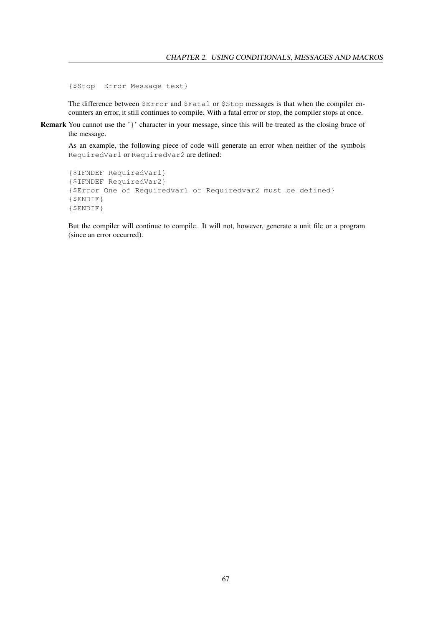{\$Stop Error Message text}

The difference between \$Error and \$Fatal or \$Stop messages is that when the compiler encounters an error, it still continues to compile. With a fatal error or stop, the compiler stops at once.

Remark You cannot use the '}' character in your message, since this will be treated as the closing brace of the message.

As an example, the following piece of code will generate an error when neither of the symbols RequiredVar1 or RequiredVar2 are defined:

```
{$IFNDEF RequiredVar1}
{$IFNDEF RequiredVar2}
{$Error One of Requiredvar1 or Requiredvar2 must be defined}
{$ENDIF}
{$ENDIF}
```
But the compiler will continue to compile. It will not, however, generate a unit file or a program (since an error occurred).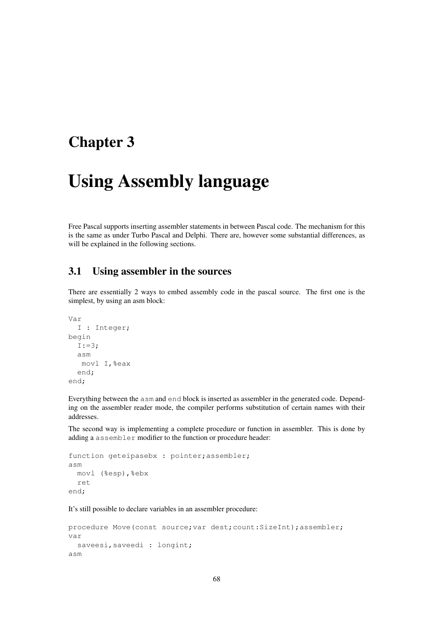# Chapter 3

# Using Assembly language

Free Pascal supports inserting assembler statements in between Pascal code. The mechanism for this is the same as under Turbo Pascal and Delphi. There are, however some substantial differences, as will be explained in the following sections.

# 3.1 Using assembler in the sources

There are essentially 2 ways to embed assembly code in the pascal source. The first one is the simplest, by using an asm block:

```
Var
  I : Integer;
begin
  I := 3;asm
   movl I,%eax
  end;
end;
```
Everything between the asm and end block is inserted as assembler in the generated code. Depending on the assembler reader mode, the compiler performs substitution of certain names with their addresses.

The second way is implementing a complete procedure or function in assembler. This is done by adding a assembler modifier to the function or procedure header:

```
function geteipasebx : pointer; assembler;
asm
  movl (%esp),%ebx
  ret
end;
```
It's still possible to declare variables in an assembler procedure:

```
procedure Move(const source; var dest; count: SizeInt); assembler;
var
  saveesi, saveedi : longint;
asm
```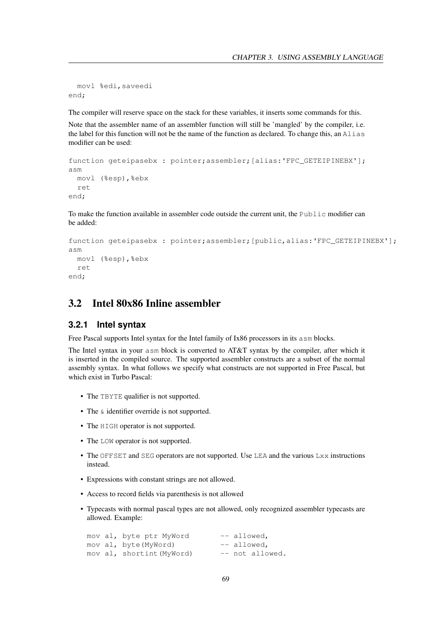```
movl %edi,saveedi
end;
```
The compiler will reserve space on the stack for these variables, it inserts some commands for this.

Note that the assembler name of an assembler function will still be 'mangled' by the compiler, i.e. the label for this function will not be the name of the function as declared. To change this, an Alias modifier can be used:

```
function geteipasebx : pointer;assembler; [alias:'FPC GETEIPINEBX'];
asm
  movl (%esp), %ebx
  ret
end;
```
To make the function available in assembler code outside the current unit, the Public modifier can be added:

```
function geteipasebx : pointer;assembler; [public, alias: 'FPC_GETEIPINEBX'];
asm
 movl (%esp),%ebx
  ret
end;
```
# 3.2 Intel 80x86 Inline assembler

#### **3.2.1 Intel syntax**

Free Pascal supports Intel syntax for the Intel family of Ix86 processors in its asm blocks.

The Intel syntax in your asm block is converted to AT&T syntax by the compiler, after which it is inserted in the compiled source. The supported assembler constructs are a subset of the normal assembly syntax. In what follows we specify what constructs are not supported in Free Pascal, but which exist in Turbo Pascal:

- The TBYTE qualifier is not supported.
- The  $\&$  identifier override is not supported.
- The HIGH operator is not supported.
- The LOW operator is not supported.
- The OFFSET and SEG operators are not supported. Use LEA and the various Lxx instructions instead.
- Expressions with constant strings are not allowed.
- Access to record fields via parenthesis is not allowed
- Typecasts with normal pascal types are not allowed, only recognized assembler typecasts are allowed. Example:

|  | mov al, byte ptr MyWord   | $--$ allowed,   |
|--|---------------------------|-----------------|
|  | mov al, byte(MyWord)      | $--$ allowed,   |
|  | mov al, shortint (MyWord) | -- not allowed. |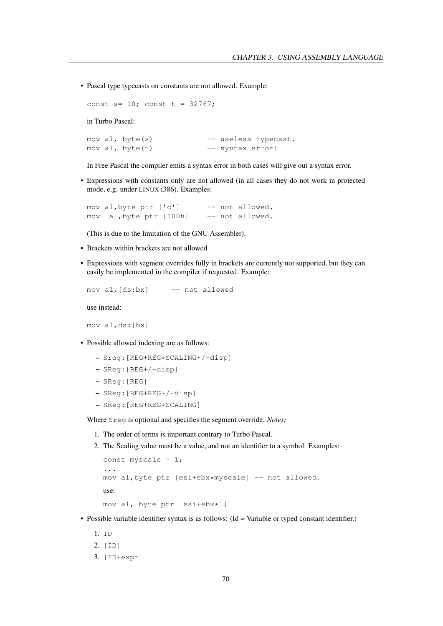• Pascal type typecasts on constants are not allowed. Example:

const  $s=10$ ; const  $t = 32767$ ;

in Turbo Pascal:

```
mov al, byte(s) -- useless typecast.
mov al, byte(t) -- syntax error!
```
In Free Pascal the compiler emits a syntax error in both cases will give out a syntax error.

• Expressions with constants only are not allowed (in all cases they do not work in protected mode, e.g. under LINUX i386). Examples:

mov al, byte ptr ['c'] -- not allowed. mov al,byte ptr [100h] -- not allowed.

(This is due to the limitation of the GNU Assembler).

- Brackets within brackets are not allowed
- Expressions with segment overrides fully in brackets are currently not supported, but they can easily be implemented in the compiler if requested. Example:

mov al,[ds:bx] -- not allowed

use instead:

mov al,ds:[bx]

- Possible allowed indexing are as follows:
	- Sreg:[REG+REG\*SCALING+/-disp]
	- SReg:[REG+/-disp]
	- SReg:[REG]
	- SReg:[REG+REG+/-disp]
	- SReg:[REG+REG\*SCALING]

Where Sreg is optional and specifies the segment override. *Notes:*

- 1. The order of terms is important contrary to Turbo Pascal.
- 2. The Scaling value must be a value, and not an identifier to a symbol. Examples:

```
const myscale = 1;
...
mov al,byte ptr [esi+ebx*myscale] -- not allowed.
use:
mov al, byte ptr [esi+ebx*1]
```
- Possible variable identifier syntax is as follows: (Id = Variable or typed constant identifier.)
	- 1. ID
	- 2. [ID]
	- 3. [ID+expr]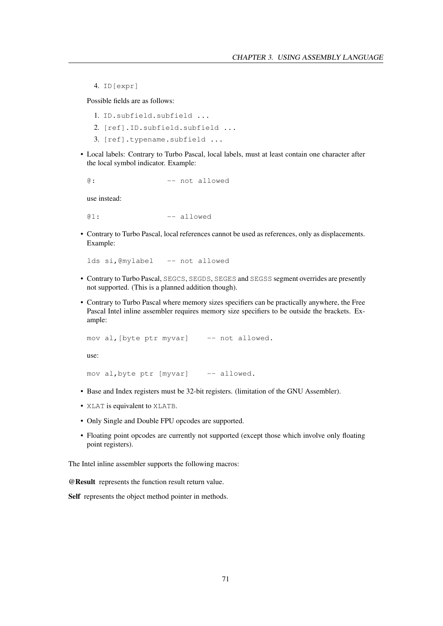4. ID[expr]

Possible fields are as follows:

- 1. ID.subfield.subfield ...
- 2. [ref].ID.subfield.subfield ...
- 3. [ref].typename.subfield ...
- Local labels: Contrary to Turbo Pascal, local labels, must at least contain one character after the local symbol indicator. Example:

@: -- not allowed

use instead:

 $@1:$  -- allowed

• Contrary to Turbo Pascal, local references cannot be used as references, only as displacements. Example:

lds si,@mylabel -- not allowed

- Contrary to Turbo Pascal, SEGCS, SEGDS, SEGES and SEGSS segment overrides are presently not supported. (This is a planned addition though).
- Contrary to Turbo Pascal where memory sizes specifiers can be practically anywhere, the Free Pascal Intel inline assembler requires memory size specifiers to be outside the brackets. Example:

```
mov al, [byte ptr myvar] -- not allowed.
```
use:

mov al, byte ptr [myvar] -- allowed.

- Base and Index registers must be 32-bit registers. (limitation of the GNU Assembler).
- XLAT is equivalent to XLATB.
- Only Single and Double FPU opcodes are supported.
- Floating point opcodes are currently not supported (except those which involve only floating point registers).

The Intel inline assembler supports the following macros:

@Result represents the function result return value.

Self represents the object method pointer in methods.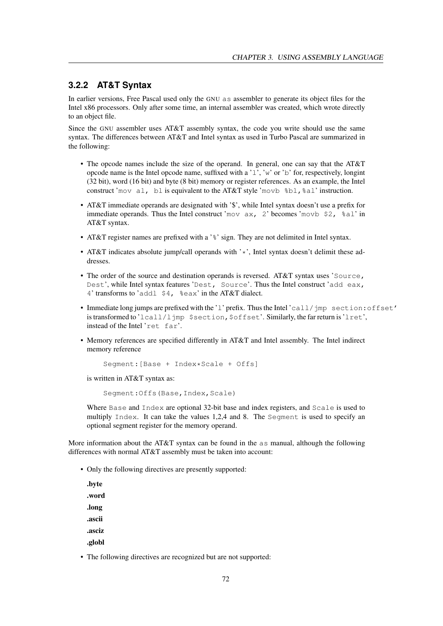### **3.2.2 AT&T Syntax**

In earlier versions, Free Pascal used only the GNU as assembler to generate its object files for the Intel x86 processors. Only after some time, an internal assembler was created, which wrote directly to an object file.

Since the GNU assembler uses AT&T assembly syntax, the code you write should use the same syntax. The differences between AT&T and Intel syntax as used in Turbo Pascal are summarized in the following:

- The opcode names include the size of the operand. In general, one can say that the AT&T opcode name is the Intel opcode name, suffixed with a ' $\perp$ ', 'w' or 'b' for, respectively, longint (32 bit), word (16 bit) and byte (8 bit) memory or register references. As an example, the Intel construct 'mov al, bl is equivalent to the AT&T style 'movb  $bL$ ,  $aL$ ' instruction.
- AT&T immediate operands are designated with '\$', while Intel syntax doesn't use a prefix for immediate operands. Thus the Intel construct 'mov  $ax, 2$ ' becomes 'movb \$2,  $a \ge 1$ ' in AT&T syntax.
- AT&T register names are prefixed with a '%' sign. They are not delimited in Intel syntax.
- AT&T indicates absolute jump/call operands with '\*', Intel syntax doesn't delimit these addresses.
- The order of the source and destination operands is reversed. AT&T syntax uses 'Source, Dest', while Intel syntax features 'Dest, Source'. Thus the Intel construct 'add eax, 4' transforms to 'addl \$4, %eax' in the AT&T dialect.
- Immediate long jumps are prefixed with the 'l' prefix. Thus the Intel 'call/jmp section:offset' is transformed to 'lcall/ljmp \$section, \$offset'. Similarly, the far return is 'lret', instead of the Intel 'ret far'.
- Memory references are specified differently in AT&T and Intel assembly. The Intel indirect memory reference

```
Segment:[Base + Index*Scale + Offs]
```
is written in AT&T syntax as:

Segment: Offs(Base, Index, Scale)

Where Base and Index are optional 32-bit base and index registers, and Scale is used to multiply Index. It can take the values 1,2,4 and 8. The Segment is used to specify an optional segment register for the memory operand.

More information about the AT&T syntax can be found in the as manual, although the following differences with normal AT&T assembly must be taken into account:

• Only the following directives are presently supported:

| .byte  |
|--------|
| .word  |
| .long  |
| .ascii |
| .asciz |
| .globl |

• The following directives are recognized but are not supported: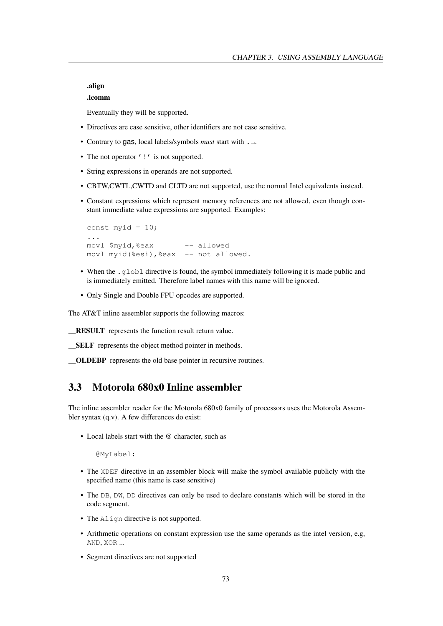.align

#### .lcomm

Eventually they will be supported.

- Directives are case sensitive, other identifiers are not case sensitive.
- Contrary to gas, local labels/symbols *must* start with .L.
- The not operator '!' is not supported.
- String expressions in operands are not supported.
- CBTW,CWTL,CWTD and CLTD are not supported, use the normal Intel equivalents instead.
- Constant expressions which represent memory references are not allowed, even though constant immediate value expressions are supported. Examples:

```
const myid = 10;
...
movl $myid,%eax -- allowed
movl myid(%esi), %eax -- not allowed.
```
- When the .globl directive is found, the symbol immediately following it is made public and is immediately emitted. Therefore label names with this name will be ignored.
- Only Single and Double FPU opcodes are supported.

The AT&T inline assembler supports the following macros:

\_\_RESULT represents the function result return value.

\_\_SELF represents the object method pointer in methods.

\_\_OLDEBP represents the old base pointer in recursive routines.

## 3.3 Motorola 680x0 Inline assembler

The inline assembler reader for the Motorola 680x0 family of processors uses the Motorola Assembler syntax (q.v). A few differences do exist:

• Local labels start with the @ character, such as

@MyLabel:

- The XDEF directive in an assembler block will make the symbol available publicly with the specified name (this name is case sensitive)
- The DB, DW, DD directives can only be used to declare constants which will be stored in the code segment.
- The Align directive is not supported.
- Arithmetic operations on constant expression use the same operands as the intel version, e.g, AND, XOR ...
- Segment directives are not supported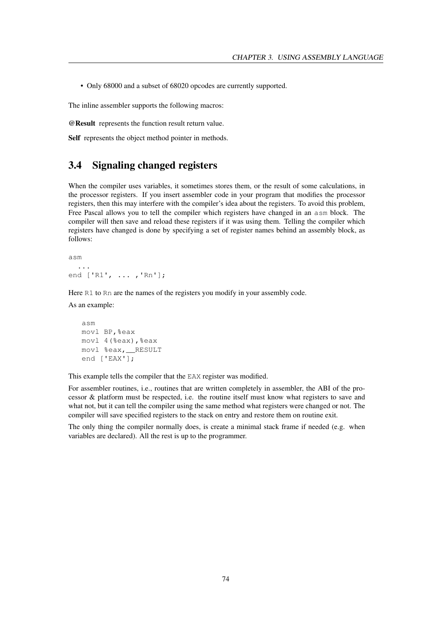• Only 68000 and a subset of 68020 opcodes are currently supported.

The inline assembler supports the following macros:

@Result represents the function result return value.

Self represents the object method pointer in methods.

## 3.4 Signaling changed registers

When the compiler uses variables, it sometimes stores them, or the result of some calculations, in the processor registers. If you insert assembler code in your program that modifies the processor registers, then this may interfere with the compiler's idea about the registers. To avoid this problem, Free Pascal allows you to tell the compiler which registers have changed in an asm block. The compiler will then save and reload these registers if it was using them. Telling the compiler which registers have changed is done by specifying a set of register names behind an assembly block, as follows:

```
asm
  ...
end ['R1', ... ,'Rn'];
```
Here R1 to Rn are the names of the registers you modify in your assembly code.

As an example:

```
asm
movl BP,%eax
movl 4(%eax),%eax
movl %eax,__RESULT
end ['EAX'];
```
This example tells the compiler that the EAX register was modified.

For assembler routines, i.e., routines that are written completely in assembler, the ABI of the processor & platform must be respected, i.e. the routine itself must know what registers to save and what not, but it can tell the compiler using the same method what registers were changed or not. The compiler will save specified registers to the stack on entry and restore them on routine exit.

The only thing the compiler normally does, is create a minimal stack frame if needed (e.g. when variables are declared). All the rest is up to the programmer.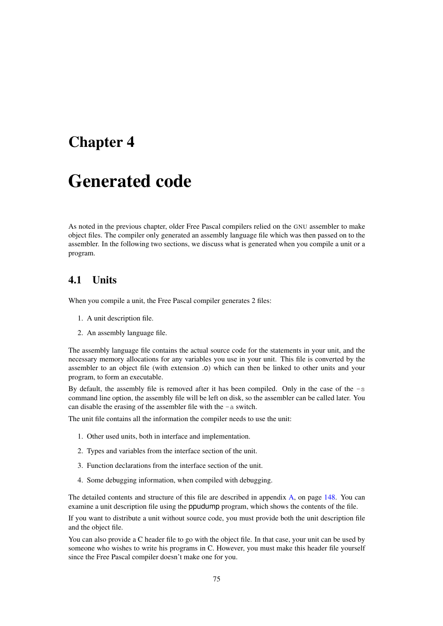# Chapter 4

# Generated code

As noted in the previous chapter, older Free Pascal compilers relied on the GNU assembler to make object files. The compiler only generated an assembly language file which was then passed on to the assembler. In the following two sections, we discuss what is generated when you compile a unit or a program.

## 4.1 Units

When you compile a unit, the Free Pascal compiler generates 2 files:

- 1. A unit description file.
- 2. An assembly language file.

The assembly language file contains the actual source code for the statements in your unit, and the necessary memory allocations for any variables you use in your unit. This file is converted by the assembler to an object file (with extension .o) which can then be linked to other units and your program, to form an executable.

By default, the assembly file is removed after it has been compiled. Only in the case of the  $-s$ command line option, the assembly file will be left on disk, so the assembler can be called later. You can disable the erasing of the assembler file with the -a switch.

The unit file contains all the information the compiler needs to use the unit:

- 1. Other used units, both in interface and implementation.
- 2. Types and variables from the interface section of the unit.
- 3. Function declarations from the interface section of the unit.
- 4. Some debugging information, when compiled with debugging.

The detailed contents and structure of this file are described in appendix [A,](#page-148-0) on page [148.](#page-148-0) You can examine a unit description file using the ppudump program, which shows the contents of the file.

If you want to distribute a unit without source code, you must provide both the unit description file and the object file.

You can also provide a C header file to go with the object file. In that case, your unit can be used by someone who wishes to write his programs in C. However, you must make this header file yourself since the Free Pascal compiler doesn't make one for you.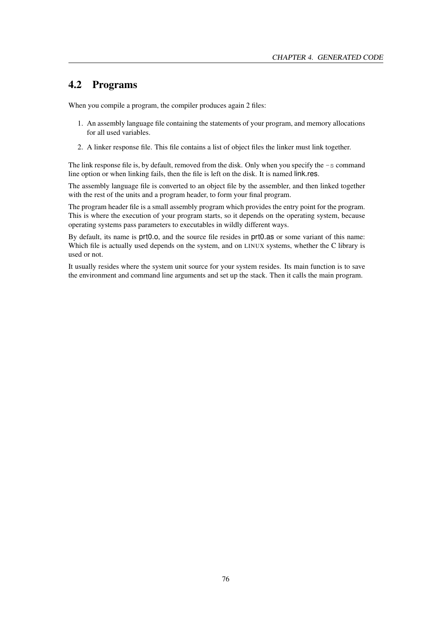## 4.2 Programs

When you compile a program, the compiler produces again 2 files:

- 1. An assembly language file containing the statements of your program, and memory allocations for all used variables.
- 2. A linker response file. This file contains a list of object files the linker must link together.

The link response file is, by default, removed from the disk. Only when you specify the  $-$ s command line option or when linking fails, then the file is left on the disk. It is named link.res.

The assembly language file is converted to an object file by the assembler, and then linked together with the rest of the units and a program header, to form your final program.

The program header file is a small assembly program which provides the entry point for the program. This is where the execution of your program starts, so it depends on the operating system, because operating systems pass parameters to executables in wildly different ways.

By default, its name is prt0.o, and the source file resides in prt0.as or some variant of this name: Which file is actually used depends on the system, and on LINUX systems, whether the C library is used or not.

It usually resides where the system unit source for your system resides. Its main function is to save the environment and command line arguments and set up the stack. Then it calls the main program.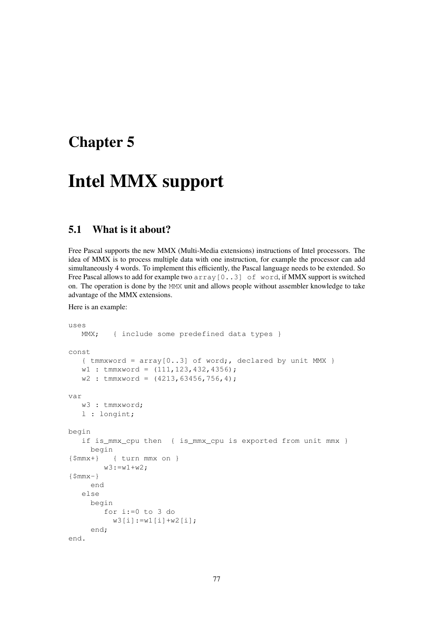# Chapter 5

# Intel MMX support

# 5.1 What is it about?

Free Pascal supports the new MMX (Multi-Media extensions) instructions of Intel processors. The idea of MMX is to process multiple data with one instruction, for example the processor can add simultaneously 4 words. To implement this efficiently, the Pascal language needs to be extended. So Free Pascal allows to add for example two  $array[0..3]$  of word, if MMX support is switched on. The operation is done by the MMX unit and allows people without assembler knowledge to take advantage of the MMX extensions.

Here is an example:

```
uses
  MMX; { include some predefined data types }
const
   \{ tmmxword = array[0..3] of word;, declared by unit MMX }
   w1 : tmmxword = (111, 123, 432, 4356);
   w2 : tmmxword = (4213, 63456, 756, 4);
var
   w3 : tmmxword;
   l : longint;
begin
   if is_mmx_cpu then { is_mmx_cpu is exported from unit mmx }
    begin
{$mmx+} { turn mmx on }
        w3:=w1+w2;\{$mmx-}
     end
   else
     begin
        for i:=0 to 3 do
          w3[i]:=w1[i]+w2[i];
     end;
end.
```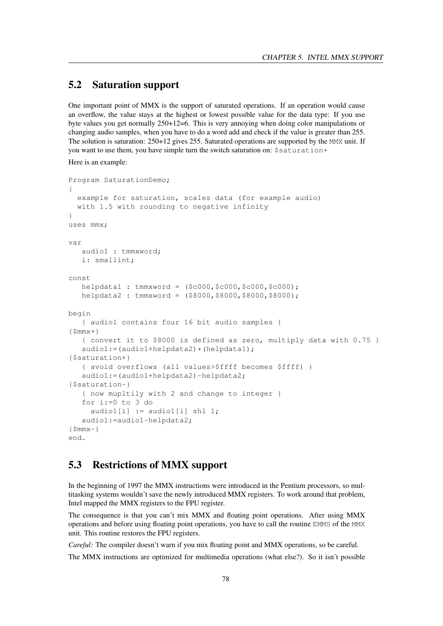# 5.2 Saturation support

One important point of MMX is the support of saturated operations. If an operation would cause an overflow, the value stays at the highest or lowest possible value for the data type: If you use byte values you get normally 250+12=6. This is very annoying when doing color manipulations or changing audio samples, when you have to do a word add and check if the value is greater than 255. The solution is saturation: 250+12 gives 255. Saturated operations are supported by the MMX unit. If you want to use them, you have simple turn the switch saturation on: \$saturation+

Here is an example:

```
Program SaturationDemo;
{
 example for saturation, scales data (for example audio)
 with 1.5 with rounding to negative infinity
}
uses mmx;
var
  audio1 : tmmxword;
  i: smallint;
const
  helpdata1 : tmmxword = ($c000,$c000,$c000,$c000);
  helpdata2 : tmmxword = ($8000,$8000,$8000,$8000);
begin
   { audio1 contains four 16 bit audio samples }
{$mmx+}
  { convert it to $8000 is defined as zero, multiply data with 0.75 }
  audio1:=(audio1+helpdata2)*(helpdata1);
{$saturation+}
   { avoid overflows (all values>$ffff becomes $ffff) }
   audio1:=(audio1+helpdata2)-helpdata2;
{$saturation-}
   { now mupltily with 2 and change to integer }
   for i:=0 to 3 do
     audio1[i] := audio1[i] shl 1;
  audio1:=audio1-helpdata2;
\{$mmx-\}end.
```
## 5.3 Restrictions of MMX support

In the beginning of 1997 the MMX instructions were introduced in the Pentium processors, so multitasking systems wouldn't save the newly introduced MMX registers. To work around that problem, Intel mapped the MMX registers to the FPU register.

The consequence is that you can't mix MMX and floating point operations. After using MMX operations and before using floating point operations, you have to call the routine EMMS of the MMX unit. This routine restores the FPU registers.

*Careful:* The compiler doesn't warn if you mix floating point and MMX operations, so be careful.

The MMX instructions are optimized for multimedia operations (what else?). So it isn't possible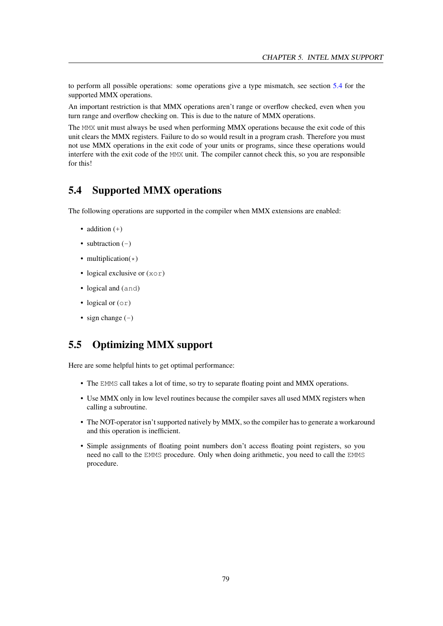to perform all possible operations: some operations give a type mismatch, see section [5.4](#page-79-0) for the supported MMX operations.

An important restriction is that MMX operations aren't range or overflow checked, even when you turn range and overflow checking on. This is due to the nature of MMX operations.

The MMX unit must always be used when performing MMX operations because the exit code of this unit clears the MMX registers. Failure to do so would result in a program crash. Therefore you must not use MMX operations in the exit code of your units or programs, since these operations would interfere with the exit code of the MMX unit. The compiler cannot check this, so you are responsible for this!

## <span id="page-79-0"></span>5.4 Supported MMX operations

The following operations are supported in the compiler when MMX extensions are enabled:

- addition  $(+)$
- subtraction  $(-)$
- multiplication( $\star$ )
- logical exclusive or  $(x \circ r)$
- logical and (and)
- logical or  $(0r)$
- sign change  $(-)$

## 5.5 Optimizing MMX support

Here are some helpful hints to get optimal performance:

- The EMMS call takes a lot of time, so try to separate floating point and MMX operations.
- Use MMX only in low level routines because the compiler saves all used MMX registers when calling a subroutine.
- The NOT-operator isn't supported natively by MMX, so the compiler has to generate a workaround and this operation is inefficient.
- Simple assignments of floating point numbers don't access floating point registers, so you need no call to the EMMS procedure. Only when doing arithmetic, you need to call the EMMS procedure.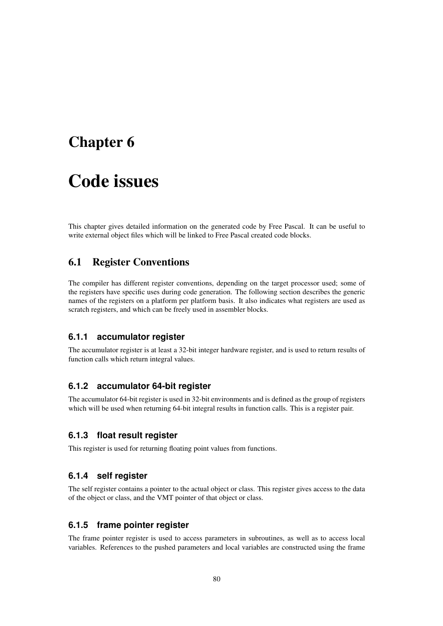# Chapter 6

# Code issues

This chapter gives detailed information on the generated code by Free Pascal. It can be useful to write external object files which will be linked to Free Pascal created code blocks.

## <span id="page-80-0"></span>6.1 Register Conventions

The compiler has different register conventions, depending on the target processor used; some of the registers have specific uses during code generation. The following section describes the generic names of the registers on a platform per platform basis. It also indicates what registers are used as scratch registers, and which can be freely used in assembler blocks.

#### **6.1.1 accumulator register**

The accumulator register is at least a 32-bit integer hardware register, and is used to return results of function calls which return integral values.

#### **6.1.2 accumulator 64-bit register**

The accumulator 64-bit register is used in 32-bit environments and is defined as the group of registers which will be used when returning 64-bit integral results in function calls. This is a register pair.

#### **6.1.3 float result register**

This register is used for returning floating point values from functions.

#### **6.1.4 self register**

The self register contains a pointer to the actual object or class. This register gives access to the data of the object or class, and the VMT pointer of that object or class.

## **6.1.5 frame pointer register**

The frame pointer register is used to access parameters in subroutines, as well as to access local variables. References to the pushed parameters and local variables are constructed using the frame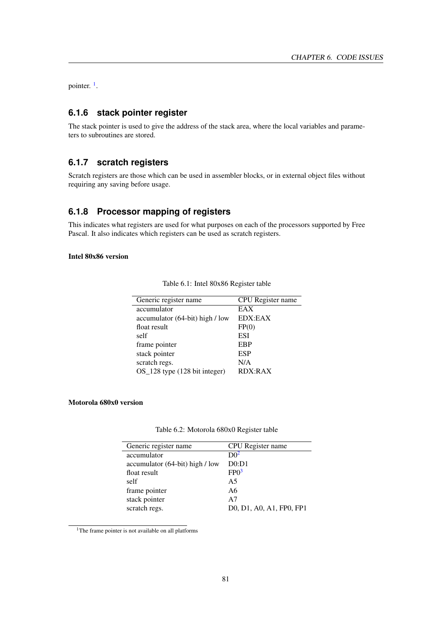pointer.<sup>[1](#page-81-0)</sup>.

## **6.1.6 stack pointer register**

The stack pointer is used to give the address of the stack area, where the local variables and parameters to subroutines are stored.

### **6.1.7 scratch registers**

Scratch registers are those which can be used in assembler blocks, or in external object files without requiring any saving before usage.

### **6.1.8 Processor mapping of registers**

This indicates what registers are used for what purposes on each of the processors supported by Free Pascal. It also indicates which registers can be used as scratch registers.

#### Intel 80x86 version

| CPU Register name |
|-------------------|
| EAX               |
| EDX:EAX           |
| FP(0)             |
| ESI               |
| EBP               |
| <b>ESP</b>        |
| N/A               |
| RDX:RAX           |
|                   |

Table 6.1: Intel 80x86 Register table

#### Motorola 680x0 version

| Table 6.2: Motorola 680x0 Register table |  |  |
|------------------------------------------|--|--|

| Generic register name           | CPU Register name        |
|---------------------------------|--------------------------|
| accumulator                     | D0 <sup>2</sup>          |
| accumulator (64-bit) high / low | D0: D1                   |
| float result                    | FPO <sup>3</sup>         |
| self                            | A <sub>5</sub>           |
| frame pointer                   | A6                       |
| stack pointer                   | A7                       |
| scratch regs.                   | D0, D1, A0, A1, FP0, FP1 |

<span id="page-81-0"></span><sup>1</sup>The frame pointer is not available on all platforms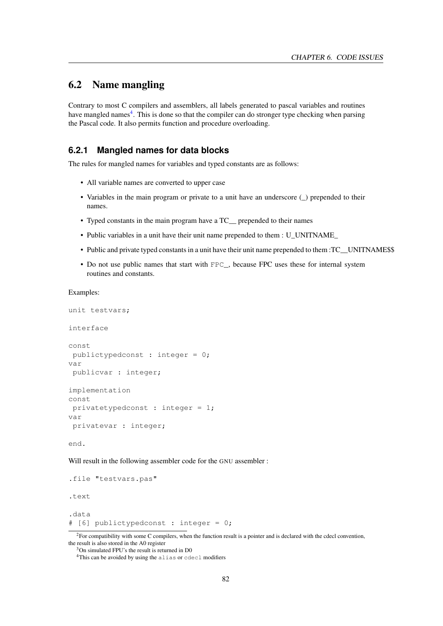## <span id="page-82-2"></span>6.2 Name mangling

Contrary to most C compilers and assemblers, all labels generated to pascal variables and routines have mangled names<sup>[4](#page-82-1)</sup>. This is done so that the compiler can do stronger type checking when parsing the Pascal code. It also permits function and procedure overloading.

#### **6.2.1 Mangled names for data blocks**

The rules for mangled names for variables and typed constants are as follows:

- All variable names are converted to upper case
- Variables in the main program or private to a unit have an underscore ( $\Box$ ) prepended to their names.
- Typed constants in the main program have a TC prepended to their names
- Public variables in a unit have their unit name prepended to them : U\_UNITNAME\_
- Public and private typed constants in a unit have their unit name prepended to them :TC\_\_UNITNAME\$\$
- Do not use public names that start with FPC\_, because FPC uses these for internal system routines and constants.

Examples:

```
unit testvars;
interface
const
 publictypedconst : integer = 0;
var
 publicvar : integer;
implementation
const
 privatetypedconst : integer = 1;
var
 privatevar : integer;
```
end.

Will result in the following assembler code for the GNU assembler :

```
.file "testvars.pas"
.text
.data
# [6] publictypedconst : integer = 0;
```
<span id="page-82-0"></span><sup>2</sup>For compatibility with some C compilers, when the function result is a pointer and is declared with the cdecl convention, the result is also stored in the A0 register

<sup>3</sup>On simulated FPU's the result is returned in D0

<span id="page-82-1"></span><sup>4</sup>This can be avoided by using the alias or cdecl modifiers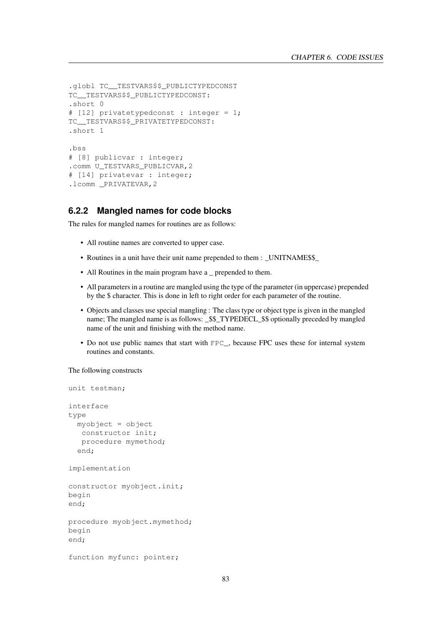```
.globl TC TESTVARS$$ PUBLICTYPEDCONST
TC TESTVARS$$ PUBLICTYPEDCONST:
.short 0
# [12] privatetypedconst : integer = 1;
TC TESTVARS$$ PRIVATETYPEDCONST:
.short 1
.bss
# [8] publicvar : integer;
.comm U_TESTVARS_PUBLICVAR, 2
# [14] privatevar : integer;
.lcomm PRIVATEVAR, 2
```
#### **6.2.2 Mangled names for code blocks**

The rules for mangled names for routines are as follows:

- All routine names are converted to upper case.
- Routines in a unit have their unit name prepended to them : \_UNITNAME\$\$
- All Routines in the main program have a \_ prepended to them.
- All parameters in a routine are mangled using the type of the parameter (in uppercase) prepended by the \$ character. This is done in left to right order for each parameter of the routine.
- Objects and classes use special mangling : The class type or object type is given in the mangled name; The mangled name is as follows: \_\$\$\_TYPEDECL\_\$\$ optionally preceded by mangled name of the unit and finishing with the method name.
- Do not use public names that start with FPC\_, because FPC uses these for internal system routines and constants.

The following constructs

```
unit testman;
interface
type
 myobject = object
   constructor init;
   procedure mymethod;
  end;
implementation
constructor myobject.init;
begin
end;
procedure myobject.mymethod;
begin
end;
function myfunc: pointer;
```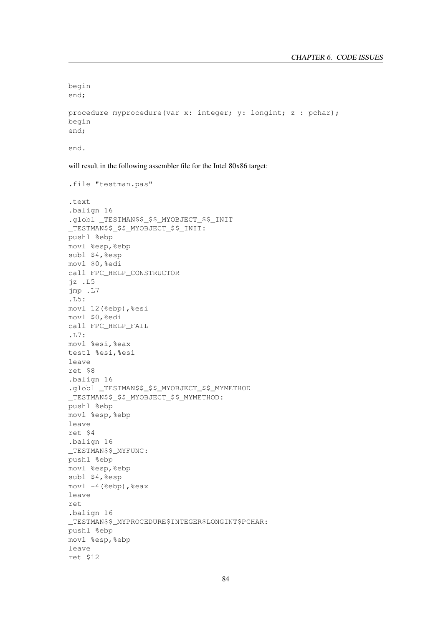```
begin
end;
```

```
procedure myprocedure(var x: integer; y: longint; z : pchar);
begin
end;
```
end.

will result in the following assembler file for the Intel 80x86 target:

```
.file "testman.pas"
.text
.balign 16
.globl _TESTMAN$$_$$_MYOBJECT_$$_INIT
_TESTMAN$$_$$_MYOBJECT_$$_INIT:
pushl %ebp
movl %esp,%ebp
subl $4,%esp
movl $0,%edi
call FPC_HELP_CONSTRUCTOR
jz .L5
jmp .L7
.L5:
movl 12(%ebp),%esi
movl $0,%edi
call FPC_HELP_FAIL
.L7:
movl %esi,%eax
testl %esi,%esi
leave
ret $8
.balign 16
.globl _TESTMAN$$_$$_MYOBJECT_$$_MYMETHOD
_TESTMAN$$_$$_MYOBJECT_$$_MYMETHOD:
pushl %ebp
movl %esp,%ebp
leave
ret $4
.balign 16
_TESTMAN$$_MYFUNC:
pushl %ebp
movl %esp,%ebp
subl $4,%esp
mov1 - 4 (%ebp), %eax
leave
ret
.balign 16
_TESTMAN$$_MYPROCEDURE$INTEGER$LONGINT$PCHAR:
pushl %ebp
movl %esp,%ebp
leave
ret $12
```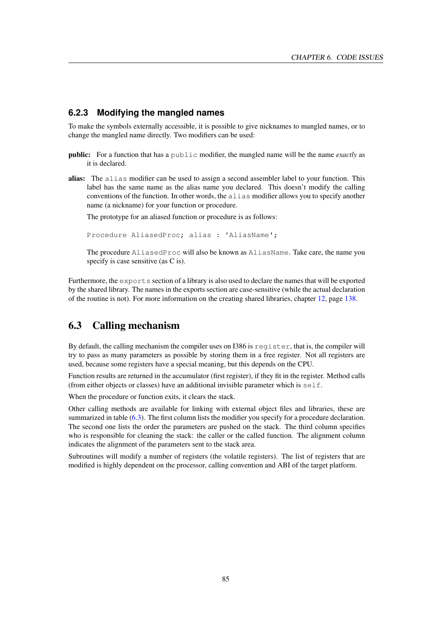#### **6.2.3 Modifying the mangled names**

To make the symbols externally accessible, it is possible to give nicknames to mangled names, or to change the mangled name directly. Two modifiers can be used:

- public: For a function that has a public modifier, the mangled name will be the name *exactly* as it is declared.
- alias: The alias modifier can be used to assign a second assembler label to your function. This label has the same name as the alias name you declared. This doesn't modify the calling conventions of the function. In other words, the alias modifier allows you to specify another name (a nickname) for your function or procedure.

The prototype for an aliased function or procedure is as follows:

Procedure AliasedProc; alias : 'AliasName';

The procedure AliasedProc will also be known as AliasName. Take care, the name you specify is case sensitive (as C is).

Furthermore, the exports section of a library is also used to declare the names that will be exported by the shared library. The names in the exports section are case-sensitive (while the actual declaration of the routine is not). For more information on the creating shared libraries, chapter [12,](#page-138-0) page [138.](#page-138-0)

# <span id="page-85-0"></span>6.3 Calling mechanism

By default, the calling mechanism the compiler uses on I386 is  $register$ , that is, the compiler will try to pass as many parameters as possible by storing them in a free register. Not all registers are used, because some registers have a special meaning, but this depends on the CPU.

Function results are returned in the accumulator (first register), if they fit in the register. Method calls (from either objects or classes) have an additional invisible parameter which is self.

When the procedure or function exits, it clears the stack.

Other calling methods are available for linking with external object files and libraries, these are summarized in table [\(6.3\)](#page-86-0). The first column lists the modifier you specify for a procedure declaration. The second one lists the order the parameters are pushed on the stack. The third column specifies who is responsible for cleaning the stack: the caller or the called function. The alignment column indicates the alignment of the parameters sent to the stack area.

Subroutines will modify a number of registers (the volatile registers). The list of registers that are modified is highly dependent on the processor, calling convention and ABI of the target platform.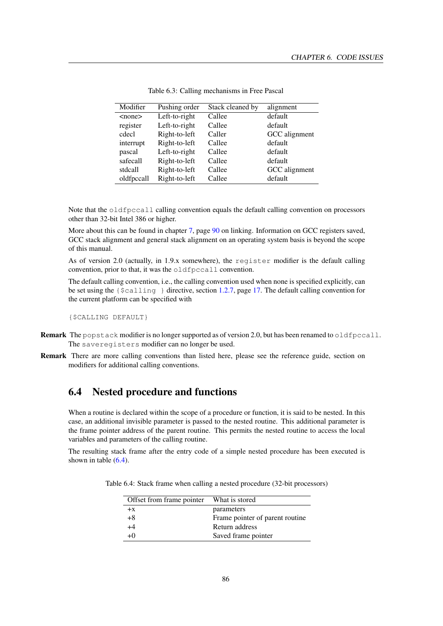| Modifier     | Pushing order | Stack cleaned by | alignment     |
|--------------|---------------|------------------|---------------|
| $<$ none $>$ | Left-to-right | Callee           | default       |
| register     | Left-to-right | Callee           | default       |
| cdecl        | Right-to-left | Caller           | GCC alignment |
| interrupt    | Right-to-left | Callee           | default       |
| pascal       | Left-to-right | Callee           | default       |
| safecall     | Right-to-left | Callee           | default       |
| stdcall      | Right-to-left | Callee           | GCC alignment |
| oldfpccall   | Right-to-left | Callee           | default       |

<span id="page-86-0"></span>Table 6.3: Calling mechanisms in Free Pascal

Note that the oldfpccall calling convention equals the default calling convention on processors other than 32-bit Intel 386 or higher.

More about this can be found in chapter [7,](#page-90-0) page [90](#page-90-0) on linking. Information on GCC registers saved, GCC stack alignment and general stack alignment on an operating system basis is beyond the scope of this manual.

As of version 2.0 (actually, in 1.9.x somewhere), the register modifier is the default calling convention, prior to that, it was the oldfpccall convention.

The default calling convention, i.e., the calling convention used when none is specified explicitly, can be set using the  $\{\text{Scalling}\}\$  directive, section [1.2.7,](#page-17-0) page [17.](#page-17-0) The default calling convention for the current platform can be specified with

{\$CALLING DEFAULT}

- **Remark** The popstack modifier is no longer supported as of version 2.0, but has been renamed to oldfpccall. The saveregisters modifier can no longer be used.
- Remark There are more calling conventions than listed here, please see the reference guide, section on modifiers for additional calling conventions.

## 6.4 Nested procedure and functions

When a routine is declared within the scope of a procedure or function, it is said to be nested. In this case, an additional invisible parameter is passed to the nested routine. This additional parameter is the frame pointer address of the parent routine. This permits the nested routine to access the local variables and parameters of the calling routine.

The resulting stack frame after the entry code of a simple nested procedure has been executed is shown in table  $(6.4)$ .

Table 6.4: Stack frame when calling a nested procedure (32-bit processors)

<span id="page-86-1"></span>

| Offset from frame pointer | What is stored                  |
|---------------------------|---------------------------------|
| $+x$                      | parameters                      |
| $+8$                      | Frame pointer of parent routine |
| +4                        | Return address                  |
| $+0$                      | Saved frame pointer             |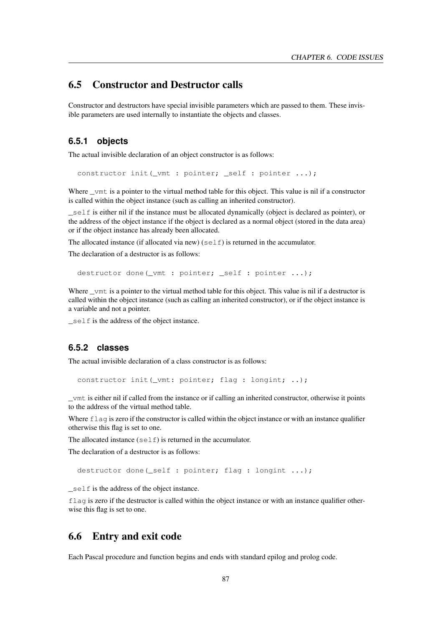## 6.5 Constructor and Destructor calls

Constructor and destructors have special invisible parameters which are passed to them. These invisible parameters are used internally to instantiate the objects and classes.

## **6.5.1 objects**

The actual invisible declaration of an object constructor is as follows:

constructor init (\_vmt : pointer; \_self : pointer ...);

Where \_vmt is a pointer to the virtual method table for this object. This value is nil if a constructor is called within the object instance (such as calling an inherited constructor).

\_self is either nil if the instance must be allocated dynamically (object is declared as pointer), or the address of the object instance if the object is declared as a normal object (stored in the data area) or if the object instance has already been allocated.

The allocated instance (if allocated via new)  $(\text{self})$  is returned in the accumulator.

The declaration of a destructor is as follows:

destructor done(\_vmt : pointer; \_self : pointer ...);

Where \_vmt is a pointer to the virtual method table for this object. This value is nil if a destructor is called within the object instance (such as calling an inherited constructor), or if the object instance is a variable and not a pointer.

\_self is the address of the object instance.

### **6.5.2 classes**

The actual invisible declaration of a class constructor is as follows:

constructor init (\_vmt: pointer; flag : longint; ..);

\_vmt is either nil if called from the instance or if calling an inherited constructor, otherwise it points to the address of the virtual method table.

Where flag is zero if the constructor is called within the object instance or with an instance qualifier otherwise this flag is set to one.

The allocated instance  $(self)$  is returned in the accumulator.

The declaration of a destructor is as follows:

```
destructor done(_self : pointer; flag : longint ...);
```
\_self is the address of the object instance.

flag is zero if the destructor is called within the object instance or with an instance qualifier otherwise this flag is set to one.

## 6.6 Entry and exit code

Each Pascal procedure and function begins and ends with standard epilog and prolog code.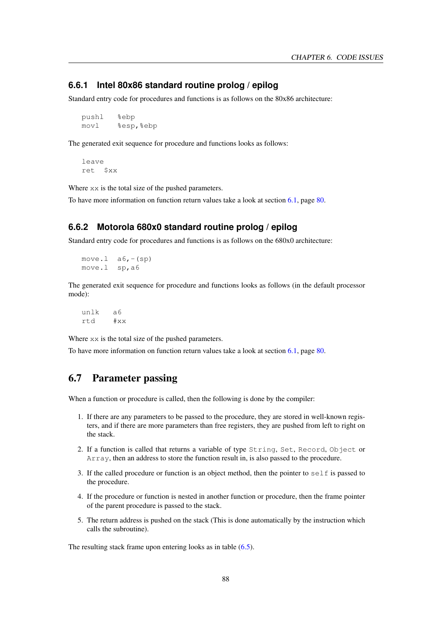### **6.6.1 Intel 80x86 standard routine prolog / epilog**

Standard entry code for procedures and functions is as follows on the 80x86 architecture:

pushl %ebp movl %esp,%ebp

The generated exit sequence for procedure and functions looks as follows:

leave ret \$xx

Where  $xx$  is the total size of the pushed parameters.

To have more information on function return values take a look at section [6.1,](#page-80-0) page [80.](#page-80-0)

### **6.6.2 Motorola 680x0 standard routine prolog / epilog**

Standard entry code for procedures and functions is as follows on the 680x0 architecture:

```
move. 1 \quad a6, - (sp)move.l sp,a6
```
The generated exit sequence for procedure and functions looks as follows (in the default processor mode):

unlk a6 rtd #xx

Where  $xx$  is the total size of the pushed parameters.

To have more information on function return values take a look at section [6.1,](#page-80-0) page [80.](#page-80-0)

## 6.7 Parameter passing

When a function or procedure is called, then the following is done by the compiler:

- 1. If there are any parameters to be passed to the procedure, they are stored in well-known registers, and if there are more parameters than free registers, they are pushed from left to right on the stack.
- 2. If a function is called that returns a variable of type String, Set, Record, Object or Array, then an address to store the function result in, is also passed to the procedure.
- 3. If the called procedure or function is an object method, then the pointer to  $s \in \text{If}$  is passed to the procedure.
- 4. If the procedure or function is nested in another function or procedure, then the frame pointer of the parent procedure is passed to the stack.
- 5. The return address is pushed on the stack (This is done automatically by the instruction which calls the subroutine).

The resulting stack frame upon entering looks as in table  $(6.5)$ .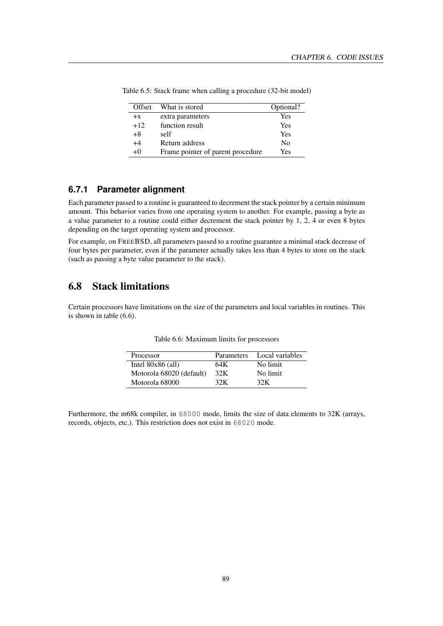<span id="page-89-0"></span>

| Offset | What is stored                    | Optional?      |
|--------|-----------------------------------|----------------|
| $+x$   | extra parameters                  | Yes            |
| $+12$  | function result                   | Yes            |
| $+8$   | self                              | Yes            |
| $+4$   | Return address                    | N <sub>0</sub> |
| $+0$   | Frame pointer of parent procedure | Yes            |

Table 6.5: Stack frame when calling a procedure (32-bit model)

## **6.7.1 Parameter alignment**

Each parameter passed to a routine is guaranteed to decrement the stack pointer by a certain minimum amount. This behavior varies from one operating system to another. For example, passing a byte as a value parameter to a routine could either decrement the stack pointer by 1, 2, 4 or even 8 bytes depending on the target operating system and processor.

For example, on FREEBSD, all parameters passed to a routine guarantee a minimal stack decrease of four bytes per parameter, even if the parameter actually takes less than 4 bytes to store on the stack (such as passing a byte value parameter to the stack).

# 6.8 Stack limitations

Certain processors have limitations on the size of the parameters and local variables in routines. This is shown in table  $(6.6)$ .

| Processor                |     | Parameters Local variables |
|--------------------------|-----|----------------------------|
| Intel $80x86$ (all)      | 64K | No limit                   |
| Motorola 68020 (default) | 32K | No limit                   |
| Motorola 68000           | 32K | 32.K                       |

<span id="page-89-1"></span>

| Table 6.6: Maximum limits for processors |  |
|------------------------------------------|--|
|------------------------------------------|--|

Furthermore, the m68k compiler, in 68000 mode, limits the size of data elements to 32K (arrays, records, objects, etc.). This restriction does not exist in 68020 mode.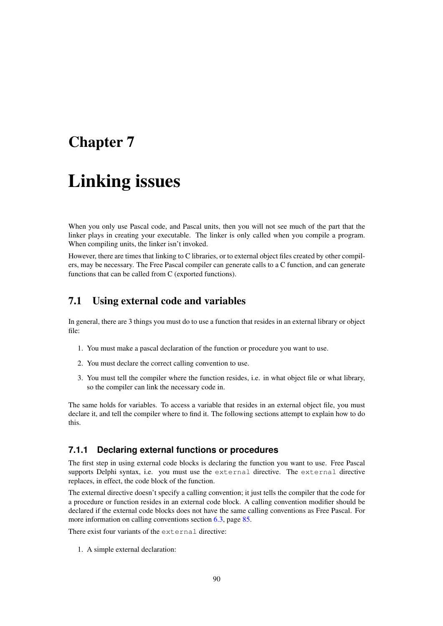# <span id="page-90-0"></span>Chapter 7

# Linking issues

When you only use Pascal code, and Pascal units, then you will not see much of the part that the linker plays in creating your executable. The linker is only called when you compile a program. When compiling units, the linker isn't invoked.

However, there are times that linking to C libraries, or to external object files created by other compilers, may be necessary. The Free Pascal compiler can generate calls to a C function, and can generate functions that can be called from C (exported functions).

# 7.1 Using external code and variables

In general, there are 3 things you must do to use a function that resides in an external library or object file:

- 1. You must make a pascal declaration of the function or procedure you want to use.
- 2. You must declare the correct calling convention to use.
- 3. You must tell the compiler where the function resides, i.e. in what object file or what library, so the compiler can link the necessary code in.

The same holds for variables. To access a variable that resides in an external object file, you must declare it, and tell the compiler where to find it. The following sections attempt to explain how to do this.

#### **7.1.1 Declaring external functions or procedures**

The first step in using external code blocks is declaring the function you want to use. Free Pascal supports Delphi syntax, i.e. you must use the external directive. The external directive replaces, in effect, the code block of the function.

The external directive doesn't specify a calling convention; it just tells the compiler that the code for a procedure or function resides in an external code block. A calling convention modifier should be declared if the external code blocks does not have the same calling conventions as Free Pascal. For more information on calling conventions section [6.3,](#page-85-0) page [85.](#page-85-0)

There exist four variants of the external directive:

1. A simple external declaration: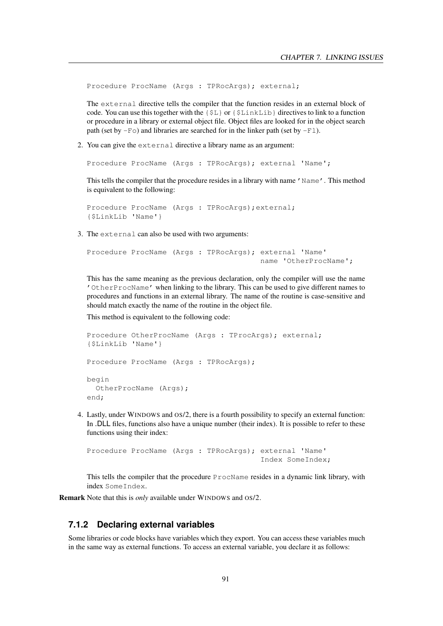Procedure ProcName (Args : TPRocArgs); external;

The external directive tells the compiler that the function resides in an external block of code. You can use this together with the  ${5L}$  or  ${5L}$  inkLib directives to link to a function or procedure in a library or external object file. Object files are looked for in the object search path (set by  $-F$ o) and libraries are searched for in the linker path (set by  $-F$ 1).

2. You can give the external directive a library name as an argument:

```
Procedure ProcName (Args : TPRocArgs); external 'Name';
```
This tells the compiler that the procedure resides in a library with name 'Name'. This method is equivalent to the following:

```
Procedure ProcName (Args : TPRocArgs); external;
{$LinkLib 'Name'}
```
3. The external can also be used with two arguments:

```
Procedure ProcName (Args : TPRocArgs); external 'Name'
                                       name 'OtherProcName';
```
This has the same meaning as the previous declaration, only the compiler will use the name 'OtherProcName' when linking to the library. This can be used to give different names to procedures and functions in an external library. The name of the routine is case-sensitive and should match exactly the name of the routine in the object file.

This method is equivalent to the following code:

```
Procedure OtherProcName (Args : TProcArgs); external;
{$LinkLib 'Name'}
Procedure ProcName (Args : TPRocArgs);
begin
  OtherProcName (Args);
end;
```
4. Lastly, under WINDOWS and OS/2, there is a fourth possibility to specify an external function: In .DLL files, functions also have a unique number (their index). It is possible to refer to these functions using their index:

Procedure ProcName (Args : TPRocArgs); external 'Name' Index SomeIndex;

This tells the compiler that the procedure ProcName resides in a dynamic link library, with index SomeIndex.

Remark Note that this is *only* available under WINDOWS and OS/2.

## **7.1.2 Declaring external variables**

Some libraries or code blocks have variables which they export. You can access these variables much in the same way as external functions. To access an external variable, you declare it as follows: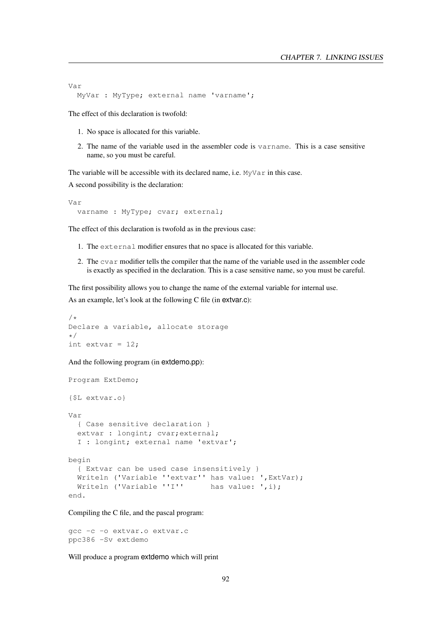```
Var
 MyVar : MyType; external name 'varname';
```
The effect of this declaration is twofold:

- 1. No space is allocated for this variable.
- 2. The name of the variable used in the assembler code is varname. This is a case sensitive name, so you must be careful.

The variable will be accessible with its declared name, i.e. MyVar in this case.

A second possibility is the declaration:

```
Var
 varname : MyType; cvar; external;
```
The effect of this declaration is twofold as in the previous case:

- 1. The external modifier ensures that no space is allocated for this variable.
- 2. The cvar modifier tells the compiler that the name of the variable used in the assembler code is exactly as specified in the declaration. This is a case sensitive name, so you must be careful.

The first possibility allows you to change the name of the external variable for internal use. As an example, let's look at the following C file (in extvar.c):

```
/*
Declare a variable, allocate storage
\star/int extvar = 12;
```
And the following program (in extdemo.pp):

```
Program ExtDemo;
{$L extvar.o}
Var
  { Case sensitive declaration }
  extvar : longint; cvar; external;
  I : longint; external name 'extvar';
begin
  { Extvar can be used case insensitively }
  Writeln ('Variable ''extvar'' has value: ',ExtVar);
 Writeln ('Variable ''I'' has value: ',i);
end.
```
Compiling the C file, and the pascal program:

gcc -c -o extvar.o extvar.c ppc386 -Sv extdemo

Will produce a program extdemo which will print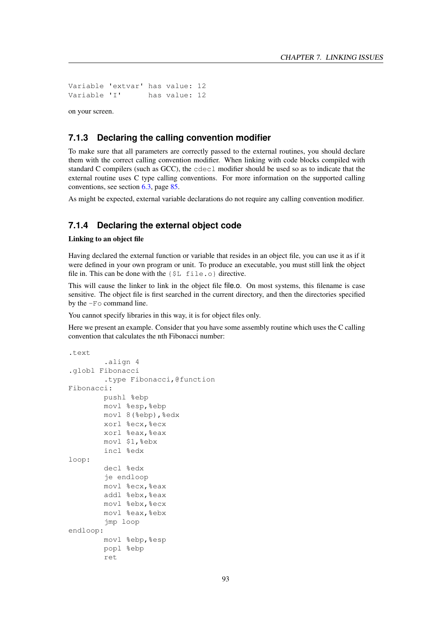Variable 'extvar' has value: 12 Variable 'I' has value: 12

on your screen.

#### **7.1.3 Declaring the calling convention modifier**

To make sure that all parameters are correctly passed to the external routines, you should declare them with the correct calling convention modifier. When linking with code blocks compiled with standard C compilers (such as GCC), the cdecl modifier should be used so as to indicate that the external routine uses C type calling conventions. For more information on the supported calling conventions, see section [6.3,](#page-85-0) page [85.](#page-85-0)

As might be expected, external variable declarations do not require any calling convention modifier.

### **7.1.4 Declaring the external object code**

#### Linking to an object file

Having declared the external function or variable that resides in an object file, you can use it as if it were defined in your own program or unit. To produce an executable, you must still link the object file in. This can be done with the  $\{\$L \}$  file.o} directive.

This will cause the linker to link in the object file file.o. On most systems, this filename is case sensitive. The object file is first searched in the current directory, and then the directories specified by the -Fo command line.

You cannot specify libraries in this way, it is for object files only.

Here we present an example. Consider that you have some assembly routine which uses the C calling convention that calculates the nth Fibonacci number:

```
.text
```

```
.align 4
.globl Fibonacci
        .type Fibonacci,@function
Fibonacci:
        pushl %ebp
        movl %esp,%ebp
        movl 8(%ebp),%edx
        xorl %ecx,%ecx
        xorl %eax,%eax
        movl $1,%ebx
        incl %edx
loop:
        decl %edx
        je endloop
        movl %ecx, %eax
        addl %ebx, %eax
        movl %ebx,%ecx
        movl %eax,%ebx
        jmp loop
endloop:
        movl %ebp,%esp
        popl %ebp
        ret
```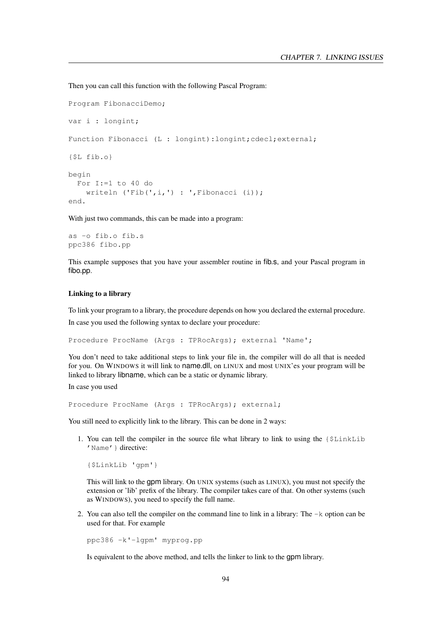Then you can call this function with the following Pascal Program:

```
Program FibonacciDemo;
var i : longint;
Function Fibonacci (L : longint):longint; cdecl; external;
{$L fib.o}
begin
 For I:=1 to 40 do
    writeln ('Fib(',i,') : ',Fibonacci (i));
end.
```
With just two commands, this can be made into a program:

as -o fib.o fib.s ppc386 fibo.pp

This example supposes that you have your assembler routine in fib.s, and your Pascal program in fibo.pp.

#### Linking to a library

To link your program to a library, the procedure depends on how you declared the external procedure.

In case you used the following syntax to declare your procedure:

Procedure ProcName (Args : TPRocArgs); external 'Name';

You don't need to take additional steps to link your file in, the compiler will do all that is needed for you. On WINDOWS it will link to name.dll, on LINUX and most UNIX'es your program will be linked to library libname, which can be a static or dynamic library.

In case you used

Procedure ProcName (Args : TPRocArgs); external;

You still need to explicitly link to the library. This can be done in 2 ways:

1. You can tell the compiler in the source file what library to link to using the {\$LinkLib 'Name' } directive:

{\$LinkLib 'gpm'}

This will link to the gpm library. On UNIX systems (such as LINUX), you must not specify the extension or 'lib' prefix of the library. The compiler takes care of that. On other systems (such as WINDOWS), you need to specify the full name.

2. You can also tell the compiler on the command line to link in a library: The -k option can be used for that. For example

ppc386 -k'-lgpm' myprog.pp

Is equivalent to the above method, and tells the linker to link to the gpm library.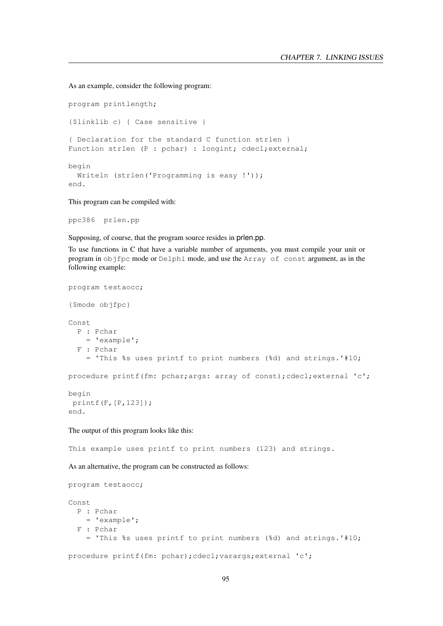As an example, consider the following program:

program printlength; {\$linklib c} { Case sensitive } { Declaration for the standard C function strlen } Function strlen (P : pchar) : longint; cdecl; external; begin Writeln (strlen('Programming is easy !')); end.

This program can be compiled with:

ppc386 prlen.pp

Supposing, of course, that the program source resides in prlen.pp.

To use functions in C that have a variable number of arguments, you must compile your unit or program in objfpc mode or Delphi mode, and use the Array of const argument, as in the following example:

```
program testaocc;
{$mode objfpc}
Const
  P : Pchar
   = 'example';
  F : Pchar
    = 'This %s uses printf to print numbers (%d) and strings.'#10;
procedure printf(fm: pchar;args: array of const);cdecl;external 'c';
begin
printf(F,[P,123]);
end.
The output of this program looks like this:
This example uses printf to print numbers (123) and strings.
As an alternative, the program can be constructed as follows:
program testaocc;
Const
 P : Pchar
    = 'example';
  F : Pchar
    = 'This %s uses printf to print numbers (%d) and strings.'#10;
procedure printf(fm: pchar);cdecl;varargs;external 'c';
```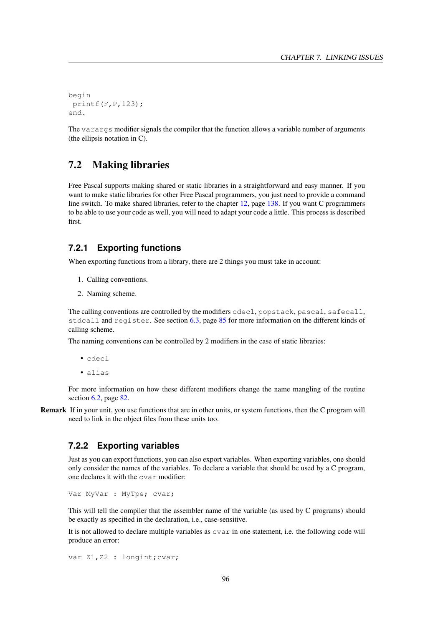```
begin
 printf(F, P, 123);
end.
```
The varargs modifier signals the compiler that the function allows a variable number of arguments (the ellipsis notation in C).

## 7.2 Making libraries

Free Pascal supports making shared or static libraries in a straightforward and easy manner. If you want to make static libraries for other Free Pascal programmers, you just need to provide a command line switch. To make shared libraries, refer to the chapter [12,](#page-138-0) page [138.](#page-138-0) If you want C programmers to be able to use your code as well, you will need to adapt your code a little. This process is described first.

### **7.2.1 Exporting functions**

When exporting functions from a library, there are 2 things you must take in account:

- 1. Calling conventions.
- 2. Naming scheme.

The calling conventions are controlled by the modifiers cdecl, popstack, pascal, safecall, stdcall and register. See section [6.3,](#page-85-0) page [85](#page-85-0) for more information on the different kinds of calling scheme.

The naming conventions can be controlled by 2 modifiers in the case of static libraries:

- cdecl
- alias

For more information on how these different modifiers change the name mangling of the routine section [6.2,](#page-82-2) page [82.](#page-82-2)

Remark If in your unit, you use functions that are in other units, or system functions, then the C program will need to link in the object files from these units too.

#### **7.2.2 Exporting variables**

Just as you can export functions, you can also export variables. When exporting variables, one should only consider the names of the variables. To declare a variable that should be used by a C program, one declares it with the cvar modifier:

Var MyVar : MyTpe; cvar;

This will tell the compiler that the assembler name of the variable (as used by C programs) should be exactly as specified in the declaration, i.e., case-sensitive.

It is not allowed to declare multiple variables as cvar in one statement, i.e. the following code will produce an error:

```
var Z1, Z2 : longint; cvar;
```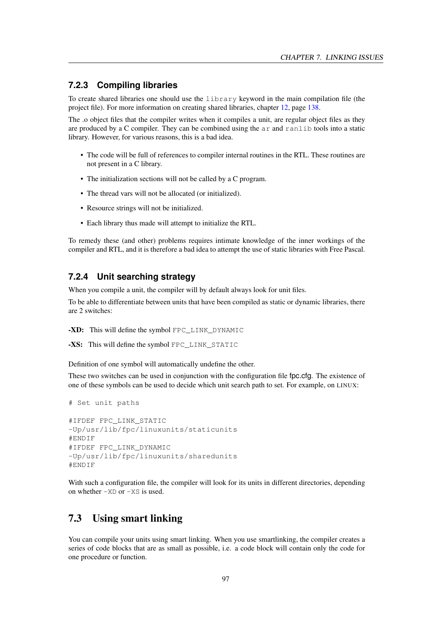### **7.2.3 Compiling libraries**

To create shared libraries one should use the library keyword in the main compilation file (the project file). For more information on creating shared libraries, chapter [12,](#page-138-0) page [138.](#page-138-0)

The .o object files that the compiler writes when it compiles a unit, are regular object files as they are produced by a C compiler. They can be combined using the ar and ranlib tools into a static library. However, for various reasons, this is a bad idea.

- The code will be full of references to compiler internal routines in the RTL. These routines are not present in a C library.
- The initialization sections will not be called by a C program.
- The thread vars will not be allocated (or initialized).
- Resource strings will not be initialized.
- Each library thus made will attempt to initialize the RTL.

To remedy these (and other) problems requires intimate knowledge of the inner workings of the compiler and RTL, and it is therefore a bad idea to attempt the use of static libraries with Free Pascal.

### **7.2.4 Unit searching strategy**

When you compile a unit, the compiler will by default always look for unit files.

To be able to differentiate between units that have been compiled as static or dynamic libraries, there are 2 switches:

-XD: This will define the symbol FPC LINK DYNAMIC

```
-XS: This will define the symbol FPC_LINK_STATIC
```
Definition of one symbol will automatically undefine the other.

These two switches can be used in conjunction with the configuration file fpc.cfg. The existence of one of these symbols can be used to decide which unit search path to set. For example, on LINUX:

```
# Set unit paths
#IFDEF FPC_LINK_STATIC
-Up/usr/lib/fpc/linuxunits/staticunits
#ENDIF
#IFDEF FPC_LINK_DYNAMIC
-Up/usr/lib/fpc/linuxunits/sharedunits
#ENDIF
```
With such a configuration file, the compiler will look for its units in different directories, depending on whether  $-XD$  or  $-XS$  is used.

# 7.3 Using smart linking

You can compile your units using smart linking. When you use smartlinking, the compiler creates a series of code blocks that are as small as possible, i.e. a code block will contain only the code for one procedure or function.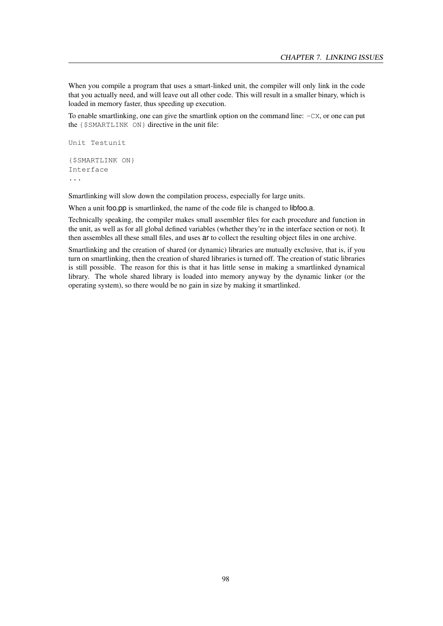When you compile a program that uses a smart-linked unit, the compiler will only link in the code that you actually need, and will leave out all other code. This will result in a smaller binary, which is loaded in memory faster, thus speeding up execution.

To enable smartlinking, one can give the smartlink option on the command line: -CX, or one can put the {\$SMARTLINK ON} directive in the unit file:

```
Unit Testunit
{$SMARTLINK ON}
Interface
...
```
Smartlinking will slow down the compilation process, especially for large units.

When a unit foo.pp is smartlinked, the name of the code file is changed to libfoo.a.

Technically speaking, the compiler makes small assembler files for each procedure and function in the unit, as well as for all global defined variables (whether they're in the interface section or not). It then assembles all these small files, and uses ar to collect the resulting object files in one archive.

Smartlinking and the creation of shared (or dynamic) libraries are mutually exclusive, that is, if you turn on smartlinking, then the creation of shared libraries is turned off. The creation of static libraries is still possible. The reason for this is that it has little sense in making a smartlinked dynamical library. The whole shared library is loaded into memory anyway by the dynamic linker (or the operating system), so there would be no gain in size by making it smartlinked.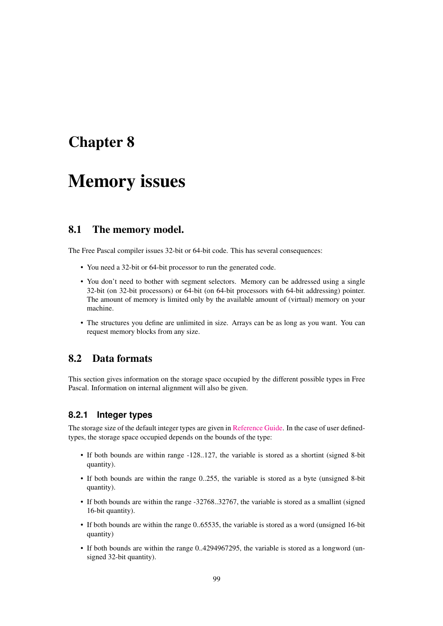# Chapter 8

# Memory issues

# 8.1 The memory model.

The Free Pascal compiler issues 32-bit or 64-bit code. This has several consequences:

- You need a 32-bit or 64-bit processor to run the generated code.
- You don't need to bother with segment selectors. Memory can be addressed using a single 32-bit (on 32-bit processors) or 64-bit (on 64-bit processors with 64-bit addressing) pointer. The amount of memory is limited only by the available amount of (virtual) memory on your machine.
- The structures you define are unlimited in size. Arrays can be as long as you want. You can request memory blocks from any size.

## 8.2 Data formats

This section gives information on the storage space occupied by the different possible types in Free Pascal. Information on internal alignment will also be given.

## **8.2.1 Integer types**

The storage size of the default integer types are given in [Reference Guide.](../ref/ref.html) In the case of user definedtypes, the storage space occupied depends on the bounds of the type:

- If both bounds are within range -128..127, the variable is stored as a shortint (signed 8-bit quantity).
- If both bounds are within the range 0..255, the variable is stored as a byte (unsigned 8-bit quantity).
- If both bounds are within the range -32768..32767, the variable is stored as a smallint (signed 16-bit quantity).
- If both bounds are within the range 0..65535, the variable is stored as a word (unsigned 16-bit quantity)
- If both bounds are within the range 0..4294967295, the variable is stored as a longword (unsigned 32-bit quantity).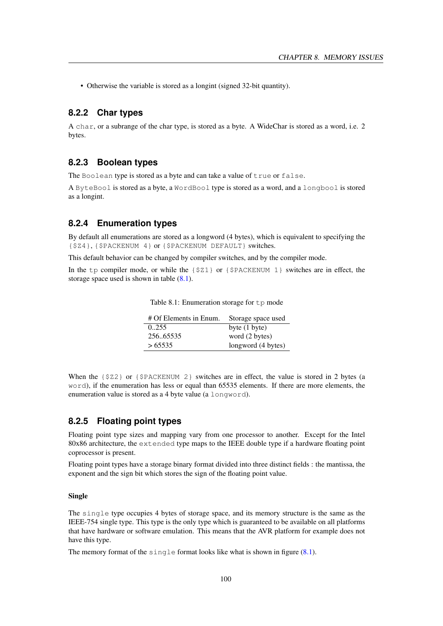• Otherwise the variable is stored as a longint (signed 32-bit quantity).

#### **8.2.2 Char types**

A char, or a subrange of the char type, is stored as a byte. A WideChar is stored as a word, i.e. 2 bytes.

#### **8.2.3 Boolean types**

The Boolean type is stored as a byte and can take a value of true or false.

A ByteBool is stored as a byte, a WordBool type is stored as a word, and a longbool is stored as a longint.

#### **8.2.4 Enumeration types**

By default all enumerations are stored as a longword (4 bytes), which is equivalent to specifying the {\$Z4}, {\$PACKENUM 4} or {\$PACKENUM DEFAULT} switches.

This default behavior can be changed by compiler switches, and by the compiler mode.

In the tp compiler mode, or while the  $\{\frac{21}{7}$  or  $\{\frac{5}{7}PACKENUM\ 1\}$  switches are in effect, the storage space used is shown in table  $(8.1)$ .

| # Of Elements in Enum. | Storage space used      |
|------------------------|-------------------------|
| 0.255                  | byte $(1 \text{ byte})$ |
| 256.65535              | word (2 bytes)          |
| >65535                 | longword (4 bytes)      |

<span id="page-100-0"></span>Table 8.1: Enumeration storage for tp mode

When the {\$Z2} or {\$PACKENUM 2} switches are in effect, the value is stored in 2 bytes (a word), if the enumeration has less or equal than 65535 elements. If there are more elements, the enumeration value is stored as a 4 byte value (a longword).

### **8.2.5 Floating point types**

Floating point type sizes and mapping vary from one processor to another. Except for the Intel 80x86 architecture, the extended type maps to the IEEE double type if a hardware floating point coprocessor is present.

Floating point types have a storage binary format divided into three distinct fields : the mantissa, the exponent and the sign bit which stores the sign of the floating point value.

#### Single

The single type occupies 4 bytes of storage space, and its memory structure is the same as the IEEE-754 single type. This type is the only type which is guaranteed to be available on all platforms that have hardware or software emulation. This means that the AVR platform for example does not have this type.

The memory format of the single format looks like what is shown in figure  $(8.1)$ .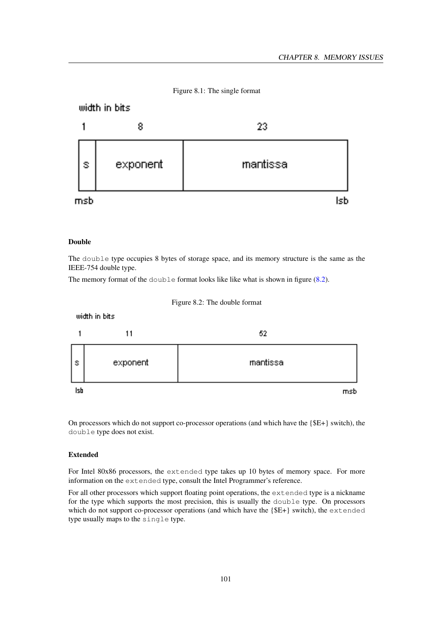<span id="page-101-0"></span>

#### Double

The double type occupies 8 bytes of storage space, and its memory structure is the same as the IEEE-754 double type.

<span id="page-101-1"></span>The memory format of the double format looks like like what is shown in figure [\(8.2\)](#page-101-1).



On processors which do not support co-processor operations (and which have the {\$E+} switch), the double type does not exist.

#### Extended

For Intel 80x86 processors, the extended type takes up 10 bytes of memory space. For more information on the extended type, consult the Intel Programmer's reference.

For all other processors which support floating point operations, the extended type is a nickname for the type which supports the most precision, this is usually the double type. On processors which do not support co-processor operations (and which have the  ${E+}$  switch), the extended type usually maps to the single type.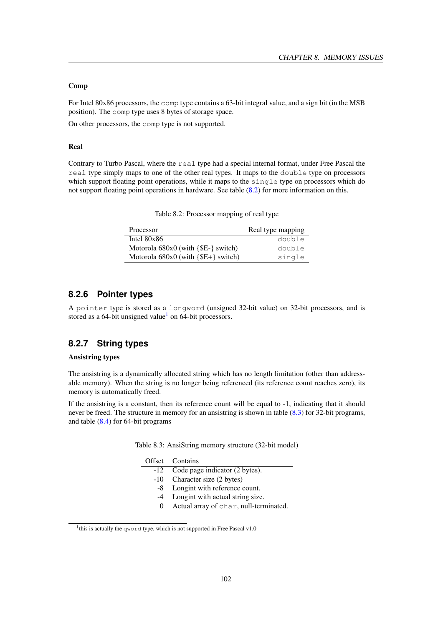#### Comp

For Intel 80x86 processors, the comp type contains a 63-bit integral value, and a sign bit (in the MSB position). The comp type uses 8 bytes of storage space.

On other processors, the comp type is not supported.

#### Real

Contrary to Turbo Pascal, where the real type had a special internal format, under Free Pascal the real type simply maps to one of the other real types. It maps to the double type on processors which support floating point operations, while it maps to the single type on processors which do not support floating point operations in hardware. See table [\(8.2\)](#page-102-0) for more information on this.

| Processor                             | Real type mapping |
|---------------------------------------|-------------------|
| Intel $80x86$                         | double            |
| Motorola 680x0 (with {\$E-} switch)   | double            |
| Motorola $680x0$ (with ${E+}$ switch) | single            |

<span id="page-102-0"></span>Table 8.2: Processor mapping of real type

### **8.2.6 Pointer types**

A pointer type is stored as a longword (unsigned 32-bit value) on 32-bit processors, and is stored as a 64-bit unsigned value<sup>[1](#page-102-1)</sup> on 64-bit processors.

#### **8.2.7 String types**

#### Ansistring types

The ansistring is a dynamically allocated string which has no length limitation (other than addressable memory). When the string is no longer being referenced (its reference count reaches zero), its memory is automatically freed.

If the ansistring is a constant, then its reference count will be equal to -1, indicating that it should never be freed. The structure in memory for an ansistring is shown in table [\(8.3\)](#page-102-2) for 32-bit programs, and table [\(8.4\)](#page-103-0) for 64-bit programs

|  | Table 8.3: AnsiString memory structure (32-bit model) |  |  |  |  |
|--|-------------------------------------------------------|--|--|--|--|
|--|-------------------------------------------------------|--|--|--|--|

<span id="page-102-2"></span>

|          | Offset Contains                        |
|----------|----------------------------------------|
| -12      | Code page indicator (2 bytes).         |
|          | -10 Character size (2 bytes)           |
|          | -8 Longint with reference count.       |
| $-4$     | Longint with actual string size.       |
| $\theta$ | Actual array of char, null-terminated. |
|          |                                        |

<span id="page-102-1"></span><sup>&</sup>lt;sup>1</sup>this is actually the qword type, which is not supported in Free Pascal v1.0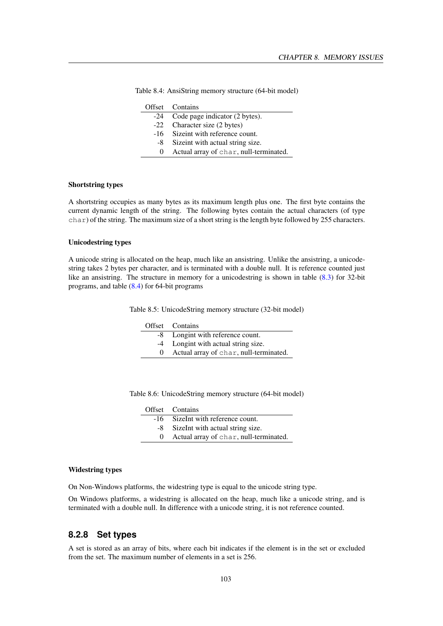<span id="page-103-0"></span>

|          | Offset Contains                        |
|----------|----------------------------------------|
|          | -24 Code page indicator (2 bytes).     |
|          | -22 Character size (2 bytes)           |
|          | -16 Sizeint with reference count.      |
| -8       | Sizeint with actual string size.       |
| $\Omega$ | Actual array of char, null-terminated. |

Table 8.4: AnsiString memory structure (64-bit model)

#### Shortstring types

A shortstring occupies as many bytes as its maximum length plus one. The first byte contains the current dynamic length of the string. The following bytes contain the actual characters (of type char) of the string. The maximum size of a short string is the length byte followed by 255 characters.

#### Unicodestring types

A unicode string is allocated on the heap, much like an ansistring. Unlike the ansistring, a unicodestring takes 2 bytes per character, and is terminated with a double null. It is reference counted just like an ansistring. The structure in memory for a unicodestring is shown in table [\(8.3\)](#page-102-2) for 32-bit programs, and table [\(8.4\)](#page-103-0) for 64-bit programs

Table 8.5: UnicodeString memory structure (32-bit model)

| Offset Contains                        |
|----------------------------------------|
| -8 Longint with reference count.       |
| -4 Longint with actual string size.    |
| Actual array of char, null-terminated. |
|                                        |

Table 8.6: UnicodeString memory structure (64-bit model)

| Offset Contains                          |
|------------------------------------------|
| -16 SizeInt with reference count.        |
| -8 Size Int with actual string size.     |
| 0 Actual array of char, null-terminated. |

#### Widestring types

On Non-Windows platforms, the widestring type is equal to the unicode string type.

On Windows platforms, a widestring is allocated on the heap, much like a unicode string, and is terminated with a double null. In difference with a unicode string, it is not reference counted.

### **8.2.8 Set types**

A set is stored as an array of bits, where each bit indicates if the element is in the set or excluded from the set. The maximum number of elements in a set is 256.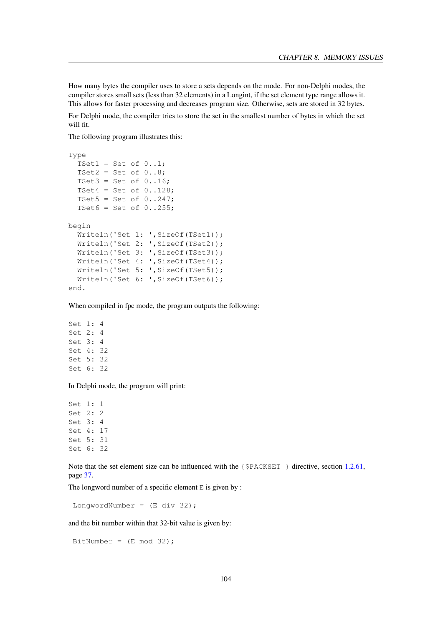How many bytes the compiler uses to store a sets depends on the mode. For non-Delphi modes, the compiler stores small sets (less than 32 elements) in a Longint, if the set element type range allows it. This allows for faster processing and decreases program size. Otherwise, sets are stored in 32 bytes.

For Delphi mode, the compiler tries to store the set in the smallest number of bytes in which the set will fit.

The following program illustrates this:

```
Type
  TSet1 = Set of 0..1;
  TSet2 = Set of 0..8;
 TSet3 = Set of 0..16;
  TSet4 = Set of 0..128;
  TSet5 = Set of 0..247;
  TSet6 = Set of 0..255;
begin
 Writeln('Set 1: ',SizeOf(TSet1));
 Writeln('Set 2: ',SizeOf(TSet2));
 Writeln('Set 3: ', SizeOf(TSet3));
 Writeln('Set 4: ',SizeOf(TSet4));
 Writeln('Set 5: ',SizeOf(TSet5));
  Writeln('Set 6: ',SizeOf(TSet6));
end.
```
When compiled in fpc mode, the program outputs the following:

Set 1: 4 Set 2: 4 Set 3: 4 Set 4: 32 Set 5: 32 Set 6: 32

In Delphi mode, the program will print:

Set 1: 1 Set 2: 2 Set 3: 4 Set 4: 17 Set 5: 31 Set 6: 32

Note that the set element size can be influenced with the {\$PACKSET } directive, section [1.2.61,](#page-37-0) page [37.](#page-37-0)

The longword number of a specific element  $E$  is given by :

LongwordNumber = (E div 32);

and the bit number within that 32-bit value is given by:

BitNumber =  $(E \mod 32)$ ;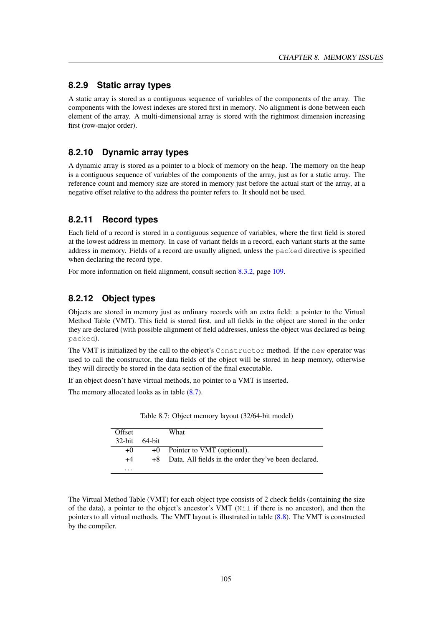## **8.2.9 Static array types**

A static array is stored as a contiguous sequence of variables of the components of the array. The components with the lowest indexes are stored first in memory. No alignment is done between each element of the array. A multi-dimensional array is stored with the rightmost dimension increasing first (row-major order).

### **8.2.10 Dynamic array types**

A dynamic array is stored as a pointer to a block of memory on the heap. The memory on the heap is a contiguous sequence of variables of the components of the array, just as for a static array. The reference count and memory size are stored in memory just before the actual start of the array, at a negative offset relative to the address the pointer refers to. It should not be used.

### **8.2.11 Record types**

Each field of a record is stored in a contiguous sequence of variables, where the first field is stored at the lowest address in memory. In case of variant fields in a record, each variant starts at the same address in memory. Fields of a record are usually aligned, unless the packed directive is specified when declaring the record type.

For more information on field alignment, consult section [8.3.2,](#page-109-0) page [109.](#page-109-0)

### **8.2.12 Object types**

Objects are stored in memory just as ordinary records with an extra field: a pointer to the Virtual Method Table (VMT). This field is stored first, and all fields in the object are stored in the order they are declared (with possible alignment of field addresses, unless the object was declared as being packed).

The VMT is initialized by the call to the object's Constructor method. If the new operator was used to call the constructor, the data fields of the object will be stored in heap memory, otherwise they will directly be stored in the data section of the final executable.

If an object doesn't have virtual methods, no pointer to a VMT is inserted.

The memory allocated looks as in table [\(8.7\)](#page-105-0).

| Offset    |        | What                                                    |
|-----------|--------|---------------------------------------------------------|
| $32$ -bit | 64-bit |                                                         |
| $+0$      |        | +0 Pointer to VMT (optional).                           |
| $+4$      |        | +8 Data. All fields in the order they've been declared. |
| $\cdots$  |        |                                                         |

<span id="page-105-0"></span>Table 8.7: Object memory layout (32/64-bit model)

The Virtual Method Table (VMT) for each object type consists of 2 check fields (containing the size of the data), a pointer to the object's ancestor's VMT (Nil if there is no ancestor), and then the pointers to all virtual methods. The VMT layout is illustrated in table [\(8.8\)](#page-106-0). The VMT is constructed by the compiler.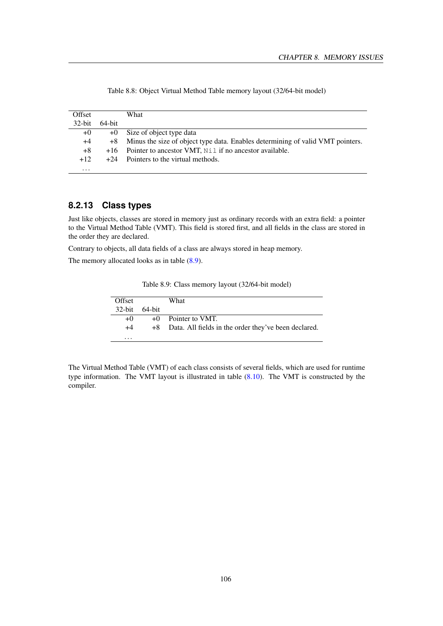| Offset    |           | What                                                                           |
|-----------|-----------|--------------------------------------------------------------------------------|
| $32$ -bit | $64$ -bit |                                                                                |
| $+0$      | $+0$      | Size of object type data                                                       |
| +4        | $+8$      | Minus the size of object type data. Enables determining of valid VMT pointers. |
| $+8$      |           | $+16$ Pointer to ancestor VMT, $N\perp$ if no ancestor available.              |
| $+12.$    | $+24$     | Pointers to the virtual methods.                                               |
| $\cdots$  |           |                                                                                |

<span id="page-106-0"></span>Table 8.8: Object Virtual Method Table memory layout (32/64-bit model)

## **8.2.13 Class types**

Just like objects, classes are stored in memory just as ordinary records with an extra field: a pointer to the Virtual Method Table (VMT). This field is stored first, and all fields in the class are stored in the order they are declared.

Contrary to objects, all data fields of a class are always stored in heap memory.

The memory allocated looks as in table [\(8.9\)](#page-106-1).

<span id="page-106-1"></span>Table 8.9: Class memory layout (32/64-bit model)

| Offset        | What                                                    |
|---------------|---------------------------------------------------------|
| 32-bit 64-bit |                                                         |
| $+()$         | $+0$ Pointer to VMT.                                    |
| $+4$          | +8 Data. All fields in the order they've been declared. |
| .             |                                                         |

The Virtual Method Table (VMT) of each class consists of several fields, which are used for runtime type information. The VMT layout is illustrated in table [\(8.10\)](#page-107-0). The VMT is constructed by the compiler.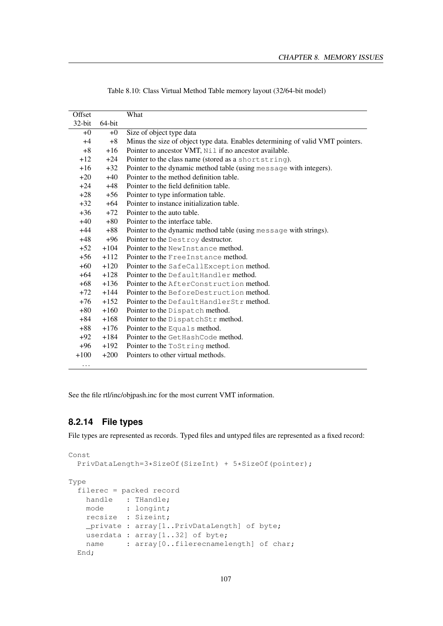| Offset    |        | What                                                                           |
|-----------|--------|--------------------------------------------------------------------------------|
| $32$ -bit | 64-bit |                                                                                |
| $+0$      | $+0$   | Size of object type data                                                       |
| $+4$      | $+8$   | Minus the size of object type data. Enables determining of valid VMT pointers. |
| $+8$      | $+16$  | Pointer to ancestor VMT, Nil if no ancestor available.                         |
| $+12$     | $+24$  | Pointer to the class name (stored as a shortstring).                           |
| $+16$     | $+32$  | Pointer to the dynamic method table (using message with integers).             |
| $+20$     | $+40$  | Pointer to the method definition table.                                        |
| $+24$     | $+48$  | Pointer to the field definition table.                                         |
| $+28$     | $+56$  | Pointer to type information table.                                             |
| $+32$     | $+64$  | Pointer to instance initialization table.                                      |
| $+36$     | $+72$  | Pointer to the auto table.                                                     |
| $+40$     | $+80$  | Pointer to the interface table.                                                |
| $+44$     | $+88$  | Pointer to the dynamic method table (using message with strings).              |
| +48       | $+96$  | Pointer to the Destroy destructor.                                             |
| $+52$     | $+104$ | Pointer to the New Instance method.                                            |
| $+56$     | $+112$ | Pointer to the Free Instance method.                                           |
| $+60$     | $+120$ | Pointer to the SafeCallException method.                                       |
| $+64$     | $+128$ | Pointer to the Default Handler method.                                         |
| $+68$     | $+136$ | Pointer to the AfterConstruction method.                                       |
| $+72$     | $+144$ | Pointer to the BeforeDestruction method.                                       |
| $+76$     | $+152$ | Pointer to the DefaultHandlerStr method.                                       |
| $+80$     | $+160$ | Pointer to the Dispatch method.                                                |
| $+84$     | $+168$ | Pointer to the DispatchStr method.                                             |
| $+88$     | $+176$ | Pointer to the Equals method.                                                  |
| $+92$     | $+184$ | Pointer to the Get HashCode method.                                            |
| $+96$     | $+192$ | Pointer to the ToString method.                                                |
| $+100$    | $+200$ | Pointers to other virtual methods.                                             |
| $\cdot$   |        |                                                                                |

<span id="page-107-0"></span>Table 8.10: Class Virtual Method Table memory layout (32/64-bit model)

See the file rtl/inc/objpash.inc for the most current VMT information.

## **8.2.14 File types**

File types are represented as records. Typed files and untyped files are represented as a fixed record:

```
Const
 PrivDataLength=3*SizeOf(SizeInt) + 5*SizeOf(pointer);
Type
 filerec = packed record
   handle : THandle;
   mode : longint;
   recsize : Sizeint;
   _private : array[1..PrivDataLength] of byte;
   userdata : array[1..32] of byte;
   name : array[0..filerecnamelength] of char;
 End;
```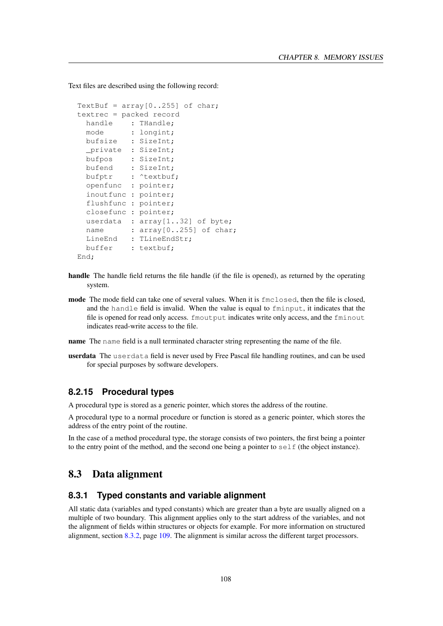Text files are described using the following record:

```
TextBuf = array[0..255] of char;
textrec = packed record
 handle : THandle;
 mode : longint;
 bufsize : SizeInt;
 _private : SizeInt;
 bufpos : SizeInt;
 bufend : SizeInt;
 bufptr : ^textbuf;
 openfunc : pointer;
 inoutfunc : pointer;
 flushfunc : pointer;
 closefunc : pointer;
 userdata : array[1..32] of byte;
 name : array[0..255] of char;
 LineEnd : TLineEndStr;
 buffer : textbuf;
End;
```
- handle The handle field returns the file handle (if the file is opened), as returned by the operating system.
- mode The mode field can take one of several values. When it is fmclosed, then the file is closed, and the handle field is invalid. When the value is equal to fminput, it indicates that the file is opened for read only access. fmoutput indicates write only access, and the fminout indicates read-write access to the file.
- name The name field is a null terminated character string representing the name of the file.
- userdata The userdata field is never used by Free Pascal file handling routines, and can be used for special purposes by software developers.

#### **8.2.15 Procedural types**

A procedural type is stored as a generic pointer, which stores the address of the routine.

A procedural type to a normal procedure or function is stored as a generic pointer, which stores the address of the entry point of the routine.

In the case of a method procedural type, the storage consists of two pointers, the first being a pointer to the entry point of the method, and the second one being a pointer to  $\text{self}$  (the object instance).

#### 8.3 Data alignment

#### **8.3.1 Typed constants and variable alignment**

All static data (variables and typed constants) which are greater than a byte are usually aligned on a multiple of two boundary. This alignment applies only to the start address of the variables, and not the alignment of fields within structures or objects for example. For more information on structured alignment, section [8.3.2,](#page-109-0) page [109.](#page-109-0) The alignment is similar across the different target processors.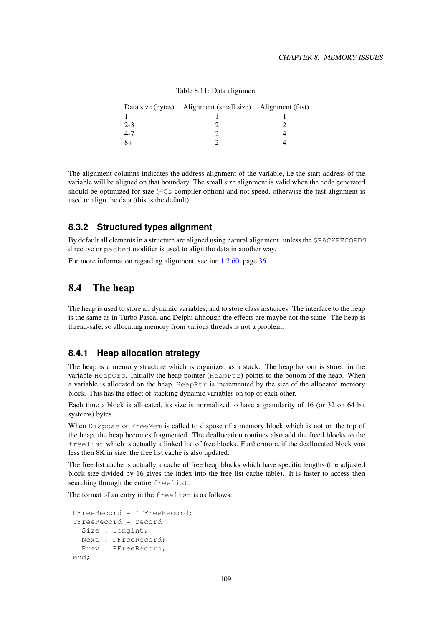|         | Data size (bytes) Alignment (small size) Alignment (fast) |  |
|---------|-----------------------------------------------------------|--|
|         |                                                           |  |
| $2 - 3$ |                                                           |  |
| 4-7     |                                                           |  |
|         |                                                           |  |

Table 8.11: Data alignment

The alignment columns indicates the address alignment of the variable, i.e the start address of the variable will be aligned on that boundary. The small size alignment is valid when the code generated should be optimized for size  $(-\circ$ s compiler option) and not speed, otherwise the fast alignment is used to align the data (this is the default).

#### <span id="page-109-0"></span>**8.3.2 Structured types alignment**

By default all elements in a structure are aligned using natural alignment. unless the \$PACKRECORDS directive or packed modifier is used to align the data in another way.

For more information regarding alignment, section [1.2.60,](#page-36-0) page [36](#page-36-0)

## 8.4 The heap

The heap is used to store all dynamic variables, and to store class instances. The interface to the heap is the same as in Turbo Pascal and Delphi although the effects are maybe not the same. The heap is thread-safe, so allocating memory from various threads is not a problem.

#### **8.4.1 Heap allocation strategy**

The heap is a memory structure which is organized as a stack. The heap bottom is stored in the variable HeapOrg. Initially the heap pointer  $(HeapEt)$  points to the bottom of the heap. When a variable is allocated on the heap,  $\text{HeapPtr}$  is incremented by the size of the allocated memory block. This has the effect of stacking dynamic variables on top of each other.

Each time a block is allocated, its size is normalized to have a granularity of 16 (or 32 on 64 bit systems) bytes.

When Dispose or FreeMem is called to dispose of a memory block which is not on the top of the heap, the heap becomes fragmented. The deallocation routines also add the freed blocks to the freelist which is actually a linked list of free blocks. Furthermore, if the deallocated block was less then 8K in size, the free list cache is also updated.

The free list cache is actually a cache of free heap blocks which have specific lengths (the adjusted block size divided by 16 gives the index into the free list cache table). It is faster to access then searching through the entire freelist.

The format of an entry in the freelist is as follows:

```
PFreeRecord = ^TFreeRecord;
TFreeRecord = record
 Size : longint;
 Next : PFreeRecord;
 Prev : PFreeRecord;
end;
```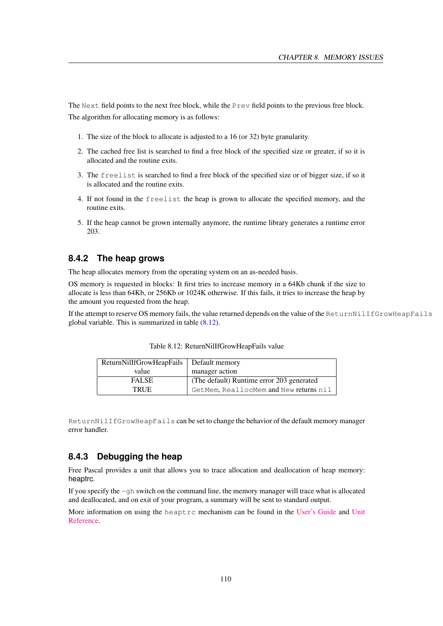The Next field points to the next free block, while the Prev field points to the previous free block. The algorithm for allocating memory is as follows:

- 1. The size of the block to allocate is adjusted to a 16 (or 32) byte granularity.
- 2. The cached free list is searched to find a free block of the specified size or greater, if so it is allocated and the routine exits.
- 3. The freelist is searched to find a free block of the specified size or of bigger size, if so it is allocated and the routine exits.
- 4. If not found in the freelist the heap is grown to allocate the specified memory, and the routine exits.
- 5. If the heap cannot be grown internally anymore, the runtime library generates a runtime error 203.

#### **8.4.2 The heap grows**

The heap allocates memory from the operating system on an as-needed basis.

OS memory is requested in blocks: It first tries to increase memory in a 64Kb chunk if the size to allocate is less than 64Kb, or 256Kb or 1024K otherwise. If this fails, it tries to increase the heap by the amount you requested from the heap.

If the attempt to reserve OS memory fails, the value returned depends on the value of the ReturnNilIfGrowHeapFails global variable. This is summarized in table  $(8.12)$ .

| ReturnNillfGrowHeapFails   Default memory |                                           |  |  |
|-------------------------------------------|-------------------------------------------|--|--|
| value                                     | manager action                            |  |  |
| <b>FALSE</b>                              | (The default) Runtime error 203 generated |  |  |
| <b>TRUE</b>                               | GetMem, ReallocMem and New returns nil    |  |  |

<span id="page-110-0"></span>Table 8.12: ReturnNilIfGrowHeapFails value

ReturnNilIfGrowHeapFails can be set to change the behavior of the default memory manager error handler.

#### **8.4.3 Debugging the heap**

Free Pascal provides a unit that allows you to trace allocation and deallocation of heap memory: heaptrc.

If you specify the -gh switch on the command line, the memory manager will trace what is allocated and deallocated, and on exit of your program, a summary will be sent to standard output.

More information on using the heaptrc mechanism can be found in the [User's Guide](../user/user.html) and [Unit](../rtl/index.html) [Reference.](../rtl/index.html)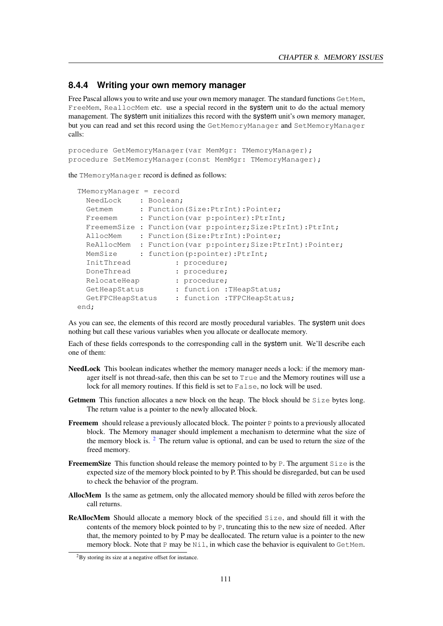#### **8.4.4 Writing your own memory manager**

Free Pascal allows you to write and use your own memory manager. The standard functions GetMem, FreeMem, ReallocMem etc. use a special record in the system unit to do the actual memory management. The system unit initializes this record with the system unit's own memory manager, but you can read and set this record using the GetMemoryManager and SetMemoryManager calls:

```
procedure GetMemoryManager(var MemMgr: TMemoryManager);
procedure SetMemoryManager(const MemMgr: TMemoryManager);
```
the TMemoryManager record is defined as follows:

```
TMemoryManager = record
 NeedLock : Boolean;
  Getmem : Function(Size:PtrInt):Pointer;
  Freemem : Function (var p:pointer):PtrInt;
 FreememSize : Function(var p:pointer;Size:PtrInt):PtrInt;
 AllocMem : Function(Size:PtrInt):Pointer;
 ReAllocMem : Function(var p:pointer;Size:PtrInt):Pointer;
  MemSize : function(p:pointer):PtrInt;
  InitThread : procedure;
 DoneThread : procedure;
 RelocateHeap : procedure;<br>GetHeapStatus : function :
                    : function :THeapStatus;
 GetFPCHeapStatus : function : TFPCHeapStatus;
end;
```
As you can see, the elements of this record are mostly procedural variables. The system unit does nothing but call these various variables when you allocate or deallocate memory.

Each of these fields corresponds to the corresponding call in the system unit. We'll describe each one of them:

- NeedLock This boolean indicates whether the memory manager needs a lock: if the memory manager itself is not thread-safe, then this can be set to True and the Memory routines will use a lock for all memory routines. If this field is set to False, no lock will be used.
- Getmem This function allocates a new block on the heap. The block should be Size bytes long. The return value is a pointer to the newly allocated block.
- Freemem should release a previously allocated block. The pointer P points to a previously allocated block. The Memory manager should implement a mechanism to determine what the size of the memory block is.  $2^2$  $2^2$  The return value is optional, and can be used to return the size of the freed memory.
- **FreememSize** This function should release the memory pointed to by P. The argument  $\text{Size}$  is the expected size of the memory block pointed to by P. This should be disregarded, but can be used to check the behavior of the program.
- AllocMem Is the same as getmem, only the allocated memory should be filled with zeros before the call returns.
- ReAllocMem Should allocate a memory block of the specified Size, and should fill it with the contents of the memory block pointed to by P, truncating this to the new size of needed. After that, the memory pointed to by P may be deallocated. The return value is a pointer to the new memory block. Note that P may be  $N\text{i}1$ , in which case the behavior is equivalent to GetMem.

<span id="page-111-0"></span><sup>2</sup>By storing its size at a negative offset for instance.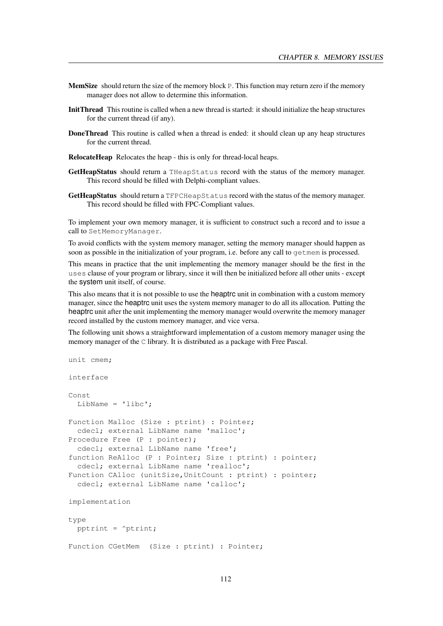- MemSize should return the size of the memory block P. This function may return zero if the memory manager does not allow to determine this information.
- InitThread This routine is called when a new thread is started: it should initialize the heap structures for the current thread (if any).
- DoneThread This routine is called when a thread is ended: it should clean up any heap structures for the current thread.
- RelocateHeap Relocates the heap this is only for thread-local heaps.
- GetHeapStatus should return a THeapStatus record with the status of the memory manager. This record should be filled with Delphi-compliant values.
- GetHeapStatus should return a TFPCHeapStatus record with the status of the memory manager. This record should be filled with FPC-Compliant values.

To implement your own memory manager, it is sufficient to construct such a record and to issue a call to SetMemoryManager.

To avoid conflicts with the system memory manager, setting the memory manager should happen as soon as possible in the initialization of your program, i.e. before any call to getmem is processed.

This means in practice that the unit implementing the memory manager should be the first in the uses clause of your program or library, since it will then be initialized before all other units - except the system unit itself, of course.

This also means that it is not possible to use the heaptrc unit in combination with a custom memory manager, since the heaptrc unit uses the system memory manager to do all its allocation. Putting the heaptrc unit after the unit implementing the memory manager would overwrite the memory manager record installed by the custom memory manager, and vice versa.

The following unit shows a straightforward implementation of a custom memory manager using the memory manager of the C library. It is distributed as a package with Free Pascal.

```
interface
Const
 LibName = 'libc';
Function Malloc (Size : ptrint) : Pointer;
 cdecl; external LibName name 'malloc';
Procedure Free (P : pointer);
 cdecl; external LibName name 'free';
function ReAlloc (P : Pointer; Size : ptrint) : pointer;
 cdecl; external LibName name 'realloc';
Function CAlloc (unitSize, UnitCount : ptrint) : pointer;
 cdecl; external LibName name 'calloc';
implementation
type
 pptrint = ^ptrint;
Function CGetMem (Size : ptrint) : Pointer;
```
unit cmem;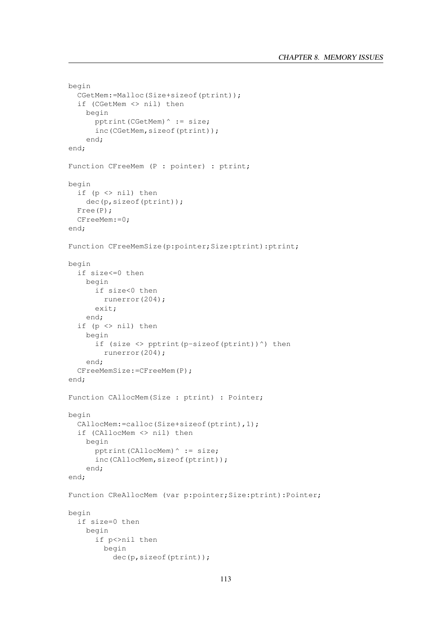```
begin
  CGetMem:=Malloc(Size+sizeof(ptrint));
  if (CGetMem <> nil) then
    begin
      pptrint(CGetMem)^ := size;
      inc(CGetMem,sizeof(ptrint));
    end;
end;
Function CFreeMem (P : pointer) : ptrint;
begin
  if (p <> nil) then
    dec(p,sizeof(ptrint));
  Free(P);
  CFreeMem:=0;
end;
Function CFreeMemSize(p:pointer;Size:ptrint):ptrint;
begin
 if size<=0 then
    begin
      if size<0 then
        runerror(204);
      exit;
    end;
  if (p <> nil) then
    begin
      if (size \langle > pptrint(p-sizeof(ptrint))^) then
        runerror(204);
    end;
  CFreeMemSize:=CFreeMem(P);
end;
Function CAllocMem(Size : ptrint) : Pointer;
begin
  CAllocMem:=calloc(Size+sizeof(ptrint),1);
  if (CAllocMem <> nil) then
    begin
      pptrint(CAllocMem)^ := size;
      inc(CAllocMem,sizeof(ptrint));
    end;
end;
Function CReAllocMem (var p:pointer;Size:ptrint):Pointer;
begin
  if size=0 then
    begin
      if p<>nil then
        begin
          dec(p,sizeof(ptrint));
```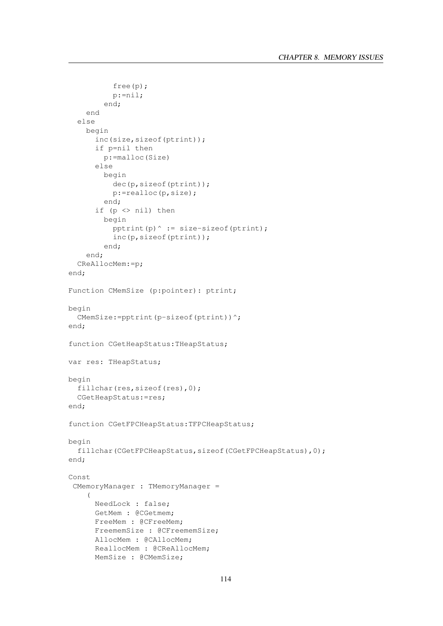```
free(p);
          p:=nil;
        end;
    end
  else
    begin
      inc(size,sizeof(ptrint));
      if p=nil then
        p:=malloc(Size)
      else
        begin
          dec(p,sizeof(ptrint));
          p:=realloc(p,size);
        end;
      if (p <> nil) then
        begin
          pptrint(p)^ := size-sizeof(ptrint);
          inc(p,sizeof(ptrint));
        end;
    end;
  CReAllocMem:=p;
end;
Function CMemSize (p:pointer): ptrint;
begin
  CMemSize:=pptrint(p-sizeof(ptrint))^;
end;
function CGetHeapStatus:THeapStatus;
var res: THeapStatus;
begin
  fillchar(res, sizeof(res), 0);
  CGetHeapStatus:=res;
end;
function CGetFPCHeapStatus:TFPCHeapStatus;
begin
  fillchar(CGetFPCHeapStatus,sizeof(CGetFPCHeapStatus),0);
end;
Const
 CMemoryManager : TMemoryManager =
    (
      NeedLock : false;
      GetMem : @CGetmem;
      FreeMem : @CFreeMem;
      FreememSize : @CFreememSize;
      AllocMem : @CAllocMem;
      ReallocMem : @CReAllocMem;
      MemSize : @CMemSize;
```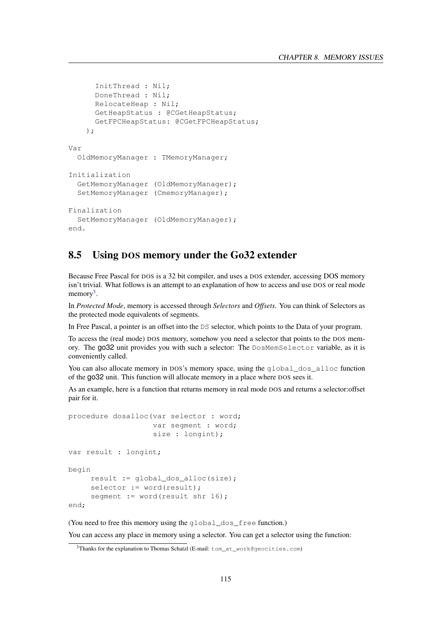```
InitThread : Nil;
      DoneThread : Nil;
      RelocateHeap : Nil;
      GetHeapStatus : @CGetHeapStatus;
      GetFPCHeapStatus: @CGetFPCHeapStatus;
    );
Var
 OldMemoryManager : TMemoryManager;
Initialization
 GetMemoryManager (OldMemoryManager);
 SetMemoryManager (CmemoryManager);
Finalization
 SetMemoryManager (OldMemoryManager);
end.
```
## 8.5 Using DOS memory under the Go32 extender

Because Free Pascal for DOS is a 32 bit compiler, and uses a DOS extender, accessing DOS memory isn't trivial. What follows is an attempt to an explanation of how to access and use DOS or real mode memory<sup>[3](#page-115-0)</sup>.

In *Protected Mode*, memory is accessed through *Selectors* and *Offsets*. You can think of Selectors as the protected mode equivalents of segments.

In Free Pascal, a pointer is an offset into the DS selector, which points to the Data of your program.

To access the (real mode) DOS memory, somehow you need a selector that points to the DOS memory. The go32 unit provides you with such a selector: The DosMemSelector variable, as it is conveniently called.

You can also allocate memory in DOS's memory space, using the global dos alloc function of the go32 unit. This function will allocate memory in a place where DOS sees it.

As an example, here is a function that returns memory in real mode DOS and returns a selector:offset pair for it.

```
procedure dosalloc(var selector : word;
                   var segment : word;
                   size : longint);
var result : longint;
begin
     result := qlobal dos alloc(size);
     selector := word(result);
     segment := word(result shr 16);
end;
```
(You need to free this memory using the global\_dos\_free function.)

You can access any place in memory using a selector. You can get a selector using the function:

<span id="page-115-0"></span><sup>&</sup>lt;sup>3</sup>Thanks for the explanation to Thomas Schatzl (E-mail: tom\_at\_work@geocities.com)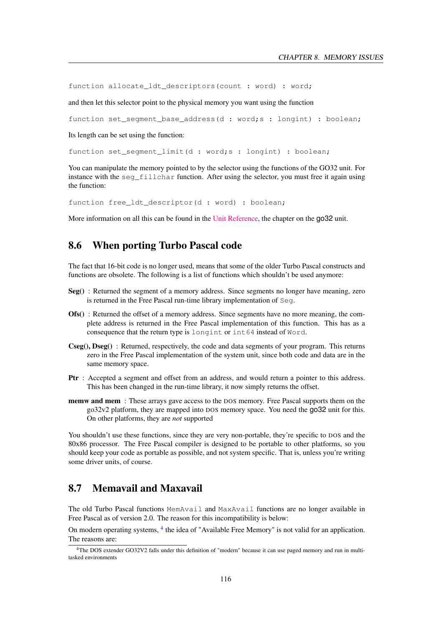function allocate\_ldt\_descriptors(count : word) : word;

and then let this selector point to the physical memory you want using the function

function set segment base address(d : word;s : longint) : boolean;

Its length can be set using the function:

function set\_segment\_limit(d : word;s : longint) : boolean;

You can manipulate the memory pointed to by the selector using the functions of the GO32 unit. For instance with the seq fillchar function. After using the selector, you must free it again using the function:

function free ldt descriptor(d : word) : boolean;

More information on all this can be found in the [Unit Reference,](../rtl/index.html) the chapter on the  $qo32$  unit.

### 8.6 When porting Turbo Pascal code

The fact that 16-bit code is no longer used, means that some of the older Turbo Pascal constructs and functions are obsolete. The following is a list of functions which shouldn't be used anymore:

- Seg() : Returned the segment of a memory address. Since segments no longer have meaning, zero is returned in the Free Pascal run-time library implementation of Seg.
- Ofs() : Returned the offset of a memory address. Since segments have no more meaning, the complete address is returned in the Free Pascal implementation of this function. This has as a consequence that the return type is longint or int64 instead of Word.
- Cseg(), Dseg() : Returned, respectively, the code and data segments of your program. This returns zero in the Free Pascal implementation of the system unit, since both code and data are in the same memory space.
- Ptr : Accepted a segment and offset from an address, and would return a pointer to this address. This has been changed in the run-time library, it now simply returns the offset.
- memw and mem : These arrays gave access to the DOS memory. Free Pascal supports them on the go32v2 platform, they are mapped into DOS memory space. You need the go32 unit for this. On other platforms, they are *not* supported

You shouldn't use these functions, since they are very non-portable, they're specific to DOS and the 80x86 processor. The Free Pascal compiler is designed to be portable to other platforms, so you should keep your code as portable as possible, and not system specific. That is, unless you're writing some driver units, of course.

## 8.7 Memavail and Maxavail

The old Turbo Pascal functions MemAvail and MaxAvail functions are no longer available in Free Pascal as of version 2.0. The reason for this incompatibility is below:

On modern operating systems, <sup>[4](#page-116-0)</sup> the idea of "Available Free Memory" is not valid for an application. The reasons are:

<span id="page-116-0"></span><sup>4</sup>The DOS extender GO32V2 falls under this definition of "modern" because it can use paged memory and run in multitasked environments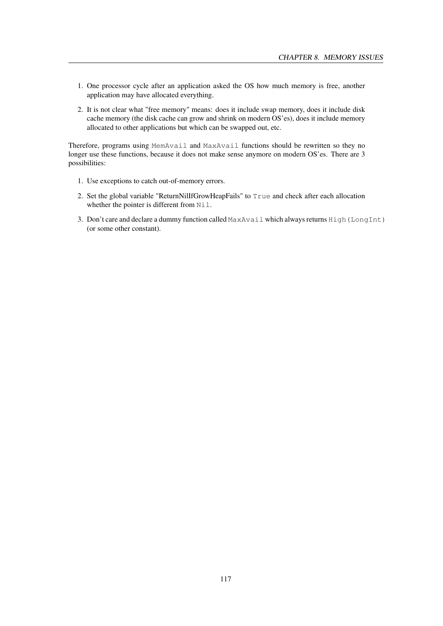- 1. One processor cycle after an application asked the OS how much memory is free, another application may have allocated everything.
- 2. It is not clear what "free memory" means: does it include swap memory, does it include disk cache memory (the disk cache can grow and shrink on modern OS'es), does it include memory allocated to other applications but which can be swapped out, etc.

Therefore, programs using MemAvail and MaxAvail functions should be rewritten so they no longer use these functions, because it does not make sense anymore on modern OS'es. There are 3 possibilities:

- 1. Use exceptions to catch out-of-memory errors.
- 2. Set the global variable "ReturnNilIfGrowHeapFails" to True and check after each allocation whether the pointer is different from Nil.
- 3. Don't care and declare a dummy function called MaxAvail which always returns High(LongInt) (or some other constant).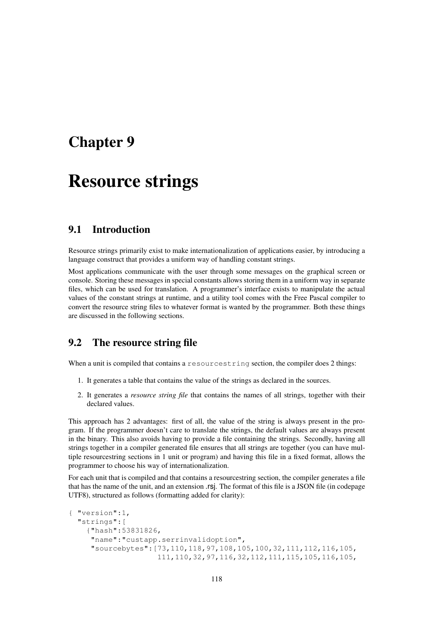## Chapter 9

# Resource strings

## 9.1 Introduction

Resource strings primarily exist to make internationalization of applications easier, by introducing a language construct that provides a uniform way of handling constant strings.

Most applications communicate with the user through some messages on the graphical screen or console. Storing these messages in special constants allows storing them in a uniform way in separate files, which can be used for translation. A programmer's interface exists to manipulate the actual values of the constant strings at runtime, and a utility tool comes with the Free Pascal compiler to convert the resource string files to whatever format is wanted by the programmer. Both these things are discussed in the following sections.

## 9.2 The resource string file

When a unit is compiled that contains a resourcestring section, the compiler does 2 things:

- 1. It generates a table that contains the value of the strings as declared in the sources.
- 2. It generates a *resource string file* that contains the names of all strings, together with their declared values.

This approach has 2 advantages: first of all, the value of the string is always present in the program. If the programmer doesn't care to translate the strings, the default values are always present in the binary. This also avoids having to provide a file containing the strings. Secondly, having all strings together in a compiler generated file ensures that all strings are together (you can have multiple resourcestring sections in 1 unit or program) and having this file in a fixed format, allows the programmer to choose his way of internationalization.

For each unit that is compiled and that contains a resourcestring section, the compiler generates a file that has the name of the unit, and an extension .rsj. The format of this file is a JSON file (in codepage UTF8), structured as follows (formatting added for clarity):

```
{ "version":1,
 "strings":[
    {"hash":53831826,
    "name":"custapp.serrinvalidoption",
    "sourcebytes":[73,110,118,97,108,105,100,32,111,112,116,105,
                    111,110,32,97,116,32,112,111,115,105,116,105,
```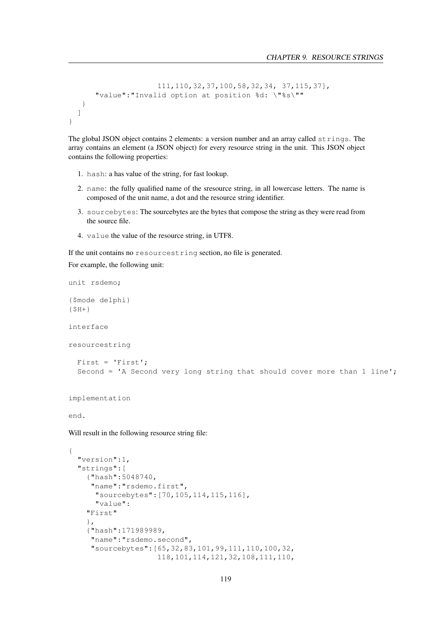```
111,110,32,37,100,58,32,34, 37,115,37],
      "value":"Invalid option at position %d: \"%s\""
   }
 ]
}
```
The global JSON object contains 2 elements: a version number and an array called strings. The array contains an element (a JSON object) for every resource string in the unit. This JSON object contains the following properties:

- 1. hash: a has value of the string, for fast lookup.
- 2. name: the fully qualified name of the sresource string, in all lowercase letters. The name is composed of the unit name, a dot and the resource string identifier.
- 3. sourcebytes: The sourcebytes are the bytes that compose the string as they were read from the source file.
- 4. value the value of the resource string, in UTF8.

If the unit contains no resourcestring section, no file is generated.

For example, the following unit:

unit rsdemo;

```
{$mode delphi}
{5H+}interface
resourcestring
  First = 'First';
  Second = 'A Second very long string that should cover more than 1 line';
implementation
end.
Will result in the following resource string file:
{
  "version":1,
  "strings":[
    {"hash":5048740,
     "name":"rsdemo.first",
      "sourcebytes":[70,105,114,115,116],
      "value":
    "First"
    },
    {"hash":171989989,
     "name":"rsdemo.second",
     "sourcebytes":[65,32,83,101,99,111,110,100,32,
                     118,101,114,121,32,108,111,110,
```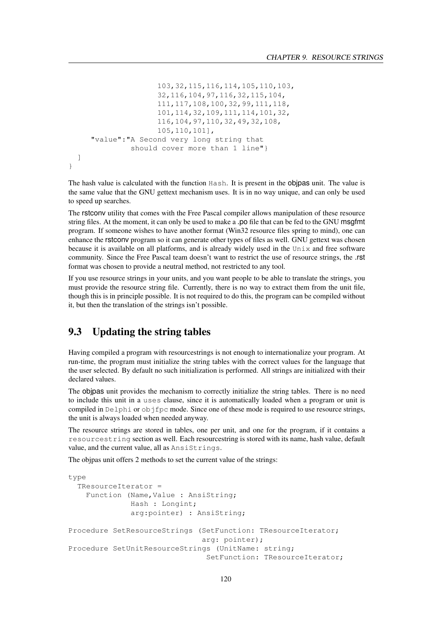```
103,32,115,116,114,105,110,103,
                  32,116,104,97,116,32,115,104,
                  111,117,108,100,32,99,111,118,
                  101,114,32,109,111,114,101,32,
                  116,104,97,110,32,49,32,108,
                  105,110,101],
   "value":"A Second very long string that
            should cover more than 1 line"}
]
```
The hash value is calculated with the function Hash. It is present in the objpas unit. The value is the same value that the GNU gettext mechanism uses. It is in no way unique, and can only be used to speed up searches.

The rstconv utility that comes with the Free Pascal compiler allows manipulation of these resource string files. At the moment, it can only be used to make a .po file that can be fed to the GNU msgfmt program. If someone wishes to have another format (Win32 resource files spring to mind), one can enhance the rstconv program so it can generate other types of files as well. GNU gettext was chosen because it is available on all platforms, and is already widely used in the Unix and free software community. Since the Free Pascal team doesn't want to restrict the use of resource strings, the .rst format was chosen to provide a neutral method, not restricted to any tool.

If you use resource strings in your units, and you want people to be able to translate the strings, you must provide the resource string file. Currently, there is no way to extract them from the unit file, though this is in principle possible. It is not required to do this, the program can be compiled without it, but then the translation of the strings isn't possible.

## 9.3 Updating the string tables

}

Having compiled a program with resourcestrings is not enough to internationalize your program. At run-time, the program must initialize the string tables with the correct values for the language that the user selected. By default no such initialization is performed. All strings are initialized with their declared values.

The objpas unit provides the mechanism to correctly initialize the string tables. There is no need to include this unit in a uses clause, since it is automatically loaded when a program or unit is compiled in Delphi or objfpc mode. Since one of these mode is required to use resource strings, the unit is always loaded when needed anyway.

The resource strings are stored in tables, one per unit, and one for the program, if it contains a resourcestring section as well. Each resourcestring is stored with its name, hash value, default value, and the current value, all as AnsiStrings.

The objpas unit offers 2 methods to set the current value of the strings:

```
type
 TResourceIterator =
    Function (Name, Value : AnsiString;
              Hash : Longint;
              arg: pointer) : AnsiString;
Procedure SetResourceStrings (SetFunction: TResourceIterator;
                               arg: pointer);
Procedure SetUnitResourceStrings (UnitName: string;
                               SetFunction: TResourceIterator;
```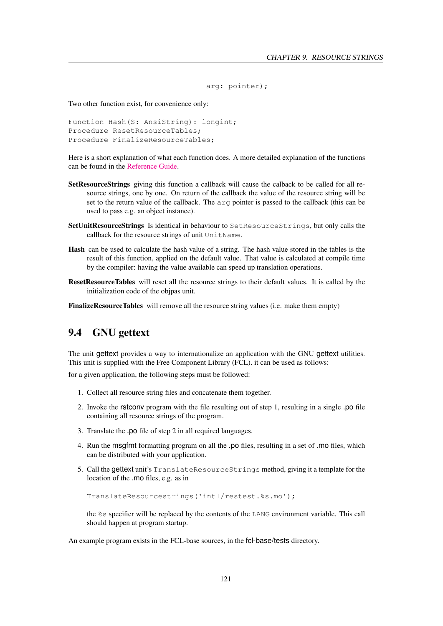```
arg: pointer);
```
Two other function exist, for convenience only:

```
Function Hash(S: AnsiString): longint;
Procedure ResetResourceTables;
Procedure FinalizeResourceTables;
```
Here is a short explanation of what each function does. A more detailed explanation of the functions can be found in the [Reference Guide.](../ref/ref.html)

- SetResourceStrings giving this function a callback will cause the calback to be called for all resource strings, one by one. On return of the callback the value of the resource string will be set to the return value of the callback. The arg pointer is passed to the callback (this can be used to pass e.g. an object instance).
- SetUnitResourceStrings Is identical in behaviour to SetResourceStrings, but only calls the callback for the resource strings of unit UnitName.
- Hash can be used to calculate the hash value of a string. The hash value stored in the tables is the result of this function, applied on the default value. That value is calculated at compile time by the compiler: having the value available can speed up translation operations.
- ResetResourceTables will reset all the resource strings to their default values. It is called by the initialization code of the objpas unit.

FinalizeResourceTables will remove all the resource string values (i.e. make them empty)

## 9.4 GNU gettext

The unit gettext provides a way to internationalize an application with the GNU gettext utilities. This unit is supplied with the Free Component Library (FCL). it can be used as follows:

for a given application, the following steps must be followed:

- 1. Collect all resource string files and concatenate them together.
- 2. Invoke the rstconv program with the file resulting out of step 1, resulting in a single .po file containing all resource strings of the program.
- 3. Translate the .po file of step 2 in all required languages.
- 4. Run the msgfmt formatting program on all the .po files, resulting in a set of .mo files, which can be distributed with your application.
- 5. Call the gettext unit's TranslateResourceStrings method, giving it a template for the location of the .mo files, e.g. as in

```
TranslateResourcestrings('intl/restest.%s.mo');
```
the %s specifier will be replaced by the contents of the LANG environment variable. This call should happen at program startup.

An example program exists in the FCL-base sources, in the fcl-base/tests directory.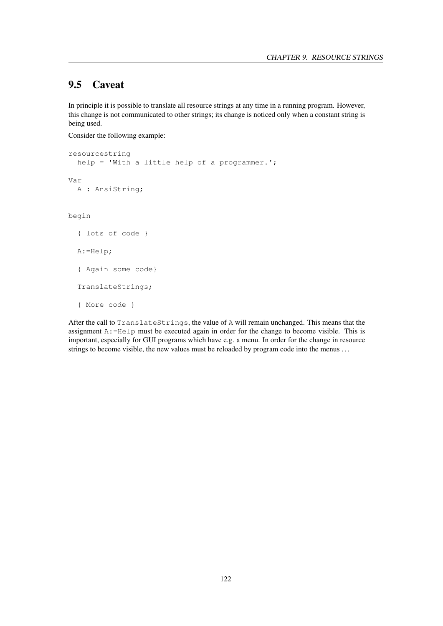## 9.5 Caveat

In principle it is possible to translate all resource strings at any time in a running program. However, this change is not communicated to other strings; its change is noticed only when a constant string is being used.

Consider the following example:

```
resourcestring
  help = 'With a little help of a programmer.';
Var
  A : AnsiString;
begin
  { lots of code }
  A:=Help;
  { Again some code}
  TranslateStrings;
  { More code }
```
After the call to TranslateStrings, the value of A will remain unchanged. This means that the assignment  $A:=He1p$  must be executed again in order for the change to become visible. This is important, especially for GUI programs which have e.g. a menu. In order for the change in resource strings to become visible, the new values must be reloaded by program code into the menus . . .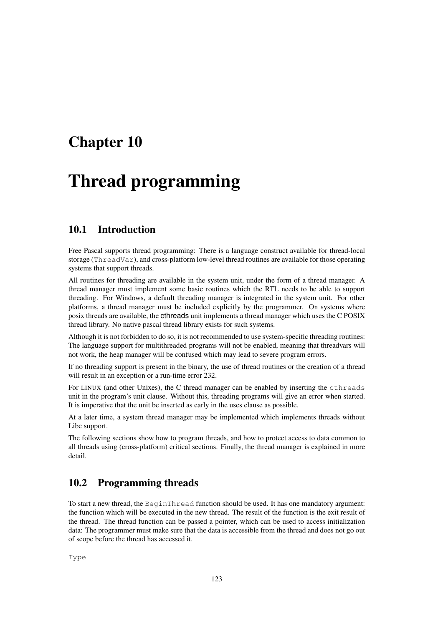## Chapter 10

# Thread programming

## 10.1 Introduction

Free Pascal supports thread programming: There is a language construct available for thread-local storage (ThreadVar), and cross-platform low-level thread routines are available for those operating systems that support threads.

All routines for threading are available in the system unit, under the form of a thread manager. A thread manager must implement some basic routines which the RTL needs to be able to support threading. For Windows, a default threading manager is integrated in the system unit. For other platforms, a thread manager must be included explicitly by the programmer. On systems where posix threads are available, the cthreads unit implements a thread manager which uses the C POSIX thread library. No native pascal thread library exists for such systems.

Although it is not forbidden to do so, it is not recommended to use system-specific threading routines: The language support for multithreaded programs will not be enabled, meaning that threadvars will not work, the heap manager will be confused which may lead to severe program errors.

If no threading support is present in the binary, the use of thread routines or the creation of a thread will result in an exception or a run-time error 232.

For LINUX (and other Unixes), the C thread manager can be enabled by inserting the cthreads unit in the program's unit clause. Without this, threading programs will give an error when started. It is imperative that the unit be inserted as early in the uses clause as possible.

At a later time, a system thread manager may be implemented which implements threads without Libc support.

The following sections show how to program threads, and how to protect access to data common to all threads using (cross-platform) critical sections. Finally, the thread manager is explained in more detail.

## 10.2 Programming threads

To start a new thread, the BeginThread function should be used. It has one mandatory argument: the function which will be executed in the new thread. The result of the function is the exit result of the thread. The thread function can be passed a pointer, which can be used to access initialization data: The programmer must make sure that the data is accessible from the thread and does not go out of scope before the thread has accessed it.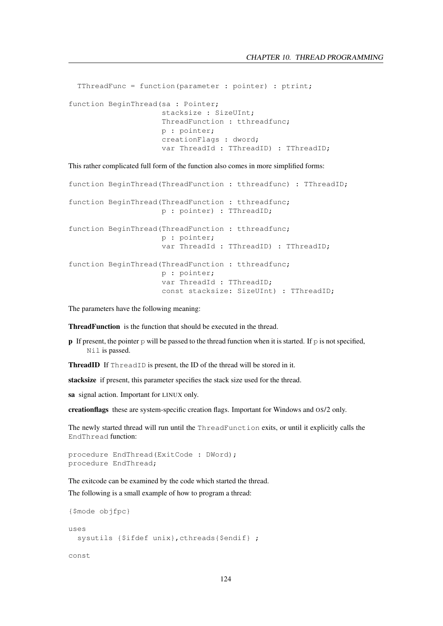```
TThreadFunc = function(parameter : pointer) : ptrint;
function BeginThread(sa : Pointer;
                     stacksize : SizeUInt;
                     ThreadFunction : tthreadfunc;
                     p : pointer;
                     creationFlags : dword;
                     var ThreadId : TThreadID) : TThreadID;
```
This rather complicated full form of the function also comes in more simplified forms:

```
function BeginThread(ThreadFunction : tthreadfunc) : TThreadID;
function BeginThread(ThreadFunction : tthreadfunc;
                     p : pointer) : TThreadID;
function BeginThread(ThreadFunction : tthreadfunc;
                     p : pointer;
                     var ThreadId : TThreadID) : TThreadID;
function BeginThread(ThreadFunction : tthreadfunc;
                     p : pointer;
                     var ThreadId : TThreadID;
                     const stacksize: SizeUInt) : TThreadID;
```
The parameters have the following meaning:

ThreadFunction is the function that should be executed in the thread.

**p** If present, the pointer p will be passed to the thread function when it is started. If p is not specified, Nil is passed.

ThreadID If ThreadID is present, the ID of the thread will be stored in it.

stacksize if present, this parameter specifies the stack size used for the thread.

sa signal action. Important for LINUX only.

creationflags these are system-specific creation flags. Important for Windows and OS/2 only.

The newly started thread will run until the ThreadFunction exits, or until it explicitly calls the EndThread function:

```
procedure EndThread(ExitCode : DWord);
procedure EndThread;
```
The exitcode can be examined by the code which started the thread. The following is a small example of how to program a thread:

```
{$mode objfpc}
uses
 sysutils {$ifdef unix}, cthreads{$endif} ;
```
const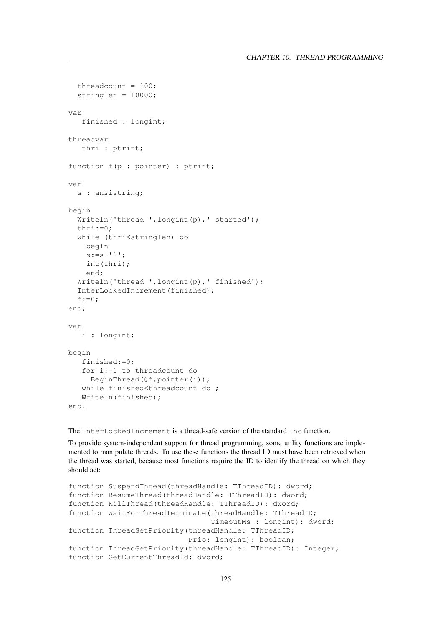```
threadcount = 100;
  stringlen = 10000;
var
   finished : longint;
threadvar
   thri : ptrint;
function f(p : pointer) : ptrint;
var
 s : ansistring;
begin
 Writeln('thread ',longint(p),' started');
 thri:=0;
  while (thri<stringlen) do
    begin
    s:=s+'1;
    inc(thri);
    end;
  Writeln('thread ', longint(p),' finished');
  InterLockedIncrement(finished);
  f:=0;end;
var
   i : longint;
begin
   finished:=0;
   for i:=1 to threadcount do
     BeginThread(@f,pointer(i));
   while finished<threadcount do ;
   Writeln(finished);
end.
```
The InterLockedIncrement is a thread-safe version of the standard Inc function.

To provide system-independent support for thread programming, some utility functions are implemented to manipulate threads. To use these functions the thread ID must have been retrieved when the thread was started, because most functions require the ID to identify the thread on which they should act:

```
function SuspendThread(threadHandle: TThreadID): dword;
function ResumeThread(threadHandle: TThreadID): dword;
function KillThread(threadHandle: TThreadID): dword;
function WaitForThreadTerminate(threadHandle: TThreadID;
                                TimeoutMs : longint): dword;
function ThreadSetPriority(threadHandle: TThreadID;
                           Prio: longint): boolean;
function ThreadGetPriority(threadHandle: TThreadID): Integer;
function GetCurrentThreadId: dword;
```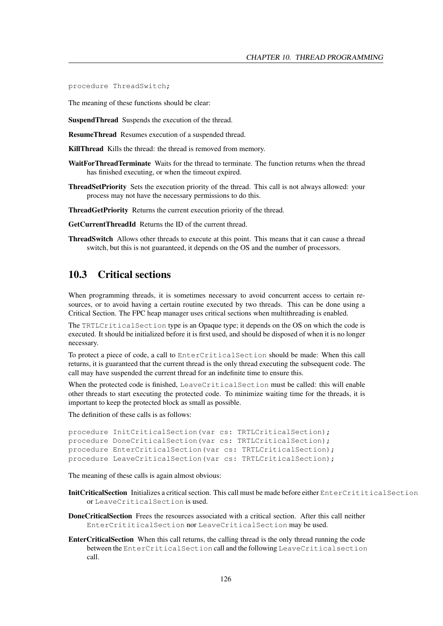procedure ThreadSwitch;

The meaning of these functions should be clear:

SuspendThread Suspends the execution of the thread.

ResumeThread Resumes execution of a suspended thread.

KillThread Kills the thread: the thread is removed from memory.

- WaitForThreadTerminate Waits for the thread to terminate. The function returns when the thread has finished executing, or when the timeout expired.
- ThreadSetPriority Sets the execution priority of the thread. This call is not always allowed: your process may not have the necessary permissions to do this.

ThreadGetPriority Returns the current execution priority of the thread.

GetCurrentThreadId Returns the ID of the current thread.

ThreadSwitch Allows other threads to execute at this point. This means that it can cause a thread switch, but this is not guaranteed, it depends on the OS and the number of processors.

## 10.3 Critical sections

When programming threads, it is sometimes necessary to avoid concurrent access to certain resources, or to avoid having a certain routine executed by two threads. This can be done using a Critical Section. The FPC heap manager uses critical sections when multithreading is enabled.

The TRTLCriticalSection type is an Opaque type; it depends on the OS on which the code is executed. It should be initialized before it is first used, and should be disposed of when it is no longer necessary.

To protect a piece of code, a call to EnterCriticalSection should be made: When this call returns, it is guaranteed that the current thread is the only thread executing the subsequent code. The call may have suspended the current thread for an indefinite time to ensure this.

When the protected code is finished, LeaveCriticalSection must be called: this will enable other threads to start executing the protected code. To minimize waiting time for the threads, it is important to keep the protected block as small as possible.

The definition of these calls is as follows:

```
procedure InitCriticalSection(var cs: TRTLCriticalSection);
procedure DoneCriticalSection(var cs: TRTLCriticalSection);
procedure EnterCriticalSection(var cs: TRTLCriticalSection);
procedure LeaveCriticalSection(var cs: TRTLCriticalSection);
```
The meaning of these calls is again almost obvious:

- InitCriticalSection Initializes a critical section. This call must be made before either EnterCrititicalSection or LeaveCriticalSection is used.
- DoneCriticalSection Frees the resources associated with a critical section. After this call neither EnterCrititicalSection nor LeaveCriticalSection may be used.
- EnterCriticalSection When this call returns, the calling thread is the only thread running the code between the EnterCriticalSection call and the following LeaveCriticalsection call.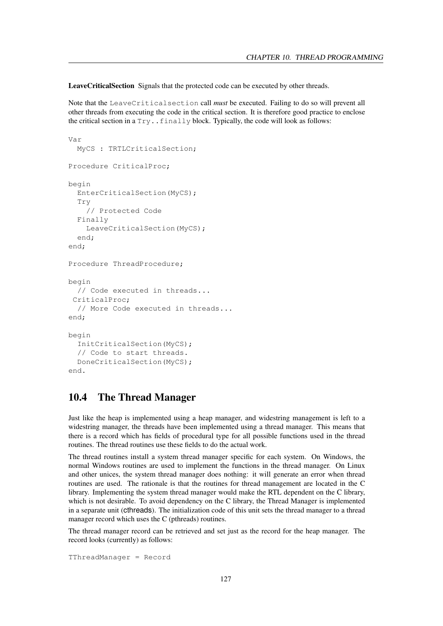LeaveCriticalSection Signals that the protected code can be executed by other threads.

Note that the LeaveCriticalsection call *must* be executed. Failing to do so will prevent all other threads from executing the code in the critical section. It is therefore good practice to enclose the critical section in a  $Try$ .  $finally$  block. Typically, the code will look as follows:

```
Var
  MyCS : TRTLCriticalSection;
Procedure CriticalProc;
begin
  EnterCriticalSection(MyCS);
  Try
    // Protected Code
  Finally
    LeaveCriticalSection(MyCS);
  end;
end;
Procedure ThreadProcedure;
begin
  // Code executed in threads...
 CriticalProc;
  // More Code executed in threads...
end;
begin
  InitCriticalSection(MyCS);
  // Code to start threads.
  DoneCriticalSection(MyCS);
end.
```
## 10.4 The Thread Manager

Just like the heap is implemented using a heap manager, and widestring management is left to a widestring manager, the threads have been implemented using a thread manager. This means that there is a record which has fields of procedural type for all possible functions used in the thread routines. The thread routines use these fields to do the actual work.

The thread routines install a system thread manager specific for each system. On Windows, the normal Windows routines are used to implement the functions in the thread manager. On Linux and other unices, the system thread manager does nothing: it will generate an error when thread routines are used. The rationale is that the routines for thread management are located in the C library. Implementing the system thread manager would make the RTL dependent on the C library, which is not desirable. To avoid dependency on the C library, the Thread Manager is implemented in a separate unit (cthreads). The initialization code of this unit sets the thread manager to a thread manager record which uses the C (pthreads) routines.

The thread manager record can be retrieved and set just as the record for the heap manager. The record looks (currently) as follows:

TThreadManager = Record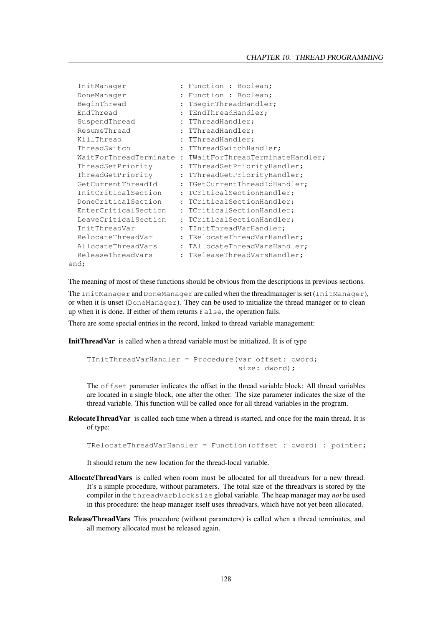| InitManager            |                      | : Function : Boolean;             |  |
|------------------------|----------------------|-----------------------------------|--|
| DoneManager            |                      | Function : Boolean;               |  |
| BeginThread            | $\ddot{\phantom{a}}$ | TBeginThreadHandler;              |  |
| EndThread              |                      | : TEndThreadHandler;              |  |
| SuspendThread          |                      | : TThreadHandler;                 |  |
| ResumeThread           |                      | : TThreadHandler;                 |  |
| KillThread             |                      | : TThreadHandler;                 |  |
| ThreadSwitch           |                      | : TThreadSwitchHandler;           |  |
| WaitForThreadTerminate |                      | : TWaitForThreadTerminateHandler; |  |
| ThreadSetPriority      | $\ddot{\phantom{a}}$ | TThreadSetPriorityHandler;        |  |
| ThreadGetPriority      |                      | : TThreadGetPriorityHandler;      |  |
| GetCurrentThreadId     |                      | : TGetCurrentThreadIdHandler;     |  |
| InitCriticalSection    |                      | : TCriticalSectionHandler;        |  |
| DoneCriticalSection    |                      | : TCriticalSectionHandler;        |  |
| EnterCriticalSection   |                      | : TCriticalSectionHandler;        |  |
| LeaveCriticalSection   |                      | : TCriticalSectionHandler;        |  |
| InitThreadVar          | $\ddot{\cdot}$       | TInitThreadVarHandler;            |  |
| RelocateThreadVar      |                      | : TRelocateThreadVarHandler;      |  |
| AllocateThreadVars     |                      | : TAllocateThreadVarsHandler;     |  |
| ReleaseThreadVars      |                      | : TReleaseThreadVarsHandler;      |  |
| end;                   |                      |                                   |  |

The meaning of most of these functions should be obvious from the descriptions in previous sections.

The InitManager and DoneManager are called when the threadmanager is set (InitManager), or when it is unset (DoneManager). They can be used to initialize the thread manager or to clean up when it is done. If either of them returns False, the operation fails.

There are some special entries in the record, linked to thread variable management:

InitThreadVar is called when a thread variable must be initialized. It is of type

TInitThreadVarHandler = Procedure(var offset: dword; size: dword);

The offset parameter indicates the offset in the thread variable block: All thread variables are located in a single block, one after the other. The size parameter indicates the size of the thread variable. This function will be called once for all thread variables in the program.

RelocateThreadVar is called each time when a thread is started, and once for the main thread. It is of type:

TRelocateThreadVarHandler = Function(offset : dword) : pointer;

It should return the new location for the thread-local variable.

- AllocateThreadVars is called when room must be allocated for all threadvars for a new thread. It's a simple procedure, without parameters. The total size of the threadvars is stored by the compiler in the threadvarblocksize global variable. The heap manager may *not* be used in this procedure: the heap manager itself uses threadvars, which have not yet been allocated.
- ReleaseThreadVars This procedure (without parameters) is called when a thread terminates, and all memory allocated must be released again.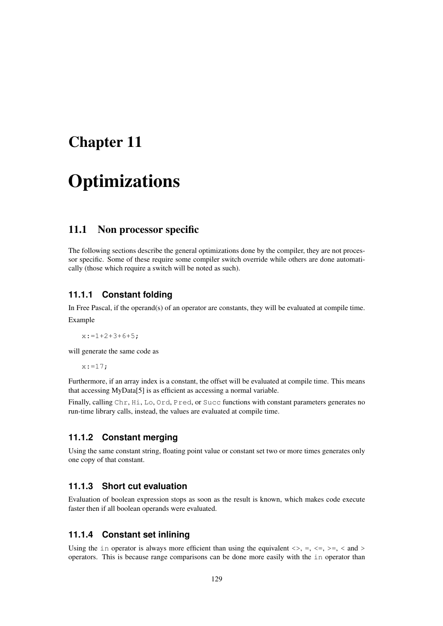## Chapter 11

# **Optimizations**

## 11.1 Non processor specific

The following sections describe the general optimizations done by the compiler, they are not processor specific. Some of these require some compiler switch override while others are done automatically (those which require a switch will be noted as such).

#### **11.1.1 Constant folding**

In Free Pascal, if the operand(s) of an operator are constants, they will be evaluated at compile time. Example

 $x:=1+2+3+6+5;$ 

will generate the same code as

 $x := 17;$ 

Furthermore, if an array index is a constant, the offset will be evaluated at compile time. This means that accessing MyData[5] is as efficient as accessing a normal variable.

Finally, calling Chr, Hi, Lo, Ord, Pred, or Succ functions with constant parameters generates no run-time library calls, instead, the values are evaluated at compile time.

#### **11.1.2 Constant merging**

Using the same constant string, floating point value or constant set two or more times generates only one copy of that constant.

#### **11.1.3 Short cut evaluation**

Evaluation of boolean expression stops as soon as the result is known, which makes code execute faster then if all boolean operands were evaluated.

#### **11.1.4 Constant set inlining**

Using the in operator is always more efficient than using the equivalent  $\langle \rangle$ , =,  $\langle \rangle$  =,  $\langle \rangle$  and  $\rangle$ operators. This is because range comparisons can be done more easily with the in operator than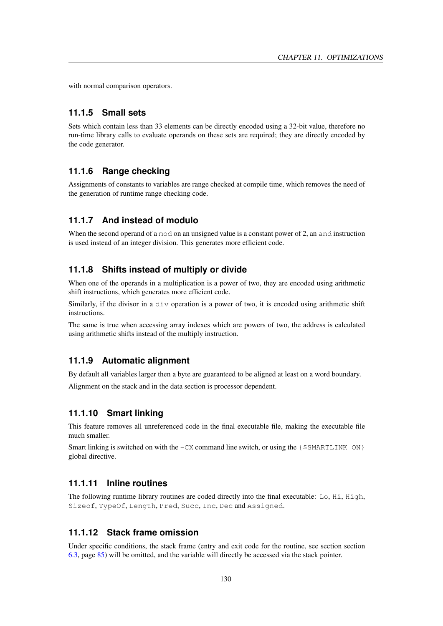with normal comparison operators.

#### **11.1.5 Small sets**

Sets which contain less than 33 elements can be directly encoded using a 32-bit value, therefore no run-time library calls to evaluate operands on these sets are required; they are directly encoded by the code generator.

#### **11.1.6 Range checking**

Assignments of constants to variables are range checked at compile time, which removes the need of the generation of runtime range checking code.

#### **11.1.7 And instead of modulo**

When the second operand of a mod on an unsigned value is a constant power of 2, an and instruction is used instead of an integer division. This generates more efficient code.

#### **11.1.8 Shifts instead of multiply or divide**

When one of the operands in a multiplication is a power of two, they are encoded using arithmetic shift instructions, which generates more efficient code.

Similarly, if the divisor in a div operation is a power of two, it is encoded using arithmetic shift instructions.

The same is true when accessing array indexes which are powers of two, the address is calculated using arithmetic shifts instead of the multiply instruction.

#### **11.1.9 Automatic alignment**

By default all variables larger then a byte are guaranteed to be aligned at least on a word boundary.

Alignment on the stack and in the data section is processor dependent.

#### **11.1.10 Smart linking**

This feature removes all unreferenced code in the final executable file, making the executable file much smaller.

Smart linking is switched on with the  $-CX$  command line switch, or using the  $\{\$SMARK ON\}$ global directive.

#### **11.1.11 Inline routines**

The following runtime library routines are coded directly into the final executable: Lo, Hi, High, Sizeof, TypeOf, Length, Pred, Succ, Inc, Dec and Assigned.

#### **11.1.12 Stack frame omission**

Under specific conditions, the stack frame (entry and exit code for the routine, see section section [6.3,](#page-85-0) page [85\)](#page-85-0) will be omitted, and the variable will directly be accessed via the stack pointer.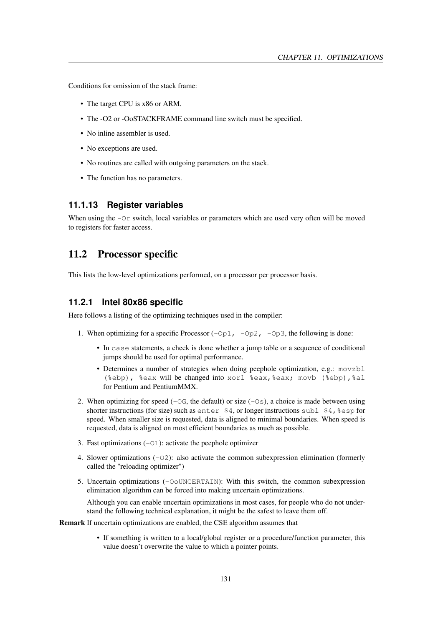Conditions for omission of the stack frame:

- The target CPU is x86 or ARM.
- The -O2 or -OoSTACKFRAME command line switch must be specified.
- No inline assembler is used.
- No exceptions are used.
- No routines are called with outgoing parameters on the stack.
- The function has no parameters.

#### **11.1.13 Register variables**

When using the  $-\text{Or}$  switch, local variables or parameters which are used very often will be moved to registers for faster access.

### 11.2 Processor specific

This lists the low-level optimizations performed, on a processor per processor basis.

#### **11.2.1 Intel 80x86 specific**

Here follows a listing of the optimizing techniques used in the compiler:

- 1. When optimizing for a specific Processor  $(-Op1, -Op2, -Op3$ , the following is done:
	- In case statements, a check is done whether a jump table or a sequence of conditional jumps should be used for optimal performance.
	- Determines a number of strategies when doing peephole optimization, e.g.: movzbl (%ebp), %eax will be changed into xorl %eax, %eax; movb (%ebp), %al for Pentium and PentiumMMX.
- 2. When optimizing for speed  $(-\circ c)$ , the default) or size  $(-\circ s)$ , a choice is made between using shorter instructions (for size) such as enter  $$4$ , or longer instructions subl  $$4$ ,  $$esp$  for speed. When smaller size is requested, data is aligned to minimal boundaries. When speed is requested, data is aligned on most efficient boundaries as much as possible.
- 3. Fast optimizations  $(-01)$ : activate the peephole optimizer
- 4. Slower optimizations  $(-02)$ : also activate the common subexpression elimination (formerly called the "reloading optimizer")
- 5. Uncertain optimizations (-OoUNCERTAIN): With this switch, the common subexpression elimination algorithm can be forced into making uncertain optimizations.

Although you can enable uncertain optimizations in most cases, for people who do not understand the following technical explanation, it might be the safest to leave them off.

Remark If uncertain optimizations are enabled, the CSE algorithm assumes that

• If something is written to a local/global register or a procedure/function parameter, this value doesn't overwrite the value to which a pointer points.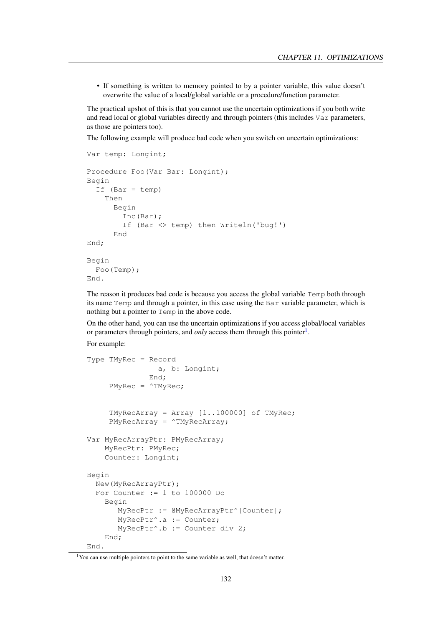• If something is written to memory pointed to by a pointer variable, this value doesn't overwrite the value of a local/global variable or a procedure/function parameter.

The practical upshot of this is that you cannot use the uncertain optimizations if you both write and read local or global variables directly and through pointers (this includes Var parameters, as those are pointers too).

The following example will produce bad code when you switch on uncertain optimizations:

```
Var temp: Longint;
Procedure Foo(Var Bar: Longint);
Begin
  If (Bar = temp)
    Then
      Begin
        Inc(Bar);
        If (Bar <> temp) then Writeln('bug!')
      End
End;
Begin
  Foo(Temp);
End.
```
The reason it produces bad code is because you access the global variable Temp both through its name Temp and through a pointer, in this case using the Bar variable parameter, which is nothing but a pointer to Temp in the above code.

On the other hand, you can use the uncertain optimizations if you access global/local variables or parameters through pointers, and *only* access them through this pointer<sup>[1](#page-132-0)</sup>.

For example:

```
Type TMyRec = Record
                a, b: Longint;
              End;
     PMyRec = \wedge TMyRecTMyRecArray = Array [1..100000] of TMyRec;
     PMyRecArray = ^TMyRecArray;
Var MyRecArrayPtr: PMyRecArray;
    MyRecPtr: PMyRec;
    Counter: Longint;
Begin
 New(MyRecArrayPtr);
  For Counter := 1 to 100000 Do
    Begin
       MyRecPtr := @MyRecArrayPtr^[Counter];
       MyRecPtr^.a := Counter;
       MyRecPtr^.b := Counter div 2;
    End;
End.
```
<span id="page-132-0"></span><sup>&</sup>lt;sup>1</sup>You can use multiple pointers to point to the same variable as well, that doesn't matter.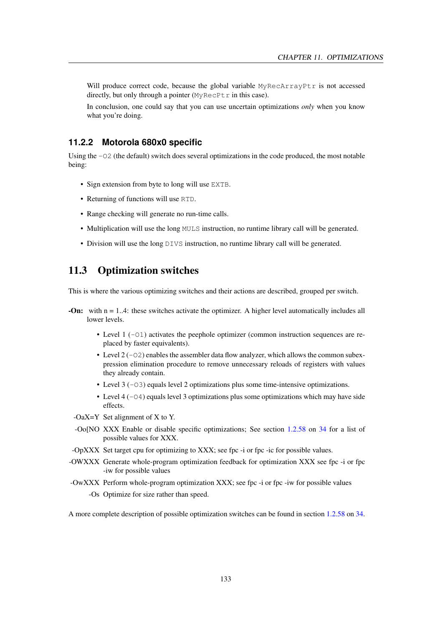Will produce correct code, because the global variable MyRecArrayPtr is not accessed directly, but only through a pointer  $(MyRecPtr in this case)$ .

In conclusion, one could say that you can use uncertain optimizations *only* when you know what you're doing.

#### **11.2.2 Motorola 680x0 specific**

Using the  $-02$  (the default) switch does several optimizations in the code produced, the most notable being:

- Sign extension from byte to long will use EXTB.
- Returning of functions will use RTD.
- Range checking will generate no run-time calls.
- Multiplication will use the long MULS instruction, no runtime library call will be generated.
- Division will use the long DIVS instruction, no runtime library call will be generated.

## 11.3 Optimization switches

This is where the various optimizing switches and their actions are described, grouped per switch.

- -On: with n = 1..4: these switches activate the optimizer. A higher level automatically includes all lower levels.
	- Level  $1 (-01)$  activates the peephole optimizer (common instruction sequences are replaced by faster equivalents).
	- Level  $2(-02)$  enables the assembler data flow analyzer, which allows the common subexpression elimination procedure to remove unnecessary reloads of registers with values they already contain.
	- Level 3 (-03) equals level 2 optimizations plus some time-intensive optimizations.
	- Level 4 ( $-04$ ) equals level 3 optimizations plus some optimizations which may have side effects.
	- -OaX=Y Set alignment of X to Y.
	- -Oo[NO XXX Enable or disable specific optimizations; See section [1.2.58](#page-34-0) on [34](#page-34-0) for a list of possible values for XXX.
- -OpXXX Set target cpu for optimizing to XXX; see fpc -i or fpc -ic for possible values.
- -OWXXX Generate whole-program optimization feedback for optimization XXX see fpc -i or fpc -iw for possible values
- -OwXXX Perform whole-program optimization XXX; see fpc -i or fpc -iw for possible values -Os Optimize for size rather than speed.

A more complete description of possible optimization switches can be found in section [1.2.58](#page-34-0) on [34.](#page-34-0)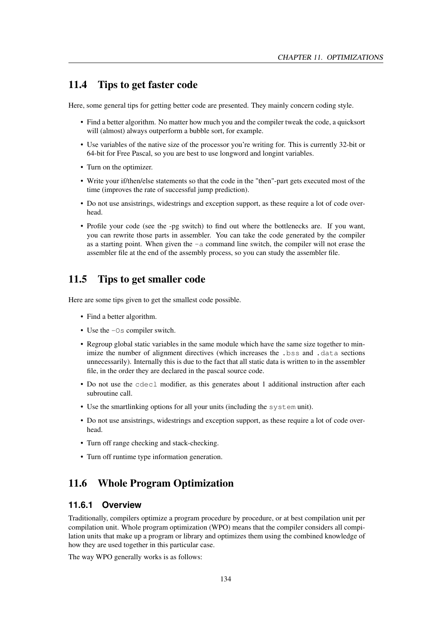## 11.4 Tips to get faster code

Here, some general tips for getting better code are presented. They mainly concern coding style.

- Find a better algorithm. No matter how much you and the compiler tweak the code, a quicksort will (almost) always outperform a bubble sort, for example.
- Use variables of the native size of the processor you're writing for. This is currently 32-bit or 64-bit for Free Pascal, so you are best to use longword and longint variables.
- Turn on the optimizer.
- Write your if/then/else statements so that the code in the "then"-part gets executed most of the time (improves the rate of successful jump prediction).
- Do not use ansistrings, widestrings and exception support, as these require a lot of code overhead.
- Profile your code (see the -pg switch) to find out where the bottlenecks are. If you want, you can rewrite those parts in assembler. You can take the code generated by the compiler as a starting point. When given the  $-a$  command line switch, the compiler will not erase the assembler file at the end of the assembly process, so you can study the assembler file.

## 11.5 Tips to get smaller code

Here are some tips given to get the smallest code possible.

- Find a better algorithm.
- Use the  $-\text{Os}$  compiler switch.
- Regroup global static variables in the same module which have the same size together to minimize the number of alignment directives (which increases the .bss and .data sections unnecessarily). Internally this is due to the fact that all static data is written to in the assembler file, in the order they are declared in the pascal source code.
- Do not use the cdecl modifier, as this generates about 1 additional instruction after each subroutine call.
- Use the smartlinking options for all your units (including the system unit).
- Do not use ansistrings, widestrings and exception support, as these require a lot of code overhead.
- Turn off range checking and stack-checking.
- Turn off runtime type information generation.

## 11.6 Whole Program Optimization

#### **11.6.1 Overview**

Traditionally, compilers optimize a program procedure by procedure, or at best compilation unit per compilation unit. Whole program optimization (WPO) means that the compiler considers all compilation units that make up a program or library and optimizes them using the combined knowledge of how they are used together in this particular case.

The way WPO generally works is as follows: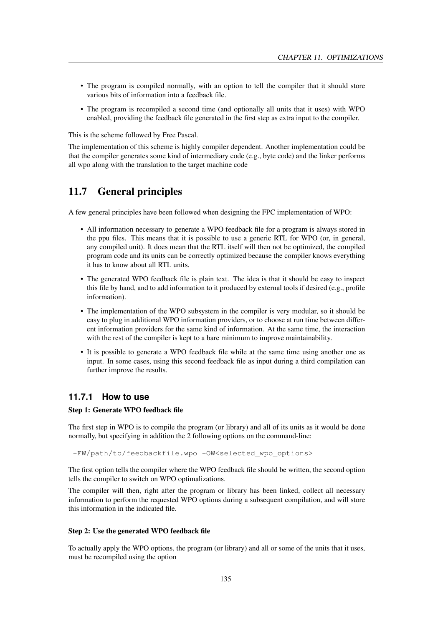- The program is compiled normally, with an option to tell the compiler that it should store various bits of information into a feedback file.
- The program is recompiled a second time (and optionally all units that it uses) with WPO enabled, providing the feedback file generated in the first step as extra input to the compiler.

This is the scheme followed by Free Pascal.

The implementation of this scheme is highly compiler dependent. Another implementation could be that the compiler generates some kind of intermediary code (e.g., byte code) and the linker performs all wpo along with the translation to the target machine code

## 11.7 General principles

A few general principles have been followed when designing the FPC implementation of WPO:

- All information necessary to generate a WPO feedback file for a program is always stored in the ppu files. This means that it is possible to use a generic RTL for WPO (or, in general, any compiled unit). It does mean that the RTL itself will then not be optimized, the compiled program code and its units can be correctly optimized because the compiler knows everything it has to know about all RTL units.
- The generated WPO feedback file is plain text. The idea is that it should be easy to inspect this file by hand, and to add information to it produced by external tools if desired (e.g., profile information).
- The implementation of the WPO subsystem in the compiler is very modular, so it should be easy to plug in additional WPO information providers, or to choose at run time between different information providers for the same kind of information. At the same time, the interaction with the rest of the compiler is kept to a bare minimum to improve maintainability.
- It is possible to generate a WPO feedback file while at the same time using another one as input. In some cases, using this second feedback file as input during a third compilation can further improve the results.

#### **11.7.1 How to use**

#### Step 1: Generate WPO feedback file

The first step in WPO is to compile the program (or library) and all of its units as it would be done normally, but specifying in addition the 2 following options on the command-line:

-FW/path/to/feedbackfile.wpo -OW<selected\_wpo\_options>

The first option tells the compiler where the WPO feedback file should be written, the second option tells the compiler to switch on WPO optimalizations.

The compiler will then, right after the program or library has been linked, collect all necessary information to perform the requested WPO options during a subsequent compilation, and will store this information in the indicated file.

#### Step 2: Use the generated WPO feedback file

To actually apply the WPO options, the program (or library) and all or some of the units that it uses, must be recompiled using the option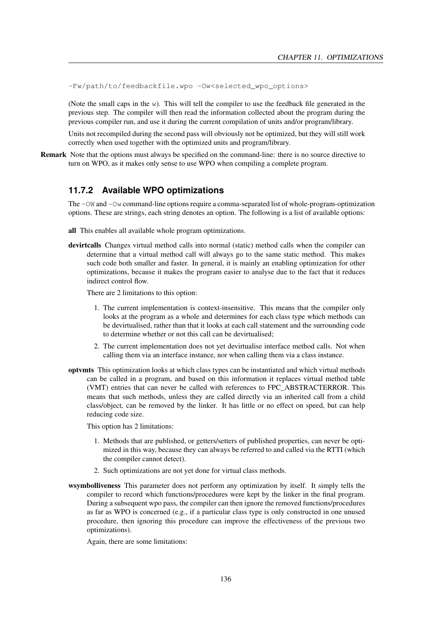-Fw/path/to/feedbackfile.wpo -Ow<selected\_wpo\_options>

(Note the small caps in the w). This will tell the compiler to use the feedback file generated in the previous step. The compiler will then read the information collected about the program during the previous compiler run, and use it during the current compilation of units and/or program/library.

Units not recompiled during the second pass will obviously not be optimized, but they will still work correctly when used together with the optimized units and program/library.

Remark Note that the options must always be specified on the command-line: there is no source directive to turn on WPO, as it makes only sense to use WPO when compiling a complete program.

#### **11.7.2 Available WPO optimizations**

The -OW and -Ow command-line options require a comma-separated list of whole-program-optimization options. These are strings, each string denotes an option. The following is a list of available options:

- all This enables all available whole program optimizations.
- devirtcalls Changes virtual method calls into normal (static) method calls when the compiler can determine that a virtual method call will always go to the same static method. This makes such code both smaller and faster. In general, it is mainly an enabling optimization for other optimizations, because it makes the program easier to analyse due to the fact that it reduces indirect control flow.

There are 2 limitations to this option:

- 1. The current implementation is context-insensitive. This means that the compiler only looks at the program as a whole and determines for each class type which methods can be devirtualised, rather than that it looks at each call statement and the surrounding code to determine whether or not this call can be devirtualised;
- 2. The current implementation does not yet devirtualise interface method calls. Not when calling them via an interface instance, nor when calling them via a class instance.
- optvmts This optimization looks at which class types can be instantiated and which virtual methods can be called in a program, and based on this information it replaces virtual method table (VMT) entries that can never be called with references to FPC\_ABSTRACTERROR. This means that such methods, unless they are called directly via an inherited call from a child class/object, can be removed by the linker. It has little or no effect on speed, but can help reducing code size.

This option has 2 limitations:

- 1. Methods that are published, or getters/setters of published properties, can never be optimized in this way, because they can always be referred to and called via the RTTI (which the compiler cannot detect).
- 2. Such optimizations are not yet done for virtual class methods.
- wsymbolliveness This parameter does not perform any optimization by itself. It simply tells the compiler to record which functions/procedures were kept by the linker in the final program. During a subsequent wpo pass, the compiler can then ignore the removed functions/procedures as far as WPO is concerned (e.g., if a particular class type is only constructed in one unused procedure, then ignoring this procedure can improve the effectiveness of the previous two optimizations).

Again, there are some limitations: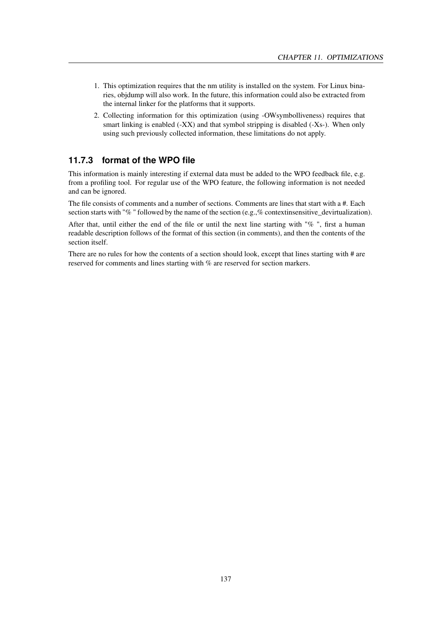- 1. This optimization requires that the nm utility is installed on the system. For Linux binaries, objdump will also work. In the future, this information could also be extracted from the internal linker for the platforms that it supports.
- 2. Collecting information for this optimization (using -OWsymbolliveness) requires that smart linking is enabled (-XX) and that symbol stripping is disabled (-Xs-). When only using such previously collected information, these limitations do not apply.

## **11.7.3 format of the WPO file**

This information is mainly interesting if external data must be added to the WPO feedback file, e.g. from a profiling tool. For regular use of the WPO feature, the following information is not needed and can be ignored.

The file consists of comments and a number of sections. Comments are lines that start with a #. Each section starts with "%" followed by the name of the section (e.g.,% contextinsensitive\_devirtualization).

After that, until either the end of the file or until the next line starting with "% ", first a human readable description follows of the format of this section (in comments), and then the contents of the section itself.

There are no rules for how the contents of a section should look, except that lines starting with # are reserved for comments and lines starting with % are reserved for section markers.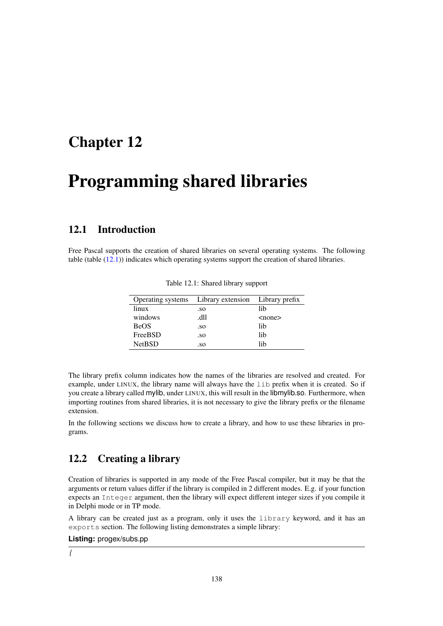## Chapter 12

# Programming shared libraries

## 12.1 Introduction

Free Pascal supports the creation of shared libraries on several operating systems. The following table (table [\(12.1\)](#page-138-0)) indicates which operating systems support the creation of shared libraries.

|               | Operating systems Library extension Library prefix |        |
|---------------|----------------------------------------------------|--------|
| linux         | .so                                                | lib    |
| windows       | .dll                                               | $none$ |
| <b>BeOS</b>   | .so                                                | lib    |
| FreeBSD       | .so                                                | lib    |
| <b>NetBSD</b> | .so                                                | lih    |

<span id="page-138-0"></span>Table 12.1: Shared library support

The library prefix column indicates how the names of the libraries are resolved and created. For example, under LINUX, the library name will always have the lib prefix when it is created. So if you create a library called mylib, under LINUX, this will result in the libmylib.so. Furthermore, when importing routines from shared libraries, it is not necessary to give the library prefix or the filename extension.

In the following sections we discuss how to create a library, and how to use these libraries in programs.

## 12.2 Creating a library

Creation of libraries is supported in any mode of the Free Pascal compiler, but it may be that the arguments or return values differ if the library is compiled in 2 different modes. E.g. if your function expects an Integer argument, then the library will expect different integer sizes if you compile it in Delphi mode or in TP mode.

A library can be created just as a program, only it uses the library keyword, and it has an exports section. The following listing demonstrates a simple library:

**Listing:** progex/subs.pp

*{*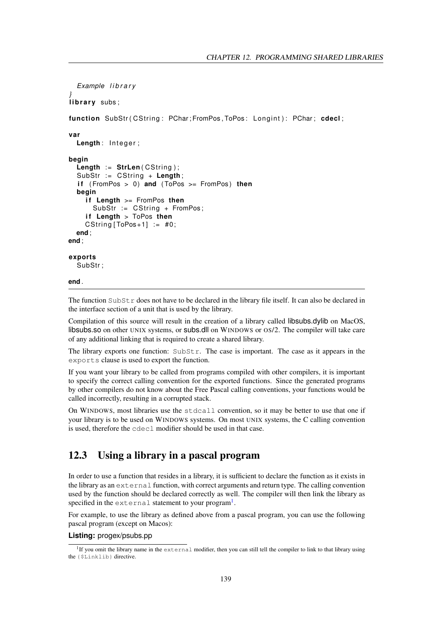```
Example l i b r a r y
}
library subs;
function SubStr ( CString : PChar ; FromPos, ToPos : Longint ) : PChar ; cdecl;
var
  Length: Integer;
begin
  Length := StrLen(CString);
  SubStr := CString + Length;
  if (FromPos > 0) and (ToPos >= FromPos) then
  begin
    if Length >= FromPos then
      SubStr := CString + FromPos;
    if Length > ToPos then
    CString [ToPos+1] := #0;end ;
end ;
exports
  SubStr ;
end .
```
The function  $\text{SubStr}$  does not have to be declared in the library file itself. It can also be declared in the interface section of a unit that is used by the library.

Compilation of this source will result in the creation of a library called libsubs.dylib on MacOS, libsubs.so on other UNIX systems, or subs.dll on WINDOWS or OS/2. The compiler will take care of any additional linking that is required to create a shared library.

The library exports one function: SubStr. The case is important. The case as it appears in the exports clause is used to export the function.

If you want your library to be called from programs compiled with other compilers, it is important to specify the correct calling convention for the exported functions. Since the generated programs by other compilers do not know about the Free Pascal calling conventions, your functions would be called incorrectly, resulting in a corrupted stack.

On WINDOWS, most libraries use the stdcall convention, so it may be better to use that one if your library is to be used on WINDOWS systems. On most UNIX systems, the C calling convention is used, therefore the cdecl modifier should be used in that case.

## 12.3 Using a library in a pascal program

In order to use a function that resides in a library, it is sufficient to declare the function as it exists in the library as an external function, with correct arguments and return type. The calling convention used by the function should be declared correctly as well. The compiler will then link the library as specified in the external statement to your program<sup>[1](#page-139-0)</sup>.

For example, to use the library as defined above from a pascal program, you can use the following pascal program (except on Macos):

#### **Listing:** progex/psubs.pp

<span id="page-139-0"></span><sup>&</sup>lt;sup>1</sup>If you omit the library name in the external modifier, then you can still tell the compiler to link to that library using the {\$Linklib} directive.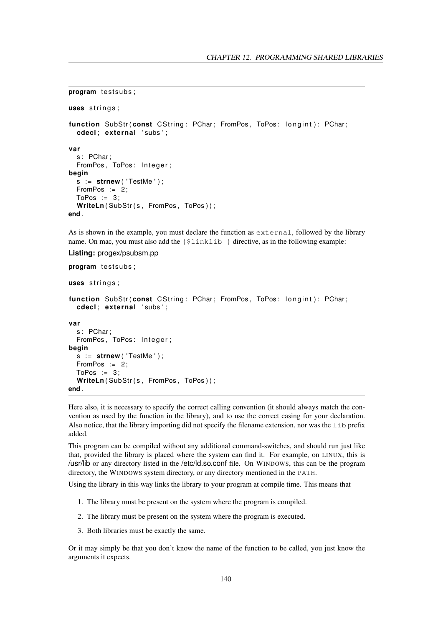```
program testsubs;
uses strings;
function SubStr(const CString: PChar; FromPos, ToPos: longint): PChar;
  cdecl ; ex te rnal ' subs ' ;
var
  s: PChar;
  FromPos, ToPos: Integer;
begin
  s := strnew ( ' TestMe ' ) ;
  FromPos := 2;ToPos := 3;WriteLn(SubStr(s, FromPos, ToPos));
end .
```
As is shown in the example, you must declare the function as external, followed by the library name. On mac, you must also add the  $\{\sinh\}$  directive, as in the following example:

```
Listing: progex/psubsm.pp
```

```
program testsubs;
uses strings;
function SubStr (const CString: PChar; FromPos, ToPos: longint): PChar;
  cdecl ; ex te rnal ' subs ' ;
var
  s: PChar:
  FromPos, ToPos: Integer;
begin
  s := strnew ( ' TestMe ' ) ;
 FromPos := 2;ToPos := 3;WriteLn(SubStr(s, FromPos, ToPos));
end .
```
Here also, it is necessary to specify the correct calling convention (it should always match the convention as used by the function in the library), and to use the correct casing for your declaration. Also notice, that the library importing did not specify the filename extension, nor was the lib prefix added.

This program can be compiled without any additional command-switches, and should run just like that, provided the library is placed where the system can find it. For example, on LINUX, this is /usr/lib or any directory listed in the /etc/ld.so.conf file. On WINDOWS, this can be the program directory, the WINDOWS system directory, or any directory mentioned in the PATH.

Using the library in this way links the library to your program at compile time. This means that

- 1. The library must be present on the system where the program is compiled.
- 2. The library must be present on the system where the program is executed.
- 3. Both libraries must be exactly the same.

Or it may simply be that you don't know the name of the function to be called, you just know the arguments it expects.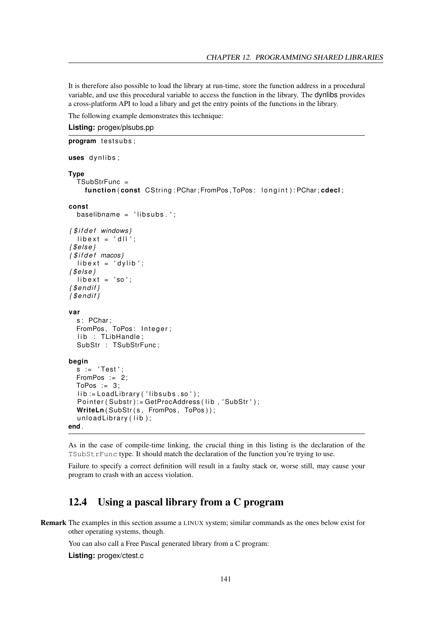It is therefore also possible to load the library at run-time, store the function address in a procedural variable, and use this procedural variable to access the function in the library. The dynlibs provides a cross-platform API to load a libary and get the entry points of the functions in the library.

The following example demonstrates this technique:

**Listing:** progex/plsubs.pp

```
program testsubs;
uses dynlibs;
Type
  TSubStrFunc =
    function (const CString: PChar; FromPos, ToPos: longint): PChar; cdecl;
const
  baseline = 'libsubs.';
{ $ i f d e f windows }
  libext = 'dII';{ $el se }
{ $ i f d e f macos }
  libext = 'dylib';{ $el se }
  libext = 'so':{ $ e n d if }
{ $ e n d if }
var
  s: PChar;
  FromPos, ToPos: Integer;
  lib : TLibHandle;
  SubStr : TSubStrFunc;
begin
  s := 'Test';
  FromPos := 2;
  ToPos := 3;lib := LoadLibrary ('libsubs.so');
  Pointer (Substr):=GetProcAddress (lib, 'SubStr');
  WriteLn(SubStr(s, FromPos, ToPos));
  unloadLibrary (lib);
end .
```
As in the case of compile-time linking, the crucial thing in this listing is the declaration of the TSubStrFunc type. It should match the declaration of the function you're trying to use.

Failure to specify a correct definition will result in a faulty stack or, worse still, may cause your program to crash with an access violation.

## 12.4 Using a pascal library from a C program

Remark The examples in this section assume a LINUX system; similar commands as the ones below exist for other operating systems, though.

You can also call a Free Pascal generated library from a C program:

**Listing:** progex/ctest.c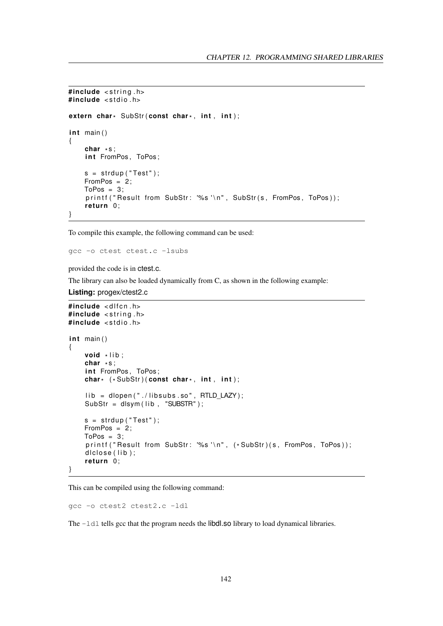```
#include <string.h>
#include <stdio.h>
extern char* SubStr(const char*, int, int, int);
int main()
{
    char
*
s ;
    int FromPos, ToPos;
    s = strdup("Test");
    FromPos = 2;
    ToPos = 3;printf ("Result from SubStr: '%s'\n", SubStr(s, FromPos, ToPos));
    return 0;
}
```
To compile this example, the following command can be used:

gcc -o ctest ctest.c -lsubs

provided the code is in ctest.c.

The library can also be loaded dynamically from C, as shown in the following example:

```
Listing: progex/ctest2.c
```

```
#include <dlfcn.h>
#include <string.h>
#include <stdio.h>
int main()
{
    void *lib;
    char *s;
    int FromPos. ToPos:
    char* (*SubStr)(const char*, int, int);
    lib = dlopen("./libsubs.so", RTLD LAZY);
    SubStr = dlsym (lib, "SUBSTR");s = strdup("Test");
    FromPos = 2;
    ToPos = 3:
    printf("Result from SubStr: '%s'\n", (*SubStr)(s, FromPos, ToPos));
    dlclose (lib):
    return 0;
}
```
This can be compiled using the following command:

gcc -o ctest2 ctest2.c -ldl

The  $-1$ dl tells gcc that the program needs the libdl.so library to load dynamical libraries.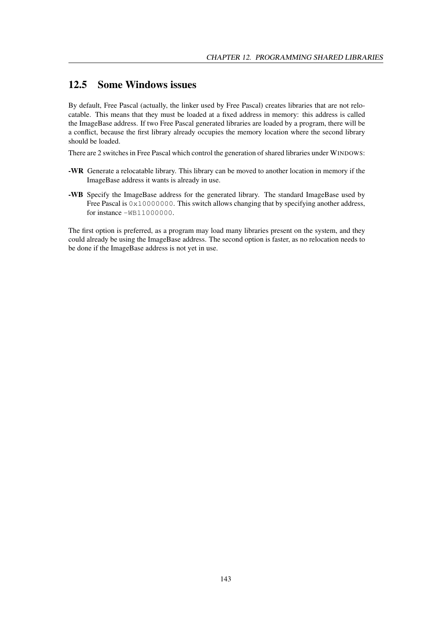## 12.5 Some Windows issues

By default, Free Pascal (actually, the linker used by Free Pascal) creates libraries that are not relocatable. This means that they must be loaded at a fixed address in memory: this address is called the ImageBase address. If two Free Pascal generated libraries are loaded by a program, there will be a conflict, because the first library already occupies the memory location where the second library should be loaded.

There are 2 switches in Free Pascal which control the generation of shared libraries under WINDOWS:

- -WR Generate a relocatable library. This library can be moved to another location in memory if the ImageBase address it wants is already in use.
- -WB Specify the ImageBase address for the generated library. The standard ImageBase used by Free Pascal is  $0 \times 10000000$ . This switch allows changing that by specifying another address, for instance -WB11000000.

The first option is preferred, as a program may load many libraries present on the system, and they could already be using the ImageBase address. The second option is faster, as no relocation needs to be done if the ImageBase address is not yet in use.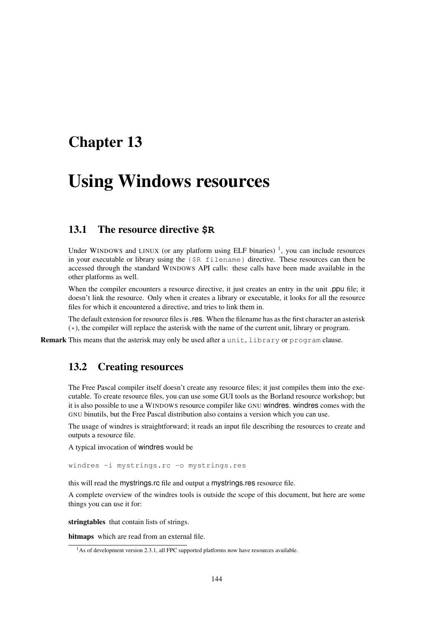# Chapter 13

# Using Windows resources

# 13.1 The resource directive **\$R**

Under WINDOWS and LINUX (or any platform using ELF binaries)<sup>[1](#page-144-0)</sup>, you can include resources in your executable or library using the {\$R filename} directive. These resources can then be accessed through the standard WINDOWS API calls: these calls have been made available in the other platforms as well.

When the compiler encounters a resource directive, it just creates an entry in the unit .ppu file; it doesn't link the resource. Only when it creates a library or executable, it looks for all the resource files for which it encountered a directive, and tries to link them in.

The default extension for resource files is .res. When the filename has as the first character an asterisk  $(\star)$ , the compiler will replace the asterisk with the name of the current unit, library or program.

Remark This means that the asterisk may only be used after a unit, library or program clause.

# 13.2 Creating resources

The Free Pascal compiler itself doesn't create any resource files; it just compiles them into the executable. To create resource files, you can use some GUI tools as the Borland resource workshop; but it is also possible to use a WINDOWS resource compiler like GNU windres. windres comes with the GNU binutils, but the Free Pascal distribution also contains a version which you can use.

The usage of windres is straightforward; it reads an input file describing the resources to create and outputs a resource file.

A typical invocation of windres would be

windres -i mystrings.rc -o mystrings.res

this will read the mystrings.rc file and output a mystrings.res resource file.

A complete overview of the windres tools is outside the scope of this document, but here are some things you can use it for:

stringtables that contain lists of strings.

bitmaps which are read from an external file.

<span id="page-144-0"></span><sup>&</sup>lt;sup>1</sup>As of development version 2.3.1, all FPC supported platforms now have resources available.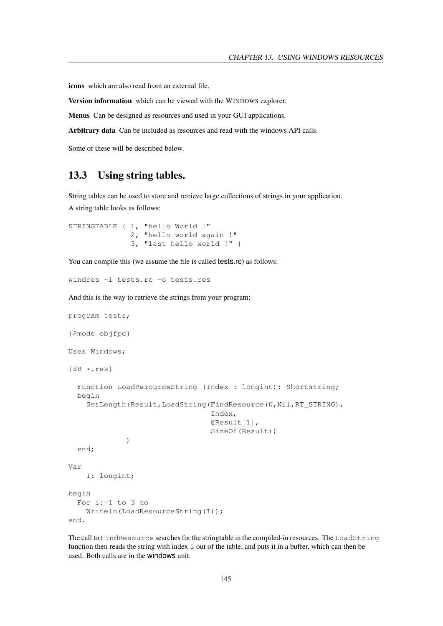icons which are also read from an external file.

Version information which can be viewed with the WINDOWS explorer.

Menus Can be designed as resources and used in your GUI applications.

Arbitrary data Can be included as resources and read with the windows API calls.

Some of these will be described below.

# 13.3 Using string tables.

String tables can be used to store and retrieve large collections of strings in your application. A string table looks as follows:

```
STRINGTABLE { 1, "hello World !"
              2, "hello world again !"
              3, "last hello world !" }
```
You can compile this (we assume the file is called tests.rc) as follows:

windres -i tests.rc -o tests.res

And this is the way to retrieve the strings from your program:

```
program tests;
{$mode objfpc}
Uses Windows;
{$R *.res}
  Function LoadResourceString (Index : longint): Shortstring;
  begin
    SetLength(Result,LoadString(FindResource(0,Nil,RT_STRING),
                                  Index,
                                  @Result[1],
                                 SizeOf(Result))
             )
  end;
Var
    I: longint;
begin
  For i:=1 to 3 do
    Writeln(LoadResourceString(I));
end.
```
The call to FindResource searches for the stringtable in the compiled-in resources. The LoadString function then reads the string with index i out of the table, and puts it in a buffer, which can then be used. Both calls are in the windows unit.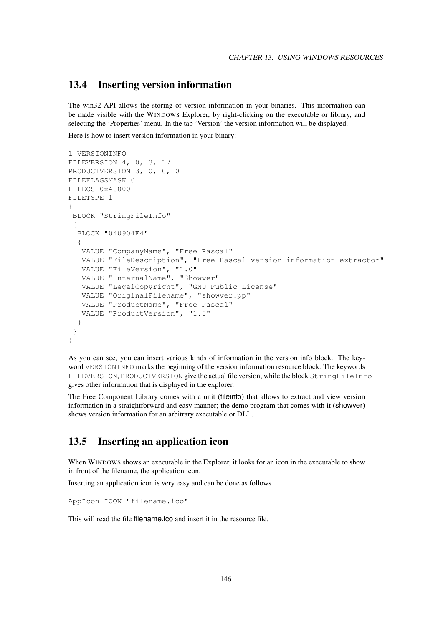#### 13.4 Inserting version information

The win32 API allows the storing of version information in your binaries. This information can be made visible with the WINDOWS Explorer, by right-clicking on the executable or library, and selecting the 'Properties' menu. In the tab 'Version' the version information will be displayed.

Here is how to insert version information in your binary:

```
1 VERSIONINFO
FILEVERSION 4, 0, 3, 17
PRODUCTVERSION 3, 0, 0, 0
FILEFLAGSMASK 0
FILEOS 0x40000
FILETYPE 1
{
BLOCK "StringFileInfo"
 {
 BLOCK "040904E4"
  {
  VALUE "CompanyName", "Free Pascal"
  VALUE "FileDescription", "Free Pascal version information extractor"
  VALUE "FileVersion", "1.0"
  VALUE "InternalName", "Showver"
  VALUE "LegalCopyright", "GNU Public License"
  VALUE "OriginalFilename", "showver.pp"
  VALUE "ProductName", "Free Pascal"
  VALUE "ProductVersion", "1.0"
  }
 }
}
```
As you can see, you can insert various kinds of information in the version info block. The keyword VERSIONINFO marks the beginning of the version information resource block. The keywords FILEVERSION, PRODUCTVERSION give the actual file version, while the block StringFileInfo gives other information that is displayed in the explorer.

The Free Component Library comes with a unit (fileinfo) that allows to extract and view version information in a straightforward and easy manner; the demo program that comes with it (showver) shows version information for an arbitrary executable or DLL.

# 13.5 Inserting an application icon

When WINDOWS shows an executable in the Explorer, it looks for an icon in the executable to show in front of the filename, the application icon.

Inserting an application icon is very easy and can be done as follows

```
AppIcon ICON "filename.ico"
```
This will read the file filename.ico and insert it in the resource file.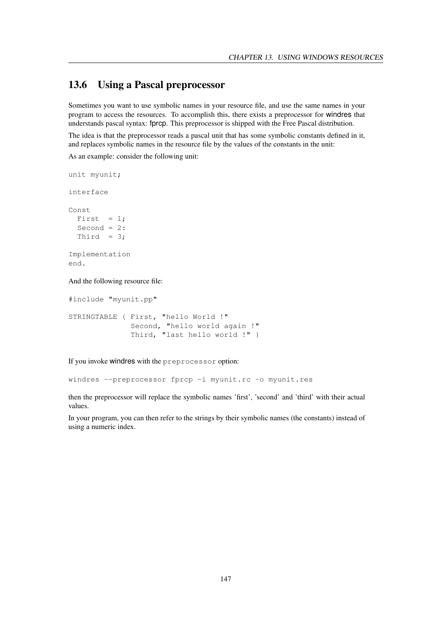# 13.6 Using a Pascal preprocessor

Sometimes you want to use symbolic names in your resource file, and use the same names in your program to access the resources. To accomplish this, there exists a preprocessor for windres that understands pascal syntax: fprcp. This preprocessor is shipped with the Free Pascal distribution.

The idea is that the preprocessor reads a pascal unit that has some symbolic constants defined in it, and replaces symbolic names in the resource file by the values of the constants in the unit:

As an example: consider the following unit:

```
unit myunit;
interface
Const
 First = 1;Second = 2:
 Third = 3;
Implementation
end.
```
And the following resource file:

#include "myunit.pp"

```
STRINGTABLE { First, "hello World !"
              Second, "hello world again !"
              Third, "last hello world !" }
```
If you invoke windres with the preprocessor option:

windres --preprocessor fprcp -i myunit.rc -o myunit.res

then the preprocessor will replace the symbolic names 'first', 'second' and 'third' with their actual values.

In your program, you can then refer to the strings by their symbolic names (the constants) instead of using a numeric index.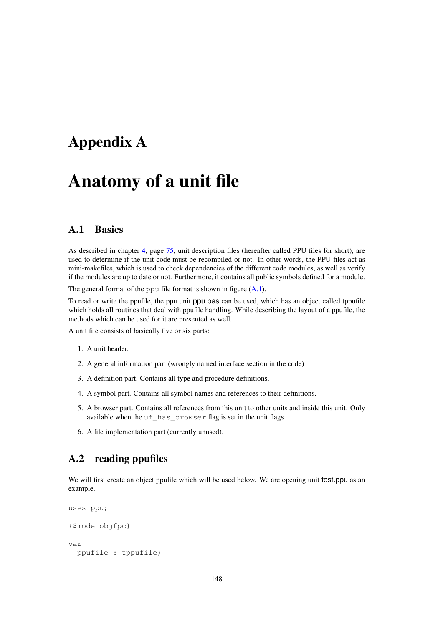# Appendix A

# Anatomy of a unit file

## A.1 Basics

As described in chapter [4,](#page-75-0) page [75,](#page-75-0) unit description files (hereafter called PPU files for short), are used to determine if the unit code must be recompiled or not. In other words, the PPU files act as mini-makefiles, which is used to check dependencies of the different code modules, as well as verify if the modules are up to date or not. Furthermore, it contains all public symbols defined for a module.

The general format of the ppu file format is shown in figure  $(A.1)$ .

To read or write the ppufile, the ppu unit ppu.pas can be used, which has an object called tppufile which holds all routines that deal with ppufile handling. While describing the layout of a ppufile, the methods which can be used for it are presented as well.

A unit file consists of basically five or six parts:

- 1. A unit header.
- 2. A general information part (wrongly named interface section in the code)
- 3. A definition part. Contains all type and procedure definitions.
- 4. A symbol part. Contains all symbol names and references to their definitions.
- 5. A browser part. Contains all references from this unit to other units and inside this unit. Only available when the uf\_has\_browser flag is set in the unit flags
- 6. A file implementation part (currently unused).

### A.2 reading ppufiles

We will first create an object ppufile which will be used below. We are opening unit test.ppu as an example.

```
uses ppu;
{$mode objfpc}
var
  ppufile : tppufile;
```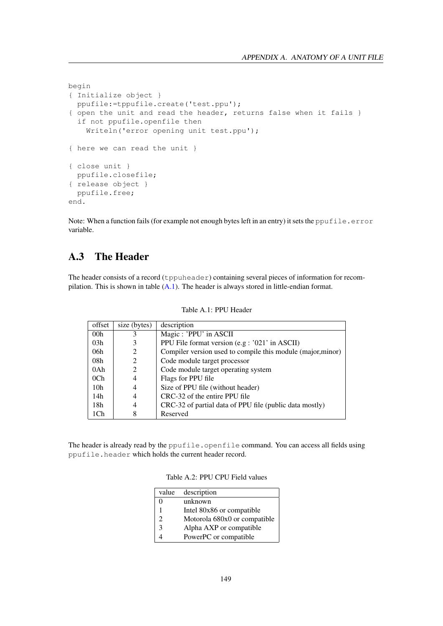```
begin
{ Initialize object }
 ppufile:=tppufile.create('test.ppu');
{ open the unit and read the header, returns false when it fails }
  if not ppufile.openfile then
    Writeln('error opening unit test.ppu');
{ here we can read the unit }
{ close unit }
 ppufile.closefile;
{ release object }
 ppufile.free;
end.
```
Note: When a function fails (for example not enough bytes left in an entry) it sets the ppufile.error variable.

# A.3 The Header

The header consists of a record (tppuheader) containing several pieces of information for recompilation. This is shown in table [\(A.1\)](#page-149-0). The header is always stored in little-endian format.

| offset          | size (bytes) | description                                                 |
|-----------------|--------------|-------------------------------------------------------------|
| 00 <sub>h</sub> | 3            | Magic: 'PPU' in ASCII                                       |
| 03h             |              | PPU File format version (e.g : '021' in ASCII)              |
| 06h             |              | Compiler version used to compile this module (major, minor) |
| 08h             | 2            | Code module target processor                                |
| 0Ah             | 2            | Code module target operating system                         |
| 0Ch             | 4            | Flags for PPU file                                          |
| 10 <sub>h</sub> |              | Size of PPU file (without header)                           |
| 14h             | 4            | CRC-32 of the entire PPU file                               |
| 18h             | 4            | CRC-32 of partial data of PPU file (public data mostly)     |
| 1Ch             | 8            | Reserved                                                    |

<span id="page-149-0"></span>Table A.1: PPU Header

The header is already read by the ppufile.openfile command. You can access all fields using ppufile.header which holds the current header record.

| Table A.2: PPU CPU Field values |  |  |  |  |
|---------------------------------|--|--|--|--|
|---------------------------------|--|--|--|--|

| value          | description                  |
|----------------|------------------------------|
| 0              | unknown                      |
|                | Intel 80x86 or compatible    |
| $\mathfrak{D}$ | Motorola 680x0 or compatible |
| 3              | Alpha AXP or compatible      |
|                | PowerPC or compatible        |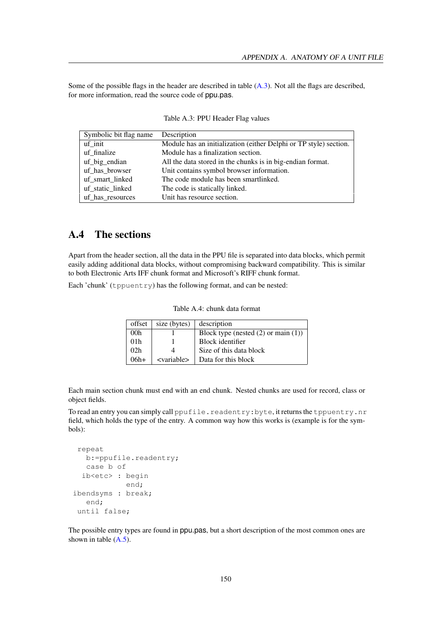Some of the possible flags in the header are described in table [\(A.3\)](#page-150-0). Not all the flags are described, for more information, read the source code of ppu.pas.

| Symbolic bit flag name Description |                                                                   |  |  |
|------------------------------------|-------------------------------------------------------------------|--|--|
| uf init                            | Module has an initialization (either Delphi or TP style) section. |  |  |
| uf finalize                        | Module has a finalization section.                                |  |  |
| uf_big_endian                      | All the data stored in the chunks is in big-endian format.        |  |  |
| uf has browser                     | Unit contains symbol browser information.                         |  |  |
| uf smart linked                    | The code module has been smartlinked.                             |  |  |
| uf_static_linked                   | The code is statically linked.                                    |  |  |
| uf has resources                   | Unit has resource section.                                        |  |  |

<span id="page-150-0"></span>Table A.3: PPU Header Flag values

# A.4 The sections

Apart from the header section, all the data in the PPU file is separated into data blocks, which permit easily adding additional data blocks, without compromising backward compatibility. This is similar to both Electronic Arts IFF chunk format and Microsoft's RIFF chunk format.

Each 'chunk' (tppuentry) has the following format, and can be nested:

| offset          | size (bytes)          | description                              |
|-----------------|-----------------------|------------------------------------------|
| 00 <sub>h</sub> |                       | Block type (nested $(2)$ or main $(1)$ ) |
| 01 <sub>h</sub> |                       | Block identifier                         |
| 02 <sub>h</sub> |                       | Size of this data block                  |
| $06h+$          | <variable></variable> | Data for this block                      |

Table A.4: chunk data format

Each main section chunk must end with an end chunk. Nested chunks are used for record, class or object fields.

To read an entry you can simply call ppufile.readentry: byte, it returns the tppuentry.nr field, which holds the type of the entry. A common way how this works is (example is for the symbols):

```
repeat
  b:=ppufile.readentry;
   case b of
 ib<etc> : begin
            end;
ibendsyms : break;
   end;
until false;
```
The possible entry types are found in ppu.pas, but a short description of the most common ones are shown in table  $(A.5)$ .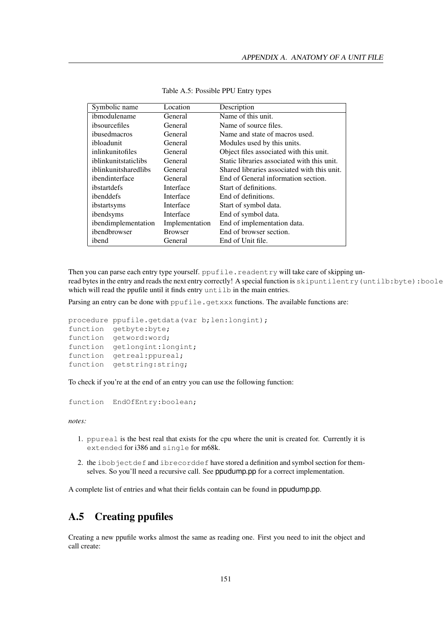| Symbolic name        | Location       | Description                                 |
|----------------------|----------------|---------------------------------------------|
| ibmodulename         | General        | Name of this unit.                          |
| ibsourcefiles        | General        | Name of source files.                       |
| ibusedmacros         | General        | Name and state of macros used.              |
| ibloadunit           | General        | Modules used by this units.                 |
| inlinkunitofiles     | General        | Object files associated with this unit.     |
| iblinkunitstaticlibs | General        | Static libraries associated with this unit. |
| iblinkunitsharedlibs | General        | Shared libraries associated with this unit. |
| ibendinterface       | General        | End of General information section.         |
| ibstartdefs          | Interface      | Start of definitions.                       |
| ibenddefs            | Interface      | End of definitions.                         |
| ibstartsyms          | Interface      | Start of symbol data.                       |
| ibendsyms            | Interface      | End of symbol data.                         |
| ibendimplementation  | Implementation | End of implementation data.                 |
| ibendbrowser         | <b>Browser</b> | End of browser section.                     |
| ibend                | General        | End of Unit file.                           |

<span id="page-151-0"></span>Table A.5: Possible PPU Entry types

Then you can parse each entry type yourself. ppufile.readentry will take care of skipping unread bytes in the entry and reads the next entry correctly! A special function is skipuntilentry (untilb:byte):boole which will read the ppufile until it finds entry untill in the main entries.

Parsing an entry can be done with  $ppufile.getxxx$  functions. The available functions are:

```
procedure ppufile.getdata(var b;len:longint);
function getbyte:byte;
function getword:word;
function getlongint:longint;
function getreal:ppureal;
function getstring:string;
```
To check if you're at the end of an entry you can use the following function:

function EndOfEntry:boolean;

*notes:*

- 1. ppureal is the best real that exists for the cpu where the unit is created for. Currently it is extended for i386 and single for m68k.
- 2. the ibobjectdef and ibrecorddef have stored a definition and symbol section for themselves. So you'll need a recursive call. See ppudump.pp for a correct implementation.

A complete list of entries and what their fields contain can be found in ppudump.pp.

# A.5 Creating ppufiles

Creating a new ppufile works almost the same as reading one. First you need to init the object and call create: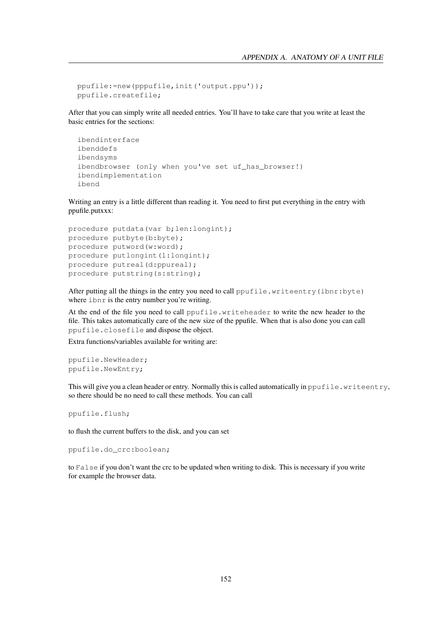```
ppufile:=new(pppufile,init('output.ppu'));
ppufile.createfile;
```
After that you can simply write all needed entries. You'll have to take care that you write at least the basic entries for the sections:

```
ibendinterface
ibenddefs
ibendsyms
ibendbrowser (only when you've set uf_has_browser!)
ibendimplementation
ibend
```
Writing an entry is a little different than reading it. You need to first put everything in the entry with ppufile.putxxx:

```
procedure putdata(var b;len:longint);
procedure putbyte(b:byte);
procedure putword(w:word);
procedure putlongint(l:longint);
procedure putreal(d:ppureal);
procedure putstring(s:string);
```
After putting all the things in the entry you need to call ppufile.writeentry(ibnr:byte) where ibnr is the entry number you're writing.

At the end of the file you need to call ppufile.writeheader to write the new header to the file. This takes automatically care of the new size of the ppufile. When that is also done you can call ppufile.closefile and dispose the object.

Extra functions/variables available for writing are:

```
ppufile.NewHeader;
ppufile.NewEntry;
```
This will give you a clean header or entry. Normally this is called automatically in ppufile.writeentry, so there should be no need to call these methods. You can call

ppufile.flush;

to flush the current buffers to the disk, and you can set

ppufile.do\_crc:boolean;

to False if you don't want the crc to be updated when writing to disk. This is necessary if you write for example the browser data.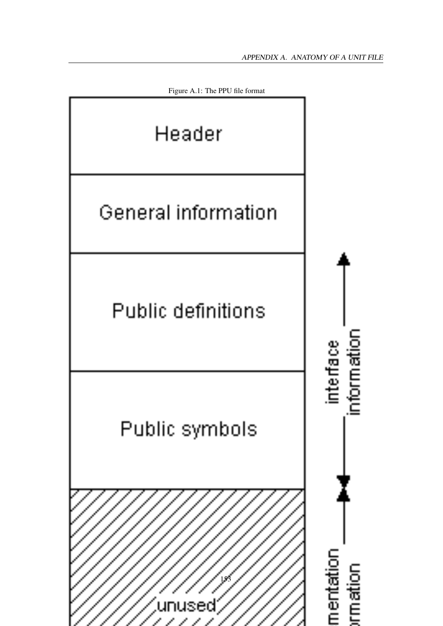<span id="page-153-0"></span>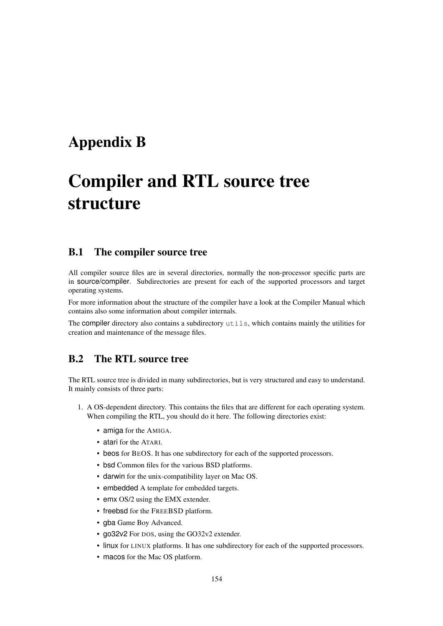# Appendix B

# Compiler and RTL source tree structure

# B.1 The compiler source tree

All compiler source files are in several directories, normally the non-processor specific parts are in source/compiler. Subdirectories are present for each of the supported processors and target operating systems.

For more information about the structure of the compiler have a look at the Compiler Manual which contains also some information about compiler internals.

The compiler directory also contains a subdirectory utils, which contains mainly the utilities for creation and maintenance of the message files.

# B.2 The RTL source tree

The RTL source tree is divided in many subdirectories, but is very structured and easy to understand. It mainly consists of three parts:

- 1. A OS-dependent directory. This contains the files that are different for each operating system. When compiling the RTL, you should do it here. The following directories exist:
	- amiga for the AMIGA.
	- atari for the ATARI.
	- beos for BEOS. It has one subdirectory for each of the supported processors.
	- bsd Common files for the various BSD platforms.
	- darwin for the unix-compatibility layer on Mac OS.
	- embedded A template for embedded targets.
	- emx OS/2 using the EMX extender.
	- freebsd for the FREEBSD platform.
	- gba Game Boy Advanced.
	- go32v2 For DOS, using the GO32v2 extender.
	- linux for LINUX platforms. It has one subdirectory for each of the supported processors.
	- macos for the Mac OS platform.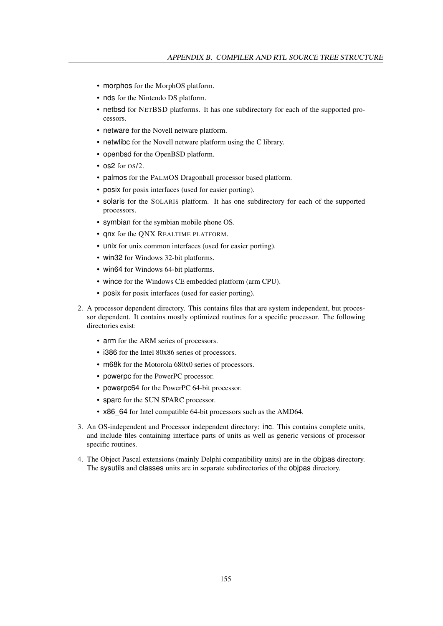- morphos for the MorphOS platform.
- nds for the Nintendo DS platform.
- netbsd for NETBSD platforms. It has one subdirectory for each of the supported processors.
- netware for the Novell netware platform.
- netwlibc for the Novell netware platform using the C library.
- openbsd for the OpenBSD platform.
- os2 for OS/2.
- palmos for the PALMOS Dragonball processor based platform.
- posix for posix interfaces (used for easier porting).
- solaris for the SOLARIS platform. It has one subdirectory for each of the supported processors.
- symbian for the symbian mobile phone OS.
- qnx for the QNX REALTIME PLATFORM.
- unix for unix common interfaces (used for easier porting).
- win32 for Windows 32-bit platforms.
- win64 for Windows 64-bit platforms.
- wince for the Windows CE embedded platform (arm CPU).
- posix for posix interfaces (used for easier porting).
- 2. A processor dependent directory. This contains files that are system independent, but processor dependent. It contains mostly optimized routines for a specific processor. The following directories exist:
	- arm for the ARM series of processors.
	- i386 for the Intel 80x86 series of processors.
	- m68k for the Motorola 680x0 series of processors.
	- powerpc for the PowerPC processor.
	- powerpc64 for the PowerPC 64-bit processor.
	- sparc for the SUN SPARC processor.
	- x86 64 for Intel compatible 64-bit processors such as the AMD64.
- 3. An OS-independent and Processor independent directory: inc. This contains complete units, and include files containing interface parts of units as well as generic versions of processor specific routines.
- 4. The Object Pascal extensions (mainly Delphi compatibility units) are in the objpas directory. The sysutils and classes units are in separate subdirectories of the objpas directory.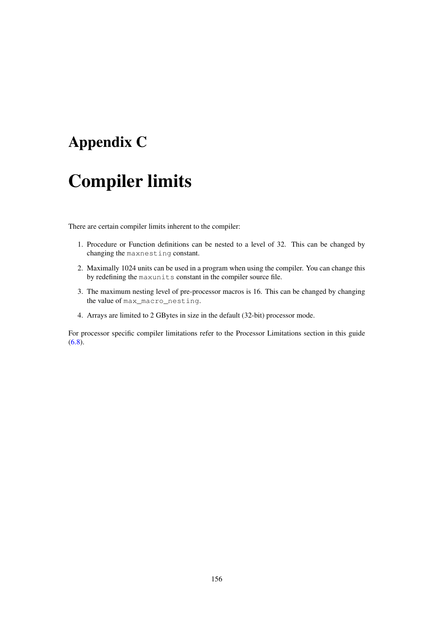# Appendix C

# Compiler limits

There are certain compiler limits inherent to the compiler:

- 1. Procedure or Function definitions can be nested to a level of 32. This can be changed by changing the maxnesting constant.
- 2. Maximally 1024 units can be used in a program when using the compiler. You can change this by redefining the maxunits constant in the compiler source file.
- 3. The maximum nesting level of pre-processor macros is 16. This can be changed by changing the value of max\_macro\_nesting.
- 4. Arrays are limited to 2 GBytes in size in the default (32-bit) processor mode.

For processor specific compiler limitations refer to the Processor Limitations section in this guide  $(6.8).$  $(6.8).$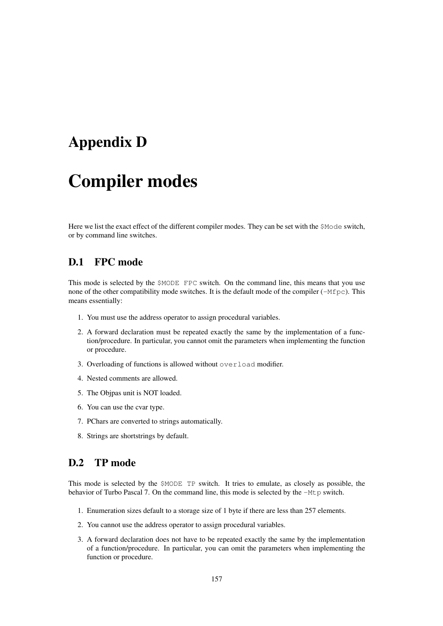# Appendix D

# Compiler modes

Here we list the exact effect of the different compiler modes. They can be set with the \$Mode switch, or by command line switches.

# D.1 FPC mode

This mode is selected by the \$MODE FPC switch. On the command line, this means that you use none of the other compatibility mode switches. It is the default mode of the compiler ( $-Mfpc$ ). This means essentially:

- 1. You must use the address operator to assign procedural variables.
- 2. A forward declaration must be repeated exactly the same by the implementation of a function/procedure. In particular, you cannot omit the parameters when implementing the function or procedure.
- 3. Overloading of functions is allowed without overload modifier.
- 4. Nested comments are allowed.
- 5. The Objpas unit is NOT loaded.
- 6. You can use the cvar type.
- 7. PChars are converted to strings automatically.
- 8. Strings are shortstrings by default.

# D.2 TP mode

This mode is selected by the \$MODE TP switch. It tries to emulate, as closely as possible, the behavior of Turbo Pascal 7. On the command line, this mode is selected by the -Mtp switch.

- 1. Enumeration sizes default to a storage size of 1 byte if there are less than 257 elements.
- 2. You cannot use the address operator to assign procedural variables.
- 3. A forward declaration does not have to be repeated exactly the same by the implementation of a function/procedure. In particular, you can omit the parameters when implementing the function or procedure.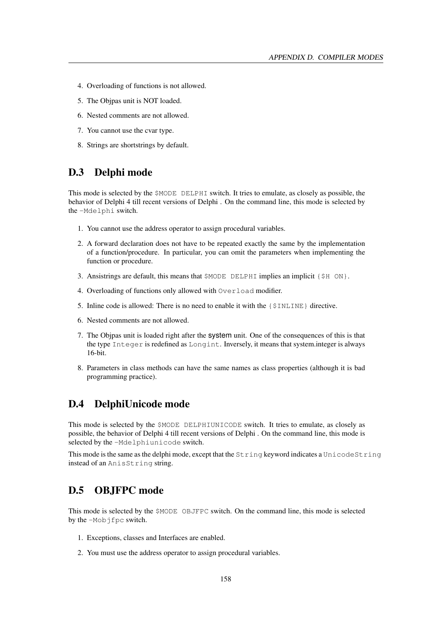- 4. Overloading of functions is not allowed.
- 5. The Objpas unit is NOT loaded.
- 6. Nested comments are not allowed.
- 7. You cannot use the cvar type.
- 8. Strings are shortstrings by default.

# D.3 Delphi mode

This mode is selected by the \$MODE DELPHI switch. It tries to emulate, as closely as possible, the behavior of Delphi 4 till recent versions of Delphi . On the command line, this mode is selected by the -Mdelphi switch.

- 1. You cannot use the address operator to assign procedural variables.
- 2. A forward declaration does not have to be repeated exactly the same by the implementation of a function/procedure. In particular, you can omit the parameters when implementing the function or procedure.
- 3. Ansistrings are default, this means that  $\beta$ MODE DELPHI implies an implicit { $\beta$ H ON}.
- 4. Overloading of functions only allowed with Overload modifier.
- 5. Inline code is allowed: There is no need to enable it with the  $\{\$INLINE\}$  directive.
- 6. Nested comments are not allowed.
- 7. The Objpas unit is loaded right after the system unit. One of the consequences of this is that the type Integer is redefined as Longint. Inversely, it means that system.integer is always 16-bit.
- 8. Parameters in class methods can have the same names as class properties (although it is bad programming practice).

# D.4 DelphiUnicode mode

This mode is selected by the \$MODE DELPHIUNICODE switch. It tries to emulate, as closely as possible, the behavior of Delphi 4 till recent versions of Delphi . On the command line, this mode is selected by the -Mdelphiunicode switch.

This mode is the same as the delphi mode, except that the String keyword indicates a UnicodeString instead of an AnisString string.

# D.5 OBJFPC mode

This mode is selected by the \$MODE OBJFPC switch. On the command line, this mode is selected by the -Mobjfpc switch.

- 1. Exceptions, classes and Interfaces are enabled.
- 2. You must use the address operator to assign procedural variables.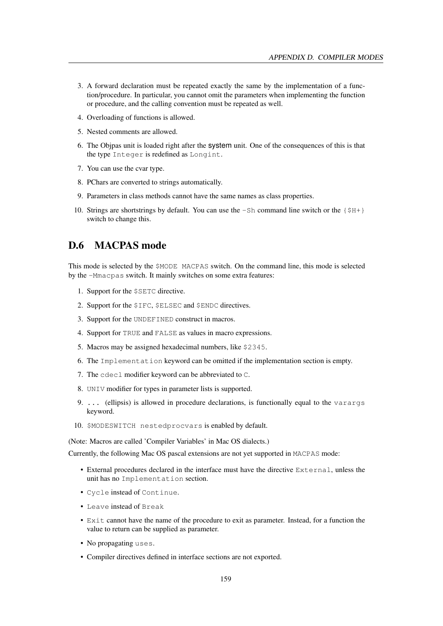- 3. A forward declaration must be repeated exactly the same by the implementation of a function/procedure. In particular, you cannot omit the parameters when implementing the function or procedure, and the calling convention must be repeated as well.
- 4. Overloading of functions is allowed.
- 5. Nested comments are allowed.
- 6. The Objpas unit is loaded right after the system unit. One of the consequences of this is that the type Integer is redefined as Longint.
- 7. You can use the cvar type.
- 8. PChars are converted to strings automatically.
- 9. Parameters in class methods cannot have the same names as class properties.
- 10. Strings are shortstrings by default. You can use the  $-Sh$  command line switch or the  $\{\frac{S}{H+}\}$ switch to change this.

# D.6 MACPAS mode

This mode is selected by the \$MODE MACPAS switch. On the command line, this mode is selected by the -Mmacpas switch. It mainly switches on some extra features:

- 1. Support for the \$SETC directive.
- 2. Support for the \$IFC, \$ELSEC and \$ENDC directives.
- 3. Support for the UNDEFINED construct in macros.
- 4. Support for TRUE and FALSE as values in macro expressions.
- 5. Macros may be assigned hexadecimal numbers, like \$2345.
- 6. The Implementation keyword can be omitted if the implementation section is empty.
- 7. The cdecl modifier keyword can be abbreviated to C.
- 8. UNIV modifier for types in parameter lists is supported.
- 9. ... (ellipsis) is allowed in procedure declarations, is functionally equal to the varargs keyword.
- 10. \$MODESWITCH nestedprocvars is enabled by default.

(Note: Macros are called 'Compiler Variables' in Mac OS dialects.)

Currently, the following Mac OS pascal extensions are not yet supported in MACPAS mode:

- External procedures declared in the interface must have the directive External, unless the unit has no Implementation section.
- Cycle instead of Continue.
- Leave instead of Break
- Exit cannot have the name of the procedure to exit as parameter. Instead, for a function the value to return can be supplied as parameter.
- No propagating uses.
- Compiler directives defined in interface sections are not exported.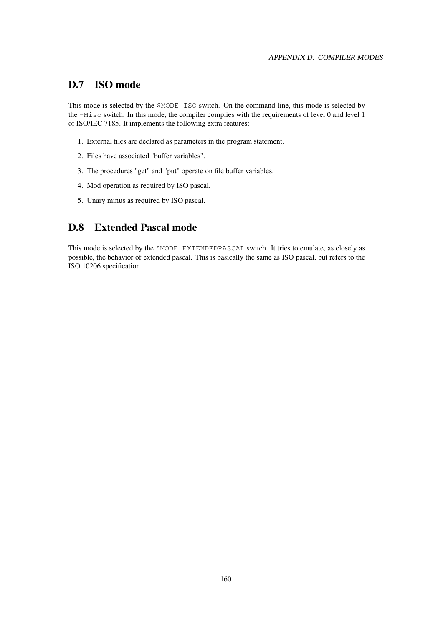# D.7 ISO mode

This mode is selected by the \$MODE ISO switch. On the command line, this mode is selected by the -Miso switch. In this mode, the compiler complies with the requirements of level 0 and level 1 of ISO/IEC 7185. It implements the following extra features:

- 1. External files are declared as parameters in the program statement.
- 2. Files have associated "buffer variables".
- 3. The procedures "get" and "put" operate on file buffer variables.
- 4. Mod operation as required by ISO pascal.
- 5. Unary minus as required by ISO pascal.

# D.8 Extended Pascal mode

This mode is selected by the \$MODE EXTENDEDPASCAL switch. It tries to emulate, as closely as possible, the behavior of extended pascal. This is basically the same as ISO pascal, but refers to the ISO 10206 specification.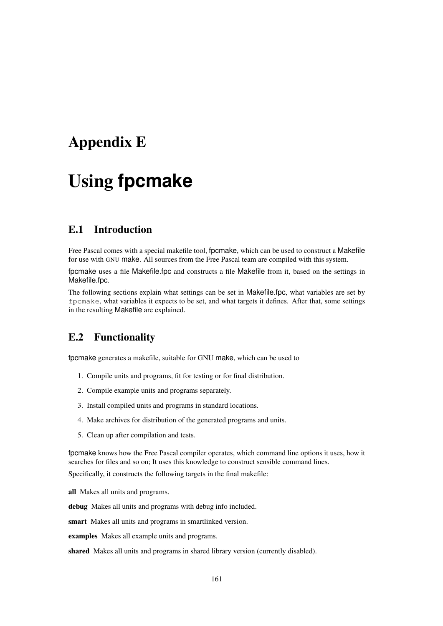# <span id="page-161-1"></span>Appendix E

# Using **fpcmake**

# E.1 Introduction

Free Pascal comes with a special makefile tool, fpcmake, which can be used to construct a Makefile for use with GNU make. All sources from the Free Pascal team are compiled with this system.

fpcmake uses a file Makefile.fpc and constructs a file Makefile from it, based on the settings in Makefile.fpc.

The following sections explain what settings can be set in Makefile.fpc, what variables are set by fpcmake, what variables it expects to be set, and what targets it defines. After that, some settings in the resulting Makefile are explained.

# <span id="page-161-0"></span>E.2 Functionality

fpcmake generates a makefile, suitable for GNU make, which can be used to

- 1. Compile units and programs, fit for testing or for final distribution.
- 2. Compile example units and programs separately.
- 3. Install compiled units and programs in standard locations.
- 4. Make archives for distribution of the generated programs and units.
- 5. Clean up after compilation and tests.

fpcmake knows how the Free Pascal compiler operates, which command line options it uses, how it searches for files and so on; It uses this knowledge to construct sensible command lines.

Specifically, it constructs the following targets in the final makefile:

all Makes all units and programs.

debug Makes all units and programs with debug info included.

smart Makes all units and programs in smartlinked version.

examples Makes all example units and programs.

shared Makes all units and programs in shared library version (currently disabled).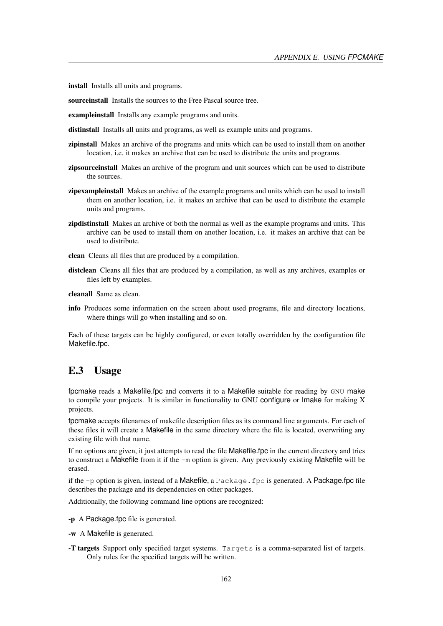install Installs all units and programs.

sourceinstall Installs the sources to the Free Pascal source tree.

exampleinstall Installs any example programs and units.

distinstall Installs all units and programs, as well as example units and programs.

- zipinstall Makes an archive of the programs and units which can be used to install them on another location, i.e. it makes an archive that can be used to distribute the units and programs.
- zipsourceinstall Makes an archive of the program and unit sources which can be used to distribute the sources.
- zipexampleinstall Makes an archive of the example programs and units which can be used to install them on another location, i.e. it makes an archive that can be used to distribute the example units and programs.
- zipdistinstall Makes an archive of both the normal as well as the example programs and units. This archive can be used to install them on another location, i.e. it makes an archive that can be used to distribute.
- clean Cleans all files that are produced by a compilation.
- distclean Cleans all files that are produced by a compilation, as well as any archives, examples or files left by examples.

cleanall Same as clean.

info Produces some information on the screen about used programs, file and directory locations, where things will go when installing and so on.

Each of these targets can be highly configured, or even totally overridden by the configuration file Makefile.fpc.

# E.3 Usage

fpcmake reads a Makefile.fpc and converts it to a Makefile suitable for reading by GNU make to compile your projects. It is similar in functionality to GNU configure or Imake for making X projects.

fpcmake accepts filenames of makefile description files as its command line arguments. For each of these files it will create a Makefile in the same directory where the file is located, overwriting any existing file with that name.

If no options are given, it just attempts to read the file Makefile.fpc in the current directory and tries to construct a Makefile from it if the -m option is given. Any previously existing Makefile will be erased.

if the  $-p$  option is given, instead of a Makefile, a Package. fpc is generated. A Package.fpc file describes the package and its dependencies on other packages.

Additionally, the following command line options are recognized:

- -p A Package.fpc file is generated.
- -w A Makefile is generated.
- -T targets Support only specified target systems. Targets is a comma-separated list of targets. Only rules for the specified targets will be written.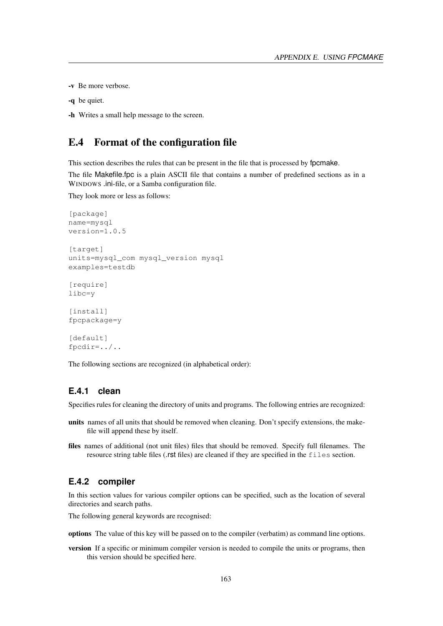-v Be more verbose.

```
-q be quiet.
```
-h Writes a small help message to the screen.

# E.4 Format of the configuration file

This section describes the rules that can be present in the file that is processed by fpcmake.

The file Makefile.fpc is a plain ASCII file that contains a number of predefined sections as in a WINDOWS .ini-file, or a Samba configuration file.

They look more or less as follows:

```
[package]
name=mysql
version=1.0.5
[target]
units=mysql_com mysql_version mysql
examples=testdb
[require]
libc=y
[install]
fpcpackage=y
```
[default] fpcdir=../..

The following sections are recognized (in alphabetical order):

## **E.4.1 clean**

Specifies rules for cleaning the directory of units and programs. The following entries are recognized:

- units names of all units that should be removed when cleaning. Don't specify extensions, the makefile will append these by itself.
- files names of additional (not unit files) files that should be removed. Specify full filenames. The resource string table files (.rst files) are cleaned if they are specified in the files section.

#### **E.4.2 compiler**

In this section values for various compiler options can be specified, such as the location of several directories and search paths.

The following general keywords are recognised:

options The value of this key will be passed on to the compiler (verbatim) as command line options.

version If a specific or minimum compiler version is needed to compile the units or programs, then this version should be specified here.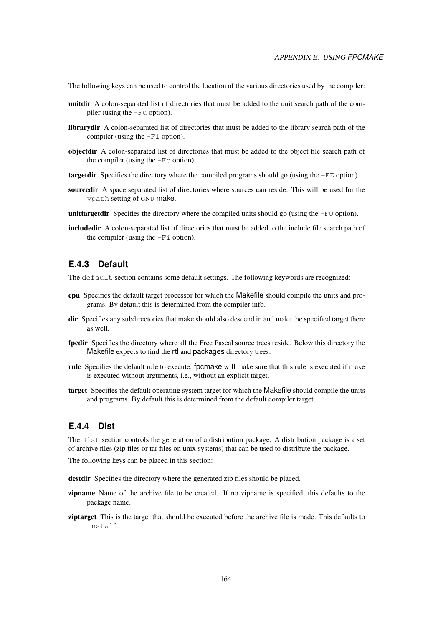The following keys can be used to control the location of the various directories used by the compiler:

- unitdir A colon-separated list of directories that must be added to the unit search path of the compiler (using the -Fu option).
- librarydir A colon-separated list of directories that must be added to the library search path of the compiler (using the  $-Fl$  option).
- objectdir A colon-separated list of directories that must be added to the object file search path of the compiler (using the  $-F \circ$  option).
- **targetdir** Specifies the directory where the compiled programs should go (using the  $-FE$  option).
- sourcedir A space separated list of directories where sources can reside. This will be used for the vpath setting of GNU make.
- **unittargetdir** Specifies the directory where the compiled units should go (using the  $-FU$  option).
- includedir A colon-separated list of directories that must be added to the include file search path of the compiler (using the  $-Fi$  option).

## **E.4.3 Default**

The default section contains some default settings. The following keywords are recognized:

- cpu Specifies the default target processor for which the Makefile should compile the units and programs. By default this is determined from the compiler info.
- dir Specifies any subdirectories that make should also descend in and make the specified target there as well.
- fpcdir Specifies the directory where all the Free Pascal source trees reside. Below this directory the Makefile expects to find the rtl and packages directory trees.
- rule Specifies the default rule to execute. fpcmake will make sure that this rule is executed if make is executed without arguments, i.e., without an explicit target.
- target Specifies the default operating system target for which the Makefile should compile the units and programs. By default this is determined from the default compiler target.

#### **E.4.4 Dist**

The Dist section controls the generation of a distribution package. A distribution package is a set of archive files (zip files or tar files on unix systems) that can be used to distribute the package.

The following keys can be placed in this section:

destdir Specifies the directory where the generated zip files should be placed.

- zipname Name of the archive file to be created. If no zipname is specified, this defaults to the package name.
- ziptarget This is the target that should be executed before the archive file is made. This defaults to install.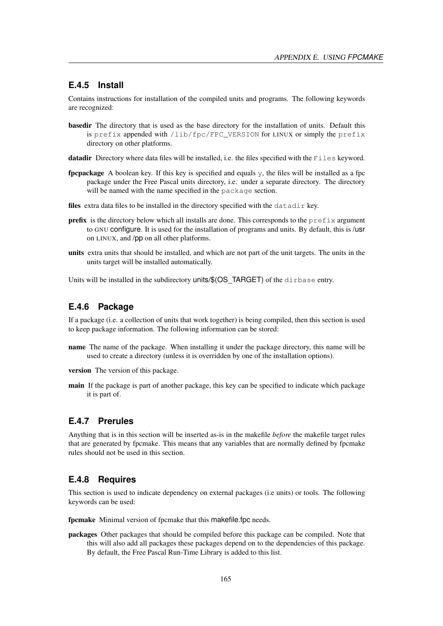#### **E.4.5 Install**

Contains instructions for installation of the compiled units and programs. The following keywords are recognized:

- basedir The directory that is used as the base directory for the installation of units. Default this is prefix appended with /lib/fpc/FPC\_VERSION for LINUX or simply the prefix directory on other platforms.
- datadir Directory where data files will be installed, i.e. the files specified with the Files keyword.
- **fpcpackage** A boolean key. If this key is specified and equals  $\gamma$ , the files will be installed as a fpc package under the Free Pascal units directory, i.e. under a separate directory. The directory will be named with the name specified in the package section.
- files extra data files to be installed in the directory specified with the datadir key.
- **prefix** is the directory below which all installs are done. This corresponds to the  $\text{prefix}$  argument to GNU configure. It is used for the installation of programs and units. By default, this is /usr on LINUX, and /pp on all other platforms.
- units extra units that should be installed, and which are not part of the unit targets. The units in the units target will be installed automatically.

Units will be installed in the subdirectory units/\$(OS\_TARGET) of the dirbase entry.

#### **E.4.6 Package**

If a package (i.e. a collection of units that work together) is being compiled, then this section is used to keep package information. The following information can be stored:

name The name of the package. When installing it under the package directory, this name will be used to create a directory (unless it is overridden by one of the installation options).

version The version of this package.

main If the package is part of another package, this key can be specified to indicate which package it is part of.

#### **E.4.7 Prerules**

Anything that is in this section will be inserted as-is in the makefile *before* the makefile target rules that are generated by fpcmake. This means that any variables that are normally defined by fpcmake rules should not be used in this section.

#### **E.4.8 Requires**

This section is used to indicate dependency on external packages (i.e units) or tools. The following keywords can be used:

fpcmake Minimal version of fpcmake that this makefile.fpc needs.

packages Other packages that should be compiled before this package can be compiled. Note that this will also add all packages these packages depend on to the dependencies of this package. By default, the Free Pascal Run-Time Library is added to this list.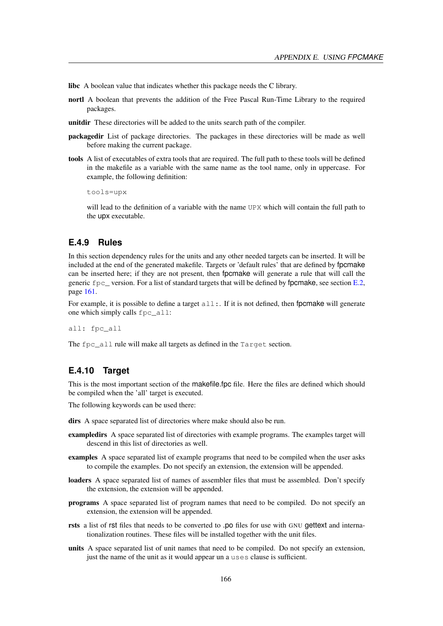libc A boolean value that indicates whether this package needs the C library.

- nortl A boolean that prevents the addition of the Free Pascal Run-Time Library to the required packages.
- unitdir These directories will be added to the units search path of the compiler.
- packagedir List of package directories. The packages in these directories will be made as well before making the current package.
- tools A list of executables of extra tools that are required. The full path to these tools will be defined in the makefile as a variable with the same name as the tool name, only in uppercase. For example, the following definition:

tools=upx

will lead to the definition of a variable with the name UPX which will contain the full path to the upx executable.

#### **E.4.9 Rules**

In this section dependency rules for the units and any other needed targets can be inserted. It will be included at the end of the generated makefile. Targets or 'default rules' that are defined by fpcmake can be inserted here; if they are not present, then fpcmake will generate a rule that will call the generic  $f_{\text{PC}}$  version. For a list of standard targets that will be defined by fpcmake, see section [E.2,](#page-161-0) page [161.](#page-161-0)

For example, it is possible to define a target  $all:$ . If it is not defined, then fpcmake will generate one which simply calls fpc\_all:

all: fpc\_all

The fpc\_all rule will make all targets as defined in the Target section.

### **E.4.10 Target**

This is the most important section of the makefile.fpc file. Here the files are defined which should be compiled when the 'all' target is executed.

The following keywords can be used there:

dirs A space separated list of directories where make should also be run.

- exampledirs A space separated list of directories with example programs. The examples target will descend in this list of directories as well.
- examples A space separated list of example programs that need to be compiled when the user asks to compile the examples. Do not specify an extension, the extension will be appended.
- loaders A space separated list of names of assembler files that must be assembled. Don't specify the extension, the extension will be appended.
- programs A space separated list of program names that need to be compiled. Do not specify an extension, the extension will be appended.
- rsts a list of rst files that needs to be converted to .po files for use with GNU gettext and internationalization routines. These files will be installed together with the unit files.
- units A space separated list of unit names that need to be compiled. Do not specify an extension, just the name of the unit as it would appear un a uses clause is sufficient.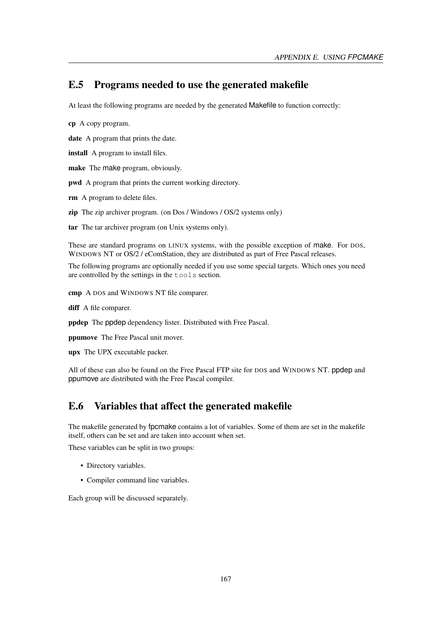# E.5 Programs needed to use the generated makefile

At least the following programs are needed by the generated Makefile to function correctly:

cp A copy program.

date A program that prints the date.

install A program to install files.

make The make program, obviously.

pwd A program that prints the current working directory.

rm A program to delete files.

zip The zip archiver program. (on Dos / Windows / OS/2 systems only)

tar The tar archiver program (on Unix systems only).

These are standard programs on LINUX systems, with the possible exception of make. For DOS, WINDOWS NT or OS/2 / eComStation, they are distributed as part of Free Pascal releases.

The following programs are optionally needed if you use some special targets. Which ones you need are controlled by the settings in the tools section.

cmp A DOS and WINDOWS NT file comparer.

diff A file comparer.

ppdep The ppdep dependency lister. Distributed with Free Pascal.

ppumove The Free Pascal unit mover.

upx The UPX executable packer.

All of these can also be found on the Free Pascal FTP site for DOS and WINDOWS NT. ppdep and ppumove are distributed with the Free Pascal compiler.

# E.6 Variables that affect the generated makefile

The makefile generated by fpcmake contains a lot of variables. Some of them are set in the makefile itself, others can be set and are taken into account when set.

These variables can be split in two groups:

- Directory variables.
- Compiler command line variables.

Each group will be discussed separately.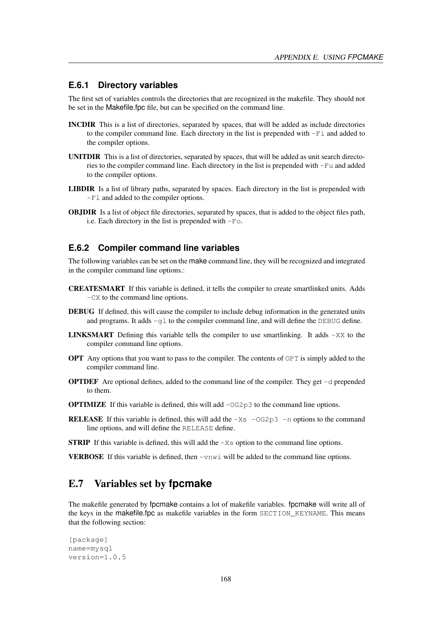#### **E.6.1 Directory variables**

The first set of variables controls the directories that are recognized in the makefile. They should not be set in the Makefile.fpc file, but can be specified on the command line.

- INCDIR This is a list of directories, separated by spaces, that will be added as include directories to the compiler command line. Each directory in the list is prepended with  $-Fi$  and added to the compiler options.
- UNITDIR This is a list of directories, separated by spaces, that will be added as unit search directories to the compiler command line. Each directory in the list is prepended with -Fu and added to the compiler options.
- LIBDIR Is a list of library paths, separated by spaces. Each directory in the list is prepended with -Fl and added to the compiler options.
- OBJDIR Is a list of object file directories, separated by spaces, that is added to the object files path, i.e. Each directory in the list is prepended with -Fo.

#### **E.6.2 Compiler command line variables**

The following variables can be set on the make command line, they will be recognized and integrated in the compiler command line options.:

- CREATESMART If this variable is defined, it tells the compiler to create smartlinked units. Adds -CX to the command line options.
- DEBUG If defined, this will cause the compiler to include debug information in the generated units and programs. It adds  $-g1$  to the compiler command line, and will define the DEBUG define.
- **LINKSMART** Defining this variable tells the compiler to use smartlinking. It adds  $-XX$  to the compiler command line options.
- **OPT** Any options that you want to pass to the compiler. The contents of  $OPT$  is simply added to the compiler command line.
- **OPTDEF** Are optional defines, added to the command line of the compiler. They get  $-d$  prepended to them.
- **OPTIMIZE** If this variable is defined, this will add  $-\text{OG2p3}$  to the command line options.
- **RELEASE** If this variable is defined, this will add the  $-Xs$  -OG2p3 -n options to the command line options, and will define the RELEASE define.

**STRIP** If this variable is defined, this will add the  $-Xs$  option to the command line options.

**VERBOSE** If this variable is defined, then  $-\text{vnw1}$  will be added to the command line options.

# E.7 Variables set by **fpcmake**

The makefile generated by fpcmake contains a lot of makefile variables. fpcmake will write all of the keys in the makefile.fpc as makefile variables in the form SECTION\_KEYNAME. This means that the following section:

```
[package]
name=mysql
version=1.0.5
```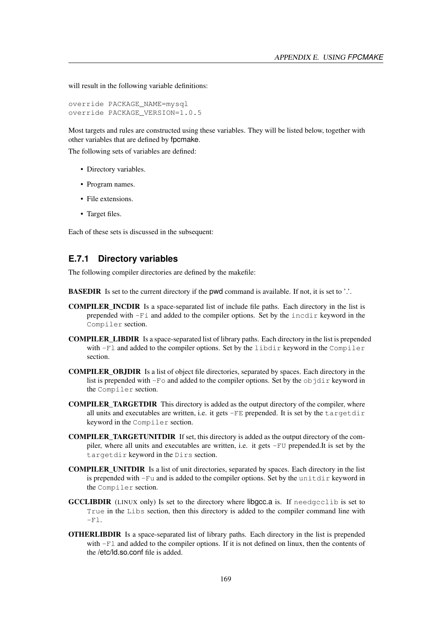will result in the following variable definitions:

```
override PACKAGE_NAME=mysql
override PACKAGE_VERSION=1.0.5
```
Most targets and rules are constructed using these variables. They will be listed below, together with other variables that are defined by fpcmake.

The following sets of variables are defined:

- Directory variables.
- Program names.
- File extensions.
- Target files.

Each of these sets is discussed in the subsequent:

### **E.7.1 Directory variables**

The following compiler directories are defined by the makefile:

**BASEDIR** Is set to the current directory if the pwd command is available. If not, it is set to '.'.

- COMPILER\_INCDIR Is a space-separated list of include file paths. Each directory in the list is prepended with -Fi and added to the compiler options. Set by the incdir keyword in the Compiler section.
- COMPILER\_LIBDIR Is a space-separated list of library paths. Each directory in the list is prepended with  $-F1$  and added to the compiler options. Set by the libdir keyword in the Compiler section.
- COMPILER\_OBJDIR Is a list of object file directories, separated by spaces. Each directory in the list is prepended with  $-F \circ$  and added to the compiler options. Set by the  $\circ$ b jdir keyword in the Compiler section.
- COMPILER\_TARGETDIR This directory is added as the output directory of the compiler, where all units and executables are written, i.e. it gets  $-FE$  prepended. It is set by the targetdir keyword in the Compiler section.
- COMPILER\_TARGETUNITDIR If set, this directory is added as the output directory of the compiler, where all units and executables are written, i.e. it gets -FU prepended.It is set by the targetdir keyword in the Dirs section.
- COMPILER\_UNITDIR Is a list of unit directories, separated by spaces. Each directory in the list is prepended with  $-Fu$  and is added to the compiler options. Set by the unitdir keyword in the Compiler section.
- GCCLIBDIR (LINUX only) Is set to the directory where libgcc.a is. If needgcclib is set to True in the Libs section, then this directory is added to the compiler command line with  $-F1.$
- OTHERLIBDIR Is a space-separated list of library paths. Each directory in the list is prepended with  $-F1$  and added to the compiler options. If it is not defined on linux, then the contents of the /etc/ld.so.conf file is added.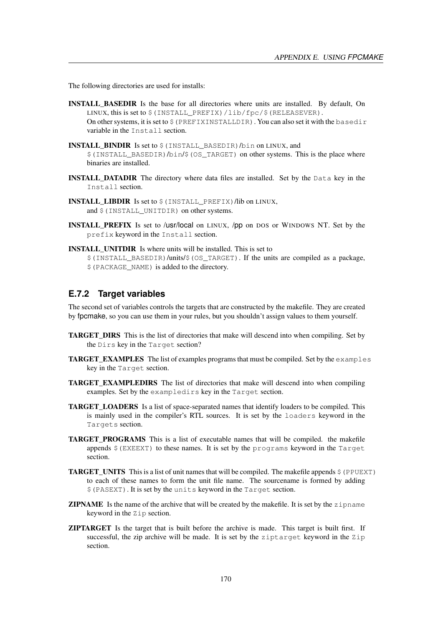The following directories are used for installs:

- INSTALL\_BASEDIR Is the base for all directories where units are installed. By default, On LINUX, this is set to \$(INSTALL\_PREFIX)/lib/fpc/\$(RELEASEVER). On other systems, it is set to  $\frac{1}{2}$  (PREFIXINSTALLDIR). You can also set it with the basedir variable in the Install section.
- INSTALL\_BINDIR\_Is set to  $$$  (INSTALL\_BASEDIR)/bin on LINUX, and \$(INSTALL\_BASEDIR)/bin/\$(OS\_TARGET) on other systems. This is the place where binaries are installed.
- INSTALL\_DATADIR The directory where data files are installed. Set by the Data key in the Install section.
- INSTALL\_LIBDIR Is set to \$(INSTALL\_PREFIX)/lib on LINUX, and  $$$  (INSTALL\_UNITDIR) on other systems.
- INSTALL\_PREFIX Is set to /usr/local on LINUX, /pp on DOS or WINDOWS NT. Set by the prefix keyword in the Install section.
- INSTALL\_UNITDIR Is where units will be installed. This is set to \$(INSTALL\_BASEDIR)/units/\$(OS\_TARGET). If the units are compiled as a package, \$(PACKAGE\_NAME) is added to the directory.

#### **E.7.2 Target variables**

The second set of variables controls the targets that are constructed by the makefile. They are created by fpcmake, so you can use them in your rules, but you shouldn't assign values to them yourself.

- TARGET\_DIRS This is the list of directories that make will descend into when compiling. Set by the Dirs key in the Target section?
- TARGET\_EXAMPLES The list of examples programs that must be compiled. Set by the examples key in the Target section.
- TARGET EXAMPLEDIRS The list of directories that make will descend into when compiling examples. Set by the exampledirs key in the Target section.
- **TARGET** LOADERS Is a list of space-separated names that identify loaders to be compiled. This is mainly used in the compiler's RTL sources. It is set by the loaders keyword in the Targets section.
- **TARGET PROGRAMS** This is a list of executable names that will be compiled. the makefile appends  $\frac{1}{2}$  (EXEEXT) to these names. It is set by the programs keyword in the Target section.
- **TARGET\_UNITS** This is a list of unit names that will be compiled. The makefile appends  $\frac{1}{2}$  (PPUEXT) to each of these names to form the unit file name. The sourcename is formed by adding \$(PASEXT). It is set by the units keyword in the Target section.
- **ZIPNAME** Is the name of the archive that will be created by the makefile. It is set by the zipname keyword in the Zip section.
- ZIPTARGET Is the target that is built before the archive is made. This target is built first. If successful, the zip archive will be made. It is set by the ziptarget keyword in the Zip section.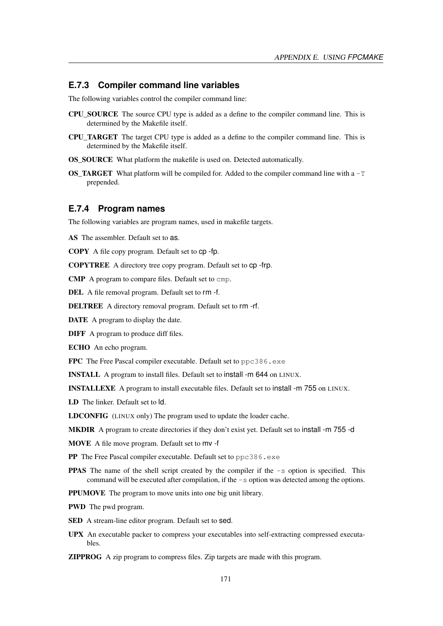#### **E.7.3 Compiler command line variables**

The following variables control the compiler command line:

- CPU\_SOURCE The source CPU type is added as a define to the compiler command line. This is determined by the Makefile itself.
- CPU\_TARGET The target CPU type is added as a define to the compiler command line. This is determined by the Makefile itself.
- OS\_SOURCE What platform the makefile is used on. Detected automatically.
- **OS\_TARGET** What platform will be compiled for. Added to the compiler command line with a  $-T$ prepended.

#### **E.7.4 Program names**

The following variables are program names, used in makefile targets.

AS The assembler. Default set to as.

COPY A file copy program. Default set to cp -fp.

COPYTREE A directory tree copy program. Default set to cp -frp.

CMP A program to compare files. Default set to cmp.

DEL A file removal program. Default set to rm -f.

DELTREE A directory removal program. Default set to rm -rf.

DATE A program to display the date.

DIFF A program to produce diff files.

ECHO An echo program.

FPC The Free Pascal compiler executable. Default set to ppc386.exe

INSTALL A program to install files. Default set to install -m 644 on LINUX.

INSTALLEXE A program to install executable files. Default set to install -m 755 on LINUX.

LD The linker. Default set to ld.

LDCONFIG (LINUX only) The program used to update the loader cache.

MKDIR A program to create directories if they don't exist yet. Default set to install -m 755 -d

MOVE A file move program. Default set to mv -f

PP The Free Pascal compiler executable. Default set to ppc386.exe

**PPAS** The name of the shell script created by the compiler if the  $-s$  option is specified. This command will be executed after compilation, if the -s option was detected among the options.

PPUMOVE The program to move units into one big unit library.

PWD The pwd program.

- SED A stream-line editor program. Default set to sed.
- UPX An executable packer to compress your executables into self-extracting compressed executables.

ZIPPROG A zip program to compress files. Zip targets are made with this program.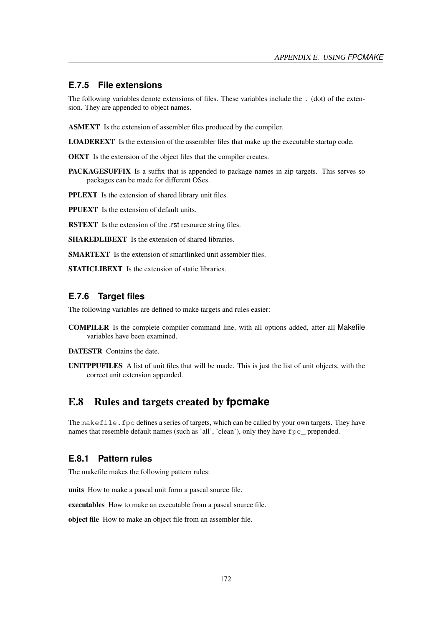#### **E.7.5 File extensions**

The following variables denote extensions of files. These variables include the . (dot) of the extension. They are appended to object names.

ASMEXT Is the extension of assembler files produced by the compiler.

LOADEREXT Is the extension of the assembler files that make up the executable startup code.

OEXT Is the extension of the object files that the compiler creates.

PACKAGESUFFIX Is a suffix that is appended to package names in zip targets. This serves so packages can be made for different OSes.

PPLEXT Is the extension of shared library unit files.

PPUEXT Is the extension of default units.

RSTEXT Is the extension of the .rst resource string files.

SHAREDLIBEXT Is the extension of shared libraries.

SMARTEXT Is the extension of smartlinked unit assembler files.

STATICLIBEXT Is the extension of static libraries.

#### **E.7.6 Target files**

The following variables are defined to make targets and rules easier:

COMPILER Is the complete compiler command line, with all options added, after all Makefile variables have been examined.

DATESTR Contains the date.

UNITPPUFILES A list of unit files that will be made. This is just the list of unit objects, with the correct unit extension appended.

### E.8 Rules and targets created by **fpcmake**

The makefile. fpc defines a series of targets, which can be called by your own targets. They have names that resemble default names (such as 'all', 'clean'), only they have fpc\_ prepended.

#### **E.8.1 Pattern rules**

The makefile makes the following pattern rules:

units How to make a pascal unit form a pascal source file.

executables How to make an executable from a pascal source file.

object file How to make an object file from an assembler file.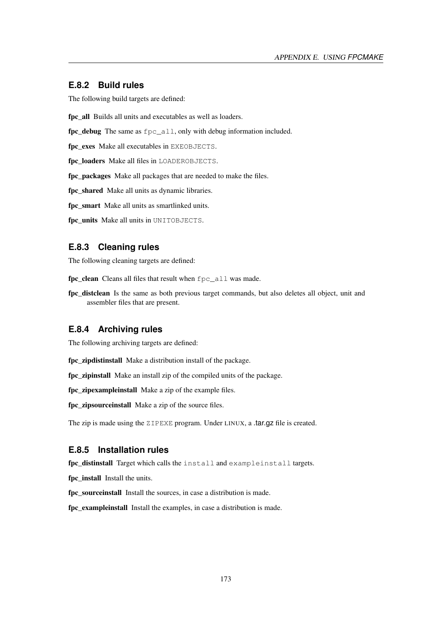#### **E.8.2 Build rules**

The following build targets are defined:

fpc\_all Builds all units and executables as well as loaders.

fpc\_debug The same as fpc\_all, only with debug information included.

fpc\_exes Make all executables in EXEOBJECTS.

fpc loaders Make all files in LOADEROBJECTS.

fpc\_packages Make all packages that are needed to make the files.

fpc\_shared Make all units as dynamic libraries.

fpc\_smart Make all units as smartlinked units.

fpc\_units Make all units in UNITOBJECTS.

#### **E.8.3 Cleaning rules**

The following cleaning targets are defined:

fpc\_clean Cleans all files that result when fpc\_all was made.

fpc\_distclean Is the same as both previous target commands, but also deletes all object, unit and assembler files that are present.

#### **E.8.4 Archiving rules**

The following archiving targets are defined:

fpc zipdistinstall Make a distribution install of the package.

fpc\_zipinstall Make an install zip of the compiled units of the package.

fpc zipexampleinstall Make a zip of the example files.

fpc\_zipsourceinstall Make a zip of the source files.

The zip is made using the ZIPEXE program. Under LINUX, a .tar.gz file is created.

#### **E.8.5 Installation rules**

fpc distinstall Target which calls the install and exampleinstall targets.

fpc install Install the units.

fpc sourceinstall Install the sources, in case a distribution is made.

fpc\_exampleinstall Install the examples, in case a distribution is made.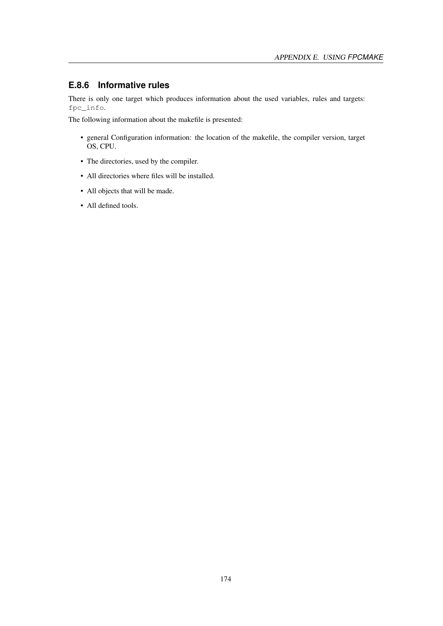# **E.8.6 Informative rules**

There is only one target which produces information about the used variables, rules and targets: fpc\_info.

The following information about the makefile is presented:

- general Configuration information: the location of the makefile, the compiler version, target OS, CPU.
- The directories, used by the compiler.
- All directories where files will be installed.
- All objects that will be made.
- All defined tools.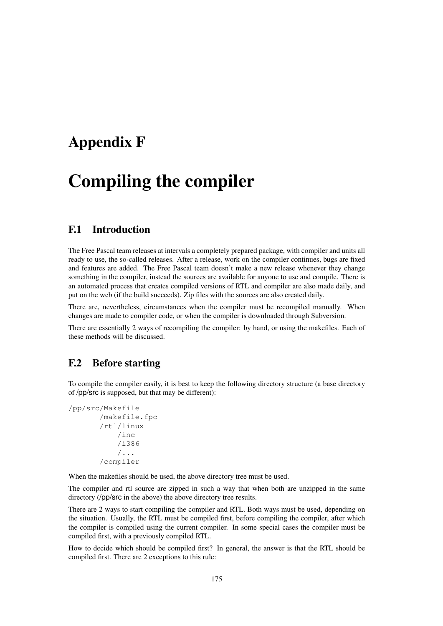# Appendix F

# Compiling the compiler

# F.1 Introduction

The Free Pascal team releases at intervals a completely prepared package, with compiler and units all ready to use, the so-called releases. After a release, work on the compiler continues, bugs are fixed and features are added. The Free Pascal team doesn't make a new release whenever they change something in the compiler, instead the sources are available for anyone to use and compile. There is an automated process that creates compiled versions of RTL and compiler are also made daily, and put on the web (if the build succeeds). Zip files with the sources are also created daily.

There are, nevertheless, circumstances when the compiler must be recompiled manually. When changes are made to compiler code, or when the compiler is downloaded through Subversion.

There are essentially 2 ways of recompiling the compiler: by hand, or using the makefiles. Each of these methods will be discussed.

# F.2 Before starting

To compile the compiler easily, it is best to keep the following directory structure (a base directory of /pp/src is supposed, but that may be different):

```
/pp/src/Makefile
       /makefile.fpc
       /rtl/linux
           /inc
           /i386
           /...
       /compiler
```
When the makefiles should be used, the above directory tree must be used.

The compiler and rtl source are zipped in such a way that when both are unzipped in the same directory (/pp/src in the above) the above directory tree results.

There are 2 ways to start compiling the compiler and RTL. Both ways must be used, depending on the situation. Usually, the RTL must be compiled first, before compiling the compiler, after which the compiler is compiled using the current compiler. In some special cases the compiler must be compiled first, with a previously compiled RTL.

How to decide which should be compiled first? In general, the answer is that the RTL should be compiled first. There are 2 exceptions to this rule: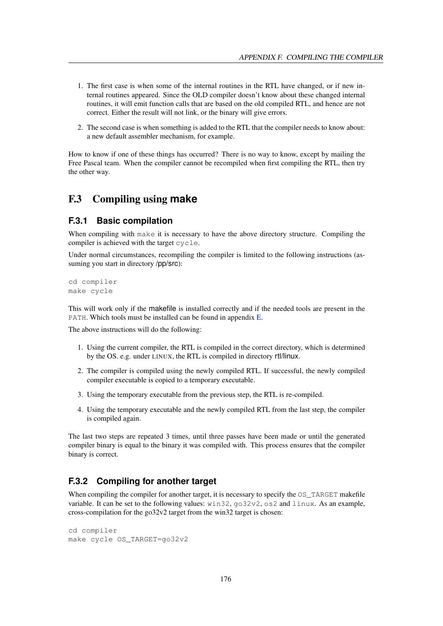- 1. The first case is when some of the internal routines in the RTL have changed, or if new internal routines appeared. Since the OLD compiler doesn't know about these changed internal routines, it will emit function calls that are based on the old compiled RTL, and hence are not correct. Either the result will not link, or the binary will give errors.
- 2. The second case is when something is added to the RTL that the compiler needs to know about: a new default assembler mechanism, for example.

How to know if one of these things has occurred? There is no way to know, except by mailing the Free Pascal team. When the compiler cannot be recompiled when first compiling the RTL, then try the other way.

## F.3 Compiling using **make**

#### **F.3.1 Basic compilation**

When compiling with make it is necessary to have the above directory structure. Compiling the compiler is achieved with the target cycle.

Under normal circumstances, recompiling the compiler is limited to the following instructions (assuming you start in directory /pp/src):

cd compiler make cycle

This will work only if the makefile is installed correctly and if the needed tools are present in the PATH. Which tools must be installed can be found in appendix [E.](#page-161-1)

The above instructions will do the following:

- 1. Using the current compiler, the RTL is compiled in the correct directory, which is determined by the OS. e.g. under LINUX, the RTL is compiled in directory rtl/linux.
- 2. The compiler is compiled using the newly compiled RTL. If successful, the newly compiled compiler executable is copied to a temporary executable.
- 3. Using the temporary executable from the previous step, the RTL is re-compiled.
- 4. Using the temporary executable and the newly compiled RTL from the last step, the compiler is compiled again.

The last two steps are repeated 3 times, until three passes have been made or until the generated compiler binary is equal to the binary it was compiled with. This process ensures that the compiler binary is correct.

#### **F.3.2 Compiling for another target**

When compiling the compiler for another target, it is necessary to specify the  $\circ$ S\_TARGET makefile variable. It can be set to the following values: win32, go32v2, os2 and linux. As an example, cross-compilation for the go32v2 target from the win32 target is chosen:

```
cd compiler
make cycle OS_TARGET=go32v2
```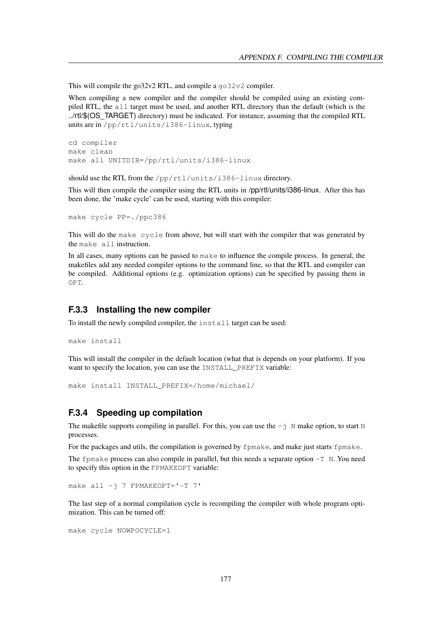This will compile the go32v2 RTL, and compile a go32v2 compiler.

When compiling a new compiler and the compiler should be compiled using an existing compiled RTL, the all target must be used, and another RTL directory than the default (which is the ../rtl/\$(OS\_TARGET) directory) must be indicated. For instance, assuming that the compiled RTL units are in /pp/rtl/units/i386-linux, typing

```
cd compiler
make clean
make all UNITDIR=/pp/rtl/units/i386-linux
```
should use the RTL from the /pp/rtl/units/i386-linux directory.

This will then compile the compiler using the RTL units in /pp/rtl/units/i386-linux. After this has been done, the 'make cycle' can be used, starting with this compiler:

```
make cycle PP=./ppc386
```
This will do the make cycle from above, but will start with the compiler that was generated by the make all instruction.

In all cases, many options can be passed to make to influence the compile process. In general, the makefiles add any needed compiler options to the command line, so that the RTL and compiler can be compiled. Additional options (e.g. optimization options) can be specified by passing them in OPT.

#### **F.3.3 Installing the new compiler**

To install the newly compiled compiler, the install target can be used:

```
make install
```
This will install the compiler in the default location (what that is depends on your platform). If you want to specify the location, you can use the INSTALL\_PREFIX variable:

```
make install INSTALL_PREFIX=/home/michael/
```
#### **F.3.4 Speeding up compilation**

The makefile supports compiling in parallel. For this, you can use the  $-\frac{1}{3}$  N make option, to start N processes.

For the packages and utils, the compilation is governed by fpmake, and make just starts fpmake.

The fpmake process can also compile in parallel, but this needs a separate option  $-T$  N. You need to specify this option in the FPMAKEOPT variable:

make all -j 7 FPMAKEOPT='-T 7'

The last step of a normal compilation cycle is recompiling the compiler with whole program optimization. This can be turned off:

```
make cycle NOWPOCYCLE=1
```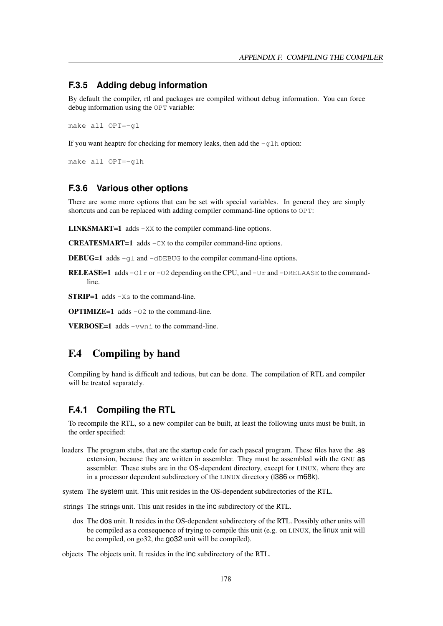#### **F.3.5 Adding debug information**

By default the compiler, rtl and packages are compiled without debug information. You can force debug information using the OPT variable:

make all OPT=-gl

If you want heaptrc for checking for memory leaks, then add the  $-q \ln$  option:

make all OPT=-glh

#### **F.3.6 Various other options**

There are some more options that can be set with special variables. In general they are simply shortcuts and can be replaced with adding compiler command-line options to OPT:

LINKSMART=1 adds -XX to the compiler command-line options.

CREATESMART=1 adds -CX to the compiler command-line options.

DEBUG=1 adds -gl and -dDEBUG to the compiler command-line options.

**RELEASE=1** adds  $-01r$  or  $-02$  depending on the CPU, and  $-Ur$  and  $-DRELAASE$  to the commandline.

**STRIP=1** adds  $-Xs$  to the command-line.

**OPTIMIZE=1** adds  $-02$  to the command-line.

VERBOSE=1 adds -vwni to the command-line.

### F.4 Compiling by hand

Compiling by hand is difficult and tedious, but can be done. The compilation of RTL and compiler will be treated separately.

#### **F.4.1 Compiling the RTL**

To recompile the RTL, so a new compiler can be built, at least the following units must be built, in the order specified:

- loaders The program stubs, that are the startup code for each pascal program. These files have the .as extension, because they are written in assembler. They must be assembled with the GNU as assembler. These stubs are in the OS-dependent directory, except for LINUX, where they are in a processor dependent subdirectory of the LINUX directory (i386 or m68k).
- system The system unit. This unit resides in the OS-dependent subdirectories of the RTL.
- strings The strings unit. This unit resides in the inc subdirectory of the RTL.
	- dos The dos unit. It resides in the OS-dependent subdirectory of the RTL. Possibly other units will be compiled as a consequence of trying to compile this unit (e.g. on LINUX, the linux unit will be compiled, on go32, the go32 unit will be compiled).

objects The objects unit. It resides in the inc subdirectory of the RTL.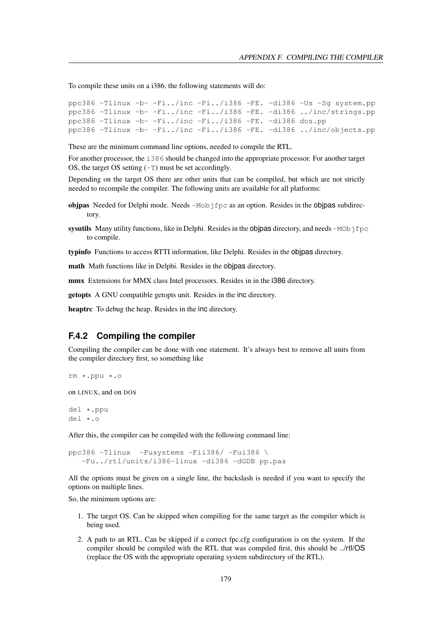To compile these units on a i386, the following statements will do:

```
ppc386 -Tlinux -b- -Fi../inc -Fi../i386 -FE. -di386 -Us -Sg system.pp
ppc386 -Tlinux -b- -Fi../inc -Fi../i386 -FE. -di386 ../inc/strings.pp
ppc386 -Tlinux -b- -Fi../inc -Fi../i386 -FE. -di386 dos.pp
ppc386 -Tlinux -b- -Fi../inc -Fi../i386 -FE. -di386 ../inc/objects.pp
```
These are the minimum command line options, needed to compile the RTL.

For another processor, the i386 should be changed into the appropriate processor. For another target OS, the target OS setting  $(-T)$  must be set accordingly.

Depending on the target OS there are other units that can be compiled, but which are not strictly needed to recompile the compiler. The following units are available for all platforms:

- objpas Needed for Delphi mode. Needs  $-Mob$  f  $ppc$  as an option. Resides in the objpas subdirectory.
- sysutils Many utility functions, like in Delphi. Resides in the objpas directory, and needs  $-MOD$  f  $fpc$ to compile.

typinfo Functions to access RTTI information, like Delphi. Resides in the objpas directory.

math Math functions like in Delphi. Resides in the objpas directory.

mmx Extensions for MMX class Intel processors. Resides in in the i386 directory.

getopts A GNU compatible getopts unit. Resides in the inc directory.

heaptrc To debug the heap. Resides in the inc directory.

#### **F.4.2 Compiling the compiler**

Compiling the compiler can be done with one statement. It's always best to remove all units from the compiler directory first, so something like

```
rm *.ppu *.o
```
on LINUX, and on DOS

del \*.ppu del \*.o

After this, the compiler can be compiled with the following command line:

ppc386 -Tlinux -Fusystems -Fii386/ -Fui386 \ -Fu../rtl/units/i386-linux -di386 -dGDB pp.pas

All the options must be given on a single line, the backslash is needed if you want to specify the options on multiple lines.

So, the minimum options are:

- 1. The target OS. Can be skipped when compiling for the same target as the compiler which is being used.
- 2. A path to an RTL. Can be skipped if a correct fpc.cfg configuration is on the system. If the compiler should be compiled with the RTL that was compiled first, this should be ../rtl/OS (replace the OS with the appropriate operating system subdirectory of the RTL).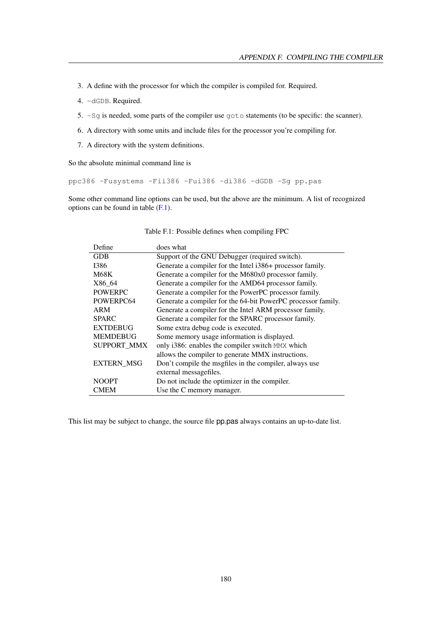- 3. A define with the processor for which the compiler is compiled for. Required.
- 4. -dGDB. Required.
- 5. -Sg is needed, some parts of the compiler use goto statements (to be specific: the scanner).
- 6. A directory with some units and include files for the processor you're compiling for.
- 7. A directory with the system definitions.

So the absolute minimal command line is

```
ppc386 -Fusystems -Fii386 -Fui386 -di386 -dGDB -Sg pp.pas
```
Some other command line options can be used, but the above are the minimum. A list of recognized options can be found in table [\(F.1\)](#page-180-0).

| Define             | does what                                                    |
|--------------------|--------------------------------------------------------------|
| <b>GDB</b>         | Support of the GNU Debugger (required switch).               |
| 1386               | Generate a compiler for the Intel i386+ processor family.    |
| <b>M68K</b>        | Generate a compiler for the M680x0 processor family.         |
| X86 64             | Generate a compiler for the AMD64 processor family.          |
| <b>POWERPC</b>     | Generate a compiler for the PowerPC processor family.        |
| POWERPC64          | Generate a compiler for the 64-bit PowerPC processor family. |
| ARM                | Generate a compiler for the Intel ARM processor family.      |
| <b>SPARC</b>       | Generate a compiler for the SPARC processor family.          |
| <b>EXTDEBUG</b>    | Some extra debug code is executed.                           |
| <b>MEMDEBUG</b>    | Some memory usage information is displayed.                  |
| <b>SUPPORT MMX</b> | only i386: enables the compiler switch MMX which             |
|                    | allows the compiler to generate MMX instructions.            |
| <b>EXTERN MSG</b>  | Don't compile the magfiles in the compiler, always use       |
|                    | external messagefiles.                                       |
| <b>NOOPT</b>       | Do not include the optimizer in the compiler.                |
| <b>CMEM</b>        | Use the C memory manager.                                    |

<span id="page-180-0"></span>Table F.1: Possible defines when compiling FPC

This list may be subject to change, the source file pp.pas always contains an up-to-date list.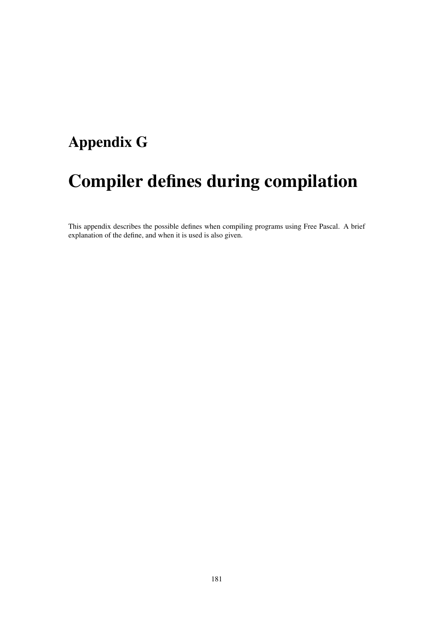## Appendix G

## Compiler defines during compilation

This appendix describes the possible defines when compiling programs using Free Pascal. A brief explanation of the define, and when it is used is also given.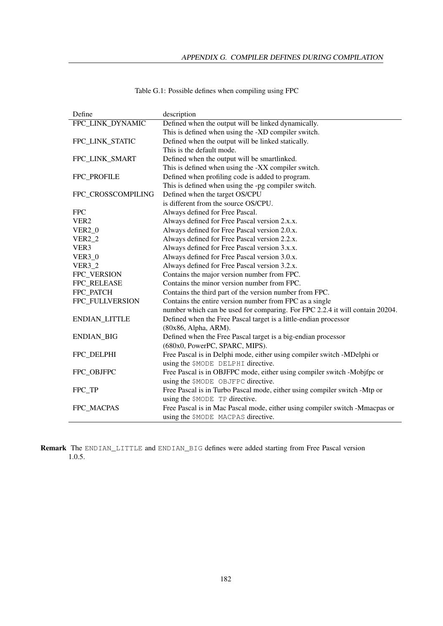| Define             | description                                                                  |  |
|--------------------|------------------------------------------------------------------------------|--|
| FPC_LINK_DYNAMIC   | Defined when the output will be linked dynamically.                          |  |
|                    | This is defined when using the -XD compiler switch.                          |  |
| FPC_LINK_STATIC    | Defined when the output will be linked statically.                           |  |
|                    | This is the default mode.                                                    |  |
| FPC_LINK_SMART     | Defined when the output will be smartlinked.                                 |  |
|                    | This is defined when using the -XX compiler switch.                          |  |
| FPC_PROFILE        | Defined when profiling code is added to program.                             |  |
|                    | This is defined when using the -pg compiler switch.                          |  |
| FPC_CROSSCOMPILING | Defined when the target OS/CPU                                               |  |
|                    | is different from the source OS/CPU.                                         |  |
| <b>FPC</b>         | Always defined for Free Pascal.                                              |  |
| VER <sub>2</sub>   | Always defined for Free Pascal version 2.x.x.                                |  |
| <b>VER2_0</b>      | Always defined for Free Pascal version 2.0.x.                                |  |
| <b>VER2 2</b>      | Always defined for Free Pascal version 2.2.x.                                |  |
| VER3               | Always defined for Free Pascal version 3.x.x.                                |  |
| $VER3_0$           | Always defined for Free Pascal version 3.0.x.                                |  |
| <b>VER3_2</b>      | Always defined for Free Pascal version 3.2.x.                                |  |
| FPC_VERSION        | Contains the major version number from FPC.                                  |  |
| FPC_RELEASE        | Contains the minor version number from FPC.                                  |  |
| FPC_PATCH          | Contains the third part of the version number from FPC.                      |  |
| FPC_FULLVERSION    | Contains the entire version number from FPC as a single                      |  |
|                    | number which can be used for comparing. For FPC 2.2.4 it will contain 20204. |  |
| ENDIAN_LITTLE      | Defined when the Free Pascal target is a little-endian processor             |  |
|                    | (80x86, Alpha, ARM).                                                         |  |
| <b>ENDIAN_BIG</b>  | Defined when the Free Pascal target is a big-endian processor                |  |
|                    | (680x0, PowerPC, SPARC, MIPS).                                               |  |
| FPC_DELPHI         | Free Pascal is in Delphi mode, either using compiler switch -MDelphi or      |  |
|                    | using the \$MODE DELPHI directive.                                           |  |
| FPC OBJFPC         | Free Pascal is in OBJFPC mode, either using compiler switch -Mobjfpc or      |  |
|                    | using the \$MODE OBJFPC directive.                                           |  |
| FPC TP             | Free Pascal is in Turbo Pascal mode, either using compiler switch -Mtp or    |  |
|                    | using the \$MODE TP directive.                                               |  |
| FPC_MACPAS         | Free Pascal is in Mac Pascal mode, either using compiler switch -Mmacpas or  |  |
|                    | using the \$MODE MACPAS directive.                                           |  |

Remark The ENDIAN\_LITTLE and ENDIAN\_BIG defines were added starting from Free Pascal version 1.0.5.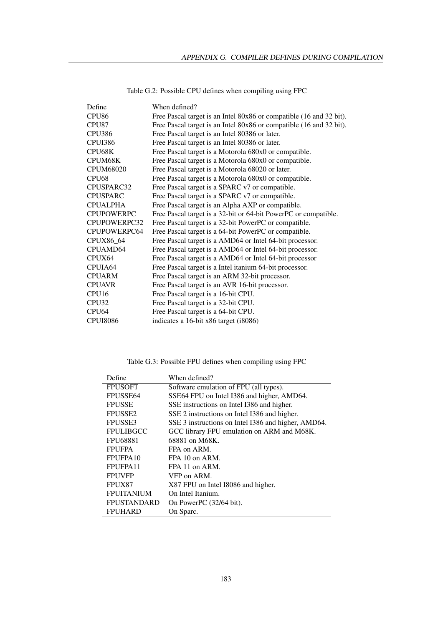| Define            | When defined?                                                       |
|-------------------|---------------------------------------------------------------------|
| CPU <sub>86</sub> | Free Pascal target is an Intel 80x86 or compatible (16 and 32 bit). |
| CPU87             | Free Pascal target is an Intel 80x86 or compatible (16 and 32 bit). |
| <b>CPU386</b>     | Free Pascal target is an Intel 80386 or later.                      |
| CPUI386           | Free Pascal target is an Intel 80386 or later.                      |
| CPU68K            | Free Pascal target is a Motorola 680x0 or compatible.               |
| CPUM68K           | Free Pascal target is a Motorola 680x0 or compatible.               |
| <b>CPUM68020</b>  | Free Pascal target is a Motorola 68020 or later.                    |
| <b>CPU68</b>      | Free Pascal target is a Motorola 680x0 or compatible.               |
| CPUSPARC32        | Free Pascal target is a SPARC v7 or compatible.                     |
| <b>CPUSPARC</b>   | Free Pascal target is a SPARC v7 or compatible.                     |
| <b>CPUALPHA</b>   | Free Pascal target is an Alpha AXP or compatible.                   |
| <b>CPUPOWERPC</b> | Free Pascal target is a 32-bit or 64-bit PowerPC or compatible.     |
| CPUPOWERPC32      | Free Pascal target is a 32-bit PowerPC or compatible.               |
| CPUPOWERPC64      | Free Pascal target is a 64-bit PowerPC or compatible.               |
| CPUX86_64         | Free Pascal target is a AMD64 or Intel 64-bit processor.            |
| CPUAMD64          | Free Pascal target is a AMD64 or Intel 64-bit processor.            |
| CPUX64            | Free Pascal target is a AMD64 or Intel 64-bit processor             |
| CPUIA64           | Free Pascal target is a Intel itanium 64-bit processor.             |
| <b>CPUARM</b>     | Free Pascal target is an ARM 32-bit processor.                      |
| <b>CPUAVR</b>     | Free Pascal target is an AVR 16-bit processor.                      |
| CPU <sub>16</sub> | Free Pascal target is a 16-bit CPU.                                 |
| CPU32             | Free Pascal target is a 32-bit CPU.                                 |
| CPU <sub>64</sub> | Free Pascal target is a 64-bit CPU.                                 |
| <b>CPUI8086</b>   | indicates a 16-bit x86 target (i8086)                               |

Table G.2: Possible CPU defines when compiling using FPC

Table G.3: Possible FPU defines when compiling using FPC

| Define              | When defined?                                       |
|---------------------|-----------------------------------------------------|
| <b>FPUSOFT</b>      | Software emulation of FPU (all types).              |
| FPUSSE64            | SSE64 FPU on Intel I386 and higher, AMD64.          |
| <b>FPUSSE</b>       | SSE instructions on Intel I386 and higher.          |
| FPUSSE <sub>2</sub> | SSE 2 instructions on Intel I386 and higher.        |
| FPUSSE3             | SSE 3 instructions on Intel I386 and higher, AMD64. |
| <b>FPULIBGCC</b>    | GCC library FPU emulation on ARM and M68K.          |
| <b>FPU68881</b>     | 68881 on M68K.                                      |
| <b>FPUFPA</b>       | FPA on ARM.                                         |
| FPUFPA10            | FPA 10 on ARM.                                      |
| FPUFPA11            | FPA 11 on ARM.                                      |
| <b>FPUVFP</b>       | VFP on ARM.                                         |
| FPUX87              | X87 FPU on Intel I8086 and higher.                  |
| <b>FPUITANIUM</b>   | On Intel Itanium.                                   |
| <b>FPUSTANDARD</b>  | On PowerPC (32/64 bit).                             |
| <b>FPUHARD</b>      | On Sparc.                                           |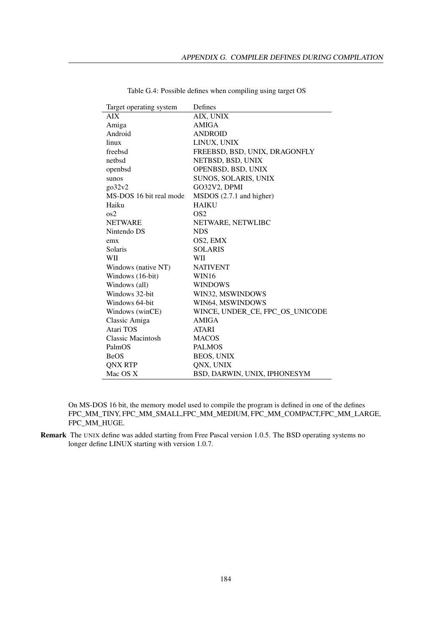| Target operating system  | Defines                         |
|--------------------------|---------------------------------|
| <b>AIX</b>               | AIX, UNIX                       |
| Amiga                    | <b>AMIGA</b>                    |
| Android                  | <b>ANDROID</b>                  |
| linux                    | LINUX, UNIX                     |
| freebsd                  | FREEBSD, BSD, UNIX, DRAGONFLY   |
| nethsd                   | NETBSD, BSD, UNIX               |
| openbsd                  | OPENBSD, BSD, UNIX              |
| sunos                    | SUNOS, SOLARIS, UNIX            |
| $g_032v_2$               | GO32V2, DPMI                    |
| MS-DOS 16 bit real mode  | MSDOS (2.7.1 and higher)        |
| Haiku                    | <b>HAIKU</b>                    |
| $\cos 2$                 | OS <sub>2</sub>                 |
| <b>NETWARE</b>           | NETWARE, NETWLIBC               |
| Nintendo DS              | <b>NDS</b>                      |
| emx                      | OS2, EMX                        |
| Solaris                  | <b>SOLARIS</b>                  |
| WII                      | <b>WII</b>                      |
| Windows (native NT)      | <b>NATIVENT</b>                 |
| Windows (16-bit)         | WIN16                           |
| Windows (all)            | <b>WINDOWS</b>                  |
| Windows 32-bit           | WIN32, MSWINDOWS                |
| Windows 64-bit           | WIN64, MSWINDOWS                |
| Windows (winCE)          | WINCE, UNDER_CE, FPC_OS_UNICODE |
| Classic Amiga            | <b>AMIGA</b>                    |
| Atari TOS                | <b>ATARI</b>                    |
| <b>Classic Macintosh</b> | <b>MACOS</b>                    |
| PalmOS                   | <b>PALMOS</b>                   |
| <b>BeOS</b>              | <b>BEOS, UNIX</b>               |
| <b>ONX RTP</b>           | QNX, UNIX                       |
| Mac OS X                 | BSD, DARWIN, UNIX, IPHONESYM    |

Table G.4: Possible defines when compiling using target OS

On MS-DOS 16 bit, the memory model used to compile the program is defined in one of the defines FPC\_MM\_TINY, FPC\_MM\_SMALL,FPC\_MM\_MEDIUM, FPC\_MM\_COMPACT,FPC\_MM\_LARGE, FPC\_MM\_HUGE.

Remark The UNIX define was added starting from Free Pascal version 1.0.5. The BSD operating systems no longer define LINUX starting with version 1.0.7.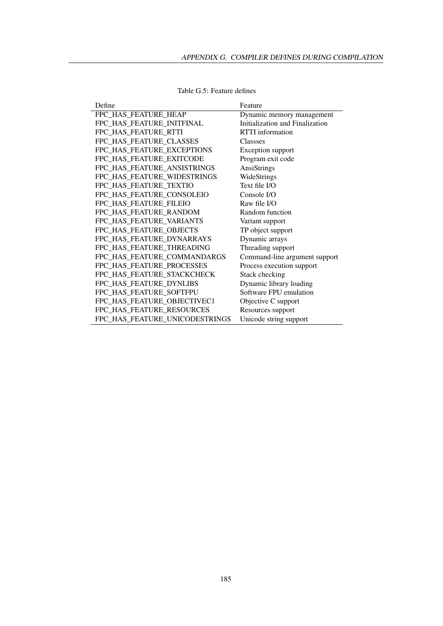| Define                         | Feature                         |
|--------------------------------|---------------------------------|
| FPC HAS FEATURE HEAP           | Dynamic memory management       |
| FPC HAS FEATURE INITFINAL      | Initialization and Finalization |
| FPC HAS FEATURE RTTI           | <b>RTTI</b> information         |
| FPC_HAS_FEATURE_CLASSES        | <b>Classses</b>                 |
| FPC HAS FEATURE EXCEPTIONS     | Exception support               |
| FPC_HAS_FEATURE_EXITCODE       | Program exit code               |
| FPC HAS FEATURE ANSISTRINGS    | AnsiStrings                     |
| FPC_HAS_FEATURE_WIDESTRINGS    | WideStrings                     |
| FPC_HAS_FEATURE_TEXTIO         | Text file I/O                   |
| FPC_HAS_FEATURE_CONSOLEIO      | Console I/O                     |
| FPC_HAS_FEATURE_FILEIO         | Raw file I/O                    |
| FPC_HAS_FEATURE_RANDOM         | Random function                 |
| FPC HAS FEATURE VARIANTS       | Variant support                 |
| FPC_HAS_FEATURE_OBJECTS        | TP object support               |
| FPC_HAS_FEATURE_DYNARRAYS      | Dynamic arrays                  |
| FPC_HAS_FEATURE_THREADING      | Threading support               |
| FPC_HAS_FEATURE_COMMANDARGS    | Command-line argument support   |
| FPC HAS FEATURE PROCESSES      | Process execution support       |
| FPC HAS FEATURE STACKCHECK     | Stack checking                  |
| FPC HAS FEATURE DYNLIBS        | Dynamic library loading         |
| FPC_HAS_FEATURE_SOFTFPU        | Software FPU emulation          |
| FPC_HAS_FEATURE_OBJECTIVEC1    | Objective C support             |
| FPC_HAS_FEATURE_RESOURCES      | Resources support               |
| FPC_HAS_FEATURE_UNICODESTRINGS | Unicode string support          |

Table G.5: Feature defines